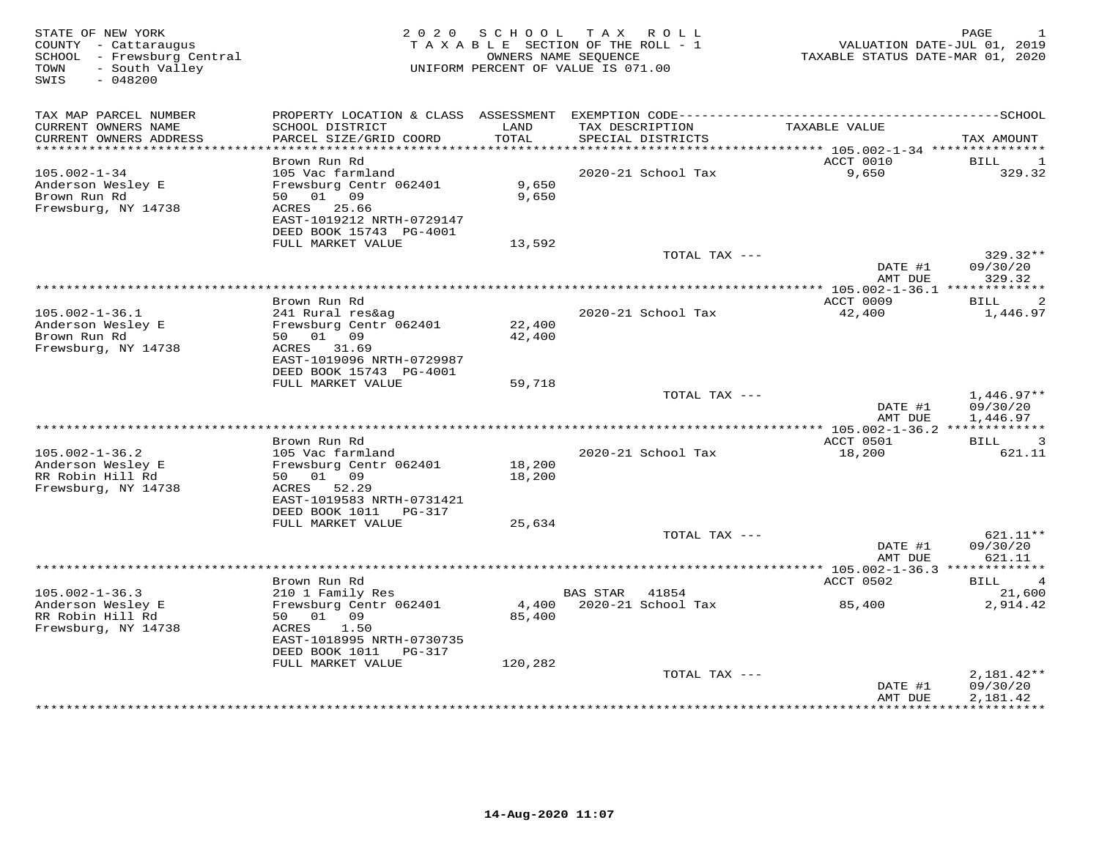| STATE OF NEW YORK<br>COUNTY - Cattaraugus<br>SCHOOL - Frewsburg Central<br>- South Valley<br>TOWN<br>SWIS<br>$-048200$ |                                                                                                       | 2020 SCHOOL      | TAX ROLL<br>TAXABLE SECTION OF THE ROLL - 1<br>OWNERS NAME SEQUENCE<br>UNIFORM PERCENT OF VALUE IS 071.00 | VALUATION DATE-JUL 01, 2019<br>TAXABLE STATUS DATE-MAR 01, 2020 | PAGE<br>$\mathbf{1}$                 |
|------------------------------------------------------------------------------------------------------------------------|-------------------------------------------------------------------------------------------------------|------------------|-----------------------------------------------------------------------------------------------------------|-----------------------------------------------------------------|--------------------------------------|
| TAX MAP PARCEL NUMBER                                                                                                  |                                                                                                       |                  |                                                                                                           |                                                                 |                                      |
| CURRENT OWNERS NAME<br>CURRENT OWNERS ADDRESS<br>***********************                                               | SCHOOL DISTRICT<br>PARCEL SIZE/GRID COORD<br>*************************                                | LAND<br>TOTAL    | TAX DESCRIPTION<br>SPECIAL DISTRICTS                                                                      | TAXABLE VALUE                                                   | TAX AMOUNT                           |
|                                                                                                                        | Brown Run Rd                                                                                          |                  |                                                                                                           | ACCT 0010                                                       | BILL<br>1                            |
| $105.002 - 1 - 34$<br>Anderson Wesley E<br>Brown Run Rd<br>Frewsburg, NY 14738                                         | 105 Vac farmland<br>Frewsburg Centr 062401<br>50 01 09<br>25.66<br>ACRES<br>EAST-1019212 NRTH-0729147 | 9,650<br>9,650   | 2020-21 School Tax                                                                                        | 9,650                                                           | 329.32                               |
|                                                                                                                        | DEED BOOK 15743 PG-4001                                                                               |                  |                                                                                                           |                                                                 |                                      |
|                                                                                                                        | FULL MARKET VALUE                                                                                     | 13,592           |                                                                                                           |                                                                 |                                      |
|                                                                                                                        |                                                                                                       |                  | TOTAL TAX ---                                                                                             | DATE #1<br>AMT DUE                                              | 329.32**<br>09/30/20<br>329.32       |
|                                                                                                                        |                                                                                                       |                  |                                                                                                           | *** 105.002-1-36.1 *************                                |                                      |
|                                                                                                                        | Brown Run Rd                                                                                          |                  |                                                                                                           | ACCT 0009                                                       | 2<br>BILL                            |
| $105.002 - 1 - 36.1$<br>Anderson Wesley E<br>Brown Run Rd                                                              | 241 Rural res&ag<br>Frewsburg Centr 062401<br>50 01 09                                                | 22,400<br>42,400 | 2020-21 School Tax                                                                                        | 42,400                                                          | 1,446.97                             |
| Frewsburg, NY 14738                                                                                                    | ACRES 31.69<br>EAST-1019096 NRTH-0729987<br>DEED BOOK 15743 PG-4001                                   |                  |                                                                                                           |                                                                 |                                      |
|                                                                                                                        | FULL MARKET VALUE                                                                                     | 59,718           |                                                                                                           |                                                                 |                                      |
|                                                                                                                        |                                                                                                       |                  | TOTAL TAX ---                                                                                             | DATE #1<br>AMT DUE                                              | $1,446.97**$<br>09/30/20<br>1,446.97 |
|                                                                                                                        |                                                                                                       |                  |                                                                                                           |                                                                 |                                      |
|                                                                                                                        | Brown Run Rd                                                                                          |                  |                                                                                                           | ACCT 0501                                                       | 3<br>BILL                            |
| $105.002 - 1 - 36.2$                                                                                                   | 105 Vac farmland                                                                                      |                  | 2020-21 School Tax                                                                                        | 18,200                                                          | 621.11                               |
| Anderson Wesley E                                                                                                      | Frewsburg Centr 062401<br>50 01 09                                                                    | 18,200           |                                                                                                           |                                                                 |                                      |
| RR Robin Hill Rd<br>Frewsburg, NY 14738                                                                                | ACRES 52.29<br>EAST-1019583 NRTH-0731421                                                              | 18,200           |                                                                                                           |                                                                 |                                      |
|                                                                                                                        | DEED BOOK 1011 PG-317                                                                                 |                  |                                                                                                           |                                                                 |                                      |
|                                                                                                                        | FULL MARKET VALUE                                                                                     | 25,634           |                                                                                                           |                                                                 |                                      |
|                                                                                                                        |                                                                                                       |                  | TOTAL TAX ---                                                                                             | DATE #1<br>AMT DUE                                              | $621.11**$<br>09/30/20<br>621.11     |
|                                                                                                                        |                                                                                                       |                  |                                                                                                           |                                                                 |                                      |
|                                                                                                                        | Brown Run Rd                                                                                          |                  |                                                                                                           | ACCT 0502                                                       | $\overline{4}$<br>BILL               |
| $105.002 - 1 - 36.3$                                                                                                   | 210 1 Family Res                                                                                      |                  | 41854<br>BAS STAR                                                                                         |                                                                 | 21,600                               |
| Anderson Wesley E<br>RR Robin Hill Rd<br>Frewsburg, NY 14738                                                           | Frewsburg Centr 062401<br>50<br>01 09<br>1.50<br>ACRES                                                | 4,400<br>85,400  | 2020-21 School Tax                                                                                        | 85,400                                                          | 2,914.42                             |
|                                                                                                                        | EAST-1018995 NRTH-0730735<br>DEED BOOK 1011 PG-317                                                    |                  |                                                                                                           |                                                                 |                                      |
|                                                                                                                        | FULL MARKET VALUE                                                                                     | 120,282          | TOTAL TAX ---                                                                                             |                                                                 | $2,181.42**$                         |
|                                                                                                                        |                                                                                                       |                  |                                                                                                           | DATE #1<br>AMT DUE                                              | 09/30/20<br>2,181.42                 |
|                                                                                                                        |                                                                                                       |                  |                                                                                                           | *************                                                   | ***********                          |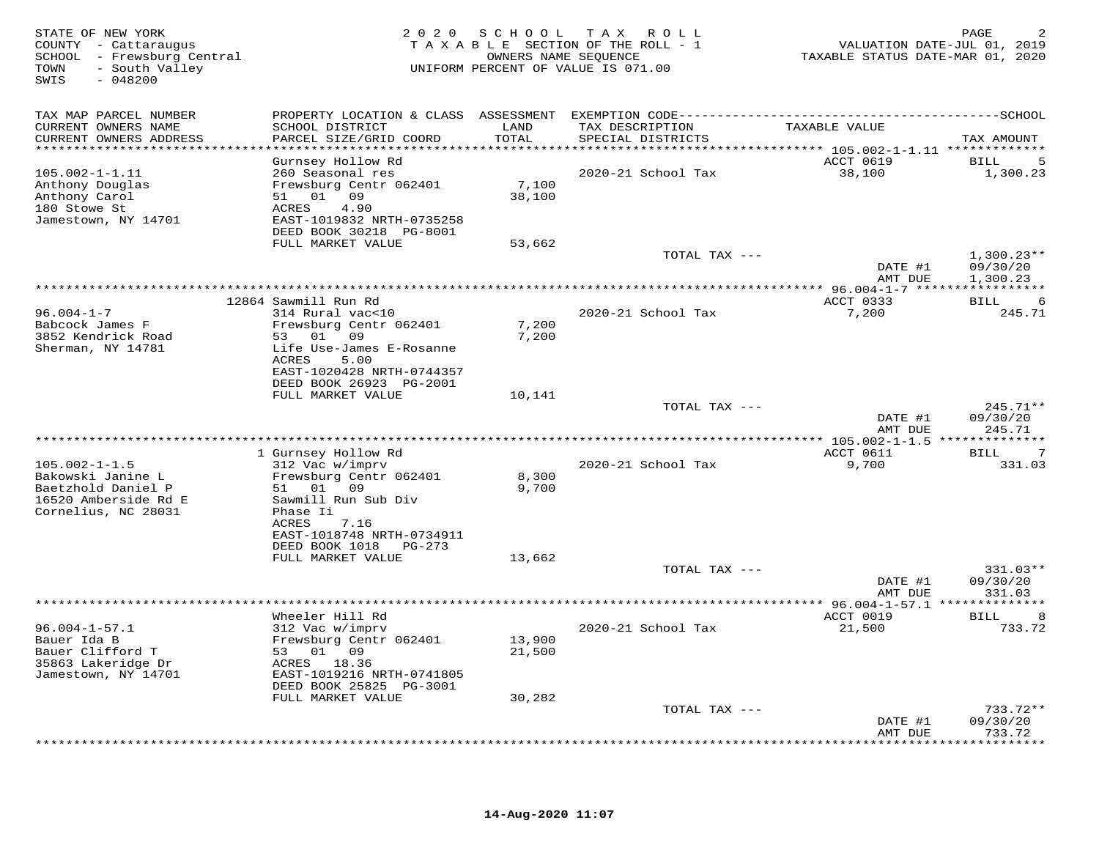| STATE OF NEW YORK<br>COUNTY - Cattaraugus<br>SCHOOL - Frewsburg Central<br>- South Valley<br>TOWN<br>SWIS<br>$-048200$ | 2 0 2 0                                                                                                                                                                                | SCHOOL                        | T A X<br>ROLL<br>TAXABLE SECTION OF THE ROLL - 1<br>OWNERS NAME SEQUENCE<br>UNIFORM PERCENT OF VALUE IS 071.00 | VALUATION DATE-JUL 01, 2019<br>TAXABLE STATUS DATE-MAR 01, 2020 | PAGE                                  |
|------------------------------------------------------------------------------------------------------------------------|----------------------------------------------------------------------------------------------------------------------------------------------------------------------------------------|-------------------------------|----------------------------------------------------------------------------------------------------------------|-----------------------------------------------------------------|---------------------------------------|
| TAX MAP PARCEL NUMBER<br>CURRENT OWNERS NAME<br>CURRENT OWNERS ADDRESS<br>***********************                      | PROPERTY LOCATION & CLASS ASSESSMENT EXEMPTION CODE----------------------------<br>SCHOOL DISTRICT<br>PARCEL SIZE/GRID COORD<br>************************                               | LAND<br>TOTAL<br>************ | TAX DESCRIPTION<br>SPECIAL DISTRICTS                                                                           | TAXABLE VALUE                                                   | -------------SCHOOL<br>TAX AMOUNT     |
| $105.002 - 1 - 1.11$<br>Anthony Douglas<br>Anthony Carol<br>180 Stowe St<br>Jamestown, NY 14701                        | Gurnsey Hollow Rd<br>260 Seasonal res<br>Frewsburg Centr 062401<br>51 01 09<br>ACRES<br>4.90<br>EAST-1019832 NRTH-0735258<br>DEED BOOK 30218 PG-8001<br>FULL MARKET VALUE              | 7,100<br>38,100<br>53,662     | ********************************* 105.002-1-1.11 *************<br>2020-21 School Tax                           | ACCT 0619<br>38,100                                             | 5<br>BILL<br>1,300.23                 |
|                                                                                                                        |                                                                                                                                                                                        |                               | TOTAL TAX ---                                                                                                  | DATE #1<br>AMT DUE                                              | $1,300.23**$<br>09/30/20<br>1,300.23  |
|                                                                                                                        |                                                                                                                                                                                        |                               |                                                                                                                |                                                                 |                                       |
| $96.004 - 1 - 7$<br>Babcock James F<br>3852 Kendrick Road<br>Sherman, NY 14781                                         | 12864 Sawmill Run Rd<br>314 Rural vac<10<br>Frewsburg Centr 062401<br>53 01 09<br>Life Use-James E-Rosanne<br>ACRES<br>5.00<br>EAST-1020428 NRTH-0744357                               | 7,200<br>7,200                | 2020-21 School Tax                                                                                             | ACCT 0333<br>7,200                                              | BILL<br>6<br>245.71                   |
|                                                                                                                        | DEED BOOK 26923 PG-2001<br>FULL MARKET VALUE                                                                                                                                           | 10,141                        | TOTAL TAX ---                                                                                                  | DATE #1                                                         | 245.71**<br>09/30/20                  |
|                                                                                                                        |                                                                                                                                                                                        |                               |                                                                                                                | AMT DUE                                                         | 245.71                                |
| $105.002 - 1 - 1.5$<br>Bakowski Janine L<br>Baetzhold Daniel P<br>16520 Amberside Rd E<br>Cornelius, NC 28031          | 1 Gurnsey Hollow Rd<br>312 Vac w/imprv<br>Frewsburg Centr 062401<br>51 01 09<br>Sawmill Run Sub Div<br>Phase Ii<br>ACRES<br>7.16<br>EAST-1018748 NRTH-0734911<br>DEED BOOK 1018 PG-273 | 8,300<br>9,700                | 2020-21 School Tax                                                                                             | ACCT 0611<br>9,700                                              | <b>BILL</b><br>7<br>331.03            |
|                                                                                                                        | FULL MARKET VALUE                                                                                                                                                                      | 13,662                        | TOTAL TAX ---                                                                                                  | DATE #1                                                         | 331.03**<br>09/30/20                  |
|                                                                                                                        |                                                                                                                                                                                        |                               | **************                                                                                                 | AMT DUE<br>$*$ 96.004-1-57.1 $***$                              | 331.03<br>********                    |
| $96.004 - 1 - 57.1$<br>Bauer Ida B<br>Bauer Clifford T<br>35863 Lakeridge Dr<br>Jamestown, NY 14701                    | Wheeler Hill Rd<br>312 Vac w/imprv<br>Frewsburg Centr 062401<br>53 01 09<br>ACRES 18.36<br>EAST-1019216 NRTH-0741805<br>DEED BOOK 25825 PG-3001<br>FULL MARKET VALUE                   | 13,900<br>21,500<br>30,282    | 2020-21 School Tax                                                                                             | ACCT 0019<br>21,500                                             | <b>BILL</b><br>8<br>733.72            |
|                                                                                                                        |                                                                                                                                                                                        |                               | TOTAL TAX ---                                                                                                  |                                                                 | $733.72**$                            |
|                                                                                                                        |                                                                                                                                                                                        |                               |                                                                                                                | DATE #1<br>AMT DUE                                              | 09/30/20<br>733.72<br>* * * * * * * * |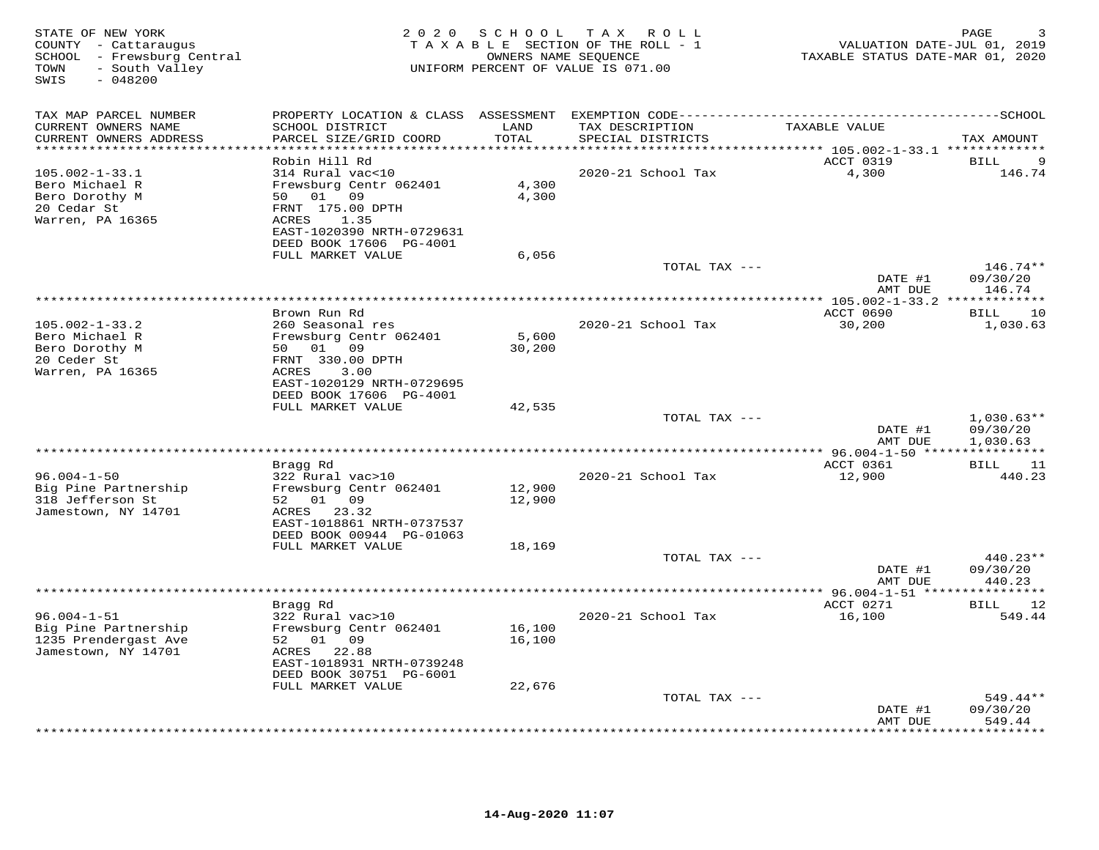| STATE OF NEW YORK<br>COUNTY - Cattaraugus<br>SCHOOL - Frewsburg Central<br>- South Valley<br>TOWN<br>SWIS<br>$-048200$ | 2 0 2 0                                                                                                                                   | S C H O O L      | T A X<br>ROLL<br>TAXABLE SECTION OF THE ROLL - 1<br>OWNERS NAME SEQUENCE<br>UNIFORM PERCENT OF VALUE IS 071.00 | VALUATION DATE-JUL 01, 2019<br>TAXABLE STATUS DATE-MAR 01, 2020 | PAGE                                |
|------------------------------------------------------------------------------------------------------------------------|-------------------------------------------------------------------------------------------------------------------------------------------|------------------|----------------------------------------------------------------------------------------------------------------|-----------------------------------------------------------------|-------------------------------------|
| TAX MAP PARCEL NUMBER<br>CURRENT OWNERS NAME<br>CURRENT OWNERS ADDRESS<br>**********************                       | SCHOOL DISTRICT<br>PARCEL SIZE/GRID COORD<br>************************                                                                     | LAND<br>TOTAL    | TAX DESCRIPTION<br>SPECIAL DISTRICTS                                                                           | TAXABLE VALUE                                                   | TAX AMOUNT                          |
|                                                                                                                        | Robin Hill Rd                                                                                                                             |                  |                                                                                                                | ACCT 0319                                                       | 9<br><b>BILL</b>                    |
| $105.002 - 1 - 33.1$<br>Bero Michael R<br>Bero Dorothy M<br>20 Cedar St<br>Warren, PA 16365                            | 314 Rural vac<10<br>Frewsburg Centr 062401<br>50 01 09<br>FRNT 175.00 DPTH<br>1.35<br>ACRES<br>EAST-1020390 NRTH-0729631                  | 4,300<br>4,300   | 2020-21 School Tax                                                                                             | 4,300                                                           | 146.74                              |
|                                                                                                                        | DEED BOOK 17606 PG-4001<br>FULL MARKET VALUE                                                                                              | 6,056            |                                                                                                                |                                                                 |                                     |
|                                                                                                                        |                                                                                                                                           |                  | TOTAL TAX ---                                                                                                  | DATE #1                                                         | $146.74**$<br>09/30/20              |
|                                                                                                                        |                                                                                                                                           |                  |                                                                                                                | AMT DUE                                                         | 146.74                              |
|                                                                                                                        | Brown Run Rd                                                                                                                              |                  |                                                                                                                | ACCT 0690                                                       | 10<br>BILL                          |
| $105.002 - 1 - 33.2$<br>Bero Michael R<br>Bero Dorothy M<br>20 Ceder St<br>Warren, PA 16365                            | 260 Seasonal res<br>Frewsburg Centr 062401<br>50 01 09<br>FRNT 330.00 DPTH<br>3.00<br>ACRES<br>EAST-1020129 NRTH-0729695                  | 5,600<br>30,200  | 2020-21 School Tax                                                                                             | 30,200                                                          | 1,030.63                            |
|                                                                                                                        | DEED BOOK 17606 PG-4001<br>FULL MARKET VALUE                                                                                              | 42,535           |                                                                                                                |                                                                 |                                     |
|                                                                                                                        |                                                                                                                                           |                  | TOTAL TAX ---                                                                                                  | DATE #1                                                         | $1,030.63**$<br>09/30/20            |
|                                                                                                                        |                                                                                                                                           |                  |                                                                                                                | AMT DUE                                                         | 1,030.63<br>* * * * * * * * * * * * |
|                                                                                                                        | Bragg Rd                                                                                                                                  |                  |                                                                                                                | ACCT 0361                                                       | BILL<br>11                          |
| $96.004 - 1 - 50$<br>Big Pine Partnership<br>318 Jefferson St<br>Jamestown, NY 14701                                   | 322 Rural vac>10<br>Frewsburg Centr 062401<br>52 01 09<br>ACRES 23.32<br>EAST-1018861 NRTH-0737537<br>DEED BOOK 00944 PG-01063            | 12,900<br>12,900 | 2020-21 School Tax                                                                                             | 12,900                                                          | 440.23                              |
|                                                                                                                        | FULL MARKET VALUE                                                                                                                         | 18,169           |                                                                                                                |                                                                 |                                     |
|                                                                                                                        |                                                                                                                                           |                  | TOTAL TAX ---                                                                                                  | DATE #1<br>AMT DUE                                              | $440.23**$<br>09/30/20<br>440.23    |
|                                                                                                                        |                                                                                                                                           |                  |                                                                                                                |                                                                 |                                     |
| $96.004 - 1 - 51$<br>Big Pine Partnership<br>1235 Prendergast Ave<br>Jamestown, NY 14701                               | Bragg Rd<br>322 Rural vac>10<br>Frewsburg Centr 062401<br>52 01 09<br>ACRES 22.88<br>EAST-1018931 NRTH-0739248<br>DEED BOOK 30751 PG-6001 | 16,100<br>16,100 | 2020-21 School Tax                                                                                             | ACCT 0271<br>16,100                                             | 12<br>BILL<br>549.44                |
|                                                                                                                        | FULL MARKET VALUE                                                                                                                         | 22,676           |                                                                                                                |                                                                 |                                     |
|                                                                                                                        |                                                                                                                                           |                  | TOTAL TAX ---                                                                                                  | DATE #1<br>AMT DUE                                              | $549.44**$<br>09/30/20<br>549.44    |
|                                                                                                                        |                                                                                                                                           |                  |                                                                                                                |                                                                 | .                                   |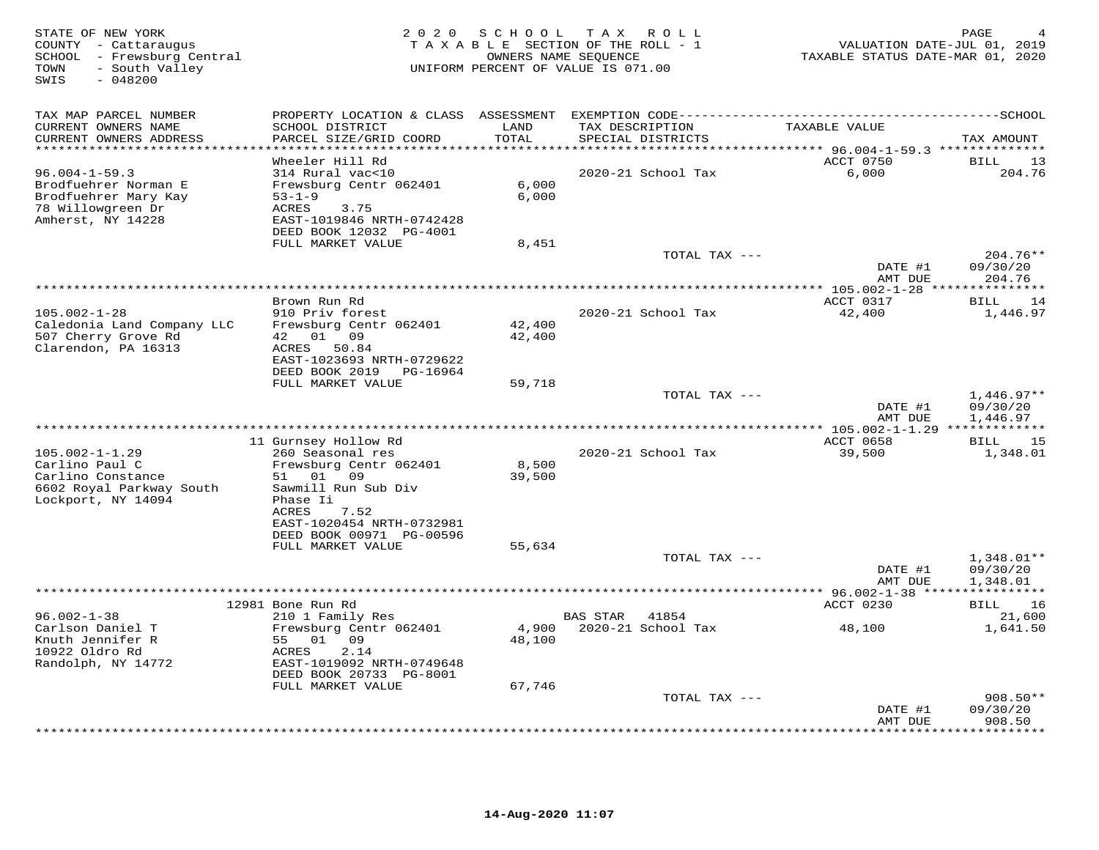| STATE OF NEW YORK<br>COUNTY - Cattaraugus<br>SCHOOL - Frewsburg Central<br>- South Valley<br>TOWN<br>SWIS<br>$-048200$ | 2 0 2 0                                                                                                                                                               | SCHOOL                     | T A X<br>R O L L<br>TAXABLE SECTION OF THE ROLL - 1<br>OWNERS NAME SEQUENCE<br>UNIFORM PERCENT OF VALUE IS 071.00 | VALUATION DATE-JUL 01, 2019<br>TAXABLE STATUS DATE-MAR 01, 2020                 | PAGE                                 |
|------------------------------------------------------------------------------------------------------------------------|-----------------------------------------------------------------------------------------------------------------------------------------------------------------------|----------------------------|-------------------------------------------------------------------------------------------------------------------|---------------------------------------------------------------------------------|--------------------------------------|
| TAX MAP PARCEL NUMBER<br>CURRENT OWNERS NAME<br>CURRENT OWNERS ADDRESS                                                 | PROPERTY LOCATION & CLASS ASSESSMENT EXEMPTION CODE-----------------------------------SCHOOL<br>SCHOOL DISTRICT<br>PARCEL SIZE/GRID COORD                             | LAND<br>TOTAL              | TAX DESCRIPTION<br>SPECIAL DISTRICTS                                                                              | TAXABLE VALUE                                                                   | TAX AMOUNT                           |
| **********************<br>$96.004 - 1 - 59.3$<br>Brodfuehrer Norman E<br>Brodfuehrer Mary Kay                          | **********************<br>Wheeler Hill Rd<br>314 Rural vac<10<br>Frewsburg Centr 062401<br>$53 - 1 - 9$                                                               | ********<br>6,000<br>6,000 | 2020-21 School Tax                                                                                                | **************************** 96.004-1-59.3 **************<br>ACCT 0750<br>6,000 | <b>BILL</b><br>13<br>204.76          |
| 78 Willowgreen Dr<br>Amherst, NY 14228                                                                                 | <b>ACRES</b><br>3.75<br>EAST-1019846 NRTH-0742428<br>DEED BOOK 12032 PG-4001<br>FULL MARKET VALUE                                                                     | 8,451                      | TOTAL TAX ---                                                                                                     |                                                                                 | $204.76**$                           |
|                                                                                                                        |                                                                                                                                                                       |                            |                                                                                                                   | DATE #1<br>AMT DUE                                                              | 09/30/20<br>204.76                   |
|                                                                                                                        |                                                                                                                                                                       |                            |                                                                                                                   |                                                                                 | * * * * * * * * *                    |
| $105.002 - 1 - 28$<br>Caledonia Land Company LLC<br>507 Cherry Grove Rd<br>Clarendon, PA 16313                         | Brown Run Rd<br>910 Priv forest<br>Frewsburg Centr 062401<br>42 01<br>09<br>50.84<br>ACRES                                                                            | 42,400<br>42,400           | 2020-21 School Tax                                                                                                | ACCT 0317<br>42,400                                                             | BILL<br>14<br>1,446.97               |
|                                                                                                                        | EAST-1023693 NRTH-0729622<br>DEED BOOK 2019<br>PG-16964<br>FULL MARKET VALUE                                                                                          | 59,718                     | TOTAL TAX ---                                                                                                     |                                                                                 | $1,446.97**$                         |
|                                                                                                                        |                                                                                                                                                                       |                            |                                                                                                                   | DATE #1<br>AMT DUE                                                              | 09/30/20<br>1,446.97                 |
|                                                                                                                        |                                                                                                                                                                       |                            |                                                                                                                   | ** 105.002-1-1.29 **                                                            |                                      |
| $105.002 - 1 - 1.29$<br>Carlino Paul C<br>Carlino Constance<br>6602 Royal Parkway South<br>Lockport, NY 14094          | 11 Gurnsey Hollow Rd<br>260 Seasonal res<br>Frewsburg Centr 062401<br>01<br>09<br>51<br>Sawmill Run Sub Div<br>Phase Ii<br>7.52<br>ACRES<br>EAST-1020454 NRTH-0732981 | 8,500<br>39,500            | 2020-21 School Tax                                                                                                | ACCT 0658<br>39,500                                                             | 15<br>BILL<br>1,348.01               |
|                                                                                                                        | DEED BOOK 00971 PG-00596<br>FULL MARKET VALUE                                                                                                                         |                            |                                                                                                                   |                                                                                 |                                      |
|                                                                                                                        |                                                                                                                                                                       | 55,634                     | TOTAL TAX ---                                                                                                     | DATE #1<br>AMT DUE                                                              | $1,348.01**$<br>09/30/20<br>1,348.01 |
|                                                                                                                        |                                                                                                                                                                       |                            |                                                                                                                   | ********* 96.002-1-38 ****************                                          |                                      |
| $96.002 - 1 - 38$<br>Carlson Daniel T<br>Knuth Jennifer R<br>10922 Oldro Rd<br>Randolph, NY 14772                      | 12981 Bone Run Rd<br>210 1 Family Res<br>Frewsburg Centr 062401<br>55<br>01<br>09<br>ACRES<br>2.14<br>EAST-1019092 NRTH-0749648                                       | 4,900<br>48,100            | 41854<br>BAS STAR<br>2020-21 School Tax                                                                           | ACCT 0230<br>48,100                                                             | BILL<br>16<br>21,600<br>1,641.50     |
|                                                                                                                        | DEED BOOK 20733 PG-8001<br>FULL MARKET VALUE                                                                                                                          | 67,746                     |                                                                                                                   |                                                                                 |                                      |
|                                                                                                                        |                                                                                                                                                                       |                            | TOTAL TAX ---                                                                                                     | DATE #1<br>AMT DUE                                                              | $908.50**$<br>09/30/20<br>908.50     |
|                                                                                                                        |                                                                                                                                                                       |                            |                                                                                                                   |                                                                                 | .                                    |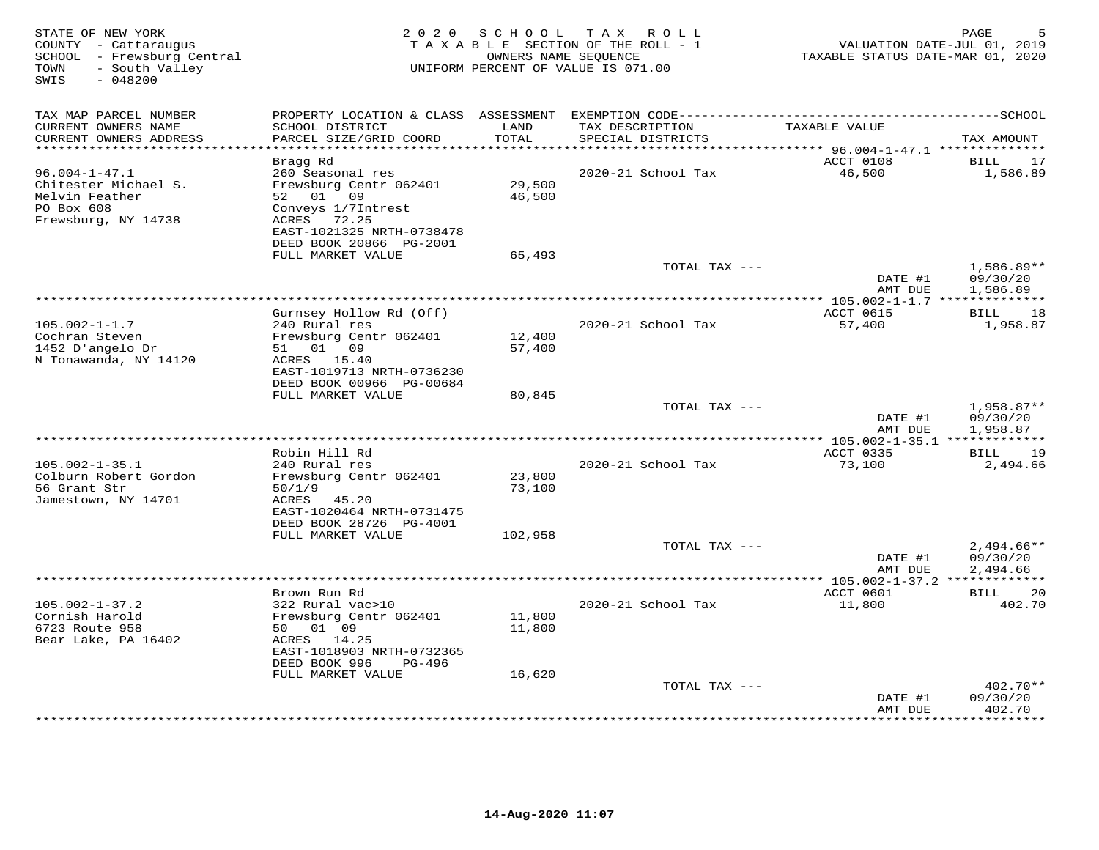| STATE OF NEW YORK<br>COUNTY - Cattaraugus<br>SCHOOL - Frewsburg Central<br>- South Valley<br>TOWN<br>SWIS<br>$-048200$ | 2 0 2 0                                                                                                                                                            | S C H O O L      | T A X<br>ROLL<br>TAXABLE SECTION OF THE ROLL - 1<br>OWNERS NAME SEOUENCE<br>UNIFORM PERCENT OF VALUE IS 071.00 | TAXABLE STATUS DATE-MAR 01, 2020 | PAGE<br>VALUATION DATE-JUL 01, 2019  |
|------------------------------------------------------------------------------------------------------------------------|--------------------------------------------------------------------------------------------------------------------------------------------------------------------|------------------|----------------------------------------------------------------------------------------------------------------|----------------------------------|--------------------------------------|
| TAX MAP PARCEL NUMBER<br>CURRENT OWNERS NAME<br>CURRENT OWNERS ADDRESS                                                 | SCHOOL DISTRICT<br>PARCEL SIZE/GRID COORD                                                                                                                          | LAND<br>TOTAL    | TAX DESCRIPTION<br>SPECIAL DISTRICTS                                                                           | TAXABLE VALUE                    | TAX AMOUNT                           |
| **************************                                                                                             |                                                                                                                                                                    |                  |                                                                                                                |                                  |                                      |
| $96.004 - 1 - 47.1$<br>Chitester Michael S.<br>Melvin Feather<br>PO Box 608<br>Frewsburg, NY 14738                     | Bragg Rd<br>260 Seasonal res<br>Frewsburg Centr 062401<br>52 01 09<br>Conveys 1/7Intrest<br>ACRES<br>72.25<br>EAST-1021325 NRTH-0738478<br>DEED BOOK 20866 PG-2001 | 29,500<br>46,500 | 2020-21 School Tax                                                                                             | ACCT 0108<br>46,500              | 17<br>BILL<br>1,586.89               |
|                                                                                                                        | FULL MARKET VALUE                                                                                                                                                  | 65,493           |                                                                                                                |                                  |                                      |
|                                                                                                                        |                                                                                                                                                                    |                  | TOTAL TAX ---                                                                                                  | DATE #1<br>AMT DUE               | $1,586.89**$<br>09/30/20<br>1,586.89 |
|                                                                                                                        |                                                                                                                                                                    |                  |                                                                                                                |                                  |                                      |
|                                                                                                                        | Gurnsey Hollow Rd (Off)                                                                                                                                            |                  |                                                                                                                | ACCT 0615                        | BILL<br>18                           |
| $105.002 - 1 - 1.7$<br>Cochran Steven<br>1452 D'angelo Dr<br>N Tonawanda, NY 14120                                     | 240 Rural res<br>Frewsburg Centr 062401<br>51 01 09<br>ACRES 15.40<br>EAST-1019713 NRTH-0736230                                                                    | 12,400<br>57,400 | 2020-21 School Tax                                                                                             | 57,400                           | 1,958.87                             |
|                                                                                                                        | DEED BOOK 00966 PG-00684<br>FULL MARKET VALUE                                                                                                                      |                  |                                                                                                                |                                  |                                      |
|                                                                                                                        |                                                                                                                                                                    | 80,845           | TOTAL TAX ---                                                                                                  | DATE #1<br>AMT DUE               | 1,958.87**<br>09/30/20<br>1,958.87   |
| ******************************                                                                                         |                                                                                                                                                                    |                  |                                                                                                                |                                  |                                      |
|                                                                                                                        | Robin Hill Rd                                                                                                                                                      |                  |                                                                                                                | ACCT 0335                        | 19<br>BILL                           |
| $105.002 - 1 - 35.1$<br>Colburn Robert Gordon<br>56 Grant Str<br>Jamestown, NY 14701                                   | 240 Rural res<br>Frewsburg Centr 062401<br>50/1/9<br>ACRES<br>45.20<br>EAST-1020464 NRTH-0731475<br>DEED BOOK 28726 PG-4001                                        | 23,800<br>73,100 | 2020-21 School Tax                                                                                             | 73,100                           | 2,494.66                             |
|                                                                                                                        | FULL MARKET VALUE                                                                                                                                                  | 102,958          |                                                                                                                |                                  |                                      |
|                                                                                                                        |                                                                                                                                                                    |                  | TOTAL TAX ---                                                                                                  | DATE #1<br>AMT DUE               | $2,494.66**$<br>09/30/20<br>2,494.66 |
|                                                                                                                        |                                                                                                                                                                    |                  | ***********************************                                                                            | *** 105.002-1-37.2 ************  |                                      |
| $105.002 - 1 - 37.2$<br>Cornish Harold<br>6723 Route 958                                                               | Brown Run Rd<br>322 Rural vac>10<br>Frewsburg Centr 062401<br>50 01 09                                                                                             | 11,800           | 2020-21 School Tax                                                                                             | ACCT 0601<br>11,800              | 20<br>BILL<br>402.70                 |
| Bear Lake, PA 16402                                                                                                    | ACRES 14.25<br>EAST-1018903 NRTH-0732365<br>DEED BOOK 996<br>PG-496                                                                                                | 11,800           |                                                                                                                |                                  |                                      |
|                                                                                                                        | FULL MARKET VALUE                                                                                                                                                  | 16,620           |                                                                                                                |                                  |                                      |
|                                                                                                                        |                                                                                                                                                                    |                  | TOTAL TAX ---                                                                                                  | DATE #1<br>AMT DUE               | $402.70**$<br>09/30/20<br>402.70     |
|                                                                                                                        |                                                                                                                                                                    |                  | ***********************                                                                                        |                                  | ********                             |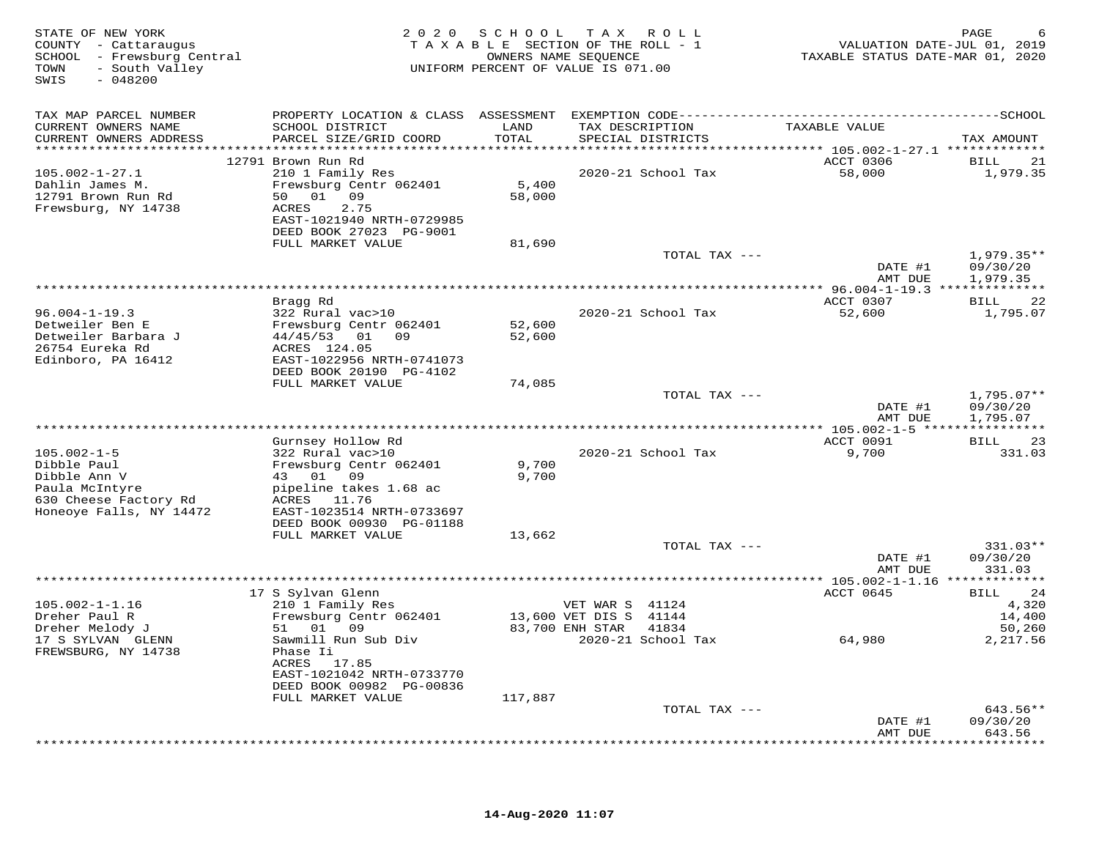| STATE OF NEW YORK<br>COUNTY - Cattaraugus<br>SCHOOL - Frewsburg Central<br>- South Valley<br>TOWN<br>SWIS<br>$-048200$ |                                                | 2020 SCHOOL<br>TAXABLE SECTION OF THE ROLL - 1<br>OWNERS NAME SEQUENCE<br>UNIFORM PERCENT OF VALUE IS 071.00 |                  | TAX ROLL           | TAXABLE STATUS DATE-MAR 01, 2020                | PAGE<br>VALUATION DATE-JUL 01, 2019 |
|------------------------------------------------------------------------------------------------------------------------|------------------------------------------------|--------------------------------------------------------------------------------------------------------------|------------------|--------------------|-------------------------------------------------|-------------------------------------|
| TAX MAP PARCEL NUMBER                                                                                                  |                                                |                                                                                                              |                  |                    |                                                 |                                     |
| CURRENT OWNERS NAME<br>CURRENT OWNERS ADDRESS                                                                          | SCHOOL DISTRICT<br>PARCEL SIZE/GRID COORD      | LAND<br>TOTAL                                                                                                | TAX DESCRIPTION  | SPECIAL DISTRICTS  | TAXABLE VALUE                                   | TAX AMOUNT                          |
| ***********************                                                                                                | ******************************                 | ************                                                                                                 |                  |                    |                                                 |                                     |
|                                                                                                                        | 12791 Brown Run Rd                             |                                                                                                              |                  |                    | ACCT 0306                                       | 21<br>BILL                          |
| $105.002 - 1 - 27.1$                                                                                                   | 210 1 Family Res                               |                                                                                                              |                  | 2020-21 School Tax | 58,000                                          | 1,979.35                            |
| Dahlin James M.                                                                                                        | Frewsburg Centr 062401                         | 5,400                                                                                                        |                  |                    |                                                 |                                     |
| 12791 Brown Run Rd                                                                                                     | 50 01 09                                       | 58,000                                                                                                       |                  |                    |                                                 |                                     |
| Frewsburg, NY 14738                                                                                                    | 2.75<br>ACRES<br>EAST-1021940 NRTH-0729985     |                                                                                                              |                  |                    |                                                 |                                     |
|                                                                                                                        | DEED BOOK 27023 PG-9001                        |                                                                                                              |                  |                    |                                                 |                                     |
|                                                                                                                        | FULL MARKET VALUE                              | 81,690                                                                                                       |                  |                    |                                                 |                                     |
|                                                                                                                        |                                                |                                                                                                              |                  | TOTAL TAX ---      |                                                 | $1,979.35**$                        |
|                                                                                                                        |                                                |                                                                                                              |                  |                    | DATE #1                                         | 09/30/20                            |
|                                                                                                                        |                                                |                                                                                                              |                  |                    | AMT DUE                                         | 1,979.35                            |
| ***************************                                                                                            | ****************                               |                                                                                                              |                  |                    | ****************** 96.004-1-19.3 ************** |                                     |
|                                                                                                                        | Bragg Rd                                       |                                                                                                              |                  |                    | ACCT 0307                                       | BILL<br>22                          |
| $96.004 - 1 - 19.3$                                                                                                    | 322 Rural vac>10                               |                                                                                                              |                  | 2020-21 School Tax | 52,600                                          | 1,795.07                            |
| Detweiler Ben E<br>Detweiler Barbara J                                                                                 | Frewsburg Centr 062401<br>44/45/53<br>01<br>09 | 52,600<br>52,600                                                                                             |                  |                    |                                                 |                                     |
| 26754 Eureka Rd                                                                                                        | ACRES 124.05                                   |                                                                                                              |                  |                    |                                                 |                                     |
| Edinboro, PA 16412                                                                                                     | EAST-1022956 NRTH-0741073                      |                                                                                                              |                  |                    |                                                 |                                     |
|                                                                                                                        | DEED BOOK 20190 PG-4102                        |                                                                                                              |                  |                    |                                                 |                                     |
|                                                                                                                        | FULL MARKET VALUE                              | 74,085                                                                                                       |                  |                    |                                                 |                                     |
|                                                                                                                        |                                                |                                                                                                              |                  | TOTAL TAX ---      |                                                 | $1,795.07**$                        |
|                                                                                                                        |                                                |                                                                                                              |                  |                    | DATE #1                                         | 09/30/20                            |
|                                                                                                                        |                                                |                                                                                                              |                  |                    | AMT DUE                                         | 1,795.07                            |
|                                                                                                                        |                                                |                                                                                                              |                  |                    | ** $105.002 - 1 - 5$ *****                      |                                     |
| $105.002 - 1 - 5$                                                                                                      | Gurnsey Hollow Rd<br>322 Rural vac>10          |                                                                                                              |                  | 2020-21 School Tax | ACCT 0091<br>9,700                              | BILL<br>23<br>331.03                |
| Dibble Paul                                                                                                            | Frewsburg Centr 062401                         | 9,700                                                                                                        |                  |                    |                                                 |                                     |
| Dibble Ann V                                                                                                           | 43 01 09                                       | 9,700                                                                                                        |                  |                    |                                                 |                                     |
| Paula McIntyre                                                                                                         | pipeline takes 1.68 ac                         |                                                                                                              |                  |                    |                                                 |                                     |
| 630 Cheese Factory Rd                                                                                                  | ACRES 11.76                                    |                                                                                                              |                  |                    |                                                 |                                     |
| Honeoye Falls, NY 14472                                                                                                | EAST-1023514 NRTH-0733697                      |                                                                                                              |                  |                    |                                                 |                                     |
|                                                                                                                        | DEED BOOK 00930 PG-01188                       |                                                                                                              |                  |                    |                                                 |                                     |
|                                                                                                                        | FULL MARKET VALUE                              | 13,662                                                                                                       |                  |                    |                                                 |                                     |
|                                                                                                                        |                                                |                                                                                                              |                  | TOTAL TAX ---      |                                                 | 331.03**                            |
|                                                                                                                        |                                                |                                                                                                              |                  |                    | DATE #1<br>AMT DUE                              | 09/30/20                            |
|                                                                                                                        |                                                |                                                                                                              |                  |                    |                                                 | 331.03<br>***********               |
|                                                                                                                        | 17 S Sylvan Glenn                              |                                                                                                              |                  |                    | ACCT 0645                                       | 24<br>BILL                          |
| $105.002 - 1 - 1.16$                                                                                                   | 210 1 Family Res                               |                                                                                                              | VET WAR S 41124  |                    |                                                 | 4,320                               |
| Dreher Paul R                                                                                                          | Frewsburg Centr 062401                         |                                                                                                              | 13,600 VET DIS S | 41144              |                                                 | 14,400                              |
| Dreher Melody J                                                                                                        | 01 09<br>51                                    |                                                                                                              | 83,700 ENH STAR  | 41834              |                                                 | 50,260                              |
| 17 S SYLVAN GLENN                                                                                                      | Sawmill Run Sub Div                            |                                                                                                              |                  | 2020-21 School Tax | 64,980                                          | 2,217.56                            |
| FREWSBURG, NY 14738                                                                                                    | Phase Ii                                       |                                                                                                              |                  |                    |                                                 |                                     |
|                                                                                                                        | ACRES 17.85                                    |                                                                                                              |                  |                    |                                                 |                                     |
|                                                                                                                        | EAST-1021042 NRTH-0733770                      |                                                                                                              |                  |                    |                                                 |                                     |
|                                                                                                                        | DEED BOOK 00982 PG-00836                       | 117,887                                                                                                      |                  |                    |                                                 |                                     |
|                                                                                                                        | FULL MARKET VALUE                              |                                                                                                              |                  | TOTAL TAX ---      |                                                 | 643.56**                            |
|                                                                                                                        |                                                |                                                                                                              |                  |                    | DATE #1                                         | 09/30/20                            |
|                                                                                                                        |                                                |                                                                                                              |                  |                    | AMT DUE                                         | 643.56                              |
|                                                                                                                        |                                                |                                                                                                              |                  |                    |                                                 | * * * * * * * * * *                 |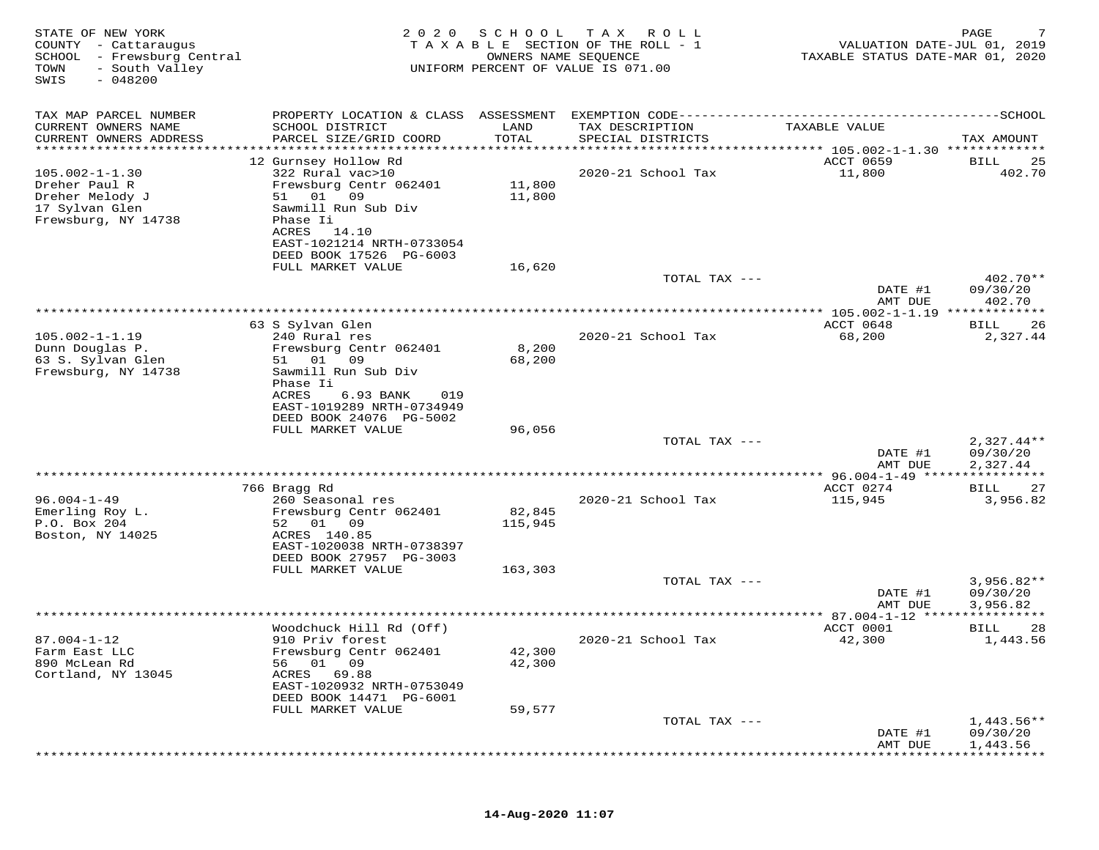| STATE OF NEW YORK<br>COUNTY - Cattaraugus<br>- Frewsburg Central<br>SCHOOL<br>- South Valley<br>TOWN<br>$-048200$<br>SWIS | 2020                                                                                                                                                                                           | SCHOOL<br>OWNERS NAME SEQUENCE | T A X<br>R O L L<br>TAXABLE SECTION OF THE ROLL - 1<br>UNIFORM PERCENT OF VALUE IS 071.00 | VALUATION DATE-JUL 01, 2019<br>TAXABLE STATUS DATE-MAR 01, 2020 | PAGE                                 |
|---------------------------------------------------------------------------------------------------------------------------|------------------------------------------------------------------------------------------------------------------------------------------------------------------------------------------------|--------------------------------|-------------------------------------------------------------------------------------------|-----------------------------------------------------------------|--------------------------------------|
| TAX MAP PARCEL NUMBER                                                                                                     |                                                                                                                                                                                                |                                |                                                                                           |                                                                 |                                      |
| CURRENT OWNERS NAME<br>CURRENT OWNERS ADDRESS                                                                             | SCHOOL DISTRICT<br>PARCEL SIZE/GRID COORD                                                                                                                                                      | LAND<br>TOTAL                  | TAX DESCRIPTION<br>SPECIAL DISTRICTS                                                      | TAXABLE VALUE                                                   | TAX AMOUNT                           |
| **********************                                                                                                    |                                                                                                                                                                                                |                                |                                                                                           |                                                                 |                                      |
| $105.002 - 1 - 1.30$<br>Dreher Paul R<br>Dreher Melody J<br>17 Sylvan Glen<br>Frewsburg, NY 14738                         | 12 Gurnsey Hollow Rd<br>322 Rural vac>10<br>Frewsburg Centr 062401<br>51 01<br>09<br>Sawmill Run Sub Div<br>Phase Ii<br>ACRES<br>14.10<br>EAST-1021214 NRTH-0733054<br>DEED BOOK 17526 PG-6003 | 11,800<br>11,800               | 2020-21 School Tax                                                                        | ACCT 0659<br>11,800                                             | <b>BILL</b><br>25<br>402.70          |
|                                                                                                                           | FULL MARKET VALUE                                                                                                                                                                              | 16,620                         |                                                                                           |                                                                 |                                      |
|                                                                                                                           |                                                                                                                                                                                                |                                | TOTAL TAX ---                                                                             | DATE #1<br>AMT DUE                                              | 402.70**<br>09/30/20<br>402.70       |
|                                                                                                                           |                                                                                                                                                                                                |                                |                                                                                           | $* 105.002 - 1 - 1.19$ ****                                     | * * * * * * * *                      |
|                                                                                                                           | 63 S Sylvan Glen                                                                                                                                                                               |                                |                                                                                           | ACCT 0648                                                       | 26<br>BILL                           |
| $105.002 - 1 - 1.19$<br>Dunn Douglas P.<br>63 S. Sylvan Glen<br>Frewsburg, NY 14738                                       | 240 Rural res<br>Frewsburg Centr 062401<br>09<br>51 01<br>Sawmill Run Sub Div<br>Phase Ii<br>ACRES<br>6.93 BANK<br>019<br>EAST-1019289 NRTH-0734949                                            | 8,200<br>68,200                | 2020-21 School Tax                                                                        | 68,200                                                          | 2,327.44                             |
|                                                                                                                           | DEED BOOK 24076 PG-5002                                                                                                                                                                        |                                |                                                                                           |                                                                 |                                      |
|                                                                                                                           | FULL MARKET VALUE                                                                                                                                                                              | 96,056                         | TOTAL TAX ---                                                                             | DATE #1<br>AMT DUE                                              | $2,327.44**$<br>09/30/20<br>2,327.44 |
|                                                                                                                           |                                                                                                                                                                                                |                                | *********************                                                                     | *** 96.004-1-49 *****<br>ACCT 0274                              | * * * * * * * * * * *                |
| $96.004 - 1 - 49$<br>Emerling Roy L.<br>P.O. Box 204<br>Boston, NY 14025                                                  | 766 Bragg Rd<br>260 Seasonal res<br>Frewsburg Centr 062401<br>01 09<br>52<br>ACRES 140.85                                                                                                      | 82,845<br>115,945              | 2020-21 School Tax                                                                        | 115,945                                                         | 27<br>BILL<br>3,956.82               |
|                                                                                                                           | EAST-1020038 NRTH-0738397<br>DEED BOOK 27957 PG-3003                                                                                                                                           |                                |                                                                                           |                                                                 |                                      |
|                                                                                                                           | FULL MARKET VALUE                                                                                                                                                                              | 163,303                        | TOTAL TAX ---                                                                             |                                                                 | $3,956.82**$                         |
|                                                                                                                           |                                                                                                                                                                                                |                                |                                                                                           | DATE #1<br>AMT DUE                                              | 09/30/20<br>3,956.82                 |
|                                                                                                                           |                                                                                                                                                                                                |                                |                                                                                           |                                                                 |                                      |
| $87.004 - 1 - 12$<br>Farm East LLC<br>890 McLean Rd<br>Cortland, NY 13045                                                 | Woodchuck Hill Rd (Off)<br>910 Priv forest<br>Frewsburg Centr 062401<br>01<br>09<br>56<br>ACRES<br>69.88<br>EAST-1020932 NRTH-0753049<br>DEED BOOK 14471 PG-6001                               | 42,300<br>42,300               | 2020-21 School Tax                                                                        | ACCT 0001<br>42,300                                             | <b>BILL</b><br>28<br>1,443.56        |
|                                                                                                                           | FULL MARKET VALUE                                                                                                                                                                              | 59,577                         | TOTAL TAX ---                                                                             |                                                                 | $1,443.56**$                         |
|                                                                                                                           |                                                                                                                                                                                                |                                |                                                                                           | DATE #1<br>AMT DUE                                              | 09/30/20<br>1,443.56                 |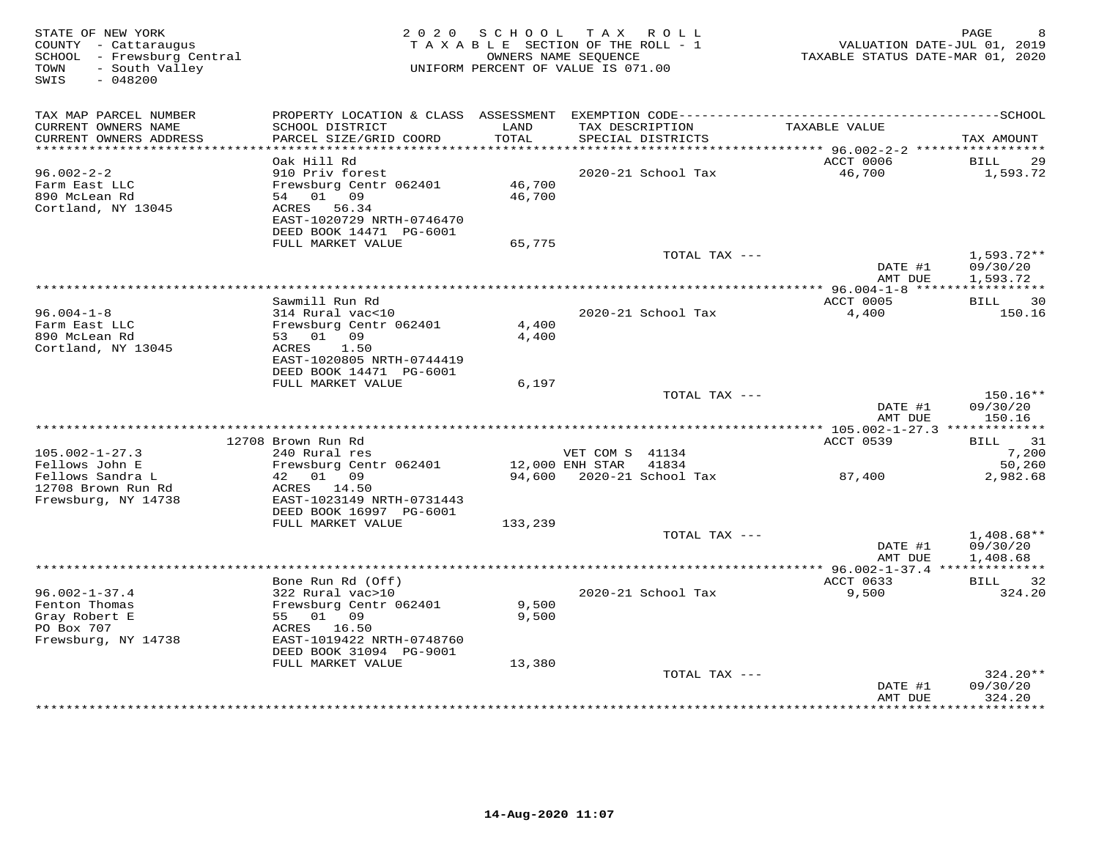| STATE OF NEW YORK<br>COUNTY - Cattaraugus<br>SCHOOL - Frewsburg Central<br>- South Valley<br>TOWN<br>SWIS<br>$-048200$ |                                              | 2020 SCHOOL TAX ROLL<br>TAXABLE SECTION OF THE ROLL - 1<br>OWNERS NAME SEQUENCE<br>UNIFORM PERCENT OF VALUE IS 071.00 |                                    |                             | TAXABLE STATUS DATE-MAR 01, 2020            | PAGE<br>VALUATION DATE-JUL 01, 2019 |
|------------------------------------------------------------------------------------------------------------------------|----------------------------------------------|-----------------------------------------------------------------------------------------------------------------------|------------------------------------|-----------------------------|---------------------------------------------|-------------------------------------|
| TAX MAP PARCEL NUMBER<br>CURRENT OWNERS NAME                                                                           | SCHOOL DISTRICT                              | LAND                                                                                                                  |                                    | TAX DESCRIPTION             | TAXABLE VALUE                               |                                     |
| CURRENT OWNERS ADDRESS                                                                                                 | PARCEL SIZE/GRID COORD                       | TOTAL                                                                                                                 |                                    | SPECIAL DISTRICTS           |                                             | TAX AMOUNT                          |
| *************************                                                                                              | Oak Hill Rd                                  |                                                                                                                       |                                    |                             | ACCT 0006                                   |                                     |
| $96.002 - 2 - 2$                                                                                                       | 910 Priv forest                              |                                                                                                                       |                                    | 2020-21 School Tax          | 46,700                                      | BILL<br>29<br>1,593.72              |
| Farm East LLC                                                                                                          | Frewsburg Centr 062401                       | 46,700                                                                                                                |                                    |                             |                                             |                                     |
| 890 McLean Rd                                                                                                          | 54 01 09                                     | 46,700                                                                                                                |                                    |                             |                                             |                                     |
| Cortland, NY 13045                                                                                                     | ACRES<br>56.34                               |                                                                                                                       |                                    |                             |                                             |                                     |
|                                                                                                                        | EAST-1020729 NRTH-0746470                    |                                                                                                                       |                                    |                             |                                             |                                     |
|                                                                                                                        | DEED BOOK 14471 PG-6001<br>FULL MARKET VALUE | 65,775                                                                                                                |                                    |                             |                                             |                                     |
|                                                                                                                        |                                              |                                                                                                                       |                                    | TOTAL TAX ---               |                                             | $1,593.72**$                        |
|                                                                                                                        |                                              |                                                                                                                       |                                    |                             | DATE #1                                     | 09/30/20                            |
|                                                                                                                        |                                              |                                                                                                                       |                                    |                             | AMT DUE                                     | 1,593.72                            |
|                                                                                                                        |                                              |                                                                                                                       |                                    |                             |                                             |                                     |
| $96.004 - 1 - 8$                                                                                                       | Sawmill Run Rd<br>314 Rural vac<10           |                                                                                                                       |                                    | 2020-21 School Tax          | ACCT 0005<br>4,400                          | BILL<br>$\overline{30}$<br>150.16   |
| Farm East LLC                                                                                                          | Frewsburg Centr 062401                       | 4,400                                                                                                                 |                                    |                             |                                             |                                     |
| 890 McLean Rd                                                                                                          | 53 01 09                                     | 4,400                                                                                                                 |                                    |                             |                                             |                                     |
| Cortland, NY 13045                                                                                                     | ACRES<br>1.50                                |                                                                                                                       |                                    |                             |                                             |                                     |
|                                                                                                                        | EAST-1020805 NRTH-0744419                    |                                                                                                                       |                                    |                             |                                             |                                     |
|                                                                                                                        | DEED BOOK 14471 PG-6001                      |                                                                                                                       |                                    |                             |                                             |                                     |
|                                                                                                                        | FULL MARKET VALUE                            | 6,197                                                                                                                 |                                    | TOTAL TAX ---               |                                             | $150.16**$                          |
|                                                                                                                        |                                              |                                                                                                                       |                                    |                             | DATE #1                                     | 09/30/20                            |
|                                                                                                                        |                                              |                                                                                                                       |                                    |                             | AMT DUE                                     | 150.16                              |
|                                                                                                                        |                                              |                                                                                                                       |                                    |                             |                                             |                                     |
|                                                                                                                        | 12708 Brown Run Rd                           |                                                                                                                       |                                    |                             | <b>ACCT 0539</b>                            | 31<br>BILL                          |
| $105.002 - 1 - 27.3$<br>Fellows John E                                                                                 | 240 Rural res<br>Frewsburg Centr 062401      |                                                                                                                       | VET COM S 41134<br>12,000 ENH STAR | 41834                       |                                             | 7,200<br>50,260                     |
| Fellows Sandra L                                                                                                       | 42 01 09                                     |                                                                                                                       |                                    | 94,600 2020-21 School Tax   | 87,400                                      | 2,982.68                            |
| 12708 Brown Run Rd                                                                                                     | ACRES 14.50                                  |                                                                                                                       |                                    |                             |                                             |                                     |
| Frewsburg, NY 14738                                                                                                    | EAST-1023149 NRTH-0731443                    |                                                                                                                       |                                    |                             |                                             |                                     |
|                                                                                                                        | DEED BOOK 16997 PG-6001                      |                                                                                                                       |                                    |                             |                                             |                                     |
|                                                                                                                        | FULL MARKET VALUE                            | 133,239                                                                                                               |                                    | TOTAL TAX ---               |                                             | $1,408.68**$                        |
|                                                                                                                        |                                              |                                                                                                                       |                                    |                             | DATE #1                                     | 09/30/20                            |
|                                                                                                                        |                                              |                                                                                                                       |                                    |                             | AMT DUE                                     | 1,408.68                            |
|                                                                                                                        |                                              |                                                                                                                       |                                    |                             | ************* 96.002-1-37.4 *************** |                                     |
|                                                                                                                        | Bone Run Rd (Off)                            |                                                                                                                       |                                    |                             | ACCT 0633                                   | BILL 32                             |
| $96.002 - 1 - 37.4$                                                                                                    | 322 Rural vac>10                             |                                                                                                                       |                                    | 2020-21 School Tax          | 9,500                                       | 324.20                              |
| Fenton Thomas<br>Gray Robert E                                                                                         | Frewsburg Centr 062401<br>55 01 09           | 9,500<br>9,500                                                                                                        |                                    |                             |                                             |                                     |
| PO Box 707                                                                                                             | ACRES 16.50                                  |                                                                                                                       |                                    |                             |                                             |                                     |
| Frewsburg, NY 14738                                                                                                    | EAST-1019422 NRTH-0748760                    |                                                                                                                       |                                    |                             |                                             |                                     |
|                                                                                                                        | DEED BOOK 31094 PG-9001                      |                                                                                                                       |                                    |                             |                                             |                                     |
|                                                                                                                        | FULL MARKET VALUE                            | 13,380                                                                                                                |                                    |                             |                                             |                                     |
|                                                                                                                        |                                              |                                                                                                                       |                                    | TOTAL TAX ---               | DATE #1                                     | $324.20**$<br>09/30/20              |
|                                                                                                                        |                                              |                                                                                                                       |                                    |                             | AMT DUE                                     | 324.20                              |
|                                                                                                                        |                                              |                                                                                                                       |                                    | *************************** | ***********                                 | * * * * * * * * * *                 |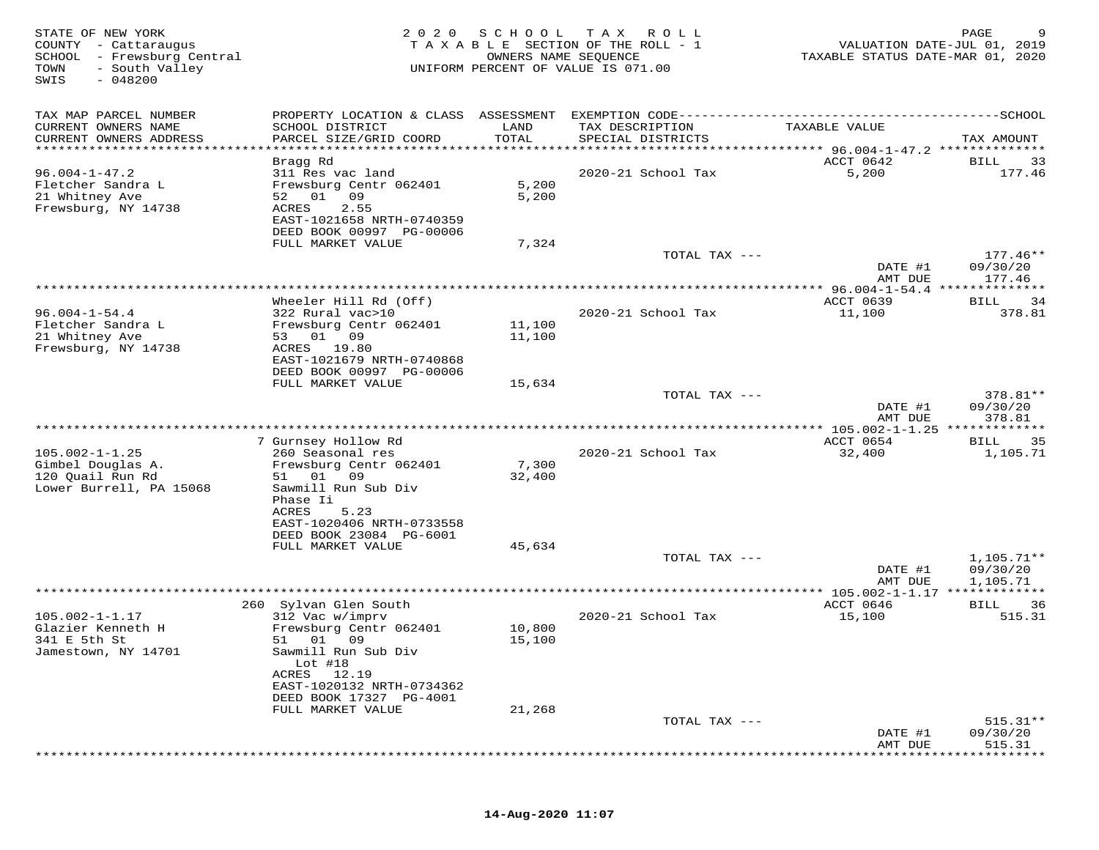| STATE OF NEW YORK<br>COUNTY - Cattaraugus<br>SCHOOL - Frewsburg Central<br>- South Valley<br>TOWN<br>$-048200$<br>SWIS | 2020                                                                                                                                          | SCHOOL           | T A X<br>R O L L<br>TAXABLE SECTION OF THE ROLL - 1<br>OWNERS NAME SEQUENCE<br>UNIFORM PERCENT OF VALUE IS 071.00 | VALUATION DATE-JUL 01, 2019<br>TAXABLE STATUS DATE-MAR 01, 2020 | PAGE                             |
|------------------------------------------------------------------------------------------------------------------------|-----------------------------------------------------------------------------------------------------------------------------------------------|------------------|-------------------------------------------------------------------------------------------------------------------|-----------------------------------------------------------------|----------------------------------|
| TAX MAP PARCEL NUMBER                                                                                                  |                                                                                                                                               |                  |                                                                                                                   |                                                                 |                                  |
| CURRENT OWNERS NAME<br>CURRENT OWNERS ADDRESS                                                                          | SCHOOL DISTRICT<br>PARCEL SIZE/GRID COORD                                                                                                     | LAND<br>TOTAL    | TAX DESCRIPTION<br>SPECIAL DISTRICTS                                                                              | TAXABLE VALUE                                                   | TAX AMOUNT                       |
| **********************                                                                                                 |                                                                                                                                               |                  |                                                                                                                   |                                                                 |                                  |
| $96.004 - 1 - 47.2$<br>Fletcher Sandra L<br>21 Whitney Ave<br>Frewsburg, NY 14738                                      | Bragg Rd<br>311 Res vac land<br>Frewsburg Centr 062401<br>52 01<br>09<br>2.55<br>ACRES<br>EAST-1021658 NRTH-0740359                           | 5,200<br>5,200   | 2020-21 School Tax                                                                                                | ACCT 0642<br>5,200                                              | <b>BILL</b><br>33<br>177.46      |
|                                                                                                                        | DEED BOOK 00997 PG-00006                                                                                                                      |                  |                                                                                                                   |                                                                 |                                  |
|                                                                                                                        | FULL MARKET VALUE                                                                                                                             | 7,324            | TOTAL TAX ---                                                                                                     | DATE #1                                                         | $177.46**$<br>09/30/20           |
|                                                                                                                        |                                                                                                                                               |                  |                                                                                                                   | AMT DUE                                                         | 177.46                           |
|                                                                                                                        |                                                                                                                                               |                  | ************************************                                                                              | ************ 96.004-1-54.4 ***************                      |                                  |
| $96.004 - 1 - 54.4$                                                                                                    | Wheeler Hill Rd (Off)<br>322 Rural vac>10                                                                                                     |                  | 2020-21 School Tax                                                                                                | ACCT 0639<br>11,100                                             | 34<br>BILL<br>378.81             |
| Fletcher Sandra L                                                                                                      | Frewsburg Centr 062401                                                                                                                        | 11,100           |                                                                                                                   |                                                                 |                                  |
| 21 Whitney Ave<br>Frewsburg, NY 14738                                                                                  | 53 01 09<br>19.80<br>ACRES<br>EAST-1021679 NRTH-0740868                                                                                       | 11,100           |                                                                                                                   |                                                                 |                                  |
|                                                                                                                        | DEED BOOK 00997 PG-00006                                                                                                                      |                  |                                                                                                                   |                                                                 |                                  |
|                                                                                                                        | FULL MARKET VALUE                                                                                                                             | 15,634           |                                                                                                                   |                                                                 |                                  |
|                                                                                                                        |                                                                                                                                               |                  | TOTAL TAX ---                                                                                                     | DATE #1<br>AMT DUE                                              | 378.81**<br>09/30/20<br>378.81   |
|                                                                                                                        |                                                                                                                                               |                  |                                                                                                                   | ***** 105.002-1-1.25 *************                              |                                  |
|                                                                                                                        | 7 Gurnsey Hollow Rd                                                                                                                           |                  |                                                                                                                   | ACCT 0654                                                       | 35<br>BILL                       |
| $105.002 - 1 - 1.25$<br>Gimbel Douglas A.<br>120 Quail Run Rd<br>Lower Burrell, PA 15068                               | 260 Seasonal res<br>Frewsburg Centr 062401<br>09<br>01<br>51<br>Sawmill Run Sub Div<br>Phase Ii<br>ACRES<br>5.23<br>EAST-1020406 NRTH-0733558 | 7,300<br>32,400  | 2020-21 School Tax                                                                                                | 32,400                                                          | 1,105.71                         |
|                                                                                                                        | DEED BOOK 23084 PG-6001<br>FULL MARKET VALUE                                                                                                  | 45,634           |                                                                                                                   |                                                                 |                                  |
|                                                                                                                        |                                                                                                                                               |                  | TOTAL TAX ---                                                                                                     | DATE #1                                                         | $1,105.71**$<br>09/30/20         |
|                                                                                                                        |                                                                                                                                               |                  | *************************                                                                                         | AMT DUE<br>******** 105.002-1-1.17 *************                | 1,105.71                         |
|                                                                                                                        | 260 Sylvan Glen South                                                                                                                         |                  |                                                                                                                   | ACCT 0646                                                       | 36<br>BILL                       |
| $105.002 - 1 - 1.17$<br>Glazier Kenneth H<br>341 E 5th St<br>Jamestown, NY 14701                                       | 312 Vac w/imprv<br>Frewsburg Centr 062401<br>01<br>09<br>51<br>Sawmill Run Sub Div                                                            | 10,800<br>15,100 | 2020-21 School Tax                                                                                                | 15,100                                                          | 515.31                           |
|                                                                                                                        | Lot $#18$<br>ACRES 12.19<br>EAST-1020132 NRTH-0734362<br>DEED BOOK 17327 PG-4001                                                              |                  |                                                                                                                   |                                                                 |                                  |
|                                                                                                                        | FULL MARKET VALUE                                                                                                                             | 21,268           |                                                                                                                   |                                                                 |                                  |
|                                                                                                                        |                                                                                                                                               |                  | TOTAL TAX ---                                                                                                     | DATE #1<br>AMT DUE                                              | $515.31**$<br>09/30/20<br>515.31 |
|                                                                                                                        |                                                                                                                                               |                  |                                                                                                                   |                                                                 |                                  |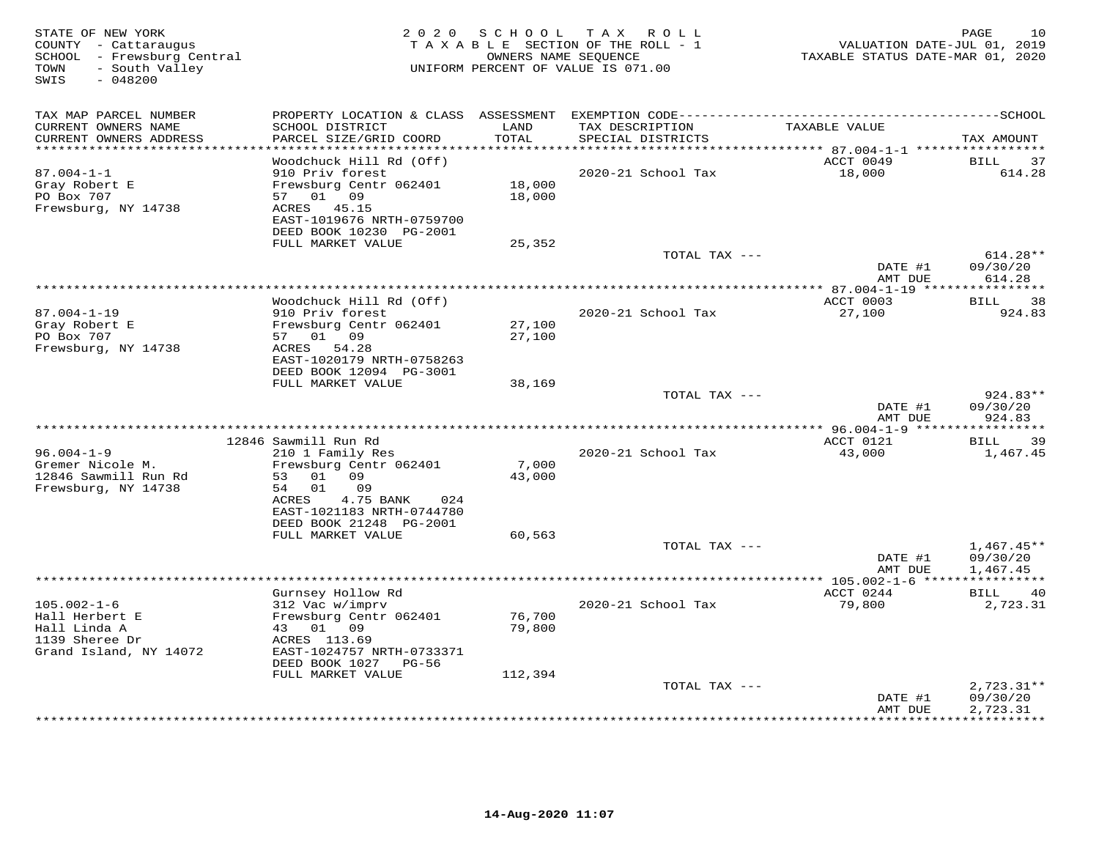| STATE OF NEW YORK<br>COUNTY - Cattaraugus<br>SCHOOL - Frewsburg Central<br>- South Valley<br>TOWN<br>SWIS<br>$-048200$ | 2 0 2 0                                                                                                 | SCHOOL           | TAX ROLL<br>TAXABLE SECTION OF THE ROLL - 1<br>OWNERS NAME SEQUENCE<br>UNIFORM PERCENT OF VALUE IS 071.00 | VALUATION DATE-JUL 01, 2019<br>TAXABLE STATUS DATE-MAR 01, 2020 | 10<br>PAGE                                  |
|------------------------------------------------------------------------------------------------------------------------|---------------------------------------------------------------------------------------------------------|------------------|-----------------------------------------------------------------------------------------------------------|-----------------------------------------------------------------|---------------------------------------------|
| TAX MAP PARCEL NUMBER<br>CURRENT OWNERS NAME<br>CURRENT OWNERS ADDRESS<br>***********************                      | SCHOOL DISTRICT<br>PARCEL SIZE/GRID COORD<br>*************************                                  | LAND<br>TOTAL    | TAX DESCRIPTION<br>SPECIAL DISTRICTS                                                                      | TAXABLE VALUE                                                   | TAX AMOUNT                                  |
|                                                                                                                        | Woodchuck Hill Rd (Off)                                                                                 |                  |                                                                                                           | ACCT 0049                                                       | <b>BILL</b><br>37                           |
| $87.004 - 1 - 1$<br>Gray Robert E<br>PO Box 707<br>Frewsburg, NY 14738                                                 | 910 Priv forest<br>Frewsburg Centr 062401<br>01 09<br>57<br>ACRES<br>45.15<br>EAST-1019676 NRTH-0759700 | 18,000<br>18,000 | 2020-21 School Tax                                                                                        | 18,000                                                          | 614.28                                      |
|                                                                                                                        | DEED BOOK 10230 PG-2001                                                                                 |                  |                                                                                                           |                                                                 |                                             |
|                                                                                                                        | FULL MARKET VALUE                                                                                       | 25,352           | TOTAL TAX ---                                                                                             |                                                                 | 614.28**                                    |
|                                                                                                                        |                                                                                                         |                  |                                                                                                           | DATE #1<br>AMT DUE                                              | 09/30/20<br>614.28                          |
|                                                                                                                        |                                                                                                         |                  |                                                                                                           |                                                                 |                                             |
| $87.004 - 1 - 19$<br>Gray Robert E                                                                                     | Woodchuck Hill Rd (Off)<br>910 Priv forest<br>Frewsburg Centr 062401                                    | 27,100           | 2020-21 School Tax                                                                                        | ACCT 0003<br>27,100                                             | 38<br><b>BILL</b><br>924.83                 |
| PO Box 707<br>Frewsburg, NY 14738                                                                                      | 57 01 09<br>ACRES<br>54.28<br>EAST-1020179 NRTH-0758263<br>DEED BOOK 12094 PG-3001                      | 27,100           |                                                                                                           |                                                                 |                                             |
|                                                                                                                        | FULL MARKET VALUE                                                                                       | 38,169           | TOTAL TAX ---                                                                                             |                                                                 | 924.83**                                    |
|                                                                                                                        |                                                                                                         |                  |                                                                                                           | DATE #1<br>AMT DUE                                              | 09/30/20<br>924.83                          |
|                                                                                                                        |                                                                                                         |                  |                                                                                                           |                                                                 | ***********                                 |
| $96.004 - 1 - 9$                                                                                                       | 12846 Sawmill Run Rd<br>210 1 Family Res                                                                |                  | 2020-21 School Tax                                                                                        | ACCT 0121<br>43,000                                             | 39<br>BILL<br>1,467.45                      |
| Gremer Nicole M.<br>12846 Sawmill Run Rd<br>Frewsburg, NY 14738                                                        | Frewsburg Centr 062401<br>53<br>01 09<br>01<br>09<br>54<br>ACRES<br>4.75 BANK<br>024                    | 7,000<br>43,000  |                                                                                                           |                                                                 |                                             |
|                                                                                                                        | EAST-1021183 NRTH-0744780<br>DEED BOOK 21248 PG-2001                                                    |                  |                                                                                                           |                                                                 |                                             |
|                                                                                                                        | FULL MARKET VALUE                                                                                       | 60,563           | TOTAL TAX ---                                                                                             |                                                                 | $1,467.45**$                                |
|                                                                                                                        |                                                                                                         |                  |                                                                                                           | DATE #1<br>AMT DUE                                              | 09/30/20<br>1,467.45                        |
|                                                                                                                        |                                                                                                         |                  | **************************************                                                                    | ** $105.002 - 1 - 6$ **                                         |                                             |
| $105.002 - 1 - 6$<br>Hall Herbert E<br>Hall Linda A                                                                    | Gurnsey Hollow Rd<br>312 Vac w/imprv<br>Frewsburg Centr 062401<br>43 01 09                              | 76,700<br>79,800 | 2020-21 School Tax                                                                                        | ACCT 0244<br>79,800                                             | BILL<br>40<br>2,723.31                      |
| 1139 Sheree Dr<br>Grand Island, NY 14072                                                                               | ACRES 113.69<br>EAST-1024757 NRTH-0733371<br>DEED BOOK 1027<br>PG-56                                    |                  |                                                                                                           |                                                                 |                                             |
|                                                                                                                        | FULL MARKET VALUE                                                                                       | 112,394          | TOTAL TAX ---                                                                                             |                                                                 | $2,723.31**$                                |
|                                                                                                                        |                                                                                                         |                  | ***********************                                                                                   | DATE #1<br>AMT DUE                                              | 09/30/20<br>2,723.31<br>* * * * * * * * * * |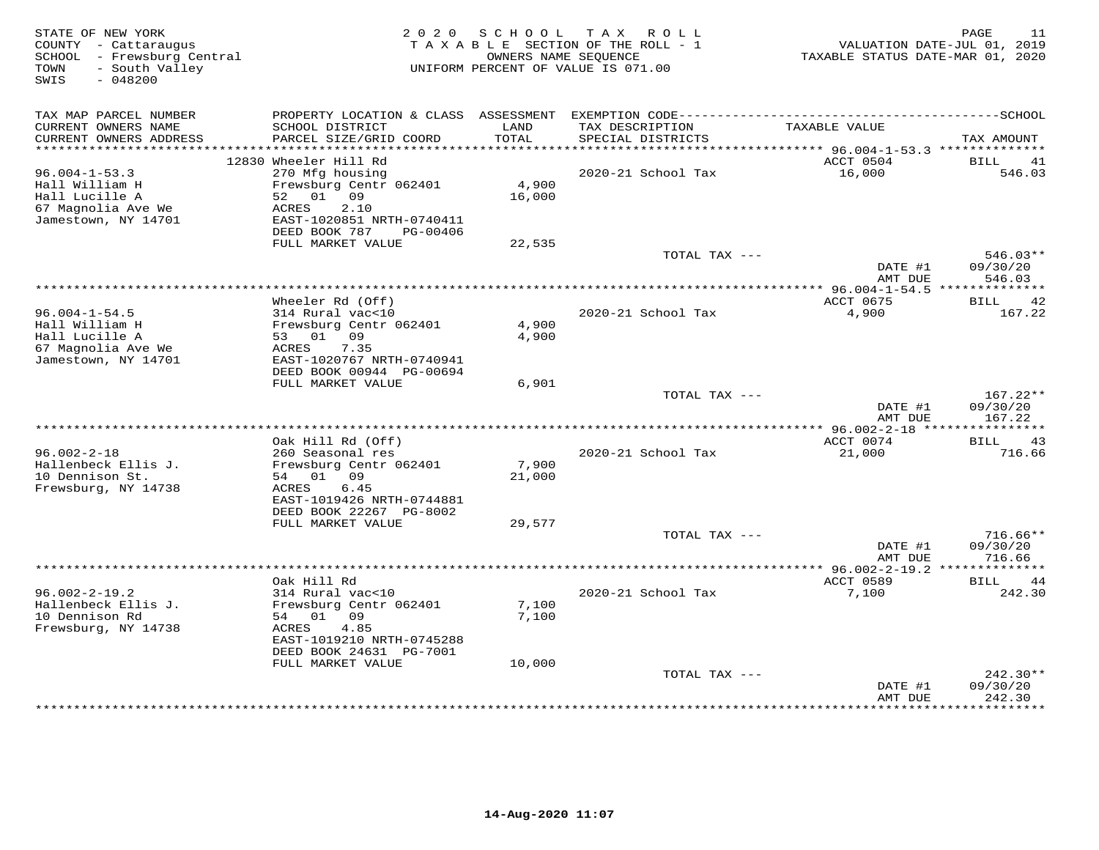| STATE OF NEW YORK<br>COUNTY - Cattaraugus<br>SCHOOL - Frewsburg Central<br>- South Valley<br>TOWN<br>$-048200$<br>SWIS |                                                                                   | 2020 SCHOOL     | TAX ROLL<br>TAXABLE SECTION OF THE ROLL - 1<br>OWNERS NAME SEQUENCE<br>UNIFORM PERCENT OF VALUE IS 071.00 | VALUATION DATE-JUL 01, 2019<br>TAXABLE STATUS DATE-MAR 01, 2020 | PAGE<br>11             |
|------------------------------------------------------------------------------------------------------------------------|-----------------------------------------------------------------------------------|-----------------|-----------------------------------------------------------------------------------------------------------|-----------------------------------------------------------------|------------------------|
| TAX MAP PARCEL NUMBER<br>CURRENT OWNERS NAME<br>CURRENT OWNERS ADDRESS                                                 | PROPERTY LOCATION & CLASS ASSESSMENT<br>SCHOOL DISTRICT<br>PARCEL SIZE/GRID COORD | LAND<br>TOTAL   | TAX DESCRIPTION<br>SPECIAL DISTRICTS                                                                      | TAXABLE VALUE                                                   | TAX AMOUNT             |
| ************************                                                                                               |                                                                                   |                 |                                                                                                           |                                                                 |                        |
|                                                                                                                        | 12830 Wheeler Hill Rd                                                             |                 |                                                                                                           | ACCT 0504                                                       | <b>BILL</b><br>41      |
| $96.004 - 1 - 53.3$                                                                                                    | 270 Mfg housing                                                                   |                 | 2020-21 School Tax                                                                                        | 16,000                                                          | 546.03                 |
| Hall William H<br>Hall Lucille A                                                                                       | Frewsburg Centr 062401<br>52<br>01 09                                             | 4,900<br>16,000 |                                                                                                           |                                                                 |                        |
| 67 Magnolia Ave We                                                                                                     | 2.10<br>ACRES                                                                     |                 |                                                                                                           |                                                                 |                        |
| Jamestown, NY 14701                                                                                                    | EAST-1020851 NRTH-0740411                                                         |                 |                                                                                                           |                                                                 |                        |
|                                                                                                                        | DEED BOOK 787<br>PG-00406                                                         |                 |                                                                                                           |                                                                 |                        |
|                                                                                                                        | FULL MARKET VALUE                                                                 | 22,535          |                                                                                                           |                                                                 |                        |
|                                                                                                                        |                                                                                   |                 | TOTAL TAX ---                                                                                             | DATE #1                                                         | $546.03**$<br>09/30/20 |
|                                                                                                                        |                                                                                   |                 |                                                                                                           | AMT DUE                                                         | 546.03                 |
|                                                                                                                        |                                                                                   |                 |                                                                                                           |                                                                 |                        |
|                                                                                                                        | Wheeler Rd (Off)                                                                  |                 |                                                                                                           | ACCT 0675                                                       | BILL<br>42             |
| $96.004 - 1 - 54.5$                                                                                                    | 314 Rural vac<10                                                                  |                 | 2020-21 School Tax                                                                                        | 4,900                                                           | 167.22                 |
| Hall William H<br>Hall Lucille A                                                                                       | Frewsburg Centr 062401<br>53 01 09                                                | 4,900<br>4,900  |                                                                                                           |                                                                 |                        |
| 67 Magnolia Ave We                                                                                                     | 7.35<br>ACRES                                                                     |                 |                                                                                                           |                                                                 |                        |
| Jamestown, NY 14701                                                                                                    | EAST-1020767 NRTH-0740941                                                         |                 |                                                                                                           |                                                                 |                        |
|                                                                                                                        | DEED BOOK 00944 PG-00694                                                          |                 |                                                                                                           |                                                                 |                        |
|                                                                                                                        | FULL MARKET VALUE                                                                 | 6,901           | TOTAL TAX ---                                                                                             |                                                                 | $167.22**$             |
|                                                                                                                        |                                                                                   |                 |                                                                                                           | DATE #1                                                         | 09/30/20               |
|                                                                                                                        |                                                                                   |                 |                                                                                                           | AMT DUE                                                         | 167.22                 |
|                                                                                                                        |                                                                                   |                 |                                                                                                           |                                                                 |                        |
| $96.002 - 2 - 18$                                                                                                      | Oak Hill Rd (Off)<br>260 Seasonal res                                             |                 | 2020-21 School Tax                                                                                        | ACCT 0074<br>21,000                                             | BILL<br>43<br>716.66   |
| Hallenbeck Ellis J.                                                                                                    | Frewsburg Centr 062401                                                            | 7,900           |                                                                                                           |                                                                 |                        |
| 10 Dennison St.                                                                                                        | 54 01 09                                                                          | 21,000          |                                                                                                           |                                                                 |                        |
| Frewsburg, NY 14738                                                                                                    | ACRES<br>6.45                                                                     |                 |                                                                                                           |                                                                 |                        |
|                                                                                                                        | EAST-1019426 NRTH-0744881                                                         |                 |                                                                                                           |                                                                 |                        |
|                                                                                                                        | DEED BOOK 22267 PG-8002<br>FULL MARKET VALUE                                      | 29,577          |                                                                                                           |                                                                 |                        |
|                                                                                                                        |                                                                                   |                 | TOTAL TAX ---                                                                                             |                                                                 | $716.66**$             |
|                                                                                                                        |                                                                                   |                 |                                                                                                           | DATE #1                                                         | 09/30/20               |
|                                                                                                                        |                                                                                   |                 |                                                                                                           | AMT DUE                                                         | 716.66                 |
|                                                                                                                        | Oak Hill Rd                                                                       |                 |                                                                                                           | ***************** 96.002-2-19.2 **************<br>ACCT 0589     | BILL<br>-44            |
| $96.002 - 2 - 19.2$                                                                                                    | 314 Rural vac<10                                                                  |                 | 2020-21 School Tax                                                                                        | 7,100                                                           | 242.30                 |
| Hallenbeck Ellis J.                                                                                                    | Frewsburg Centr 062401                                                            | 7,100           |                                                                                                           |                                                                 |                        |
| 10 Dennison Rd                                                                                                         | 01<br>54<br>09                                                                    | 7,100           |                                                                                                           |                                                                 |                        |
| Frewsburg, NY 14738                                                                                                    | 4.85<br>ACRES                                                                     |                 |                                                                                                           |                                                                 |                        |
|                                                                                                                        | EAST-1019210 NRTH-0745288<br>DEED BOOK 24631 PG-7001                              |                 |                                                                                                           |                                                                 |                        |
|                                                                                                                        | FULL MARKET VALUE                                                                 | 10,000          |                                                                                                           |                                                                 |                        |
|                                                                                                                        |                                                                                   |                 | TOTAL TAX ---                                                                                             |                                                                 | $242.30**$             |
|                                                                                                                        |                                                                                   |                 |                                                                                                           | DATE #1                                                         | 09/30/20               |
|                                                                                                                        |                                                                                   |                 |                                                                                                           | AMT DUE<br>* * * * * * * * * * * * * * * * * *                  | 242.30<br>***********  |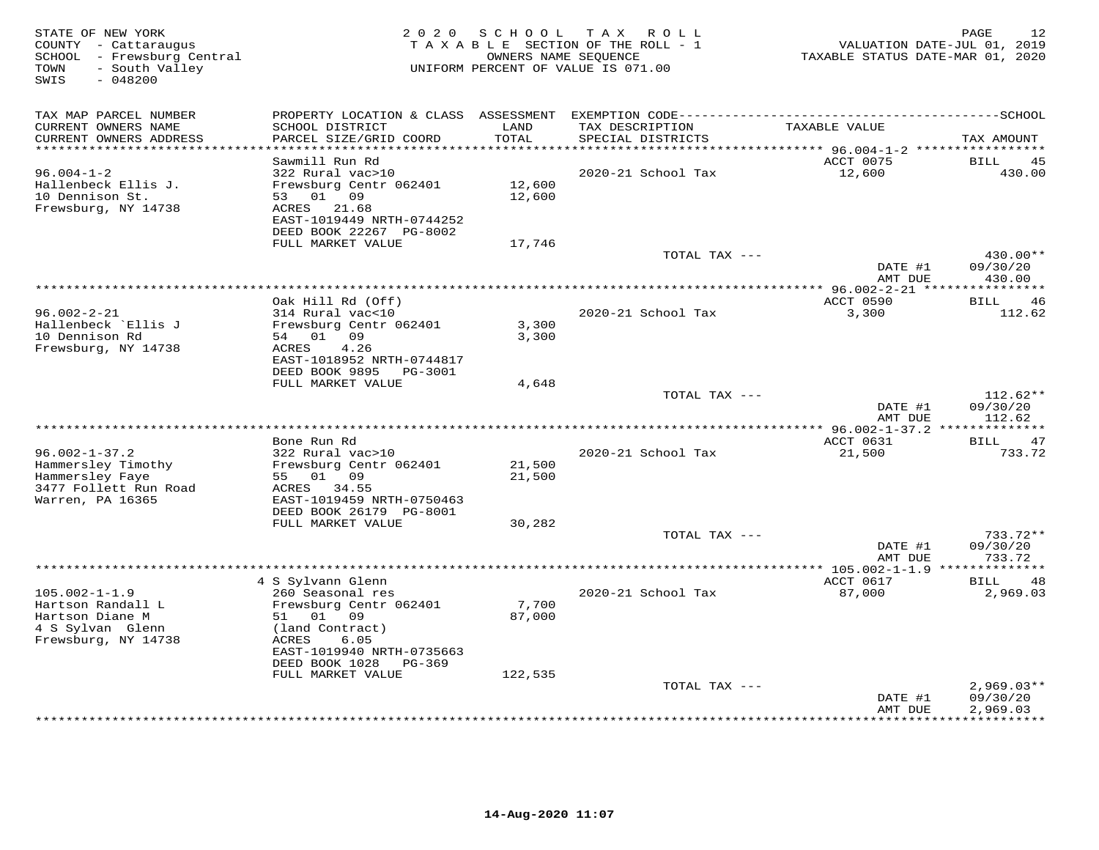| STATE OF NEW YORK<br>COUNTY - Cattaraugus<br>SCHOOL - Frewsburg Central<br>- South Valley<br>TOWN<br>SWIS<br>$-048200$ |                                           |               | 2020 SCHOOL TAX ROLL<br>TAXABLE SECTION OF THE ROLL - 1<br>OWNERS NAME SEQUENCE<br>UNIFORM PERCENT OF VALUE IS 071.00 | VALUATION DATE-JUL 01, 2019<br>TAXABLE STATUS DATE-MAR 01, 2020 | 12<br>PAGE               |
|------------------------------------------------------------------------------------------------------------------------|-------------------------------------------|---------------|-----------------------------------------------------------------------------------------------------------------------|-----------------------------------------------------------------|--------------------------|
| TAX MAP PARCEL NUMBER                                                                                                  | PROPERTY LOCATION & CLASS ASSESSMENT      |               |                                                                                                                       |                                                                 |                          |
| CURRENT OWNERS NAME<br>CURRENT OWNERS ADDRESS<br>*********************                                                 | SCHOOL DISTRICT<br>PARCEL SIZE/GRID COORD | LAND<br>TOTAL | TAX DESCRIPTION<br>SPECIAL DISTRICTS                                                                                  | TAXABLE VALUE                                                   | TAX AMOUNT               |
|                                                                                                                        | Sawmill Run Rd                            |               |                                                                                                                       | ACCT 0075                                                       | BILL<br>45               |
| $96.004 - 1 - 2$                                                                                                       | 322 Rural vac>10                          |               | 2020-21 School Tax                                                                                                    | 12,600                                                          | 430.00                   |
| Hallenbeck Ellis J.                                                                                                    | Frewsburg Centr 062401                    | 12,600        |                                                                                                                       |                                                                 |                          |
| 10 Dennison St.                                                                                                        | 53 01 09                                  | 12,600        |                                                                                                                       |                                                                 |                          |
| Frewsburg, NY 14738                                                                                                    | ACRES<br>21.68                            |               |                                                                                                                       |                                                                 |                          |
|                                                                                                                        | EAST-1019449 NRTH-0744252                 |               |                                                                                                                       |                                                                 |                          |
|                                                                                                                        | DEED BOOK 22267 PG-8002                   |               |                                                                                                                       |                                                                 |                          |
|                                                                                                                        | FULL MARKET VALUE                         | 17,746        |                                                                                                                       |                                                                 |                          |
|                                                                                                                        |                                           |               | TOTAL TAX ---                                                                                                         |                                                                 | $430.00**$               |
|                                                                                                                        |                                           |               |                                                                                                                       | DATE #1                                                         | 09/30/20                 |
|                                                                                                                        |                                           |               |                                                                                                                       | AMT DUE                                                         | 430.00                   |
|                                                                                                                        | Oak Hill Rd (Off)                         |               |                                                                                                                       | ACCT 0590                                                       | 46<br>BILL.              |
| $96.002 - 2 - 21$                                                                                                      | 314 Rural vac<10                          |               | 2020-21 School Tax                                                                                                    | 3,300                                                           | 112.62                   |
| Hallenbeck `Ellis J                                                                                                    | Frewsburg Centr 062401                    | 3,300         |                                                                                                                       |                                                                 |                          |
| 10 Dennison Rd                                                                                                         | 54 01 09                                  | 3,300         |                                                                                                                       |                                                                 |                          |
| Frewsburg, NY 14738                                                                                                    | 4.26<br>ACRES                             |               |                                                                                                                       |                                                                 |                          |
|                                                                                                                        | EAST-1018952 NRTH-0744817                 |               |                                                                                                                       |                                                                 |                          |
|                                                                                                                        | DEED BOOK 9895<br>PG-3001                 |               |                                                                                                                       |                                                                 |                          |
|                                                                                                                        | FULL MARKET VALUE                         | 4,648         |                                                                                                                       |                                                                 |                          |
|                                                                                                                        |                                           |               | TOTAL TAX ---                                                                                                         |                                                                 | $112.62**$               |
|                                                                                                                        |                                           |               |                                                                                                                       | DATE #1                                                         | 09/30/20                 |
|                                                                                                                        |                                           |               |                                                                                                                       | AMT DUE                                                         | 112.62                   |
|                                                                                                                        | Bone Run Rd                               |               |                                                                                                                       | ACCT 0631                                                       | 47<br>BILL               |
| $96.002 - 1 - 37.2$                                                                                                    | 322 Rural vac>10                          |               | 2020-21 School Tax                                                                                                    | 21,500                                                          | 733.72                   |
| Hammersley Timothy                                                                                                     | Frewsburg Centr 062401                    | 21,500        |                                                                                                                       |                                                                 |                          |
| Hammersley Faye                                                                                                        | 55 01 09                                  | 21,500        |                                                                                                                       |                                                                 |                          |
| 3477 Follett Run Road                                                                                                  | ACRES<br>34.55                            |               |                                                                                                                       |                                                                 |                          |
| Warren, PA 16365                                                                                                       | EAST-1019459 NRTH-0750463                 |               |                                                                                                                       |                                                                 |                          |
|                                                                                                                        | DEED BOOK 26179 PG-8001                   |               |                                                                                                                       |                                                                 |                          |
|                                                                                                                        | FULL MARKET VALUE                         | 30,282        |                                                                                                                       |                                                                 |                          |
|                                                                                                                        |                                           |               | TOTAL TAX ---                                                                                                         | DATE #1                                                         | 733.72**<br>09/30/20     |
|                                                                                                                        |                                           |               |                                                                                                                       | AMT DUE                                                         | 733.72                   |
|                                                                                                                        |                                           |               |                                                                                                                       | ******** 105.002-1-1.9 **************                           |                          |
|                                                                                                                        | 4 S Sylvann Glenn                         |               |                                                                                                                       | ACCT 0617                                                       | 48<br>BILL               |
| $105.002 - 1 - 1.9$                                                                                                    | 260 Seasonal res                          |               | 2020-21 School Tax                                                                                                    | 87,000                                                          | 2,969.03                 |
| Hartson Randall L                                                                                                      | Frewsburg Centr 062401                    | 7,700         |                                                                                                                       |                                                                 |                          |
| Hartson Diane M                                                                                                        | 51 01 09                                  | 87,000        |                                                                                                                       |                                                                 |                          |
| 4 S Sylvan Glenn                                                                                                       | (land Contract)                           |               |                                                                                                                       |                                                                 |                          |
| Frewsburg, NY 14738                                                                                                    | ACRES<br>6.05                             |               |                                                                                                                       |                                                                 |                          |
|                                                                                                                        | EAST-1019940 NRTH-0735663                 |               |                                                                                                                       |                                                                 |                          |
|                                                                                                                        | DEED BOOK 1028<br>PG-369                  |               |                                                                                                                       |                                                                 |                          |
|                                                                                                                        | FULL MARKET VALUE                         | 122,535       |                                                                                                                       |                                                                 |                          |
|                                                                                                                        |                                           |               | TOTAL TAX ---                                                                                                         | DATE #1                                                         | $2,969.03**$<br>09/30/20 |
|                                                                                                                        |                                           |               |                                                                                                                       | AMT DUE                                                         | 2,969.03                 |
|                                                                                                                        |                                           |               |                                                                                                                       |                                                                 | **********               |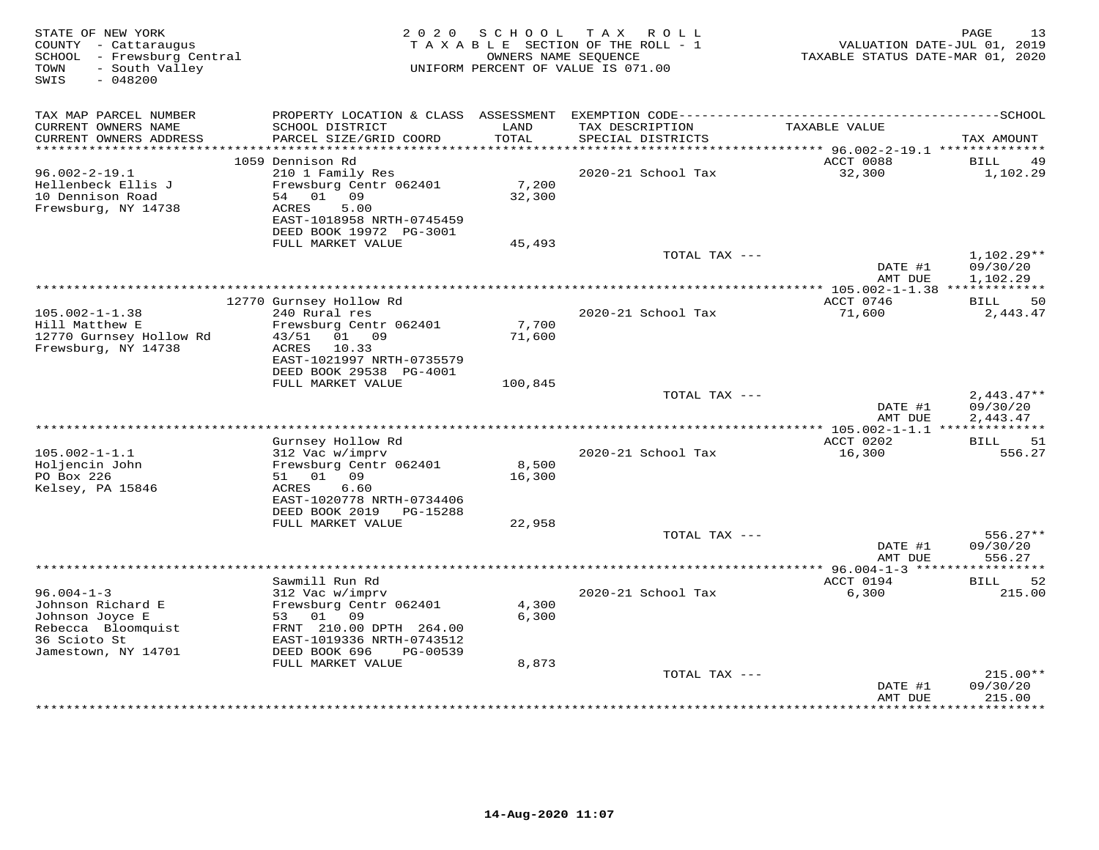| STATE OF NEW YORK<br>COUNTY - Cattaraugus<br>SCHOOL - Frewsburg Central<br>- South Valley<br>TOWN<br>SWIS<br>$-048200$ | 2 0 2 0                                        | S C H O O L   | T A X<br>R O L L<br>TAXABLE SECTION OF THE ROLL - 1<br>OWNERS NAME SEQUENCE<br>UNIFORM PERCENT OF VALUE IS 071.00 | VALUATION DATE-JUL 01, 2019<br>TAXABLE STATUS DATE-MAR 01, 2020 | PAGE<br>13               |
|------------------------------------------------------------------------------------------------------------------------|------------------------------------------------|---------------|-------------------------------------------------------------------------------------------------------------------|-----------------------------------------------------------------|--------------------------|
| TAX MAP PARCEL NUMBER                                                                                                  | PROPERTY LOCATION & CLASS ASSESSMENT           |               |                                                                                                                   |                                                                 |                          |
| CURRENT OWNERS NAME<br>CURRENT OWNERS ADDRESS<br>*************************                                             | SCHOOL DISTRICT<br>PARCEL SIZE/GRID COORD      | LAND<br>TOTAL | TAX DESCRIPTION<br>SPECIAL DISTRICTS                                                                              | TAXABLE VALUE                                                   | TAX AMOUNT               |
|                                                                                                                        | 1059 Dennison Rd                               |               |                                                                                                                   | ACCT 0088                                                       | BILL<br>49               |
| $96.002 - 2 - 19.1$                                                                                                    | 210 1 Family Res                               |               | 2020-21 School Tax                                                                                                | 32,300                                                          | 1,102.29                 |
| Hellenbeck Ellis J                                                                                                     | Frewsburg Centr 062401                         | 7,200         |                                                                                                                   |                                                                 |                          |
| 10 Dennison Road                                                                                                       | 54<br>01 09                                    | 32,300        |                                                                                                                   |                                                                 |                          |
| Frewsburg, NY 14738                                                                                                    | 5.00<br>ACRES<br>EAST-1018958 NRTH-0745459     |               |                                                                                                                   |                                                                 |                          |
|                                                                                                                        | DEED BOOK 19972 PG-3001                        |               |                                                                                                                   |                                                                 |                          |
|                                                                                                                        | FULL MARKET VALUE                              | 45,493        |                                                                                                                   |                                                                 |                          |
|                                                                                                                        |                                                |               | TOTAL TAX ---                                                                                                     |                                                                 | $1,102.29**$             |
|                                                                                                                        |                                                |               |                                                                                                                   | DATE #1                                                         | 09/30/20<br>1,102.29     |
|                                                                                                                        |                                                |               |                                                                                                                   | AMT DUE                                                         |                          |
|                                                                                                                        | 12770 Gurnsey Hollow Rd                        |               |                                                                                                                   | ACCT 0746                                                       | 50<br>BILL               |
| $105.002 - 1 - 1.38$                                                                                                   | 240 Rural res                                  |               | 2020-21 School Tax                                                                                                | 71,600                                                          | 2,443.47                 |
| Hill Matthew E                                                                                                         | Frewsburg Centr 062401                         | 7,700         |                                                                                                                   |                                                                 |                          |
| 12770 Gurnsey Hollow Rd<br>Frewsburg, NY 14738                                                                         | 43/51 01 09<br>ACRES<br>10.33                  | 71,600        |                                                                                                                   |                                                                 |                          |
|                                                                                                                        | EAST-1021997 NRTH-0735579                      |               |                                                                                                                   |                                                                 |                          |
|                                                                                                                        | DEED BOOK 29538 PG-4001                        |               |                                                                                                                   |                                                                 |                          |
|                                                                                                                        | FULL MARKET VALUE                              | 100,845       |                                                                                                                   |                                                                 |                          |
|                                                                                                                        |                                                |               | TOTAL TAX ---                                                                                                     | DATE #1                                                         | $2,443.47**$<br>09/30/20 |
|                                                                                                                        |                                                |               |                                                                                                                   | AMT DUE                                                         | 2,443.47                 |
|                                                                                                                        |                                                |               |                                                                                                                   |                                                                 |                          |
|                                                                                                                        | Gurnsey Hollow Rd                              |               |                                                                                                                   | ACCT 0202                                                       | BILL<br>51               |
| $105.002 - 1 - 1.1$<br>Holjencin John                                                                                  | 312 Vac w/imprv<br>Frewsburg Centr 062401      | 8,500         | 2020-21 School Tax                                                                                                | 16,300                                                          | 556.27                   |
| PO Box 226                                                                                                             | 51 01 09                                       | 16,300        |                                                                                                                   |                                                                 |                          |
| Kelsey, PA 15846                                                                                                       | 6.60<br>ACRES                                  |               |                                                                                                                   |                                                                 |                          |
|                                                                                                                        | EAST-1020778 NRTH-0734406                      |               |                                                                                                                   |                                                                 |                          |
|                                                                                                                        | DEED BOOK 2019<br>PG-15288                     |               |                                                                                                                   |                                                                 |                          |
|                                                                                                                        | FULL MARKET VALUE                              | 22,958        | TOTAL TAX ---                                                                                                     |                                                                 | $556.27**$               |
|                                                                                                                        |                                                |               |                                                                                                                   | DATE #1                                                         | 09/30/20                 |
|                                                                                                                        |                                                |               |                                                                                                                   | AMT DUE                                                         | 556.27                   |
|                                                                                                                        |                                                |               |                                                                                                                   |                                                                 |                          |
|                                                                                                                        | Sawmill Run Rd                                 |               |                                                                                                                   | ACCT 0194                                                       | <b>BILL</b><br>52        |
| $96.004 - 1 - 3$<br>Johnson Richard E                                                                                  | 312 Vac w/imprv<br>Frewsburg Centr 062401      | 4,300         | 2020-21 School Tax                                                                                                | 6,300                                                           | 215.00                   |
| Johnson Joyce E                                                                                                        | 53 01 09                                       | 6,300         |                                                                                                                   |                                                                 |                          |
| Rebecca Bloomquist                                                                                                     | FRNT 210.00 DPTH 264.00                        |               |                                                                                                                   |                                                                 |                          |
| 36 Scioto St                                                                                                           | EAST-1019336 NRTH-0743512                      |               |                                                                                                                   |                                                                 |                          |
| Jamestown, NY 14701                                                                                                    | DEED BOOK 696<br>PG-00539<br>FULL MARKET VALUE | 8,873         |                                                                                                                   |                                                                 |                          |
|                                                                                                                        |                                                |               | TOTAL TAX ---                                                                                                     |                                                                 | $215.00**$               |
|                                                                                                                        |                                                |               |                                                                                                                   | DATE #1                                                         | 09/30/20                 |
|                                                                                                                        |                                                |               |                                                                                                                   | AMT DUE                                                         | 215.00                   |
|                                                                                                                        |                                                |               |                                                                                                                   |                                                                 | *********                |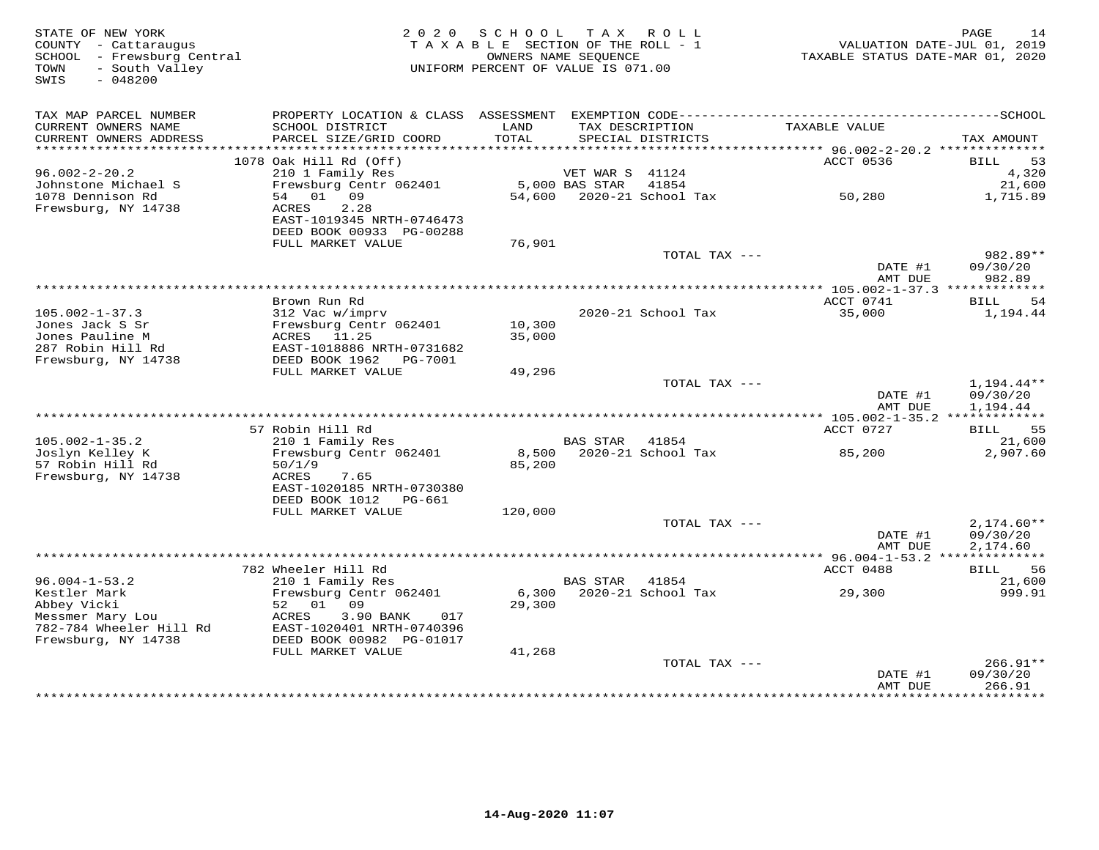| STATE OF NEW YORK<br>COUNTY - Cattaraugus<br>SCHOOL - Frewsburg Central<br>TOWN<br>- South Valley<br>$-048200$<br>SWIS | 2 0 2 0                                                                                            | S C H O O L<br>TAXABLE SECTION OF THE ROLL - 1<br>UNIFORM PERCENT OF VALUE IS 071.00 | T A X<br>OWNERS NAME SEQUENCE | ROLL                                 | TAXABLE STATUS DATE-MAR 01, 2020                              | PAGE<br>14<br>VALUATION DATE-JUL 01, 2019 |
|------------------------------------------------------------------------------------------------------------------------|----------------------------------------------------------------------------------------------------|--------------------------------------------------------------------------------------|-------------------------------|--------------------------------------|---------------------------------------------------------------|-------------------------------------------|
| TAX MAP PARCEL NUMBER<br>CURRENT OWNERS NAME<br>CURRENT OWNERS ADDRESS                                                 | SCHOOL DISTRICT<br>PARCEL SIZE/GRID COORD                                                          | LAND<br>TOTAL                                                                        |                               | TAX DESCRIPTION<br>SPECIAL DISTRICTS | TAXABLE VALUE                                                 | TAX AMOUNT                                |
| **********************                                                                                                 |                                                                                                    |                                                                                      |                               |                                      |                                                               |                                           |
|                                                                                                                        | 1078 Oak Hill Rd (Off)                                                                             |                                                                                      |                               |                                      | ACCT 0536                                                     | 53<br>BILL                                |
| $96.002 - 2 - 20.2$                                                                                                    | 210 1 Family Res                                                                                   |                                                                                      | VET WAR S 41124               |                                      |                                                               | 4,320                                     |
| Johnstone Michael S                                                                                                    | Frewsburg Centr 062401                                                                             |                                                                                      | 5,000 BAS STAR                | 41854                                |                                                               | 21,600                                    |
| 1078 Dennison Rd                                                                                                       | 01 09<br>54                                                                                        | 54,600                                                                               |                               | 2020-21 School Tax                   | 50,280                                                        | 1,715.89                                  |
| Frewsburg, NY 14738                                                                                                    | ACRES<br>2.28<br>EAST-1019345 NRTH-0746473<br>DEED BOOK 00933 PG-00288                             |                                                                                      |                               |                                      |                                                               |                                           |
|                                                                                                                        | FULL MARKET VALUE                                                                                  | 76,901                                                                               |                               |                                      |                                                               |                                           |
|                                                                                                                        |                                                                                                    |                                                                                      |                               | TOTAL TAX ---                        | DATE #1<br>AMT DUE                                            | 982.89**<br>09/30/20<br>982.89            |
|                                                                                                                        |                                                                                                    |                                                                                      |                               |                                      |                                                               |                                           |
|                                                                                                                        | Brown Run Rd                                                                                       |                                                                                      |                               |                                      | ACCT 0741                                                     | BILL<br>54                                |
| $105.002 - 1 - 37.3$                                                                                                   | 312 Vac w/imprv                                                                                    |                                                                                      |                               | 2020-21 School Tax                   | 35,000                                                        | 1,194.44                                  |
| Jones Jack S Sr<br>Jones Pauline M<br>287 Robin Hill Rd<br>Frewsburg, NY 14738                                         | Frewsburg Centr 062401<br>ACRES<br>11.25<br>EAST-1018886 NRTH-0731682<br>DEED BOOK 1962    PG-7001 | 10,300<br>35,000                                                                     |                               |                                      |                                                               |                                           |
|                                                                                                                        | FULL MARKET VALUE                                                                                  | 49,296                                                                               |                               |                                      |                                                               |                                           |
|                                                                                                                        |                                                                                                    |                                                                                      |                               | TOTAL TAX ---                        | DATE #1<br>AMT DUE                                            | 1,194.44**<br>09/30/20<br>1,194.44        |
|                                                                                                                        |                                                                                                    |                                                                                      |                               |                                      |                                                               |                                           |
|                                                                                                                        | 57 Robin Hill Rd                                                                                   |                                                                                      |                               |                                      | ACCT 0727                                                     | 55<br>BILL                                |
| $105.002 - 1 - 35.2$                                                                                                   | 210 1 Family Res                                                                                   |                                                                                      | <b>BAS STAR</b>               | 41854                                |                                                               | 21,600                                    |
| Joslyn Kelley K<br>57 Robin Hill Rd<br>Frewsburg, NY 14738                                                             | Frewsburg Centr 062401<br>50/1/9<br>ACRES<br>7.65<br>EAST-1020185 NRTH-0730380                     | 8,500<br>85,200                                                                      |                               | 2020-21 School Tax                   | 85,200                                                        | 2,907.60                                  |
|                                                                                                                        | DEED BOOK 1012 PG-661                                                                              |                                                                                      |                               |                                      |                                                               |                                           |
|                                                                                                                        | FULL MARKET VALUE                                                                                  | 120,000                                                                              |                               |                                      |                                                               |                                           |
|                                                                                                                        |                                                                                                    |                                                                                      |                               | TOTAL TAX ---                        |                                                               | $2,174.60**$                              |
|                                                                                                                        |                                                                                                    |                                                                                      |                               |                                      | DATE #1<br>AMT DUE<br>********** 96.004-1-53.2 ************** | 09/30/20<br>2,174.60                      |
|                                                                                                                        | 782 Wheeler Hill Rd                                                                                |                                                                                      |                               |                                      | ACCT 0488                                                     | <b>BILL</b><br>56                         |
| $96.004 - 1 - 53.2$                                                                                                    | 210 1 Family Res                                                                                   |                                                                                      | BAS STAR                      | 41854                                |                                                               | 21,600                                    |
| Kestler Mark<br>Abbey Vicki                                                                                            | Frewsburg Centr 062401<br>52 01 09                                                                 | 6,300<br>29,300                                                                      |                               | 2020-21 School Tax                   | 29,300                                                        | 999.91                                    |
| Messmer Mary Lou<br>782-784 Wheeler Hill Rd<br>Frewsburg, NY 14738                                                     | ACRES<br>3.90 BANK<br>017<br>EAST-1020401 NRTH-0740396<br>DEED BOOK 00982 PG-01017                 |                                                                                      |                               |                                      |                                                               |                                           |
|                                                                                                                        | FULL MARKET VALUE                                                                                  | 41,268                                                                               |                               |                                      |                                                               |                                           |
|                                                                                                                        |                                                                                                    |                                                                                      |                               | TOTAL TAX ---                        | DATE #1<br>AMT DUE                                            | $266.91**$<br>09/30/20<br>266.91          |
|                                                                                                                        |                                                                                                    |                                                                                      |                               |                                      | ***************                                               | **********                                |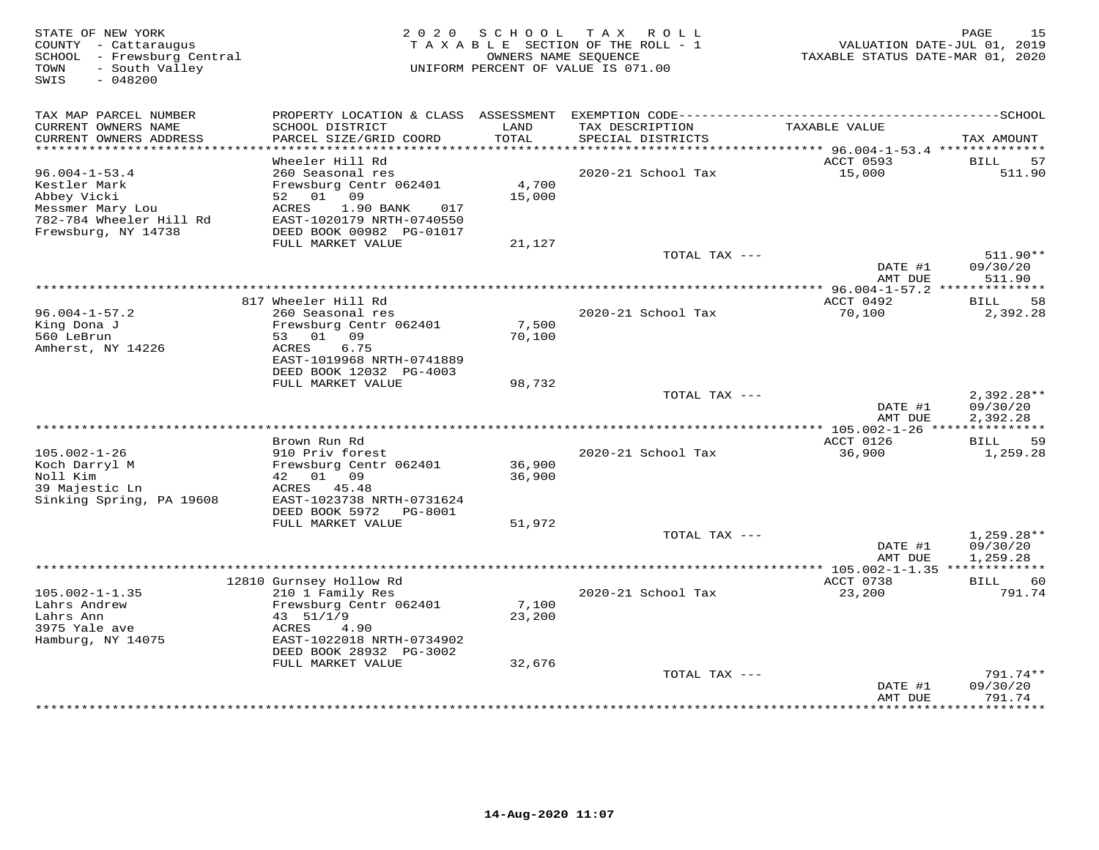| STATE OF NEW YORK<br>COUNTY - Cattaraugus<br>SCHOOL - Frewsburg Central<br>- South Valley<br>TOWN<br>SWIS<br>$-048200$ |                                                       | 2020 SCHOOL | TAX ROLL<br>TAXABLE SECTION OF THE ROLL - 1<br>OWNERS NAME SEQUENCE<br>UNIFORM PERCENT OF VALUE IS 071.00 | VALUATION DATE-JUL 01, 2019<br>TAXABLE STATUS DATE-MAR 01, 2020 | PAGE<br>15                    |
|------------------------------------------------------------------------------------------------------------------------|-------------------------------------------------------|-------------|-----------------------------------------------------------------------------------------------------------|-----------------------------------------------------------------|-------------------------------|
| TAX MAP PARCEL NUMBER                                                                                                  |                                                       |             |                                                                                                           |                                                                 |                               |
| CURRENT OWNERS NAME                                                                                                    | SCHOOL DISTRICT                                       | LAND        | TAX DESCRIPTION                                                                                           | TAXABLE VALUE                                                   |                               |
| CURRENT OWNERS ADDRESS<br>***********************                                                                      | PARCEL SIZE/GRID COORD                                | TOTAL       | SPECIAL DISTRICTS                                                                                         |                                                                 | TAX AMOUNT                    |
|                                                                                                                        | Wheeler Hill Rd                                       |             |                                                                                                           | ACCT 0593                                                       | <b>BILL</b><br>57             |
| $96.004 - 1 - 53.4$                                                                                                    | 260 Seasonal res                                      |             | 2020-21 School Tax                                                                                        | 15,000                                                          | 511.90                        |
| Kestler Mark                                                                                                           | Frewsburg Centr 062401                                | 4,700       |                                                                                                           |                                                                 |                               |
| Abbey Vicki                                                                                                            | 52 01 09                                              | 15,000      |                                                                                                           |                                                                 |                               |
| Messmer Mary Lou                                                                                                       | 1.90 BANK<br>ACRES<br>017                             |             |                                                                                                           |                                                                 |                               |
| 782-784 Wheeler Hill Rd<br>Frewsburg, NY 14738                                                                         | EAST-1020179 NRTH-0740550<br>DEED BOOK 00982 PG-01017 |             |                                                                                                           |                                                                 |                               |
|                                                                                                                        | FULL MARKET VALUE                                     | 21,127      |                                                                                                           |                                                                 |                               |
|                                                                                                                        |                                                       |             | TOTAL TAX ---                                                                                             |                                                                 | $511.90**$                    |
|                                                                                                                        |                                                       |             |                                                                                                           | DATE #1                                                         | 09/30/20                      |
|                                                                                                                        |                                                       |             |                                                                                                           | AMT DUE                                                         | 511.90                        |
|                                                                                                                        |                                                       |             |                                                                                                           | **************** 96.004-1-57.2 **************                   |                               |
| $96.004 - 1 - 57.2$                                                                                                    | 817 Wheeler Hill Rd<br>260 Seasonal res               |             | 2020-21 School Tax                                                                                        | ACCT 0492<br>70,100                                             | 58<br><b>BILL</b><br>2,392.28 |
| King Dona J                                                                                                            | Frewsburg Centr 062401                                | 7,500       |                                                                                                           |                                                                 |                               |
| 560 LeBrun                                                                                                             | 53 01 09                                              | 70,100      |                                                                                                           |                                                                 |                               |
| Amherst, NY 14226                                                                                                      | ACRES<br>6.75                                         |             |                                                                                                           |                                                                 |                               |
|                                                                                                                        | EAST-1019968 NRTH-0741889                             |             |                                                                                                           |                                                                 |                               |
|                                                                                                                        | DEED BOOK 12032 PG-4003                               |             |                                                                                                           |                                                                 |                               |
|                                                                                                                        | FULL MARKET VALUE                                     | 98,732      | TOTAL TAX ---                                                                                             |                                                                 | $2,392.28**$                  |
|                                                                                                                        |                                                       |             |                                                                                                           | DATE #1                                                         | 09/30/20                      |
|                                                                                                                        |                                                       |             |                                                                                                           | AMT DUE                                                         | 2,392.28                      |
|                                                                                                                        |                                                       |             |                                                                                                           |                                                                 |                               |
|                                                                                                                        | Brown Run Rd                                          |             |                                                                                                           | ACCT 0126                                                       | 59<br>BILL                    |
| $105.002 - 1 - 26$<br>Koch Darryl M                                                                                    | 910 Priv forest<br>Frewsburg Centr 062401             | 36,900      | 2020-21 School Tax                                                                                        | 36,900                                                          | 1,259.28                      |
| Noll Kim                                                                                                               | 42 01 09                                              | 36,900      |                                                                                                           |                                                                 |                               |
| 39 Majestic Ln                                                                                                         | ACRES 45.48                                           |             |                                                                                                           |                                                                 |                               |
| Sinking Spring, PA 19608                                                                                               | EAST-1023738 NRTH-0731624                             |             |                                                                                                           |                                                                 |                               |
|                                                                                                                        | DEED BOOK 5972<br>PG-8001                             |             |                                                                                                           |                                                                 |                               |
|                                                                                                                        | FULL MARKET VALUE                                     | 51,972      |                                                                                                           |                                                                 |                               |
|                                                                                                                        |                                                       |             | TOTAL TAX ---                                                                                             | DATE #1                                                         | $1,259.28**$<br>09/30/20      |
|                                                                                                                        |                                                       |             |                                                                                                           | AMT DUE                                                         | 1,259.28                      |
|                                                                                                                        |                                                       |             |                                                                                                           |                                                                 |                               |
|                                                                                                                        | 12810 Gurnsey Hollow Rd                               |             |                                                                                                           | ACCT 0738                                                       | BILL<br>60                    |
| $105.002 - 1 - 1.35$                                                                                                   | 210 1 Family Res                                      |             | 2020-21 School Tax                                                                                        | 23,200                                                          | 791.74                        |
| Lahrs Andrew                                                                                                           | Frewsburg Centr 062401                                | 7,100       |                                                                                                           |                                                                 |                               |
| Lahrs Ann<br>3975 Yale ave                                                                                             | 43 51/1/9                                             | 23,200      |                                                                                                           |                                                                 |                               |
| Hamburg, NY 14075                                                                                                      | ACRES<br>4.90<br>EAST-1022018 NRTH-0734902            |             |                                                                                                           |                                                                 |                               |
|                                                                                                                        | DEED BOOK 28932 PG-3002                               |             |                                                                                                           |                                                                 |                               |
|                                                                                                                        | FULL MARKET VALUE                                     | 32,676      |                                                                                                           |                                                                 |                               |
|                                                                                                                        |                                                       |             | TOTAL TAX ---                                                                                             |                                                                 | $791.74**$                    |
|                                                                                                                        |                                                       |             |                                                                                                           | DATE #1                                                         | 09/30/20                      |
|                                                                                                                        |                                                       |             |                                                                                                           | AMT DUE<br>**************                                       | 791.74<br>**********          |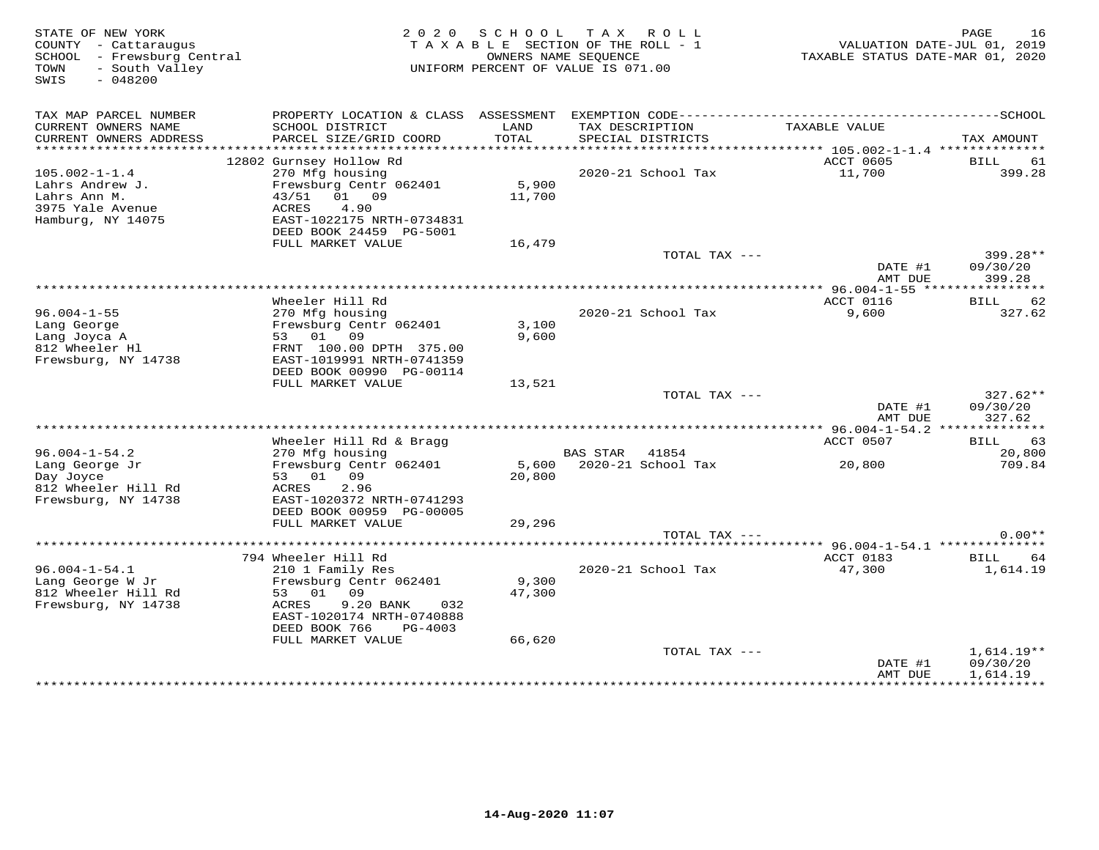| STATE OF NEW YORK<br>COUNTY - Cattaraugus<br>SCHOOL - Frewsburg Central<br>- South Valley<br>TOWN<br>$-048200$<br>SWIS |                                                           |                 | 2020 SCHOOL TAX ROLL<br>TAXABLE SECTION OF THE ROLL - 1<br>OWNERS NAME SEOUENCE<br>UNIFORM PERCENT OF VALUE IS 071.00 | TAXABLE STATUS DATE-MAR 01, 2020 | PAGE<br>16<br>VALUATION DATE-JUL 01, 2019 |
|------------------------------------------------------------------------------------------------------------------------|-----------------------------------------------------------|-----------------|-----------------------------------------------------------------------------------------------------------------------|----------------------------------|-------------------------------------------|
|                                                                                                                        |                                                           |                 |                                                                                                                       |                                  |                                           |
| TAX MAP PARCEL NUMBER<br>CURRENT OWNERS NAME                                                                           | SCHOOL DISTRICT                                           | LAND            | TAX DESCRIPTION                                                                                                       | TAXABLE VALUE                    |                                           |
| CURRENT OWNERS ADDRESS<br>***********************                                                                      | PARCEL SIZE/GRID COORD                                    | TOTAL           | SPECIAL DISTRICTS                                                                                                     |                                  | TAX AMOUNT                                |
|                                                                                                                        | 12802 Gurnsey Hollow Rd                                   |                 |                                                                                                                       | ACCT 0605                        | <b>BILL</b><br>61                         |
| $105.002 - 1 - 1.4$                                                                                                    | 270 Mfg housing                                           |                 | 2020-21 School Tax                                                                                                    | 11,700                           | 399.28                                    |
| Lahrs Andrew J.<br>Lahrs Ann M.<br>3975 Yale Avenue                                                                    | Frewsburg Centr 062401<br>01 09<br>43/51<br>4.90<br>ACRES | 5,900<br>11,700 |                                                                                                                       |                                  |                                           |
| Hamburg, NY 14075                                                                                                      | EAST-1022175 NRTH-0734831<br>DEED BOOK 24459 PG-5001      |                 |                                                                                                                       |                                  |                                           |
|                                                                                                                        | FULL MARKET VALUE                                         | 16,479          |                                                                                                                       |                                  |                                           |
|                                                                                                                        |                                                           |                 | TOTAL TAX ---                                                                                                         | DATE #1                          | 399.28**<br>09/30/20                      |
|                                                                                                                        |                                                           |                 |                                                                                                                       | AMT DUE                          | 399.28                                    |
|                                                                                                                        |                                                           |                 |                                                                                                                       |                                  |                                           |
|                                                                                                                        | Wheeler Hill Rd                                           |                 |                                                                                                                       | ACCT 0116                        | 62<br>BILL                                |
| $96.004 - 1 - 55$                                                                                                      | 270 Mfg housing                                           |                 | 2020-21 School Tax                                                                                                    | 9,600                            | 327.62                                    |
| Lang George<br>Lang Joyca A                                                                                            | Frewsburg Centr 062401<br>53 01 09                        | 3,100<br>9,600  |                                                                                                                       |                                  |                                           |
| 812 Wheeler Hl                                                                                                         | FRNT 100.00 DPTH 375.00                                   |                 |                                                                                                                       |                                  |                                           |
| Frewsburg, NY 14738                                                                                                    | EAST-1019991 NRTH-0741359                                 |                 |                                                                                                                       |                                  |                                           |
|                                                                                                                        | DEED BOOK 00990 PG-00114                                  |                 |                                                                                                                       |                                  |                                           |
|                                                                                                                        | FULL MARKET VALUE                                         | 13,521          |                                                                                                                       |                                  |                                           |
|                                                                                                                        |                                                           |                 | TOTAL TAX ---                                                                                                         | DATE #1                          | $327.62**$<br>09/30/20                    |
|                                                                                                                        |                                                           |                 |                                                                                                                       | AMT DUE                          | 327.62                                    |
|                                                                                                                        |                                                           |                 |                                                                                                                       |                                  |                                           |
|                                                                                                                        | Wheeler Hill Rd & Bragg                                   |                 |                                                                                                                       | ACCT 0507                        | 63<br>BILL                                |
| $96.004 - 1 - 54.2$                                                                                                    | 270 Mfg housing                                           |                 | BAS STAR 41854                                                                                                        |                                  | 20,800                                    |
| Lang George Jr                                                                                                         | Frewsburg Centr 062401                                    |                 | 5,600 2020-21 School Tax                                                                                              | 20,800                           | 709.84                                    |
| Day Joyce<br>812 Wheeler Hill Rd                                                                                       | 53 01 09<br>ACRES<br>2.96                                 | 20,800          |                                                                                                                       |                                  |                                           |
| Frewsburg, NY 14738                                                                                                    | EAST-1020372 NRTH-0741293                                 |                 |                                                                                                                       |                                  |                                           |
|                                                                                                                        | DEED BOOK 00959 PG-00005                                  |                 |                                                                                                                       |                                  |                                           |
|                                                                                                                        | FULL MARKET VALUE                                         | 29,296          |                                                                                                                       |                                  |                                           |
|                                                                                                                        |                                                           |                 | TOTAL TAX ---                                                                                                         |                                  | $0.00**$                                  |
|                                                                                                                        |                                                           |                 |                                                                                                                       |                                  |                                           |
| $96.004 - 1 - 54.1$                                                                                                    | 794 Wheeler Hill Rd<br>210 1 Family Res                   |                 | 2020-21 School Tax                                                                                                    | ACCT 0183<br>47,300              | BILL<br>64<br>1,614.19                    |
| Lang George W Jr                                                                                                       | Frewsburg Centr 062401                                    | 9,300           |                                                                                                                       |                                  |                                           |
| 812 Wheeler Hill Rd                                                                                                    | 53 01 09                                                  | 47,300          |                                                                                                                       |                                  |                                           |
| Frewsburg, NY 14738                                                                                                    | ACRES<br>9.20 BANK<br>032                                 |                 |                                                                                                                       |                                  |                                           |
|                                                                                                                        | EAST-1020174 NRTH-0740888                                 |                 |                                                                                                                       |                                  |                                           |
|                                                                                                                        | DEED BOOK 766<br>PG-4003<br>FULL MARKET VALUE             | 66,620          |                                                                                                                       |                                  |                                           |
|                                                                                                                        |                                                           |                 | TOTAL TAX ---                                                                                                         |                                  | $1,614.19**$                              |
|                                                                                                                        |                                                           |                 |                                                                                                                       | DATE #1                          | 09/30/20                                  |
|                                                                                                                        |                                                           |                 |                                                                                                                       | AMT DUE                          | 1,614.19                                  |
|                                                                                                                        |                                                           |                 |                                                                                                                       |                                  |                                           |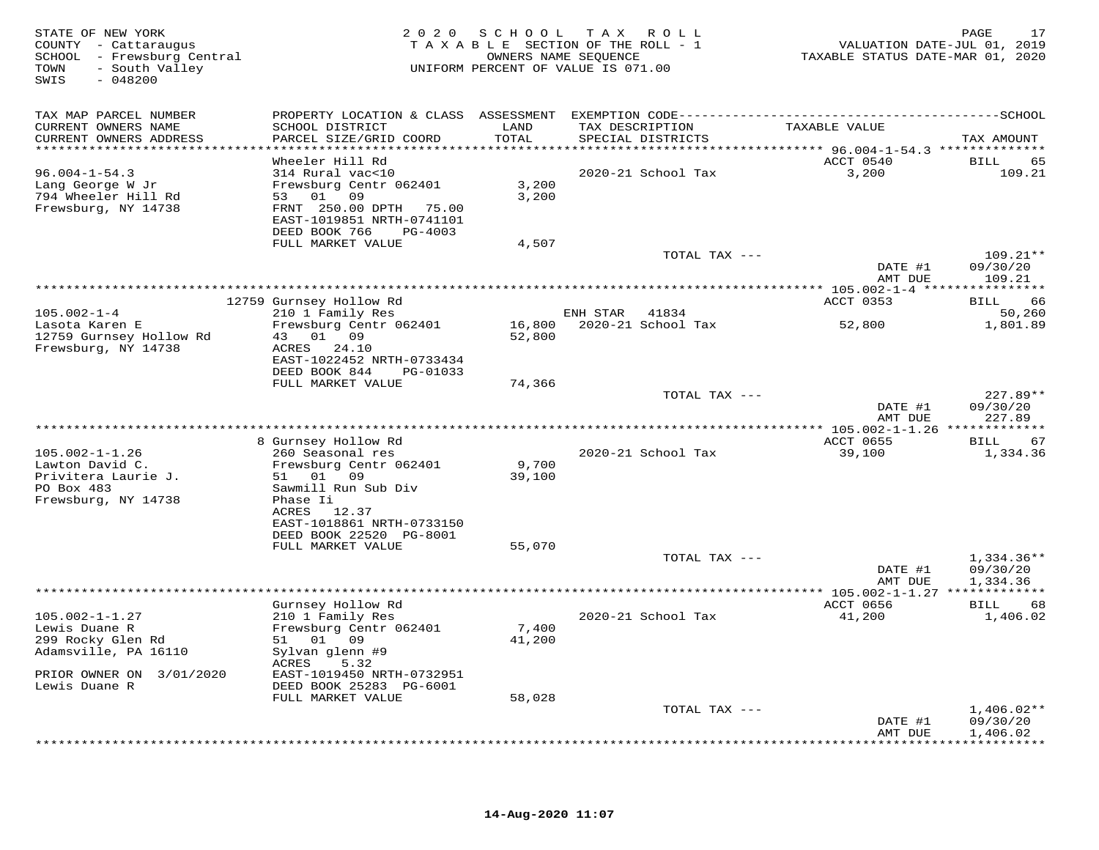| STATE OF NEW YORK<br>COUNTY - Cattaraugus<br>SCHOOL - Frewsburg Central<br>- South Valley<br>TOWN<br>SWIS<br>$-048200$ | 2 0 2 0                                    | SCHOOL        | T A X<br>R O L L<br>TAXABLE SECTION OF THE ROLL - 1<br>OWNERS NAME SEQUENCE<br>UNIFORM PERCENT OF VALUE IS 071.00 | VALUATION DATE-JUL 01, 2019<br>TAXABLE STATUS DATE-MAR 01, 2020 | PAGE<br>17                      |
|------------------------------------------------------------------------------------------------------------------------|--------------------------------------------|---------------|-------------------------------------------------------------------------------------------------------------------|-----------------------------------------------------------------|---------------------------------|
| TAX MAP PARCEL NUMBER                                                                                                  |                                            |               |                                                                                                                   |                                                                 |                                 |
| CURRENT OWNERS NAME<br>CURRENT OWNERS ADDRESS                                                                          | SCHOOL DISTRICT<br>PARCEL SIZE/GRID COORD  | LAND<br>TOTAL | TAX DESCRIPTION<br>SPECIAL DISTRICTS                                                                              | TAXABLE VALUE                                                   | TAX AMOUNT                      |
| ***********************                                                                                                |                                            |               |                                                                                                                   |                                                                 |                                 |
|                                                                                                                        | Wheeler Hill Rd                            |               |                                                                                                                   | ACCT 0540                                                       | 65<br>BILL                      |
| $96.004 - 1 - 54.3$<br>Lang George W Jr                                                                                | 314 Rural vac<10<br>Frewsburg Centr 062401 | 3,200         | 2020-21 School Tax                                                                                                | 3,200                                                           | 109.21                          |
| 794 Wheeler Hill Rd                                                                                                    | 53 01<br>09                                | 3,200         |                                                                                                                   |                                                                 |                                 |
| Frewsburg, NY 14738                                                                                                    | FRNT 250.00 DPTH<br>75.00                  |               |                                                                                                                   |                                                                 |                                 |
|                                                                                                                        | EAST-1019851 NRTH-0741101                  |               |                                                                                                                   |                                                                 |                                 |
|                                                                                                                        | DEED BOOK 766<br>PG-4003                   |               |                                                                                                                   |                                                                 |                                 |
|                                                                                                                        | FULL MARKET VALUE                          | 4,507         |                                                                                                                   |                                                                 |                                 |
|                                                                                                                        |                                            |               | TOTAL TAX ---                                                                                                     |                                                                 | $109.21**$                      |
|                                                                                                                        |                                            |               |                                                                                                                   | DATE #1<br>AMT DUE                                              | 09/30/20<br>109.21              |
|                                                                                                                        |                                            |               |                                                                                                                   |                                                                 |                                 |
|                                                                                                                        | 12759 Gurnsey Hollow Rd                    |               |                                                                                                                   | ACCT 0353                                                       | 66<br>BILL                      |
| $105.002 - 1 - 4$                                                                                                      | 210 1 Family Res                           |               | ENH STAR<br>41834                                                                                                 |                                                                 | 50,260                          |
| Lasota Karen E                                                                                                         | Frewsburg Centr 062401                     | 16,800        | 2020-21 School Tax                                                                                                | 52,800                                                          | 1,801.89                        |
| 12759 Gurnsey Hollow Rd<br>Frewsburg, NY 14738                                                                         | 0109<br>43<br>ACRES<br>24.10               | 52,800        |                                                                                                                   |                                                                 |                                 |
|                                                                                                                        | EAST-1022452 NRTH-0733434                  |               |                                                                                                                   |                                                                 |                                 |
|                                                                                                                        | DEED BOOK 844<br>PG-01033                  |               |                                                                                                                   |                                                                 |                                 |
|                                                                                                                        | FULL MARKET VALUE                          | 74,366        |                                                                                                                   |                                                                 |                                 |
|                                                                                                                        |                                            |               | TOTAL TAX ---                                                                                                     |                                                                 | 227.89**                        |
|                                                                                                                        |                                            |               |                                                                                                                   | DATE #1                                                         | 09/30/20                        |
|                                                                                                                        |                                            |               |                                                                                                                   | AMT DUE                                                         | 227.89                          |
|                                                                                                                        | 8 Gurnsey Hollow Rd                        |               |                                                                                                                   | ACCT 0655                                                       | 67<br>BILL                      |
| $105.002 - 1 - 1.26$                                                                                                   | 260 Seasonal res                           |               | 2020-21 School Tax                                                                                                | 39,100                                                          | 1,334.36                        |
| Lawton David C.                                                                                                        | Frewsburg Centr 062401                     | 9,700         |                                                                                                                   |                                                                 |                                 |
| Privitera Laurie J.                                                                                                    | 51 01<br>09                                | 39,100        |                                                                                                                   |                                                                 |                                 |
| PO Box 483                                                                                                             | Sawmill Run Sub Div                        |               |                                                                                                                   |                                                                 |                                 |
| Frewsburg, NY 14738                                                                                                    | Phase Ii<br>ACRES 12.37                    |               |                                                                                                                   |                                                                 |                                 |
|                                                                                                                        | EAST-1018861 NRTH-0733150                  |               |                                                                                                                   |                                                                 |                                 |
|                                                                                                                        | DEED BOOK 22520 PG-8001                    |               |                                                                                                                   |                                                                 |                                 |
|                                                                                                                        | FULL MARKET VALUE                          | 55,070        |                                                                                                                   |                                                                 |                                 |
|                                                                                                                        |                                            |               | TOTAL TAX ---                                                                                                     |                                                                 | $1,334.36**$                    |
|                                                                                                                        |                                            |               |                                                                                                                   | DATE #1<br>AMT DUE                                              | 09/30/20<br>1,334.36            |
|                                                                                                                        |                                            |               |                                                                                                                   |                                                                 |                                 |
|                                                                                                                        | Gurnsey Hollow Rd                          |               |                                                                                                                   | ACCT 0656                                                       | 68<br>BILL                      |
| $105.002 - 1 - 1.27$                                                                                                   | 210 1 Family Res                           |               | 2020-21 School Tax                                                                                                | 41,200                                                          | 1,406.02                        |
| Lewis Duane R                                                                                                          | Frewsburg Centr 062401                     | 7,400         |                                                                                                                   |                                                                 |                                 |
| 299 Rocky Glen Rd                                                                                                      | 01 09<br>51                                | 41,200        |                                                                                                                   |                                                                 |                                 |
| Adamsville, PA 16110                                                                                                   | Sylvan glenn #9<br>ACRES<br>5.32           |               |                                                                                                                   |                                                                 |                                 |
| PRIOR OWNER ON 3/01/2020                                                                                               | EAST-1019450 NRTH-0732951                  |               |                                                                                                                   |                                                                 |                                 |
| Lewis Duane R                                                                                                          | DEED BOOK 25283 PG-6001                    |               |                                                                                                                   |                                                                 |                                 |
|                                                                                                                        | FULL MARKET VALUE                          | 58,028        |                                                                                                                   |                                                                 |                                 |
|                                                                                                                        |                                            |               | TOTAL TAX ---                                                                                                     |                                                                 | $1,406.02**$                    |
|                                                                                                                        |                                            |               |                                                                                                                   | DATE #1                                                         | 09/30/20                        |
|                                                                                                                        |                                            |               |                                                                                                                   | AMT DUE                                                         | 1,406.02<br>* * * * * * * * * * |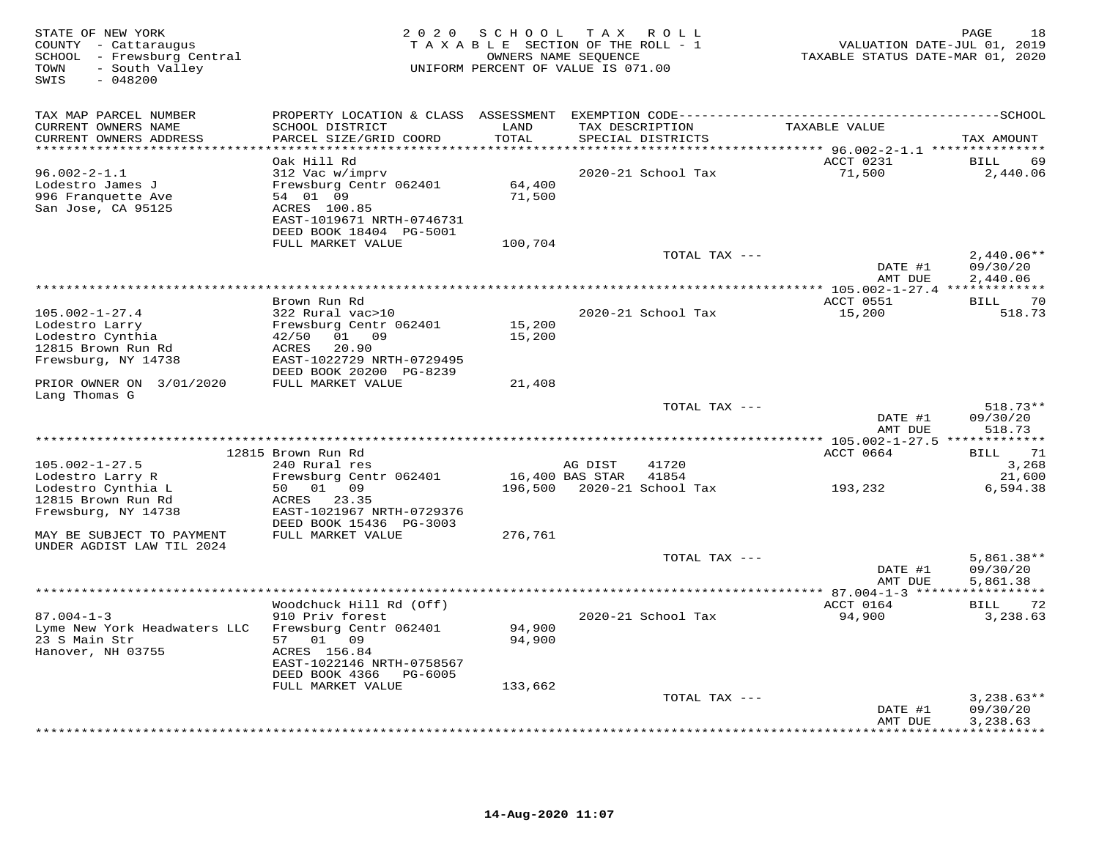| STATE OF NEW YORK<br>COUNTY - Cattaraugus<br>SCHOOL - Frewsburg Central<br>- South Valley<br>TOWN<br>SWIS<br>$-048200$ | 2 0 2 0<br>TAXABLE SECTION OF THE ROLL - 1<br>UNIFORM PERCENT OF VALUE IS 071.00 | PAGE<br>18<br>VALUATION DATE-JUL 01, 2019<br>TAXABLE STATUS DATE-MAR 01, 2020 |                 |                                      |                    |                      |
|------------------------------------------------------------------------------------------------------------------------|----------------------------------------------------------------------------------|-------------------------------------------------------------------------------|-----------------|--------------------------------------|--------------------|----------------------|
| TAX MAP PARCEL NUMBER                                                                                                  | PROPERTY LOCATION & CLASS ASSESSMENT                                             |                                                                               |                 |                                      |                    |                      |
| CURRENT OWNERS NAME<br>CURRENT OWNERS ADDRESS                                                                          | SCHOOL DISTRICT<br>PARCEL SIZE/GRID COORD                                        | LAND<br>TOTAL<br>* * * * * * * * *                                            |                 | TAX DESCRIPTION<br>SPECIAL DISTRICTS | TAXABLE VALUE      | TAX AMOUNT           |
|                                                                                                                        | Oak Hill Rd                                                                      |                                                                               |                 |                                      | ACCT 0231          | <b>BILL</b><br>69    |
| $96.002 - 2 - 1.1$                                                                                                     | 312 Vac w/imprv                                                                  |                                                                               |                 | 2020-21 School Tax                   | 71,500             | 2,440.06             |
| Lodestro James J                                                                                                       | Frewsburg Centr 062401                                                           | 64,400                                                                        |                 |                                      |                    |                      |
| 996 Franquette Ave                                                                                                     | 54 01 09                                                                         | 71,500                                                                        |                 |                                      |                    |                      |
| San Jose, CA 95125                                                                                                     | ACRES 100.85<br>EAST-1019671 NRTH-0746731                                        |                                                                               |                 |                                      |                    |                      |
|                                                                                                                        | DEED BOOK 18404 PG-5001                                                          |                                                                               |                 |                                      |                    |                      |
|                                                                                                                        | FULL MARKET VALUE                                                                | 100,704                                                                       |                 |                                      |                    |                      |
|                                                                                                                        |                                                                                  |                                                                               |                 | TOTAL TAX ---                        |                    | $2,440.06**$         |
|                                                                                                                        |                                                                                  |                                                                               |                 |                                      | DATE #1<br>AMT DUE | 09/30/20<br>2,440.06 |
|                                                                                                                        |                                                                                  |                                                                               |                 |                                      |                    |                      |
|                                                                                                                        | Brown Run Rd                                                                     |                                                                               |                 |                                      | ACCT 0551          | 70<br>BILL           |
| $105.002 - 1 - 27.4$                                                                                                   | 322 Rural vac>10                                                                 |                                                                               |                 | 2020-21 School Tax                   | 15,200             | 518.73               |
| Lodestro Larry                                                                                                         | Frewsburg Centr 062401                                                           | 15,200                                                                        |                 |                                      |                    |                      |
| Lodestro Cynthia<br>12815 Brown Run Rd                                                                                 | 42/50<br>01<br>09<br>20.90<br>ACRES                                              | 15,200                                                                        |                 |                                      |                    |                      |
| Frewsburg, NY 14738                                                                                                    | EAST-1022729 NRTH-0729495                                                        |                                                                               |                 |                                      |                    |                      |
|                                                                                                                        | DEED BOOK 20200 PG-8239                                                          |                                                                               |                 |                                      |                    |                      |
| PRIOR OWNER ON 3/01/2020                                                                                               | FULL MARKET VALUE                                                                | 21,408                                                                        |                 |                                      |                    |                      |
| Lang Thomas G                                                                                                          |                                                                                  |                                                                               |                 | TOTAL TAX ---                        |                    | $518.73**$           |
|                                                                                                                        |                                                                                  |                                                                               |                 |                                      | DATE #1            | 09/30/20             |
|                                                                                                                        |                                                                                  |                                                                               |                 |                                      | AMT DUE            | 518.73               |
|                                                                                                                        |                                                                                  |                                                                               |                 |                                      |                    |                      |
| $105.002 - 1 - 27.5$                                                                                                   | 12815 Brown Run Rd<br>240 Rural res                                              |                                                                               | AG DIST         | 41720                                | ACCT 0664          | 71<br>BILL<br>3,268  |
| Lodestro Larry R                                                                                                       | Frewsburg Centr 062401                                                           |                                                                               | 16,400 BAS STAR | 41854                                |                    | 21,600               |
| Lodestro Cynthia L                                                                                                     | 50<br>01 09                                                                      | 196,500                                                                       |                 | 2020-21 School Tax                   | 193,232            | 6,594.38             |
| 12815 Brown Run Rd                                                                                                     | ACRES<br>23.35                                                                   |                                                                               |                 |                                      |                    |                      |
| Frewsburg, NY 14738                                                                                                    | EAST-1021967 NRTH-0729376                                                        |                                                                               |                 |                                      |                    |                      |
| MAY BE SUBJECT TO PAYMENT                                                                                              | DEED BOOK 15436 PG-3003<br>FULL MARKET VALUE                                     | 276,761                                                                       |                 |                                      |                    |                      |
| UNDER AGDIST LAW TIL 2024                                                                                              |                                                                                  |                                                                               |                 |                                      |                    |                      |
|                                                                                                                        |                                                                                  |                                                                               |                 | TOTAL TAX ---                        |                    | $5,861.38**$         |
|                                                                                                                        |                                                                                  |                                                                               |                 |                                      | DATE #1            | 09/30/20             |
|                                                                                                                        |                                                                                  |                                                                               |                 |                                      | AMT DUE            | 5,861.38             |
|                                                                                                                        | Woodchuck Hill Rd (Off)                                                          |                                                                               |                 |                                      | ACCT 0164          | 72<br><b>BILL</b>    |
| $87.004 - 1 - 3$                                                                                                       | 910 Priv forest                                                                  |                                                                               |                 | 2020-21 School Tax                   | 94,900             | 3,238.63             |
| Lyme New York Headwaters LLC                                                                                           | Frewsburg Centr 062401                                                           | 94,900                                                                        |                 |                                      |                    |                      |
| 23 S Main Str                                                                                                          | 01 09<br>57                                                                      | 94,900                                                                        |                 |                                      |                    |                      |
| Hanover, NH 03755                                                                                                      | ACRES 156.84<br>EAST-1022146 NRTH-0758567                                        |                                                                               |                 |                                      |                    |                      |
|                                                                                                                        | DEED BOOK 4366<br>PG-6005                                                        |                                                                               |                 |                                      |                    |                      |
|                                                                                                                        | FULL MARKET VALUE                                                                | 133,662                                                                       |                 |                                      |                    |                      |
|                                                                                                                        |                                                                                  |                                                                               |                 | TOTAL TAX ---                        |                    | $3,238.63**$         |
|                                                                                                                        |                                                                                  |                                                                               |                 |                                      | DATE #1<br>AMT DUE | 09/30/20<br>3,238.63 |
|                                                                                                                        |                                                                                  |                                                                               |                 |                                      |                    | <b>++++++++</b>      |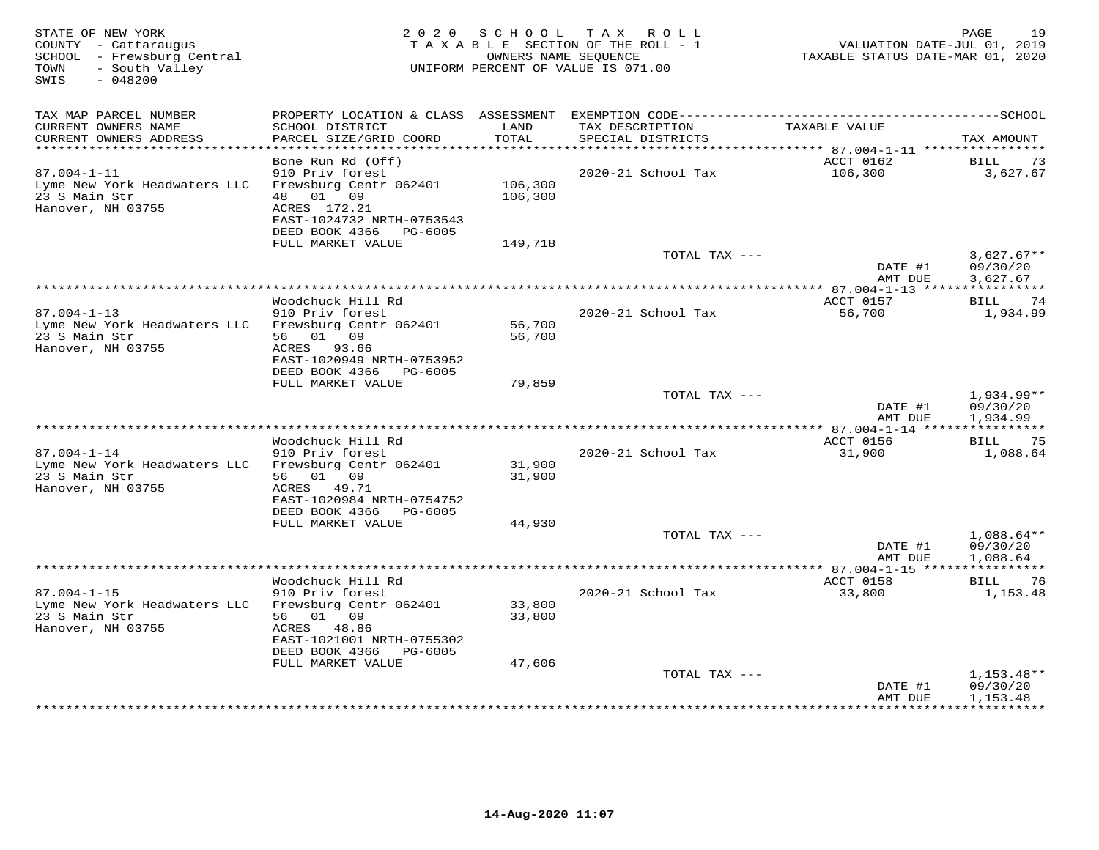| STATE OF NEW YORK<br>COUNTY - Cattaraugus<br>SCHOOL - Frewsburg Central<br>TOWN<br>- South Valley<br>SWIS<br>$-048200$ |                                                        |         | 2020 SCHOOL TAX ROLL<br>TAXABLE SECTION OF THE ROLL - 1<br>OWNERS NAME SEQUENCE<br>UNIFORM PERCENT OF VALUE IS 071.00 | VALUATION DATE-JUL 01, 2019<br>TAXABLE STATUS DATE-MAR 01, 2020 | 19<br>PAGE                        |
|------------------------------------------------------------------------------------------------------------------------|--------------------------------------------------------|---------|-----------------------------------------------------------------------------------------------------------------------|-----------------------------------------------------------------|-----------------------------------|
|                                                                                                                        |                                                        |         |                                                                                                                       |                                                                 |                                   |
| TAX MAP PARCEL NUMBER                                                                                                  |                                                        |         |                                                                                                                       |                                                                 |                                   |
| CURRENT OWNERS NAME                                                                                                    | SCHOOL DISTRICT                                        | LAND    | TAX DESCRIPTION                                                                                                       | TAXABLE VALUE                                                   |                                   |
| CURRENT OWNERS ADDRESS<br>**********************                                                                       | PARCEL SIZE/GRID COORD                                 | TOTAL   | SPECIAL DISTRICTS                                                                                                     |                                                                 | TAX AMOUNT                        |
|                                                                                                                        | Bone Run Rd (Off)                                      |         |                                                                                                                       | ACCT 0162                                                       | <b>BILL</b><br>73                 |
| $87.004 - 1 - 11$                                                                                                      | 910 Priv forest                                        |         | 2020-21 School Tax                                                                                                    | 106,300                                                         | 3,627.67                          |
| Lyme New York Headwaters LLC                                                                                           | Frewsburg Centr 062401                                 | 106,300 |                                                                                                                       |                                                                 |                                   |
| 23 S Main Str                                                                                                          | 48  01  09                                             | 106,300 |                                                                                                                       |                                                                 |                                   |
| Hanover, NH 03755                                                                                                      | ACRES 172.21                                           |         |                                                                                                                       |                                                                 |                                   |
|                                                                                                                        | EAST-1024732 NRTH-0753543<br>DEED BOOK 4366<br>PG-6005 |         |                                                                                                                       |                                                                 |                                   |
|                                                                                                                        | FULL MARKET VALUE                                      | 149,718 |                                                                                                                       |                                                                 |                                   |
|                                                                                                                        |                                                        |         | TOTAL TAX ---                                                                                                         |                                                                 | $3,627.67**$                      |
|                                                                                                                        |                                                        |         |                                                                                                                       | DATE #1                                                         | 09/30/20                          |
|                                                                                                                        |                                                        |         | ***********************                                                                                               | AMT DUE                                                         | 3,627.67<br>***********           |
|                                                                                                                        | Woodchuck Hill Rd                                      |         |                                                                                                                       | $* 87.004 - 1 - 13$ *****<br>ACCT 0157                          | 74<br>BILL                        |
| $87.004 - 1 - 13$                                                                                                      | 910 Priv forest                                        |         | 2020-21 School Tax                                                                                                    | 56,700                                                          | 1,934.99                          |
| Lyme New York Headwaters LLC                                                                                           | Frewsburg Centr 062401                                 | 56,700  |                                                                                                                       |                                                                 |                                   |
| 23 S Main Str                                                                                                          | 56 01 09                                               | 56,700  |                                                                                                                       |                                                                 |                                   |
| Hanover, NH 03755                                                                                                      | ACRES 93.66                                            |         |                                                                                                                       |                                                                 |                                   |
|                                                                                                                        | EAST-1020949 NRTH-0753952<br>DEED BOOK 4366<br>PG-6005 |         |                                                                                                                       |                                                                 |                                   |
|                                                                                                                        | FULL MARKET VALUE                                      | 79,859  |                                                                                                                       |                                                                 |                                   |
|                                                                                                                        |                                                        |         | TOTAL TAX ---                                                                                                         |                                                                 | $1,934.99**$                      |
|                                                                                                                        |                                                        |         |                                                                                                                       | DATE #1                                                         | 09/30/20                          |
|                                                                                                                        |                                                        |         |                                                                                                                       | AMT DUE                                                         | 1,934.99                          |
|                                                                                                                        | Woodchuck Hill Rd                                      |         |                                                                                                                       | ACCT 0156                                                       | BILL<br>-75                       |
| $87.004 - 1 - 14$                                                                                                      | 910 Priv forest                                        |         | 2020-21 School Tax                                                                                                    | 31,900                                                          | 1,088.64                          |
| Lyme New York Headwaters LLC                                                                                           | Frewsburg Centr 062401                                 | 31,900  |                                                                                                                       |                                                                 |                                   |
| 23 S Main Str                                                                                                          | 56 01 09                                               | 31,900  |                                                                                                                       |                                                                 |                                   |
| Hanover, NH 03755                                                                                                      | ACRES 49.71<br>EAST-1020984 NRTH-0754752               |         |                                                                                                                       |                                                                 |                                   |
|                                                                                                                        | DEED BOOK 4366<br>PG-6005                              |         |                                                                                                                       |                                                                 |                                   |
|                                                                                                                        | FULL MARKET VALUE                                      | 44,930  |                                                                                                                       |                                                                 |                                   |
|                                                                                                                        |                                                        |         | TOTAL TAX ---                                                                                                         |                                                                 | $1,088.64**$                      |
|                                                                                                                        |                                                        |         |                                                                                                                       | DATE #1                                                         | 09/30/20                          |
|                                                                                                                        |                                                        |         |                                                                                                                       | AMT DUE<br>****************** 87.004-1-15 *****                 | 1,088.64<br>***********           |
|                                                                                                                        | Woodchuck Hill Rd                                      |         |                                                                                                                       | ACCT 0158                                                       | BILL<br>76                        |
| $87.004 - 1 - 15$                                                                                                      | 910 Priv forest                                        |         | 2020-21 School Tax                                                                                                    | 33,800                                                          | 1,153.48                          |
| Lyme New York Headwaters LLC                                                                                           | Frewsburg Centr 062401                                 | 33,800  |                                                                                                                       |                                                                 |                                   |
| 23 S Main Str                                                                                                          | 56 01 09                                               | 33,800  |                                                                                                                       |                                                                 |                                   |
| Hanover, NH 03755                                                                                                      | ACRES<br>48.86<br>EAST-1021001 NRTH-0755302            |         |                                                                                                                       |                                                                 |                                   |
|                                                                                                                        | DEED BOOK 4366<br>PG-6005                              |         |                                                                                                                       |                                                                 |                                   |
|                                                                                                                        | FULL MARKET VALUE                                      | 47,606  |                                                                                                                       |                                                                 |                                   |
|                                                                                                                        |                                                        |         | TOTAL TAX ---                                                                                                         |                                                                 | $1,153.48**$                      |
|                                                                                                                        |                                                        |         |                                                                                                                       | DATE #1                                                         | 09/30/20                          |
|                                                                                                                        |                                                        |         |                                                                                                                       | AMT DUE<br>***********                                          | 1,153.48<br>* * * * * * * * * * * |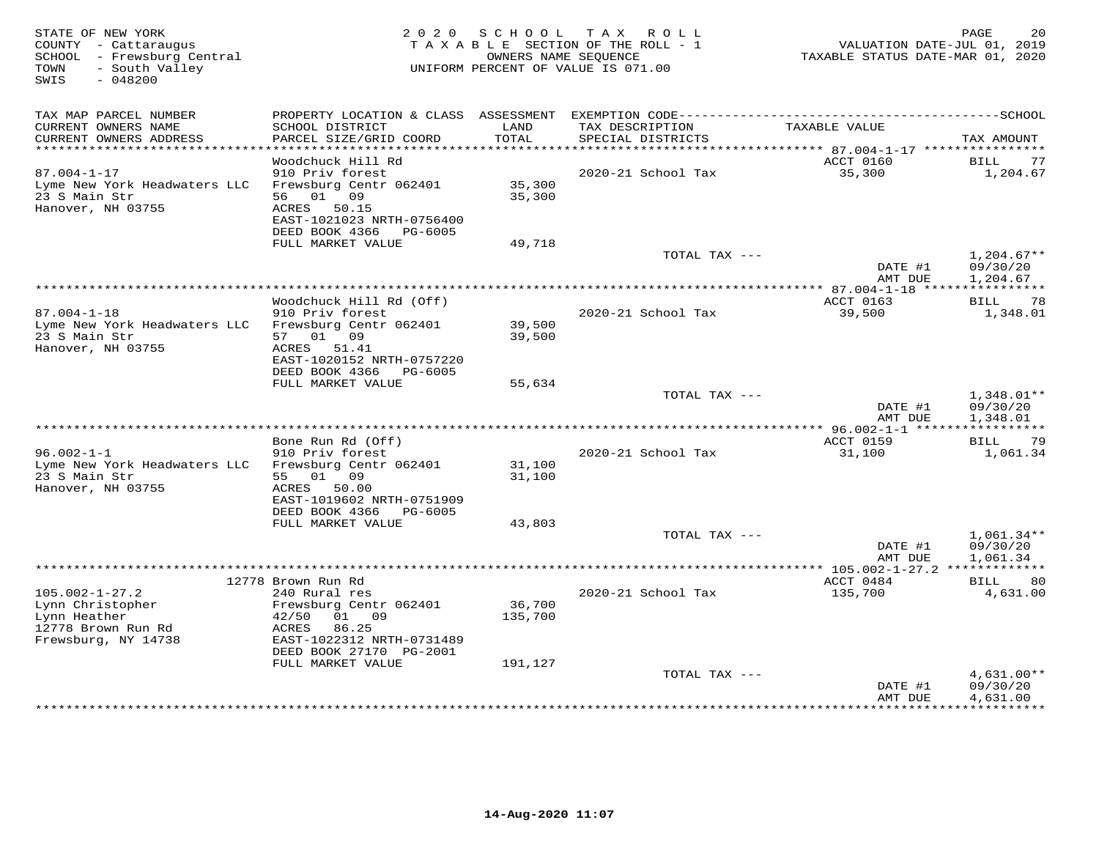| STATE OF NEW YORK<br>COUNTY - Cattaraugus<br>SCHOOL - Frewsburg Central<br>- South Valley<br>TOWN<br>$-048200$<br>SWIS |                                           |                   | 2020 SCHOOL TAX ROLL<br>TAXABLE SECTION OF THE ROLL - 1<br>OWNERS NAME SEQUENCE<br>UNIFORM PERCENT OF VALUE IS 071.00 | VALUATION DATE-JUL 01, 2019<br>TAXABLE STATUS DATE-MAR 01, 2020 | PAGE<br>20               |
|------------------------------------------------------------------------------------------------------------------------|-------------------------------------------|-------------------|-----------------------------------------------------------------------------------------------------------------------|-----------------------------------------------------------------|--------------------------|
|                                                                                                                        |                                           |                   |                                                                                                                       |                                                                 |                          |
| TAX MAP PARCEL NUMBER<br>CURRENT OWNERS NAME                                                                           | SCHOOL DISTRICT                           | LAND              | PROPERTY LOCATION & CLASS ASSESSMENT EXEMPTION CODE-----------------------------------SCHOOL<br>TAX DESCRIPTION       | TAXABLE VALUE                                                   |                          |
| CURRENT OWNERS ADDRESS                                                                                                 | PARCEL SIZE/GRID COORD                    | TOTAL             | SPECIAL DISTRICTS                                                                                                     |                                                                 | TAX AMOUNT               |
| ************************                                                                                               |                                           |                   |                                                                                                                       |                                                                 |                          |
|                                                                                                                        | Woodchuck Hill Rd                         |                   |                                                                                                                       | ACCT 0160                                                       | BILL<br>77               |
| $87.004 - 1 - 17$                                                                                                      | 910 Priv forest<br>Frewsburg Centr 062401 | 35,300            | 2020-21 School Tax                                                                                                    | 35,300                                                          | 1,204.67                 |
| Lyme New York Headwaters LLC<br>23 S Main Str                                                                          | 56 01 09                                  | 35,300            |                                                                                                                       |                                                                 |                          |
| Hanover, NH 03755                                                                                                      | ACRES 50.15                               |                   |                                                                                                                       |                                                                 |                          |
|                                                                                                                        | EAST-1021023 NRTH-0756400                 |                   |                                                                                                                       |                                                                 |                          |
|                                                                                                                        | DEED BOOK 4366 PG-6005                    |                   |                                                                                                                       |                                                                 |                          |
|                                                                                                                        | FULL MARKET VALUE                         | 49,718            |                                                                                                                       |                                                                 |                          |
|                                                                                                                        |                                           |                   | TOTAL TAX ---                                                                                                         | DATE #1                                                         | $1,204.67**$<br>09/30/20 |
|                                                                                                                        |                                           |                   |                                                                                                                       | AMT DUE                                                         | 1,204.67                 |
|                                                                                                                        |                                           |                   |                                                                                                                       |                                                                 |                          |
|                                                                                                                        | Woodchuck Hill Rd (Off)                   |                   |                                                                                                                       | ACCT 0163                                                       | BILL 78                  |
| $87.004 - 1 - 18$                                                                                                      | 910 Priv forest                           |                   | 2020-21 School Tax                                                                                                    | 39,500                                                          | 1,348.01                 |
| Lyme New York Headwaters LLC<br>23 S Main Str                                                                          | Frewsburg Centr 062401<br>57 01 09        | 39,500<br>39,500  |                                                                                                                       |                                                                 |                          |
| Hanover, NH 03755                                                                                                      | ACRES 51.41                               |                   |                                                                                                                       |                                                                 |                          |
|                                                                                                                        | EAST-1020152 NRTH-0757220                 |                   |                                                                                                                       |                                                                 |                          |
|                                                                                                                        | DEED BOOK 4366 PG-6005                    |                   |                                                                                                                       |                                                                 |                          |
|                                                                                                                        | FULL MARKET VALUE                         | 55,634            |                                                                                                                       |                                                                 |                          |
|                                                                                                                        |                                           |                   | TOTAL TAX ---                                                                                                         | DATE #1                                                         | $1,348.01**$<br>09/30/20 |
|                                                                                                                        |                                           |                   |                                                                                                                       | AMT DUE                                                         | 1,348.01                 |
|                                                                                                                        |                                           |                   |                                                                                                                       |                                                                 |                          |
|                                                                                                                        | Bone Run Rd (Off)                         |                   |                                                                                                                       | ACCT 0159                                                       | BILL<br>79               |
| $96.002 - 1 - 1$                                                                                                       | 910 Priv forest                           |                   | 2020-21 School Tax                                                                                                    | 31,100                                                          | 1,061.34                 |
| Lyme New York Headwaters LLC<br>23 S Main Str                                                                          | Frewsburg Centr 062401<br>55 01 09        | 31,100<br>31,100  |                                                                                                                       |                                                                 |                          |
| Hanover, NH 03755                                                                                                      | ACRES 50.00                               |                   |                                                                                                                       |                                                                 |                          |
|                                                                                                                        | EAST-1019602 NRTH-0751909                 |                   |                                                                                                                       |                                                                 |                          |
|                                                                                                                        | DEED BOOK 4366 PG-6005                    |                   |                                                                                                                       |                                                                 |                          |
|                                                                                                                        | FULL MARKET VALUE                         | 43,803            |                                                                                                                       |                                                                 |                          |
|                                                                                                                        |                                           |                   | TOTAL TAX ---                                                                                                         | DATE #1                                                         | $1,061.34**$<br>09/30/20 |
|                                                                                                                        |                                           |                   |                                                                                                                       | AMT DUE                                                         | 1,061.34                 |
|                                                                                                                        |                                           |                   |                                                                                                                       |                                                                 |                          |
|                                                                                                                        | 12778 Brown Run Rd                        |                   |                                                                                                                       | ACCT 0484                                                       | <b>BILL</b><br>80        |
| $105.002 - 1 - 27.2$                                                                                                   | 240 Rural res                             |                   | 2020-21 School Tax                                                                                                    | 135,700                                                         | 4,631.00                 |
| Lynn Christopher<br>Lynn Heather                                                                                       | Frewsburg Centr 062401<br>42/50<br>01 09  | 36,700<br>135,700 |                                                                                                                       |                                                                 |                          |
| 12778 Brown Run Rd                                                                                                     | 86.25<br>ACRES                            |                   |                                                                                                                       |                                                                 |                          |
| Frewsburg, NY 14738                                                                                                    | EAST-1022312 NRTH-0731489                 |                   |                                                                                                                       |                                                                 |                          |
|                                                                                                                        | DEED BOOK 27170 PG-2001                   |                   |                                                                                                                       |                                                                 |                          |
|                                                                                                                        | FULL MARKET VALUE                         | 191,127           |                                                                                                                       |                                                                 |                          |
|                                                                                                                        |                                           |                   | TOTAL TAX ---                                                                                                         | DATE #1                                                         | $4,631.00**$<br>09/30/20 |
|                                                                                                                        |                                           |                   |                                                                                                                       | AMT DUE                                                         | 4,631.00                 |
|                                                                                                                        |                                           |                   |                                                                                                                       |                                                                 |                          |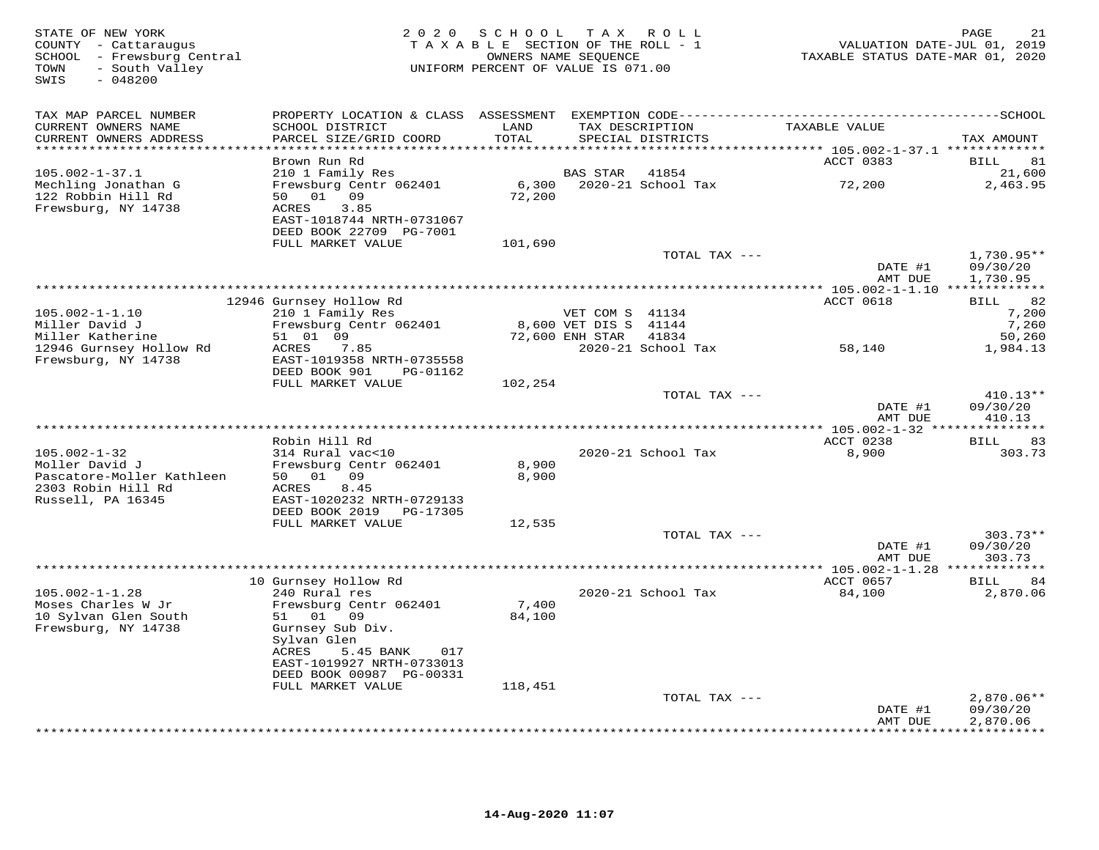| STATE OF NEW YORK<br>COUNTY - Cattaraugus<br>SCHOOL - Frewsburg Central<br>- South Valley<br>TOWN<br>SWIS<br>$-048200$ | 2 0 2 0                                                                                                                   | SCHOOL<br>TAXABLE SECTION OF THE ROLL - 1<br>UNIFORM PERCENT OF VALUE IS 071.00 | OWNERS NAME SEQUENCE                                        | TAX ROLL                             | TAXABLE STATUS DATE-MAR 01, 2020 | 21<br>PAGE<br>VALUATION DATE-JUL 01, 2019 |
|------------------------------------------------------------------------------------------------------------------------|---------------------------------------------------------------------------------------------------------------------------|---------------------------------------------------------------------------------|-------------------------------------------------------------|--------------------------------------|----------------------------------|-------------------------------------------|
| TAX MAP PARCEL NUMBER<br>CURRENT OWNERS NAME<br>CURRENT OWNERS ADDRESS<br>**********************                       | SCHOOL DISTRICT<br>PARCEL SIZE/GRID COORD<br>**********************                                                       | LAND<br>TOTAL<br>******************                                             |                                                             | TAX DESCRIPTION<br>SPECIAL DISTRICTS | TAXABLE VALUE                    | TAX AMOUNT                                |
|                                                                                                                        | Brown Run Rd                                                                                                              |                                                                                 |                                                             |                                      | ACCT 0383                        | BILL<br>81                                |
| $105.002 - 1 - 37.1$<br>Mechling Jonathan G<br>122 Robbin Hill Rd<br>Frewsburg, NY 14738                               | 210 1 Family Res<br>Frewsburg Centr 062401<br>50 01<br>09<br>ACRES<br>3.85<br>EAST-1018744 NRTH-0731067                   | 6,300<br>72,200                                                                 | BAS STAR                                                    | 41854<br>2020-21 School Tax          | 72,200                           | 21,600<br>2,463.95                        |
|                                                                                                                        | DEED BOOK 22709 PG-7001<br>FULL MARKET VALUE                                                                              | 101,690                                                                         |                                                             |                                      |                                  |                                           |
|                                                                                                                        |                                                                                                                           |                                                                                 |                                                             | TOTAL TAX ---                        | DATE #1                          | $1,730.95**$<br>09/30/20                  |
|                                                                                                                        |                                                                                                                           |                                                                                 |                                                             |                                      | AMT DUE                          | 1,730.95                                  |
|                                                                                                                        | 12946 Gurnsey Hollow Rd                                                                                                   |                                                                                 |                                                             |                                      | ACCT 0618                        | 82<br>BILL                                |
| $105.002 - 1 - 1.10$<br>Miller David J<br>Miller Katherine                                                             | 210 1 Family Res<br>Frewsburg Centr 062401<br>51 01 09                                                                    |                                                                                 | VET COM S 41134<br>8,600 VET DIS S 41144<br>72,600 ENH STAR | 41834                                |                                  | 7,200<br>7,260<br>50,260                  |
| 12946 Gurnsey Hollow Rd<br>Frewsburg, NY 14738                                                                         | ACRES<br>7.85<br>EAST-1019358 NRTH-0735558<br>DEED BOOK 901<br>PG-01162<br>FULL MARKET VALUE                              | 102,254                                                                         |                                                             | 2020-21 School Tax                   | 58,140                           | 1,984.13                                  |
|                                                                                                                        |                                                                                                                           |                                                                                 |                                                             | TOTAL TAX ---                        | DATE #1<br>AMT DUE               | $410.13**$<br>09/30/20<br>410.13          |
|                                                                                                                        |                                                                                                                           |                                                                                 | **********************                                      |                                      | ** $105.002 - 1 - 32$ ***        | *********                                 |
| $105.002 - 1 - 32$<br>Moller David J<br>Pascatore-Moller Kathleen                                                      | Robin Hill Rd<br>314 Rural vac<10<br>Frewsburg Centr 062401<br>50 01 09                                                   | 8,900<br>8,900                                                                  |                                                             | 2020-21 School Tax                   | ACCT 0238<br>8,900               | 83<br>BILL<br>303.73                      |
| 2303 Robin Hill Rd<br>Russell, PA 16345                                                                                | ACRES<br>8.45<br>EAST-1020232 NRTH-0729133<br>DEED BOOK 2019<br>PG-17305                                                  |                                                                                 |                                                             |                                      |                                  |                                           |
|                                                                                                                        | FULL MARKET VALUE                                                                                                         | 12,535                                                                          |                                                             | TOTAL TAX ---                        |                                  | $303.73**$                                |
|                                                                                                                        |                                                                                                                           |                                                                                 |                                                             |                                      | DATE #1<br>AMT DUE               | 09/30/20<br>303.73                        |
|                                                                                                                        | 10 Gurnsey Hollow Rd                                                                                                      |                                                                                 |                                                             |                                      | ACCT 0657                        | 84<br>BILL                                |
| $105.002 - 1 - 1.28$<br>Moses Charles W Jr<br>10 Sylvan Glen South<br>Frewsburg, NY 14738                              | 240 Rural res<br>Frewsburg Centr 062401<br>01<br>09<br>51<br>Gurnsey Sub Div.<br>Sylvan Glen<br>ACRES<br>5.45 BANK<br>017 | 7,400<br>84,100                                                                 |                                                             | 2020-21 School Tax                   | 84,100                           | 2,870.06                                  |
|                                                                                                                        | EAST-1019927 NRTH-0733013<br>DEED BOOK 00987 PG-00331<br>FULL MARKET VALUE                                                | 118,451                                                                         |                                                             |                                      |                                  |                                           |
|                                                                                                                        |                                                                                                                           |                                                                                 |                                                             | TOTAL TAX ---                        | DATE #1                          | $2,870.06**$<br>09/30/20                  |
|                                                                                                                        |                                                                                                                           |                                                                                 |                                                             |                                      | AMT DUE                          | 2,870.06<br>+ + + + + + + + +             |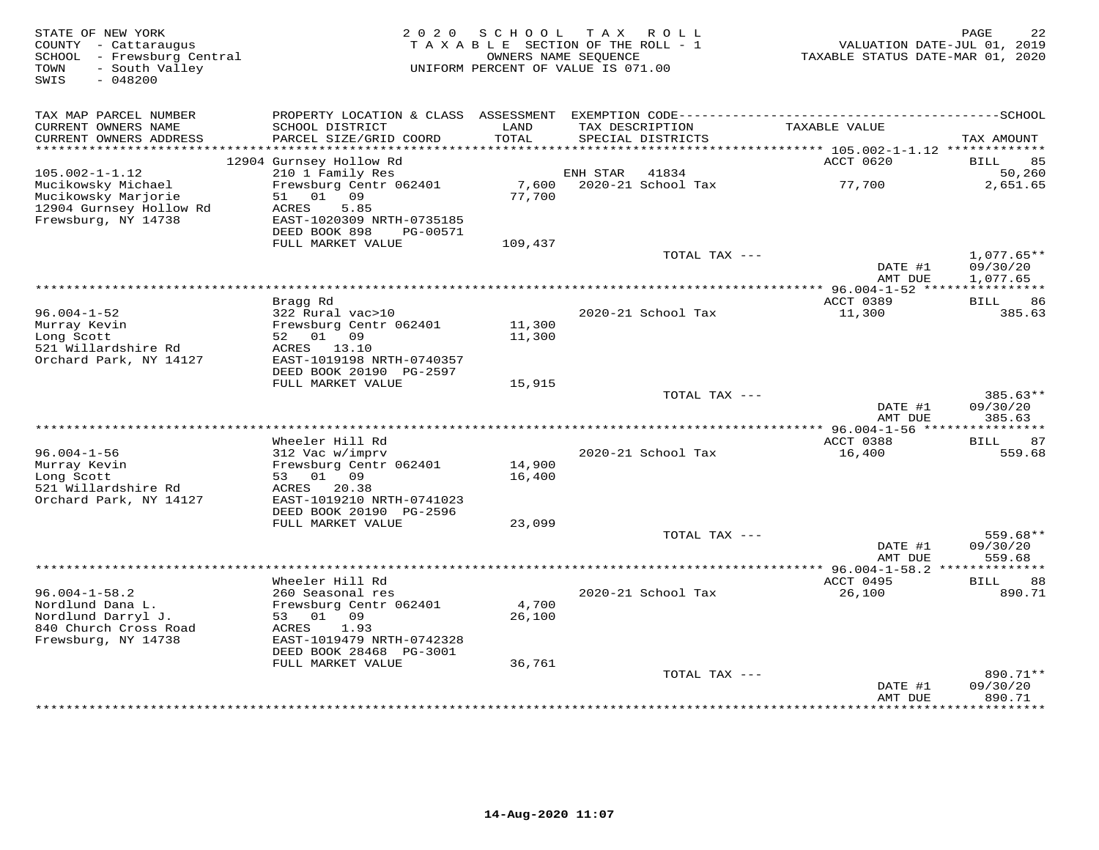| STATE OF NEW YORK<br>COUNTY - Cattaraugus<br>SCHOOL - Frewsburg Central<br>- South Valley<br>TOWN<br>SWIS<br>$-048200$ | 2 0 2 0                                              | SCHOOL<br>TAXABLE SECTION OF THE ROLL - 1<br>OWNERS NAME SEQUENCE<br>UNIFORM PERCENT OF VALUE IS 071.00 | T A X    | R O L L                              | TAXABLE STATUS DATE-MAR 01, 2020                    | PAGE<br>22<br>VALUATION DATE-JUL 01, 2019 |
|------------------------------------------------------------------------------------------------------------------------|------------------------------------------------------|---------------------------------------------------------------------------------------------------------|----------|--------------------------------------|-----------------------------------------------------|-------------------------------------------|
| TAX MAP PARCEL NUMBER                                                                                                  | PROPERTY LOCATION & CLASS ASSESSMENT                 |                                                                                                         |          |                                      |                                                     |                                           |
| CURRENT OWNERS NAME<br>CURRENT OWNERS ADDRESS                                                                          | SCHOOL DISTRICT<br>PARCEL SIZE/GRID COORD            | LAND<br>TOTAL                                                                                           |          | TAX DESCRIPTION<br>SPECIAL DISTRICTS | TAXABLE VALUE                                       | TAX AMOUNT                                |
| *********************                                                                                                  |                                                      |                                                                                                         |          |                                      |                                                     |                                           |
| $105.002 - 1 - 1.12$                                                                                                   | 12904 Gurnsey Hollow Rd<br>210 1 Family Res          |                                                                                                         | ENH STAR | 41834                                | ACCT 0620                                           | <b>BILL</b><br>85<br>50,260               |
| Mucikowsky Michael                                                                                                     | Frewsburg Centr 062401                               | 7,600                                                                                                   |          | 2020-21 School Tax                   | 77,700                                              | 2,651.65                                  |
| Mucikowsky Marjorie                                                                                                    | 51<br>01 09                                          | 77,700                                                                                                  |          |                                      |                                                     |                                           |
| 12904 Gurnsey Hollow Rd                                                                                                | 5.85<br>ACRES                                        |                                                                                                         |          |                                      |                                                     |                                           |
| Frewsburg, NY 14738                                                                                                    | EAST-1020309 NRTH-0735185                            |                                                                                                         |          |                                      |                                                     |                                           |
|                                                                                                                        | DEED BOOK 898<br>PG-00571<br>FULL MARKET VALUE       | 109,437                                                                                                 |          |                                      |                                                     |                                           |
|                                                                                                                        |                                                      |                                                                                                         |          | TOTAL TAX ---                        |                                                     | $1,077.65**$                              |
|                                                                                                                        |                                                      |                                                                                                         |          |                                      | DATE #1                                             | 09/30/20                                  |
|                                                                                                                        |                                                      |                                                                                                         |          |                                      | AMT DUE                                             | 1,077.65                                  |
|                                                                                                                        |                                                      | ************************************                                                                    |          |                                      | * $96.004 - 1 - 52$ *****                           | * * * * * * * * * * *                     |
| $96.004 - 1 - 52$                                                                                                      | Bragg Rd<br>322 Rural vac>10                         |                                                                                                         |          | 2020-21 School Tax                   | ACCT 0389<br>11,300                                 | <b>BILL</b><br>86<br>385.63               |
| Murray Kevin                                                                                                           | Frewsburg Centr 062401                               | 11,300                                                                                                  |          |                                      |                                                     |                                           |
| Long Scott                                                                                                             | 52 01 09                                             | 11,300                                                                                                  |          |                                      |                                                     |                                           |
| 521 Willardshire Rd                                                                                                    | ACRES 13.10                                          |                                                                                                         |          |                                      |                                                     |                                           |
| Orchard Park, NY 14127                                                                                                 | EAST-1019198 NRTH-0740357<br>DEED BOOK 20190 PG-2597 |                                                                                                         |          |                                      |                                                     |                                           |
|                                                                                                                        | FULL MARKET VALUE                                    | 15,915                                                                                                  |          |                                      |                                                     |                                           |
|                                                                                                                        |                                                      |                                                                                                         |          | TOTAL TAX ---                        |                                                     | $385.63**$                                |
|                                                                                                                        |                                                      |                                                                                                         |          |                                      | DATE #1                                             | 09/30/20                                  |
|                                                                                                                        |                                                      |                                                                                                         |          |                                      | AMT DUE                                             | 385.63                                    |
|                                                                                                                        | Wheeler Hill Rd                                      |                                                                                                         |          |                                      | ACCT 0388                                           | 87<br><b>BILL</b>                         |
| $96.004 - 1 - 56$                                                                                                      | 312 Vac w/imprv                                      |                                                                                                         |          | 2020-21 School Tax                   | 16,400                                              | 559.68                                    |
| Murray Kevin                                                                                                           | Frewsburg Centr 062401                               | 14,900                                                                                                  |          |                                      |                                                     |                                           |
| Long Scott                                                                                                             | 01 09<br>53                                          | 16,400                                                                                                  |          |                                      |                                                     |                                           |
| 521 Willardshire Rd<br>Orchard Park, NY 14127                                                                          | 20.38<br>ACRES<br>EAST-1019210 NRTH-0741023          |                                                                                                         |          |                                      |                                                     |                                           |
|                                                                                                                        | DEED BOOK 20190 PG-2596                              |                                                                                                         |          |                                      |                                                     |                                           |
|                                                                                                                        | FULL MARKET VALUE                                    | 23,099                                                                                                  |          |                                      |                                                     |                                           |
|                                                                                                                        |                                                      |                                                                                                         |          | TOTAL TAX ---                        |                                                     | $559.68**$                                |
|                                                                                                                        |                                                      |                                                                                                         |          |                                      | DATE #1                                             | 09/30/20                                  |
|                                                                                                                        |                                                      |                                                                                                         |          |                                      | AMT DUE<br>********** 96.004-1-58.2 *************** | 559.68                                    |
|                                                                                                                        | Wheeler Hill Rd                                      |                                                                                                         |          |                                      | ACCT 0495                                           | <b>BILL</b><br>88                         |
| $96.004 - 1 - 58.2$                                                                                                    | 260 Seasonal res                                     |                                                                                                         |          | 2020-21 School Tax                   | 26,100                                              | 890.71                                    |
| Nordlund Dana L.                                                                                                       | Frewsburg Centr 062401                               | 4,700                                                                                                   |          |                                      |                                                     |                                           |
| Nordlund Darryl J.                                                                                                     | 01<br>09<br>53                                       | 26,100                                                                                                  |          |                                      |                                                     |                                           |
| 840 Church Cross Road<br>Frewsburg, NY 14738                                                                           | ACRES<br>1.93<br>EAST-1019479 NRTH-0742328           |                                                                                                         |          |                                      |                                                     |                                           |
|                                                                                                                        | DEED BOOK 28468 PG-3001                              |                                                                                                         |          |                                      |                                                     |                                           |
|                                                                                                                        | FULL MARKET VALUE                                    | 36,761                                                                                                  |          |                                      |                                                     |                                           |
|                                                                                                                        |                                                      |                                                                                                         |          | TOTAL TAX ---                        |                                                     | 890.71**                                  |
|                                                                                                                        |                                                      |                                                                                                         |          |                                      | DATE #1<br>AMT DUE                                  | 09/30/20<br>890.71                        |
|                                                                                                                        |                                                      |                                                                                                         |          |                                      |                                                     | <b>++++++++</b>                           |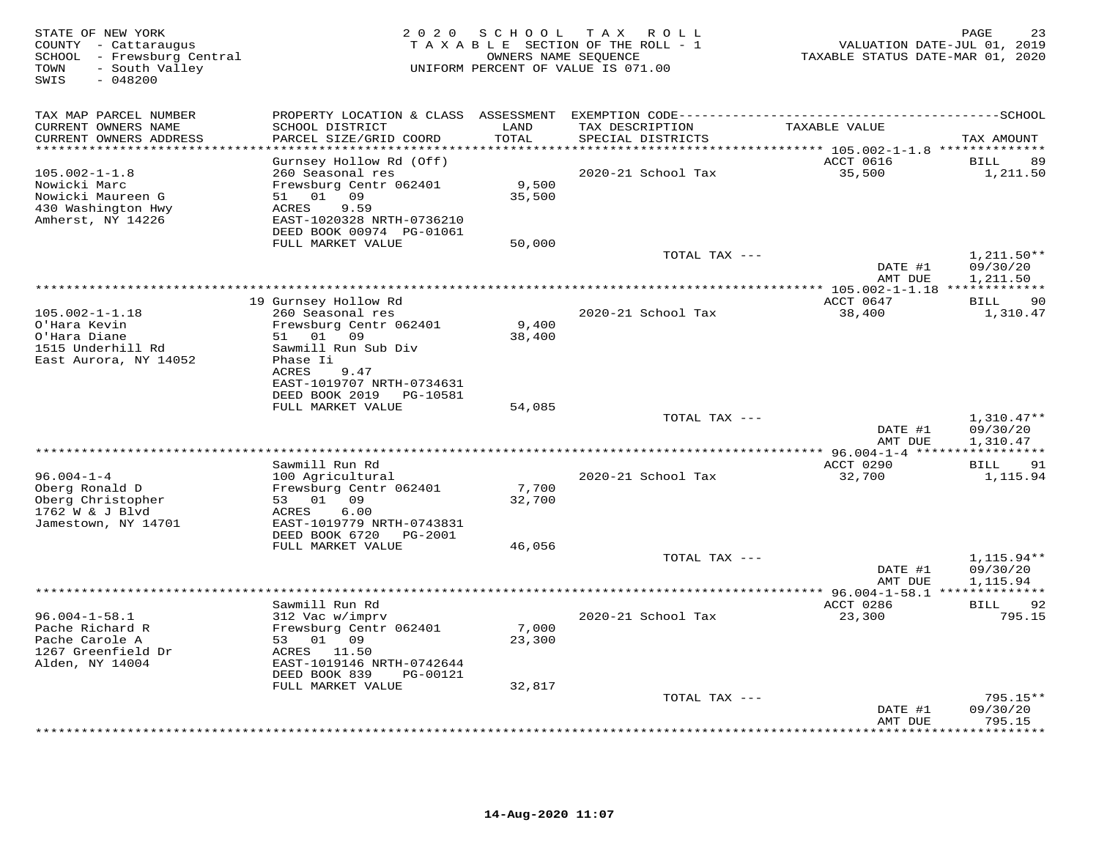| STATE OF NEW YORK<br>COUNTY - Cattaraugus<br>SCHOOL - Frewsburg Central<br>- South Valley<br>TOWN<br>SWIS<br>$-048200$ | 2 0 2 0                                        | S C H O O L   | T A X<br>ROLL<br>TAXABLE SECTION OF THE ROLL - 1<br>OWNERS NAME SEQUENCE<br>UNIFORM PERCENT OF VALUE IS 071.00 | VALUATION DATE-JUL 01, 2019<br>TAXABLE STATUS DATE-MAR 01, 2020 | PAGE<br>23               |
|------------------------------------------------------------------------------------------------------------------------|------------------------------------------------|---------------|----------------------------------------------------------------------------------------------------------------|-----------------------------------------------------------------|--------------------------|
| TAX MAP PARCEL NUMBER                                                                                                  | PROPERTY LOCATION & CLASS ASSESSMENT           |               |                                                                                                                |                                                                 |                          |
| CURRENT OWNERS NAME<br>CURRENT OWNERS ADDRESS                                                                          | SCHOOL DISTRICT<br>PARCEL SIZE/GRID COORD      | LAND<br>TOTAL | TAX DESCRIPTION<br>SPECIAL DISTRICTS                                                                           | TAXABLE VALUE                                                   | TAX AMOUNT               |
| *********************                                                                                                  | Gurnsey Hollow Rd (Off)                        | ********      |                                                                                                                | ************ 105.002-1-1.8 **************<br>ACCT 0616          | <b>BILL</b><br>89        |
| $105.002 - 1 - 1.8$                                                                                                    | 260 Seasonal res                               |               | 2020-21 School Tax                                                                                             | 35,500                                                          | 1,211.50                 |
| Nowicki Marc                                                                                                           | Frewsburg Centr 062401                         | 9,500         |                                                                                                                |                                                                 |                          |
| Nowicki Maureen G                                                                                                      | 01<br>09<br>51                                 | 35,500        |                                                                                                                |                                                                 |                          |
| 430 Washington Hwy<br>Amherst, NY 14226                                                                                | ACRES<br>9.59<br>EAST-1020328 NRTH-0736210     |               |                                                                                                                |                                                                 |                          |
|                                                                                                                        | DEED BOOK 00974 PG-01061                       |               |                                                                                                                |                                                                 |                          |
|                                                                                                                        | FULL MARKET VALUE                              | 50,000        | TOTAL TAX ---                                                                                                  |                                                                 | $1,211.50**$             |
|                                                                                                                        |                                                |               |                                                                                                                | DATE #1                                                         | 09/30/20                 |
|                                                                                                                        |                                                |               |                                                                                                                | AMT DUE                                                         | 1,211.50                 |
|                                                                                                                        | 19 Gurnsey Hollow Rd                           |               |                                                                                                                | ACCT 0647                                                       | 90                       |
| $105.002 - 1 - 1.18$                                                                                                   | 260 Seasonal res                               |               | 2020-21 School Tax                                                                                             | 38,400                                                          | BILL<br>1,310.47         |
| O'Hara Kevin                                                                                                           | Frewsburg Centr 062401                         | 9,400         |                                                                                                                |                                                                 |                          |
| O'Hara Diane                                                                                                           | 51 01 09                                       | 38,400        |                                                                                                                |                                                                 |                          |
| 1515 Underhill Rd                                                                                                      | Sawmill Run Sub Div                            |               |                                                                                                                |                                                                 |                          |
| East Aurora, NY 14052                                                                                                  | Phase Ii<br>ACRES<br>9.47                      |               |                                                                                                                |                                                                 |                          |
|                                                                                                                        | EAST-1019707 NRTH-0734631                      |               |                                                                                                                |                                                                 |                          |
|                                                                                                                        | DEED BOOK 2019<br>PG-10581                     |               |                                                                                                                |                                                                 |                          |
|                                                                                                                        | FULL MARKET VALUE                              | 54,085        |                                                                                                                |                                                                 |                          |
|                                                                                                                        |                                                |               | TOTAL TAX ---                                                                                                  | DATE #1                                                         | $1,310.47**$<br>09/30/20 |
|                                                                                                                        |                                                |               |                                                                                                                | AMT DUE                                                         | 1,310.47                 |
|                                                                                                                        |                                                |               |                                                                                                                | ************ 96.004-1-4 ****:                                   | * * * * * * * *          |
|                                                                                                                        | Sawmill Run Rd                                 |               |                                                                                                                | ACCT 0290                                                       | <b>BILL</b><br>91        |
| $96.004 - 1 - 4$<br>Oberg Ronald D                                                                                     | 100 Agricultural<br>Frewsburg Centr 062401     | 7,700         | 2020-21 School Tax                                                                                             | 32,700                                                          | 1,115.94                 |
| Oberg Christopher                                                                                                      | 09<br>53<br>01                                 | 32,700        |                                                                                                                |                                                                 |                          |
| 1762 W & J Blvd                                                                                                        | ACRES<br>6.00                                  |               |                                                                                                                |                                                                 |                          |
| Jamestown, NY 14701                                                                                                    | EAST-1019779 NRTH-0743831                      |               |                                                                                                                |                                                                 |                          |
|                                                                                                                        | DEED BOOK 6720<br>PG-2001<br>FULL MARKET VALUE | 46,056        |                                                                                                                |                                                                 |                          |
|                                                                                                                        |                                                |               | TOTAL TAX ---                                                                                                  |                                                                 | $1,115.94**$             |
|                                                                                                                        |                                                |               |                                                                                                                | DATE #1                                                         | 09/30/20                 |
|                                                                                                                        |                                                |               |                                                                                                                | AMT DUE                                                         | 1,115.94                 |
|                                                                                                                        | Sawmill Run Rd                                 |               |                                                                                                                | ACCT 0286                                                       | 92<br><b>BILL</b>        |
| $96.004 - 1 - 58.1$                                                                                                    | 312 Vac w/imprv                                |               | 2020-21 School Tax                                                                                             | 23,300                                                          | 795.15                   |
| Pache Richard R                                                                                                        | Frewsburg Centr 062401                         | 7,000         |                                                                                                                |                                                                 |                          |
| Pache Carole A                                                                                                         | 53 01 09                                       | 23,300        |                                                                                                                |                                                                 |                          |
| 1267 Greenfield Dr<br>Alden, NY 14004                                                                                  | ACRES 11.50<br>EAST-1019146 NRTH-0742644       |               |                                                                                                                |                                                                 |                          |
|                                                                                                                        | DEED BOOK 839<br>PG-00121                      |               |                                                                                                                |                                                                 |                          |
|                                                                                                                        | FULL MARKET VALUE                              | 32,817        |                                                                                                                |                                                                 |                          |
|                                                                                                                        |                                                |               | TOTAL TAX ---                                                                                                  |                                                                 | $795.15**$               |
|                                                                                                                        |                                                |               |                                                                                                                | DATE #1<br>AMT DUE                                              | 09/30/20<br>795.15       |
|                                                                                                                        |                                                |               |                                                                                                                |                                                                 | * * * * * * * *          |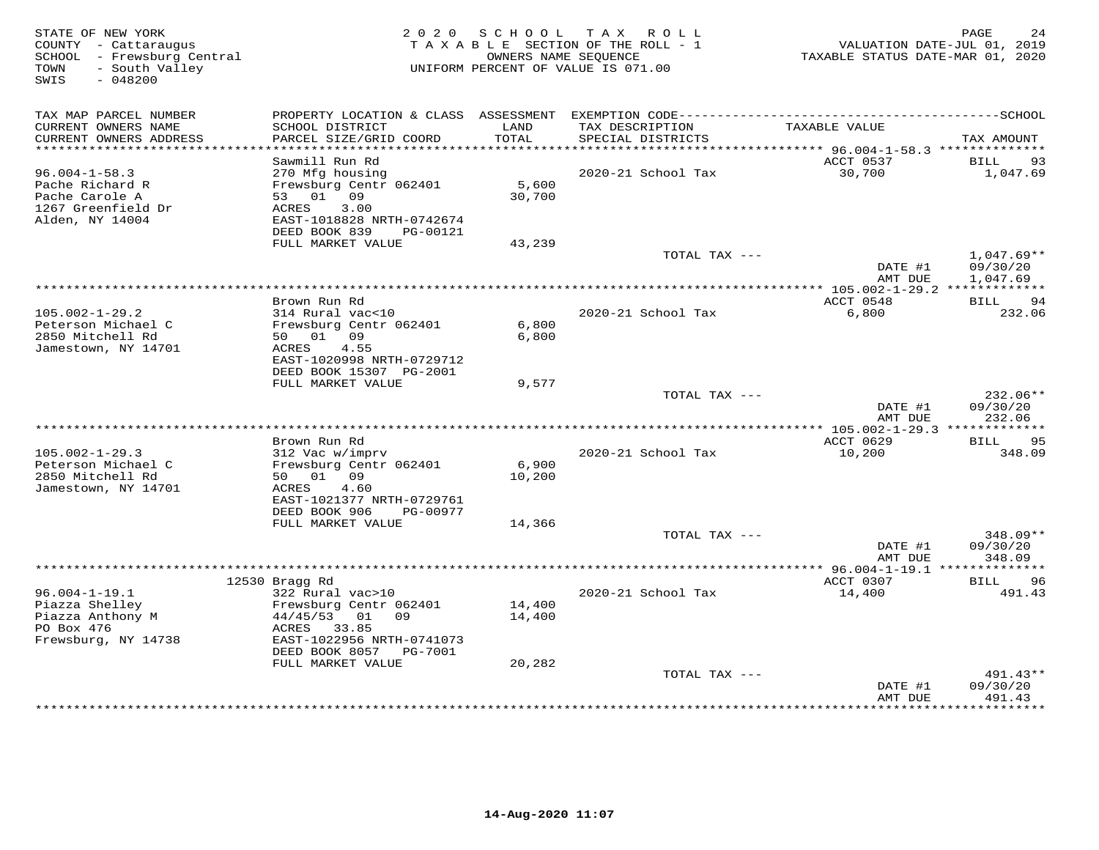| STATE OF NEW YORK<br>COUNTY - Cattaraugus<br>SCHOOL - Frewsburg Central<br>- South Valley<br>TOWN<br>SWIS<br>$-048200$ |                                                                                                               | 2020 SCHOOL      | TAX ROLL<br>TAXABLE SECTION OF THE ROLL - 1<br>OWNERS NAME SEOUENCE<br>UNIFORM PERCENT OF VALUE IS 071.00 | TAXABLE STATUS DATE-MAR 01, 2020                 | PAGE<br>24<br>VALUATION DATE-JUL 01, 2019 |
|------------------------------------------------------------------------------------------------------------------------|---------------------------------------------------------------------------------------------------------------|------------------|-----------------------------------------------------------------------------------------------------------|--------------------------------------------------|-------------------------------------------|
| TAX MAP PARCEL NUMBER                                                                                                  |                                                                                                               |                  |                                                                                                           |                                                  |                                           |
| CURRENT OWNERS NAME<br>CURRENT OWNERS ADDRESS                                                                          | SCHOOL DISTRICT<br>PARCEL SIZE/GRID COORD                                                                     | LAND<br>TOTAL    | TAX DESCRIPTION<br>SPECIAL DISTRICTS                                                                      | TAXABLE VALUE                                    | TAX AMOUNT                                |
| ***********************                                                                                                | Sawmill Run Rd                                                                                                |                  |                                                                                                           | ACCT 0537                                        | BILL<br>93                                |
| $96.004 - 1 - 58.3$<br>Pache Richard R<br>Pache Carole A<br>1267 Greenfield Dr<br>Alden, NY 14004                      | 270 Mfg housing<br>Frewsburg Centr 062401<br>53 01 09<br>3.00<br>ACRES<br>EAST-1018828 NRTH-0742674           | 5,600<br>30,700  | 2020-21 School Tax                                                                                        | 30,700                                           | 1,047.69                                  |
|                                                                                                                        | DEED BOOK 839<br>PG-00121<br>FULL MARKET VALUE                                                                | 43,239           |                                                                                                           |                                                  |                                           |
|                                                                                                                        |                                                                                                               |                  | TOTAL TAX ---                                                                                             | DATE #1<br>AMT DUE                               | $1,047.69**$<br>09/30/20<br>1,047.69      |
|                                                                                                                        |                                                                                                               |                  |                                                                                                           | **************** 105.002-1-29.2 *************    |                                           |
|                                                                                                                        | Brown Run Rd                                                                                                  |                  |                                                                                                           | ACCT 0548                                        | 94<br>BILL                                |
| $105.002 - 1 - 29.2$<br>Peterson Michael C<br>2850 Mitchell Rd<br>Jamestown, NY 14701                                  | 314 Rural vac<10<br>Frewsburg Centr 062401<br>50 01 09<br>ACRES<br>4.55<br>EAST-1020998 NRTH-0729712          | 6,800<br>6,800   | 2020-21 School Tax                                                                                        | 6,800                                            | 232.06                                    |
|                                                                                                                        | DEED BOOK 15307 PG-2001                                                                                       |                  |                                                                                                           |                                                  |                                           |
|                                                                                                                        | FULL MARKET VALUE                                                                                             | 9,577            |                                                                                                           |                                                  |                                           |
|                                                                                                                        |                                                                                                               |                  | TOTAL TAX ---                                                                                             | DATE #1<br>AMT DUE                               | 232.06**<br>09/30/20<br>232.06            |
|                                                                                                                        |                                                                                                               |                  |                                                                                                           | ACCT 0629                                        | <b>BILL</b><br>95                         |
| $105.002 - 1 - 29.3$<br>Peterson Michael C<br>2850 Mitchell Rd<br>Jamestown, NY 14701                                  | Brown Run Rd<br>312 Vac w/imprv<br>Frewsburg Centr 062401<br>50 01 09<br>ACRES<br>4.60                        | 6,900<br>10,200  | 2020-21 School Tax                                                                                        | 10,200                                           | 348.09                                    |
|                                                                                                                        | EAST-1021377 NRTH-0729761<br>DEED BOOK 906<br>PG-00977                                                        |                  |                                                                                                           |                                                  |                                           |
|                                                                                                                        | FULL MARKET VALUE                                                                                             | 14,366           |                                                                                                           |                                                  |                                           |
|                                                                                                                        |                                                                                                               |                  | TOTAL TAX ---                                                                                             | DATE #1<br>AMT DUE                               | $348.09**$<br>09/30/20<br>348.09          |
|                                                                                                                        |                                                                                                               |                  |                                                                                                           | ****************** 96.004-1-19.1 *************** |                                           |
|                                                                                                                        | 12530 Bragg Rd                                                                                                |                  |                                                                                                           | ACCT 0307                                        | <b>BILL</b><br>96                         |
| $96.004 - 1 - 19.1$<br>Piazza Shelley<br>Piazza Anthony M<br>PO Box 476<br>Frewsburg, NY 14738                         | 322 Rural vac>10<br>Frewsburg Centr 062401<br>$44/45/53$ 01 09<br>33.85<br>ACRES<br>EAST-1022956 NRTH-0741073 | 14,400<br>14,400 | 2020-21 School Tax                                                                                        | 14,400                                           | 491.43                                    |
|                                                                                                                        | DEED BOOK 8057 PG-7001<br>FULL MARKET VALUE                                                                   | 20,282           |                                                                                                           |                                                  |                                           |
|                                                                                                                        |                                                                                                               |                  | TOTAL TAX ---                                                                                             |                                                  | 491.43**                                  |
|                                                                                                                        |                                                                                                               |                  |                                                                                                           | DATE #1<br>AMT DUE                               | 09/30/20<br>491.43                        |
|                                                                                                                        |                                                                                                               |                  |                                                                                                           | ************                                     | * * * * * * * * * *                       |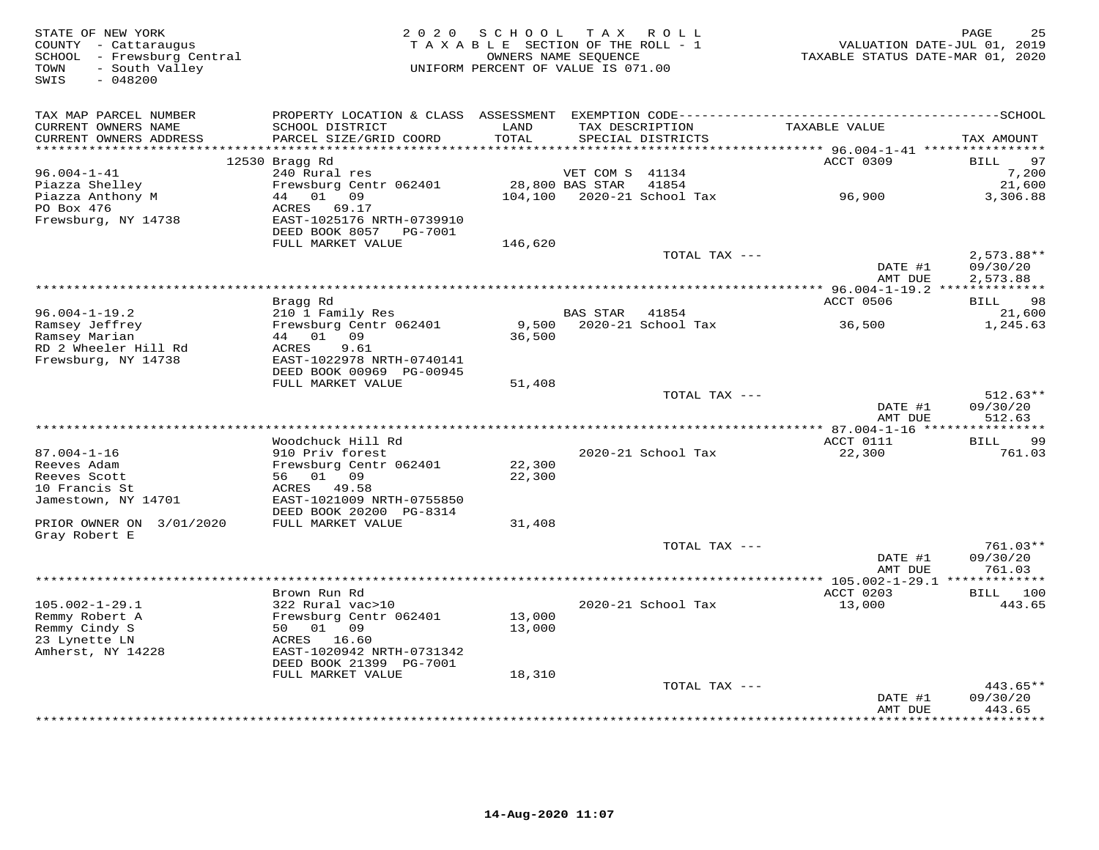| STATE OF NEW YORK<br>COUNTY - Cattaraugus<br>SCHOOL - Frewsburg Central<br>TOWN<br>- South Valley<br>SWIS<br>$-048200$ |                                           | 2020 SCHOOL TAX ROLL<br>TAXABLE SECTION OF THE ROLL - 1<br>UNIFORM PERCENT OF VALUE IS 071.00 | OWNERS NAME SEQUENCE |                                      | VALUATION DATE-JUL 01, 2019<br>TAXABLE STATUS DATE-MAR 01, 2020 | PAGE<br>25           |
|------------------------------------------------------------------------------------------------------------------------|-------------------------------------------|-----------------------------------------------------------------------------------------------|----------------------|--------------------------------------|-----------------------------------------------------------------|----------------------|
| TAX MAP PARCEL NUMBER                                                                                                  |                                           |                                                                                               |                      |                                      |                                                                 |                      |
| CURRENT OWNERS NAME<br>CURRENT OWNERS ADDRESS                                                                          | SCHOOL DISTRICT<br>PARCEL SIZE/GRID COORD | LAND<br>TOTAL                                                                                 |                      | TAX DESCRIPTION<br>SPECIAL DISTRICTS | TAXABLE VALUE                                                   | TAX AMOUNT           |
| ***********************                                                                                                |                                           | *******************                                                                           |                      |                                      | ********* 96.004-1-41 *****************                         |                      |
| $96.004 - 1 - 41$                                                                                                      | 12530 Bragg Rd<br>240 Rural res           |                                                                                               | VET COM S 41134      |                                      | ACCT 0309                                                       | 97<br>BILL<br>7,200  |
| Piazza Shelley                                                                                                         | Frewsburg Centr 062401                    |                                                                                               | 28,800 BAS STAR      | 41854                                |                                                                 | 21,600               |
| Piazza Anthony M                                                                                                       | 44 01 09                                  |                                                                                               |                      | 104,100 2020-21 School Tax           | 96,900                                                          | 3,306.88             |
| PO Box 476                                                                                                             | 69.17<br>ACRES                            |                                                                                               |                      |                                      |                                                                 |                      |
| Frewsburg, NY 14738                                                                                                    | EAST-1025176 NRTH-0739910                 |                                                                                               |                      |                                      |                                                                 |                      |
|                                                                                                                        | DEED BOOK 8057 PG-7001                    |                                                                                               |                      |                                      |                                                                 |                      |
|                                                                                                                        | FULL MARKET VALUE                         | 146,620                                                                                       |                      |                                      |                                                                 |                      |
|                                                                                                                        |                                           |                                                                                               |                      | TOTAL TAX ---                        |                                                                 | $2,573.88**$         |
|                                                                                                                        |                                           |                                                                                               |                      |                                      | DATE #1<br>AMT DUE                                              | 09/30/20<br>2,573.88 |
|                                                                                                                        |                                           |                                                                                               |                      |                                      |                                                                 |                      |
|                                                                                                                        | Bragg Rd                                  |                                                                                               |                      |                                      | ACCT 0506                                                       | BILL 98              |
| $96.004 - 1 - 19.2$                                                                                                    | 210 1 Family Res                          |                                                                                               | BAS STAR 41854       |                                      |                                                                 | 21,600               |
| Ramsey Jeffrey<br>Ramsey Marian                                                                                        | Frewsburg Centr 062401<br>44 01 09        | 36,500                                                                                        |                      | 9,500 2020-21 School Tax             | 36,500                                                          | 1,245.63             |
| RD 2 Wheeler Hill Rd                                                                                                   | 9.61<br>ACRES                             |                                                                                               |                      |                                      |                                                                 |                      |
| Frewsburg, NY 14738                                                                                                    | EAST-1022978 NRTH-0740141                 |                                                                                               |                      |                                      |                                                                 |                      |
|                                                                                                                        | DEED BOOK 00969 PG-00945                  |                                                                                               |                      |                                      |                                                                 |                      |
|                                                                                                                        | FULL MARKET VALUE                         | 51,408                                                                                        |                      |                                      |                                                                 |                      |
|                                                                                                                        |                                           |                                                                                               |                      | TOTAL TAX ---                        |                                                                 | $512.63**$           |
|                                                                                                                        |                                           |                                                                                               |                      |                                      | DATE #1                                                         | 09/30/20             |
|                                                                                                                        |                                           |                                                                                               |                      |                                      | AMT DUE                                                         | 512.63               |
|                                                                                                                        |                                           |                                                                                               |                      |                                      |                                                                 |                      |
| $87.004 - 1 - 16$                                                                                                      | Woodchuck Hill Rd<br>910 Priv forest      |                                                                                               |                      |                                      | ACCT 0111                                                       | BILL<br>99           |
| Reeves Adam                                                                                                            | Frewsburg Centr 062401                    | 22,300                                                                                        |                      | 2020-21 School Tax                   | 22,300                                                          | 761.03               |
| Reeves Scott                                                                                                           | 56 01 09                                  | 22,300                                                                                        |                      |                                      |                                                                 |                      |
| 10 Francis St                                                                                                          | ACRES<br>49.58                            |                                                                                               |                      |                                      |                                                                 |                      |
| Jamestown, NY 14701                                                                                                    | EAST-1021009 NRTH-0755850                 |                                                                                               |                      |                                      |                                                                 |                      |
|                                                                                                                        | DEED BOOK 20200 PG-8314                   |                                                                                               |                      |                                      |                                                                 |                      |
| PRIOR OWNER ON 3/01/2020                                                                                               | FULL MARKET VALUE                         | 31,408                                                                                        |                      |                                      |                                                                 |                      |
| Gray Robert E                                                                                                          |                                           |                                                                                               |                      |                                      |                                                                 |                      |
|                                                                                                                        |                                           |                                                                                               |                      | TOTAL TAX ---                        |                                                                 | 761.03**             |
|                                                                                                                        |                                           |                                                                                               |                      |                                      | DATE #1                                                         | 09/30/20             |
|                                                                                                                        |                                           |                                                                                               |                      |                                      | AMT DUE                                                         | 761.03               |
|                                                                                                                        |                                           |                                                                                               |                      |                                      | ACCT 0203                                                       | BILL 100             |
| $105.002 - 1 - 29.1$                                                                                                   | Brown Run Rd<br>322 Rural vac>10          |                                                                                               |                      | 2020-21 School Tax                   | 13,000                                                          | 443.65               |
| Remmy Robert A                                                                                                         | Frewsburg Centr 062401                    | 13,000                                                                                        |                      |                                      |                                                                 |                      |
| Remmy Cindy S                                                                                                          | 50 01 09                                  | 13,000                                                                                        |                      |                                      |                                                                 |                      |
| 23 Lynette LN                                                                                                          | ACRES 16.60                               |                                                                                               |                      |                                      |                                                                 |                      |
| Amherst, NY 14228                                                                                                      | EAST-1020942 NRTH-0731342                 |                                                                                               |                      |                                      |                                                                 |                      |
|                                                                                                                        | DEED BOOK 21399 PG-7001                   |                                                                                               |                      |                                      |                                                                 |                      |
|                                                                                                                        | FULL MARKET VALUE                         | 18,310                                                                                        |                      |                                      |                                                                 |                      |
|                                                                                                                        |                                           |                                                                                               |                      | TOTAL TAX ---                        |                                                                 | $443.65**$           |
|                                                                                                                        |                                           |                                                                                               |                      |                                      | DATE #1                                                         | 09/30/20             |
|                                                                                                                        |                                           |                                                                                               |                      |                                      | AMT DUE                                                         | 443.65<br>********   |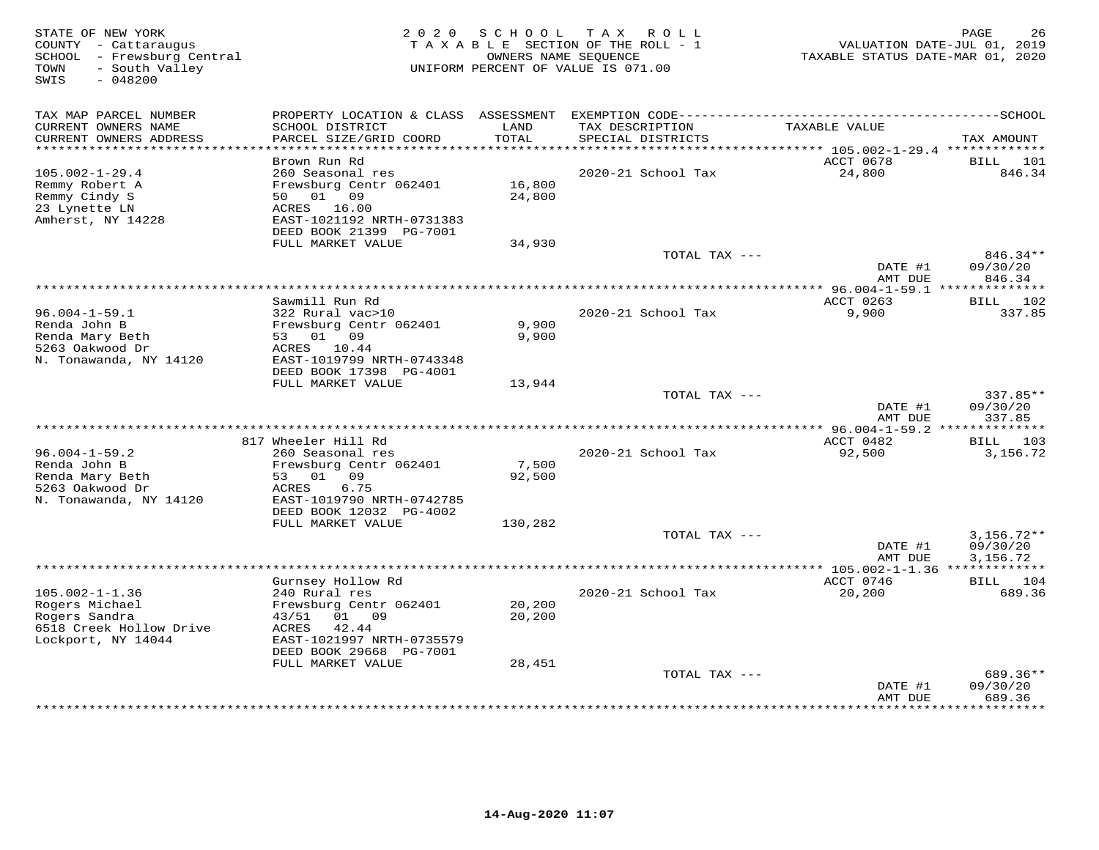| STATE OF NEW YORK<br>COUNTY - Cattaraugus<br>SCHOOL - Frewsburg Central<br>- South Valley<br>TOWN<br>SWIS<br>$-048200$ | 2 0 2 0                                                                        | S C H O O L      | T A X<br>ROLL<br>TAXABLE SECTION OF THE ROLL - 1<br>OWNERS NAME SEQUENCE<br>UNIFORM PERCENT OF VALUE IS 071.00 | VALUATION DATE-JUL 01, 2019<br>TAXABLE STATUS DATE-MAR 01, 2020 | PAGE<br>26                     |
|------------------------------------------------------------------------------------------------------------------------|--------------------------------------------------------------------------------|------------------|----------------------------------------------------------------------------------------------------------------|-----------------------------------------------------------------|--------------------------------|
| TAX MAP PARCEL NUMBER                                                                                                  | PROPERTY LOCATION & CLASS ASSESSMENT                                           |                  |                                                                                                                |                                                                 |                                |
| CURRENT OWNERS NAME<br>CURRENT OWNERS ADDRESS<br>*************************                                             | SCHOOL DISTRICT<br>PARCEL SIZE/GRID COORD                                      | LAND<br>TOTAL    | TAX DESCRIPTION<br>SPECIAL DISTRICTS                                                                           | TAXABLE VALUE                                                   | TAX AMOUNT                     |
|                                                                                                                        | Brown Run Rd                                                                   |                  |                                                                                                                | ACCT 0678                                                       | <b>BILL</b><br>101             |
| $105.002 - 1 - 29.4$<br>Remmy Robert A<br>Remmy Cindy S<br>23 Lynette LN                                               | 260 Seasonal res<br>Frewsburg Centr 062401<br>50 01 09<br>ACRES 16.00          | 16,800<br>24,800 | 2020-21 School Tax                                                                                             | 24,800                                                          | 846.34                         |
| Amherst, NY 14228                                                                                                      | EAST-1021192 NRTH-0731383<br>DEED BOOK 21399 PG-7001                           |                  |                                                                                                                |                                                                 |                                |
|                                                                                                                        | FULL MARKET VALUE                                                              | 34,930           | TOTAL TAX ---                                                                                                  |                                                                 | $846.34**$                     |
|                                                                                                                        |                                                                                |                  |                                                                                                                | DATE #1<br>AMT DUE                                              | 09/30/20<br>846.34             |
|                                                                                                                        |                                                                                |                  |                                                                                                                |                                                                 |                                |
| $96.004 - 1 - 59.1$                                                                                                    | Sawmill Run Rd<br>322 Rural vac>10                                             |                  | 2020-21 School Tax                                                                                             | ACCT 0263<br>9,900                                              | BILL 102<br>337.85             |
| Renda John B<br>Renda Mary Beth<br>5263 Oakwood Dr<br>N. Tonawanda, NY 14120                                           | Frewsburg Centr 062401<br>53 01 09<br>ACRES 10.44<br>EAST-1019799 NRTH-0743348 | 9,900<br>9,900   |                                                                                                                |                                                                 |                                |
|                                                                                                                        | DEED BOOK 17398 PG-4001                                                        |                  |                                                                                                                |                                                                 |                                |
|                                                                                                                        | FULL MARKET VALUE                                                              | 13,944           |                                                                                                                |                                                                 |                                |
|                                                                                                                        |                                                                                |                  | TOTAL TAX ---                                                                                                  | DATE #1<br>AMT DUE                                              | 337.85**<br>09/30/20<br>337.85 |
|                                                                                                                        | ************                                                                   |                  | ***********************                                                                                        | ** 96.004-1-59.2 **************                                 |                                |
|                                                                                                                        | 817 Wheeler Hill Rd                                                            |                  |                                                                                                                | ACCT 0482                                                       | BILL 103                       |
| $96.004 - 1 - 59.2$<br>Renda John B                                                                                    | 260 Seasonal res<br>Frewsburg Centr 062401                                     | 7,500            | 2020-21 School Tax                                                                                             | 92,500                                                          | 3,156.72                       |
| Renda Mary Beth<br>5263 Oakwood Dr<br>N. Tonawanda, NY 14120                                                           | 53 01 09<br>6.75<br>ACRES<br>EAST-1019790 NRTH-0742785                         | 92,500           |                                                                                                                |                                                                 |                                |
|                                                                                                                        | DEED BOOK 12032 PG-4002<br>FULL MARKET VALUE                                   | 130,282          |                                                                                                                |                                                                 |                                |
|                                                                                                                        |                                                                                |                  | TOTAL TAX ---                                                                                                  |                                                                 | $3,156.72**$                   |
|                                                                                                                        |                                                                                |                  |                                                                                                                | DATE #1<br>AMT DUE                                              | 09/30/20<br>3,156.72           |
| *****************************                                                                                          |                                                                                |                  |                                                                                                                |                                                                 |                                |
|                                                                                                                        | Gurnsey Hollow Rd                                                              |                  |                                                                                                                | ACCT 0746                                                       | BILL 104                       |
| $105.002 - 1 - 1.36$<br>Rogers Michael                                                                                 | 240 Rural res<br>Frewsburg Centr 062401                                        | 20,200           | 2020-21 School Tax                                                                                             | 20,200                                                          | 689.36                         |
| Rogers Sandra                                                                                                          | 09<br>43/51<br>01                                                              | 20,200           |                                                                                                                |                                                                 |                                |
| 6518 Creek Hollow Drive<br>Lockport, NY 14044                                                                          | 42.44<br>ACRES<br>EAST-1021997 NRTH-0735579                                    |                  |                                                                                                                |                                                                 |                                |
|                                                                                                                        | DEED BOOK 29668 PG-7001                                                        |                  |                                                                                                                |                                                                 |                                |
|                                                                                                                        | FULL MARKET VALUE                                                              | 28,451           | TOTAL TAX ---                                                                                                  |                                                                 | 689.36**                       |
|                                                                                                                        |                                                                                |                  |                                                                                                                | DATE #1<br>AMT DUE                                              | 09/30/20<br>689.36             |
|                                                                                                                        |                                                                                |                  |                                                                                                                |                                                                 | * * * * * * * *                |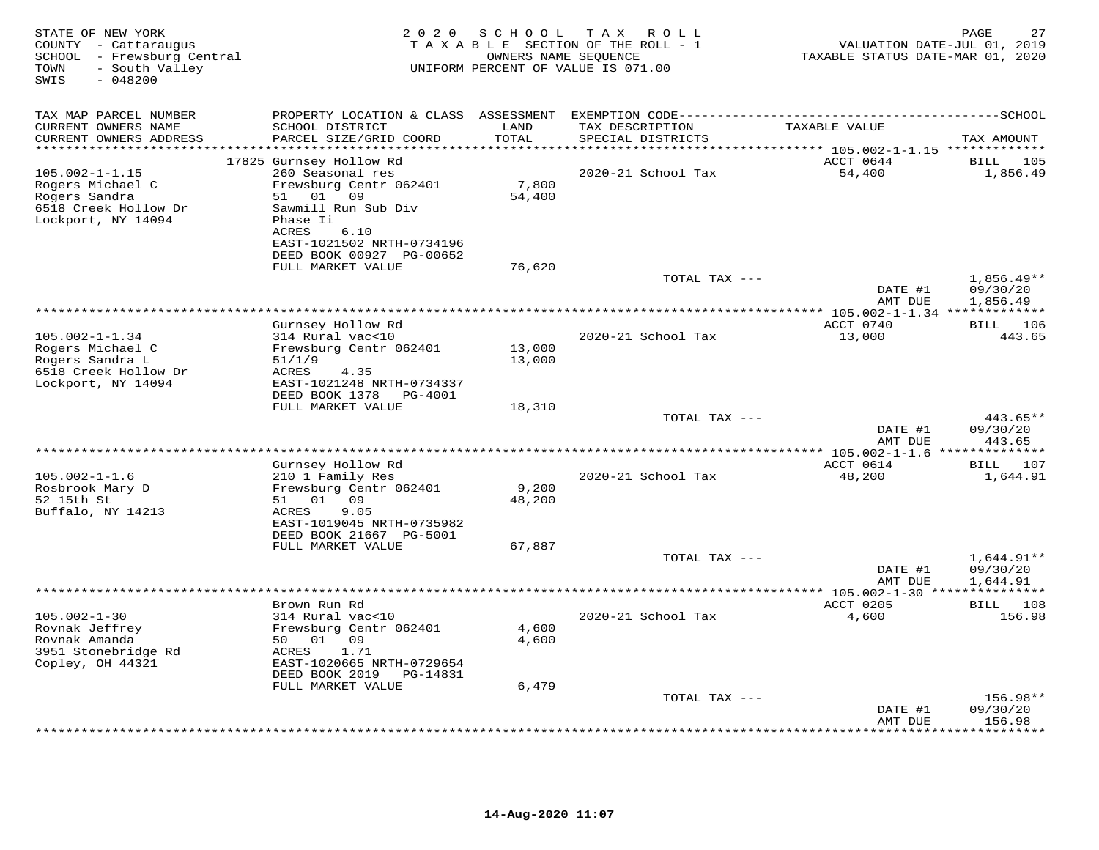| TAX MAP PARCEL NUMBER<br>TAXABLE VALUE<br>CURRENT OWNERS NAME<br>SCHOOL DISTRICT<br>LAND<br>TAX DESCRIPTION<br>PARCEL SIZE/GRID COORD<br>TOTAL<br>CURRENT OWNERS ADDRESS<br>SPECIAL DISTRICTS<br>TAX AMOUNT<br>*******************<br>******<br>**************<br>******** 105.002-1-1.15 **************<br>17825 Gurnsey Hollow Rd<br>ACCT 0644<br><b>BILL</b><br>105<br>260 Seasonal res<br>54,400<br>1,856.49<br>$105.002 - 1 - 1.15$<br>2020-21 School Tax<br>7,800<br>Frewsburg Centr 062401<br>Rogers Michael C<br>09<br>51 01<br>54,400<br>Rogers Sandra<br>6518 Creek Hollow Dr<br>Sawmill Run Sub Div<br>Lockport, NY 14094<br>Phase Ii<br>ACRES<br>6.10<br>EAST-1021502 NRTH-0734196<br>DEED BOOK 00927 PG-00652<br>FULL MARKET VALUE<br>76,620<br>TOTAL TAX ---<br>$1,856.49**$<br>DATE #1<br>09/30/20<br>AMT DUE<br>1,856.49<br>***********************<br>** 105.002-1-1.34 *************<br>Gurnsey Hollow Rd<br>ACCT 0740<br>BILL 106<br>13,000<br>$105.002 - 1 - 1.34$<br>314 Rural vac<10<br>2020-21 School Tax<br>443.65<br>Rogers Michael C<br>Frewsburg Centr 062401<br>13,000<br>Rogers Sandra L<br>51/1/9<br>13,000<br>6518 Creek Hollow Dr<br>4.35<br>ACRES<br>Lockport, NY 14094<br>EAST-1021248 NRTH-0734337<br>DEED BOOK 1378<br>PG-4001<br>FULL MARKET VALUE<br>18,310<br>443.65**<br>TOTAL TAX ---<br>DATE #1<br>09/30/20<br>443.65<br>AMT DUE<br>********* 105.002-1-1.6 **<br>*********<br>Gurnsey Hollow Rd<br>ACCT 0614<br>BILL 107<br>210 1 Family Res<br>48,200<br>$105.002 - 1 - 1.6$<br>2020-21 School Tax<br>1,644.91<br>9,200<br>Rosbrook Mary D<br>Frewsburg Centr 062401<br>52 15th St<br>51<br>01<br>09<br>48,200<br>9.05<br>Buffalo, NY 14213<br>ACRES<br>EAST-1019045 NRTH-0735982<br>DEED BOOK 21667 PG-5001<br>FULL MARKET VALUE<br>67,887<br>TOTAL TAX ---<br>$1,644.91**$<br>09/30/20<br>DATE #1<br>AMT DUE<br>1,644.91<br>ACCT 0205<br>BILL 108<br>Brown Run Rd<br>$105.002 - 1 - 30$<br>2020-21 School Tax<br>4,600<br>156.98<br>314 Rural vac<10<br>Frewsburg Centr 062401<br>4,600<br>Rovnak Jeffrey<br>Rovnak Amanda<br>50 01 09<br>4,600<br>3951 Stonebridge Rd<br>ACRES<br>1.71<br>Copley, OH 44321<br>EAST-1020665 NRTH-0729654<br>DEED BOOK 2019<br>PG-14831<br>6,479<br>FULL MARKET VALUE<br>TOTAL TAX ---<br>$156.98**$<br>09/30/20<br>DATE #1<br>156.98<br>AMT DUE | STATE OF NEW YORK<br>COUNTY - Cattaraugus<br>SCHOOL - Frewsburg Central<br>- South Valley<br>TOWN<br>SWIS<br>$-048200$ | 2 0 2 0 | S C H O O L | TAX ROLL<br>TAXABLE SECTION OF THE ROLL - 1<br>OWNERS NAME SEQUENCE<br>UNIFORM PERCENT OF VALUE IS 071.00 | VALUATION DATE-JUL 01, 2019<br>TAXABLE STATUS DATE-MAR 01, 2020 | 27<br>PAGE      |
|-------------------------------------------------------------------------------------------------------------------------------------------------------------------------------------------------------------------------------------------------------------------------------------------------------------------------------------------------------------------------------------------------------------------------------------------------------------------------------------------------------------------------------------------------------------------------------------------------------------------------------------------------------------------------------------------------------------------------------------------------------------------------------------------------------------------------------------------------------------------------------------------------------------------------------------------------------------------------------------------------------------------------------------------------------------------------------------------------------------------------------------------------------------------------------------------------------------------------------------------------------------------------------------------------------------------------------------------------------------------------------------------------------------------------------------------------------------------------------------------------------------------------------------------------------------------------------------------------------------------------------------------------------------------------------------------------------------------------------------------------------------------------------------------------------------------------------------------------------------------------------------------------------------------------------------------------------------------------------------------------------------------------------------------------------------------------------------------------------------------------------------------------------------------------------------------------------------------------------------------------------------------------------------------------------------------------------|------------------------------------------------------------------------------------------------------------------------|---------|-------------|-----------------------------------------------------------------------------------------------------------|-----------------------------------------------------------------|-----------------|
|                                                                                                                                                                                                                                                                                                                                                                                                                                                                                                                                                                                                                                                                                                                                                                                                                                                                                                                                                                                                                                                                                                                                                                                                                                                                                                                                                                                                                                                                                                                                                                                                                                                                                                                                                                                                                                                                                                                                                                                                                                                                                                                                                                                                                                                                                                                               |                                                                                                                        |         |             |                                                                                                           |                                                                 |                 |
|                                                                                                                                                                                                                                                                                                                                                                                                                                                                                                                                                                                                                                                                                                                                                                                                                                                                                                                                                                                                                                                                                                                                                                                                                                                                                                                                                                                                                                                                                                                                                                                                                                                                                                                                                                                                                                                                                                                                                                                                                                                                                                                                                                                                                                                                                                                               |                                                                                                                        |         |             |                                                                                                           |                                                                 |                 |
|                                                                                                                                                                                                                                                                                                                                                                                                                                                                                                                                                                                                                                                                                                                                                                                                                                                                                                                                                                                                                                                                                                                                                                                                                                                                                                                                                                                                                                                                                                                                                                                                                                                                                                                                                                                                                                                                                                                                                                                                                                                                                                                                                                                                                                                                                                                               |                                                                                                                        |         |             |                                                                                                           |                                                                 |                 |
|                                                                                                                                                                                                                                                                                                                                                                                                                                                                                                                                                                                                                                                                                                                                                                                                                                                                                                                                                                                                                                                                                                                                                                                                                                                                                                                                                                                                                                                                                                                                                                                                                                                                                                                                                                                                                                                                                                                                                                                                                                                                                                                                                                                                                                                                                                                               |                                                                                                                        |         |             |                                                                                                           |                                                                 |                 |
|                                                                                                                                                                                                                                                                                                                                                                                                                                                                                                                                                                                                                                                                                                                                                                                                                                                                                                                                                                                                                                                                                                                                                                                                                                                                                                                                                                                                                                                                                                                                                                                                                                                                                                                                                                                                                                                                                                                                                                                                                                                                                                                                                                                                                                                                                                                               |                                                                                                                        |         |             |                                                                                                           |                                                                 |                 |
|                                                                                                                                                                                                                                                                                                                                                                                                                                                                                                                                                                                                                                                                                                                                                                                                                                                                                                                                                                                                                                                                                                                                                                                                                                                                                                                                                                                                                                                                                                                                                                                                                                                                                                                                                                                                                                                                                                                                                                                                                                                                                                                                                                                                                                                                                                                               |                                                                                                                        |         |             |                                                                                                           |                                                                 |                 |
|                                                                                                                                                                                                                                                                                                                                                                                                                                                                                                                                                                                                                                                                                                                                                                                                                                                                                                                                                                                                                                                                                                                                                                                                                                                                                                                                                                                                                                                                                                                                                                                                                                                                                                                                                                                                                                                                                                                                                                                                                                                                                                                                                                                                                                                                                                                               |                                                                                                                        |         |             |                                                                                                           |                                                                 |                 |
|                                                                                                                                                                                                                                                                                                                                                                                                                                                                                                                                                                                                                                                                                                                                                                                                                                                                                                                                                                                                                                                                                                                                                                                                                                                                                                                                                                                                                                                                                                                                                                                                                                                                                                                                                                                                                                                                                                                                                                                                                                                                                                                                                                                                                                                                                                                               |                                                                                                                        |         |             |                                                                                                           |                                                                 |                 |
|                                                                                                                                                                                                                                                                                                                                                                                                                                                                                                                                                                                                                                                                                                                                                                                                                                                                                                                                                                                                                                                                                                                                                                                                                                                                                                                                                                                                                                                                                                                                                                                                                                                                                                                                                                                                                                                                                                                                                                                                                                                                                                                                                                                                                                                                                                                               |                                                                                                                        |         |             |                                                                                                           |                                                                 |                 |
|                                                                                                                                                                                                                                                                                                                                                                                                                                                                                                                                                                                                                                                                                                                                                                                                                                                                                                                                                                                                                                                                                                                                                                                                                                                                                                                                                                                                                                                                                                                                                                                                                                                                                                                                                                                                                                                                                                                                                                                                                                                                                                                                                                                                                                                                                                                               |                                                                                                                        |         |             |                                                                                                           |                                                                 |                 |
|                                                                                                                                                                                                                                                                                                                                                                                                                                                                                                                                                                                                                                                                                                                                                                                                                                                                                                                                                                                                                                                                                                                                                                                                                                                                                                                                                                                                                                                                                                                                                                                                                                                                                                                                                                                                                                                                                                                                                                                                                                                                                                                                                                                                                                                                                                                               |                                                                                                                        |         |             |                                                                                                           |                                                                 |                 |
|                                                                                                                                                                                                                                                                                                                                                                                                                                                                                                                                                                                                                                                                                                                                                                                                                                                                                                                                                                                                                                                                                                                                                                                                                                                                                                                                                                                                                                                                                                                                                                                                                                                                                                                                                                                                                                                                                                                                                                                                                                                                                                                                                                                                                                                                                                                               |                                                                                                                        |         |             |                                                                                                           |                                                                 |                 |
|                                                                                                                                                                                                                                                                                                                                                                                                                                                                                                                                                                                                                                                                                                                                                                                                                                                                                                                                                                                                                                                                                                                                                                                                                                                                                                                                                                                                                                                                                                                                                                                                                                                                                                                                                                                                                                                                                                                                                                                                                                                                                                                                                                                                                                                                                                                               |                                                                                                                        |         |             |                                                                                                           |                                                                 |                 |
|                                                                                                                                                                                                                                                                                                                                                                                                                                                                                                                                                                                                                                                                                                                                                                                                                                                                                                                                                                                                                                                                                                                                                                                                                                                                                                                                                                                                                                                                                                                                                                                                                                                                                                                                                                                                                                                                                                                                                                                                                                                                                                                                                                                                                                                                                                                               |                                                                                                                        |         |             |                                                                                                           |                                                                 |                 |
|                                                                                                                                                                                                                                                                                                                                                                                                                                                                                                                                                                                                                                                                                                                                                                                                                                                                                                                                                                                                                                                                                                                                                                                                                                                                                                                                                                                                                                                                                                                                                                                                                                                                                                                                                                                                                                                                                                                                                                                                                                                                                                                                                                                                                                                                                                                               |                                                                                                                        |         |             |                                                                                                           |                                                                 |                 |
|                                                                                                                                                                                                                                                                                                                                                                                                                                                                                                                                                                                                                                                                                                                                                                                                                                                                                                                                                                                                                                                                                                                                                                                                                                                                                                                                                                                                                                                                                                                                                                                                                                                                                                                                                                                                                                                                                                                                                                                                                                                                                                                                                                                                                                                                                                                               |                                                                                                                        |         |             |                                                                                                           |                                                                 |                 |
|                                                                                                                                                                                                                                                                                                                                                                                                                                                                                                                                                                                                                                                                                                                                                                                                                                                                                                                                                                                                                                                                                                                                                                                                                                                                                                                                                                                                                                                                                                                                                                                                                                                                                                                                                                                                                                                                                                                                                                                                                                                                                                                                                                                                                                                                                                                               |                                                                                                                        |         |             |                                                                                                           |                                                                 |                 |
|                                                                                                                                                                                                                                                                                                                                                                                                                                                                                                                                                                                                                                                                                                                                                                                                                                                                                                                                                                                                                                                                                                                                                                                                                                                                                                                                                                                                                                                                                                                                                                                                                                                                                                                                                                                                                                                                                                                                                                                                                                                                                                                                                                                                                                                                                                                               |                                                                                                                        |         |             |                                                                                                           |                                                                 |                 |
|                                                                                                                                                                                                                                                                                                                                                                                                                                                                                                                                                                                                                                                                                                                                                                                                                                                                                                                                                                                                                                                                                                                                                                                                                                                                                                                                                                                                                                                                                                                                                                                                                                                                                                                                                                                                                                                                                                                                                                                                                                                                                                                                                                                                                                                                                                                               |                                                                                                                        |         |             |                                                                                                           |                                                                 |                 |
|                                                                                                                                                                                                                                                                                                                                                                                                                                                                                                                                                                                                                                                                                                                                                                                                                                                                                                                                                                                                                                                                                                                                                                                                                                                                                                                                                                                                                                                                                                                                                                                                                                                                                                                                                                                                                                                                                                                                                                                                                                                                                                                                                                                                                                                                                                                               |                                                                                                                        |         |             |                                                                                                           |                                                                 |                 |
|                                                                                                                                                                                                                                                                                                                                                                                                                                                                                                                                                                                                                                                                                                                                                                                                                                                                                                                                                                                                                                                                                                                                                                                                                                                                                                                                                                                                                                                                                                                                                                                                                                                                                                                                                                                                                                                                                                                                                                                                                                                                                                                                                                                                                                                                                                                               |                                                                                                                        |         |             |                                                                                                           |                                                                 |                 |
|                                                                                                                                                                                                                                                                                                                                                                                                                                                                                                                                                                                                                                                                                                                                                                                                                                                                                                                                                                                                                                                                                                                                                                                                                                                                                                                                                                                                                                                                                                                                                                                                                                                                                                                                                                                                                                                                                                                                                                                                                                                                                                                                                                                                                                                                                                                               |                                                                                                                        |         |             |                                                                                                           |                                                                 |                 |
|                                                                                                                                                                                                                                                                                                                                                                                                                                                                                                                                                                                                                                                                                                                                                                                                                                                                                                                                                                                                                                                                                                                                                                                                                                                                                                                                                                                                                                                                                                                                                                                                                                                                                                                                                                                                                                                                                                                                                                                                                                                                                                                                                                                                                                                                                                                               |                                                                                                                        |         |             |                                                                                                           |                                                                 |                 |
|                                                                                                                                                                                                                                                                                                                                                                                                                                                                                                                                                                                                                                                                                                                                                                                                                                                                                                                                                                                                                                                                                                                                                                                                                                                                                                                                                                                                                                                                                                                                                                                                                                                                                                                                                                                                                                                                                                                                                                                                                                                                                                                                                                                                                                                                                                                               |                                                                                                                        |         |             |                                                                                                           |                                                                 |                 |
|                                                                                                                                                                                                                                                                                                                                                                                                                                                                                                                                                                                                                                                                                                                                                                                                                                                                                                                                                                                                                                                                                                                                                                                                                                                                                                                                                                                                                                                                                                                                                                                                                                                                                                                                                                                                                                                                                                                                                                                                                                                                                                                                                                                                                                                                                                                               |                                                                                                                        |         |             |                                                                                                           |                                                                 |                 |
|                                                                                                                                                                                                                                                                                                                                                                                                                                                                                                                                                                                                                                                                                                                                                                                                                                                                                                                                                                                                                                                                                                                                                                                                                                                                                                                                                                                                                                                                                                                                                                                                                                                                                                                                                                                                                                                                                                                                                                                                                                                                                                                                                                                                                                                                                                                               |                                                                                                                        |         |             |                                                                                                           |                                                                 |                 |
|                                                                                                                                                                                                                                                                                                                                                                                                                                                                                                                                                                                                                                                                                                                                                                                                                                                                                                                                                                                                                                                                                                                                                                                                                                                                                                                                                                                                                                                                                                                                                                                                                                                                                                                                                                                                                                                                                                                                                                                                                                                                                                                                                                                                                                                                                                                               |                                                                                                                        |         |             |                                                                                                           |                                                                 |                 |
|                                                                                                                                                                                                                                                                                                                                                                                                                                                                                                                                                                                                                                                                                                                                                                                                                                                                                                                                                                                                                                                                                                                                                                                                                                                                                                                                                                                                                                                                                                                                                                                                                                                                                                                                                                                                                                                                                                                                                                                                                                                                                                                                                                                                                                                                                                                               |                                                                                                                        |         |             |                                                                                                           |                                                                 |                 |
|                                                                                                                                                                                                                                                                                                                                                                                                                                                                                                                                                                                                                                                                                                                                                                                                                                                                                                                                                                                                                                                                                                                                                                                                                                                                                                                                                                                                                                                                                                                                                                                                                                                                                                                                                                                                                                                                                                                                                                                                                                                                                                                                                                                                                                                                                                                               |                                                                                                                        |         |             |                                                                                                           |                                                                 |                 |
|                                                                                                                                                                                                                                                                                                                                                                                                                                                                                                                                                                                                                                                                                                                                                                                                                                                                                                                                                                                                                                                                                                                                                                                                                                                                                                                                                                                                                                                                                                                                                                                                                                                                                                                                                                                                                                                                                                                                                                                                                                                                                                                                                                                                                                                                                                                               |                                                                                                                        |         |             |                                                                                                           |                                                                 |                 |
|                                                                                                                                                                                                                                                                                                                                                                                                                                                                                                                                                                                                                                                                                                                                                                                                                                                                                                                                                                                                                                                                                                                                                                                                                                                                                                                                                                                                                                                                                                                                                                                                                                                                                                                                                                                                                                                                                                                                                                                                                                                                                                                                                                                                                                                                                                                               |                                                                                                                        |         |             |                                                                                                           |                                                                 |                 |
|                                                                                                                                                                                                                                                                                                                                                                                                                                                                                                                                                                                                                                                                                                                                                                                                                                                                                                                                                                                                                                                                                                                                                                                                                                                                                                                                                                                                                                                                                                                                                                                                                                                                                                                                                                                                                                                                                                                                                                                                                                                                                                                                                                                                                                                                                                                               |                                                                                                                        |         |             |                                                                                                           |                                                                 |                 |
|                                                                                                                                                                                                                                                                                                                                                                                                                                                                                                                                                                                                                                                                                                                                                                                                                                                                                                                                                                                                                                                                                                                                                                                                                                                                                                                                                                                                                                                                                                                                                                                                                                                                                                                                                                                                                                                                                                                                                                                                                                                                                                                                                                                                                                                                                                                               |                                                                                                                        |         |             |                                                                                                           |                                                                 |                 |
|                                                                                                                                                                                                                                                                                                                                                                                                                                                                                                                                                                                                                                                                                                                                                                                                                                                                                                                                                                                                                                                                                                                                                                                                                                                                                                                                                                                                                                                                                                                                                                                                                                                                                                                                                                                                                                                                                                                                                                                                                                                                                                                                                                                                                                                                                                                               |                                                                                                                        |         |             |                                                                                                           |                                                                 |                 |
|                                                                                                                                                                                                                                                                                                                                                                                                                                                                                                                                                                                                                                                                                                                                                                                                                                                                                                                                                                                                                                                                                                                                                                                                                                                                                                                                                                                                                                                                                                                                                                                                                                                                                                                                                                                                                                                                                                                                                                                                                                                                                                                                                                                                                                                                                                                               |                                                                                                                        |         |             |                                                                                                           |                                                                 |                 |
|                                                                                                                                                                                                                                                                                                                                                                                                                                                                                                                                                                                                                                                                                                                                                                                                                                                                                                                                                                                                                                                                                                                                                                                                                                                                                                                                                                                                                                                                                                                                                                                                                                                                                                                                                                                                                                                                                                                                                                                                                                                                                                                                                                                                                                                                                                                               |                                                                                                                        |         |             |                                                                                                           |                                                                 |                 |
|                                                                                                                                                                                                                                                                                                                                                                                                                                                                                                                                                                                                                                                                                                                                                                                                                                                                                                                                                                                                                                                                                                                                                                                                                                                                                                                                                                                                                                                                                                                                                                                                                                                                                                                                                                                                                                                                                                                                                                                                                                                                                                                                                                                                                                                                                                                               |                                                                                                                        |         |             |                                                                                                           |                                                                 |                 |
|                                                                                                                                                                                                                                                                                                                                                                                                                                                                                                                                                                                                                                                                                                                                                                                                                                                                                                                                                                                                                                                                                                                                                                                                                                                                                                                                                                                                                                                                                                                                                                                                                                                                                                                                                                                                                                                                                                                                                                                                                                                                                                                                                                                                                                                                                                                               |                                                                                                                        |         |             |                                                                                                           |                                                                 |                 |
|                                                                                                                                                                                                                                                                                                                                                                                                                                                                                                                                                                                                                                                                                                                                                                                                                                                                                                                                                                                                                                                                                                                                                                                                                                                                                                                                                                                                                                                                                                                                                                                                                                                                                                                                                                                                                                                                                                                                                                                                                                                                                                                                                                                                                                                                                                                               |                                                                                                                        |         |             |                                                                                                           |                                                                 |                 |
|                                                                                                                                                                                                                                                                                                                                                                                                                                                                                                                                                                                                                                                                                                                                                                                                                                                                                                                                                                                                                                                                                                                                                                                                                                                                                                                                                                                                                                                                                                                                                                                                                                                                                                                                                                                                                                                                                                                                                                                                                                                                                                                                                                                                                                                                                                                               |                                                                                                                        |         |             |                                                                                                           |                                                                 |                 |
|                                                                                                                                                                                                                                                                                                                                                                                                                                                                                                                                                                                                                                                                                                                                                                                                                                                                                                                                                                                                                                                                                                                                                                                                                                                                                                                                                                                                                                                                                                                                                                                                                                                                                                                                                                                                                                                                                                                                                                                                                                                                                                                                                                                                                                                                                                                               |                                                                                                                        |         |             |                                                                                                           |                                                                 |                 |
|                                                                                                                                                                                                                                                                                                                                                                                                                                                                                                                                                                                                                                                                                                                                                                                                                                                                                                                                                                                                                                                                                                                                                                                                                                                                                                                                                                                                                                                                                                                                                                                                                                                                                                                                                                                                                                                                                                                                                                                                                                                                                                                                                                                                                                                                                                                               |                                                                                                                        |         |             |                                                                                                           |                                                                 |                 |
|                                                                                                                                                                                                                                                                                                                                                                                                                                                                                                                                                                                                                                                                                                                                                                                                                                                                                                                                                                                                                                                                                                                                                                                                                                                                                                                                                                                                                                                                                                                                                                                                                                                                                                                                                                                                                                                                                                                                                                                                                                                                                                                                                                                                                                                                                                                               |                                                                                                                        |         |             |                                                                                                           |                                                                 |                 |
|                                                                                                                                                                                                                                                                                                                                                                                                                                                                                                                                                                                                                                                                                                                                                                                                                                                                                                                                                                                                                                                                                                                                                                                                                                                                                                                                                                                                                                                                                                                                                                                                                                                                                                                                                                                                                                                                                                                                                                                                                                                                                                                                                                                                                                                                                                                               |                                                                                                                        |         |             |                                                                                                           |                                                                 |                 |
|                                                                                                                                                                                                                                                                                                                                                                                                                                                                                                                                                                                                                                                                                                                                                                                                                                                                                                                                                                                                                                                                                                                                                                                                                                                                                                                                                                                                                                                                                                                                                                                                                                                                                                                                                                                                                                                                                                                                                                                                                                                                                                                                                                                                                                                                                                                               |                                                                                                                        |         |             |                                                                                                           |                                                                 |                 |
|                                                                                                                                                                                                                                                                                                                                                                                                                                                                                                                                                                                                                                                                                                                                                                                                                                                                                                                                                                                                                                                                                                                                                                                                                                                                                                                                                                                                                                                                                                                                                                                                                                                                                                                                                                                                                                                                                                                                                                                                                                                                                                                                                                                                                                                                                                                               |                                                                                                                        |         |             |                                                                                                           |                                                                 | * * * * * * * * |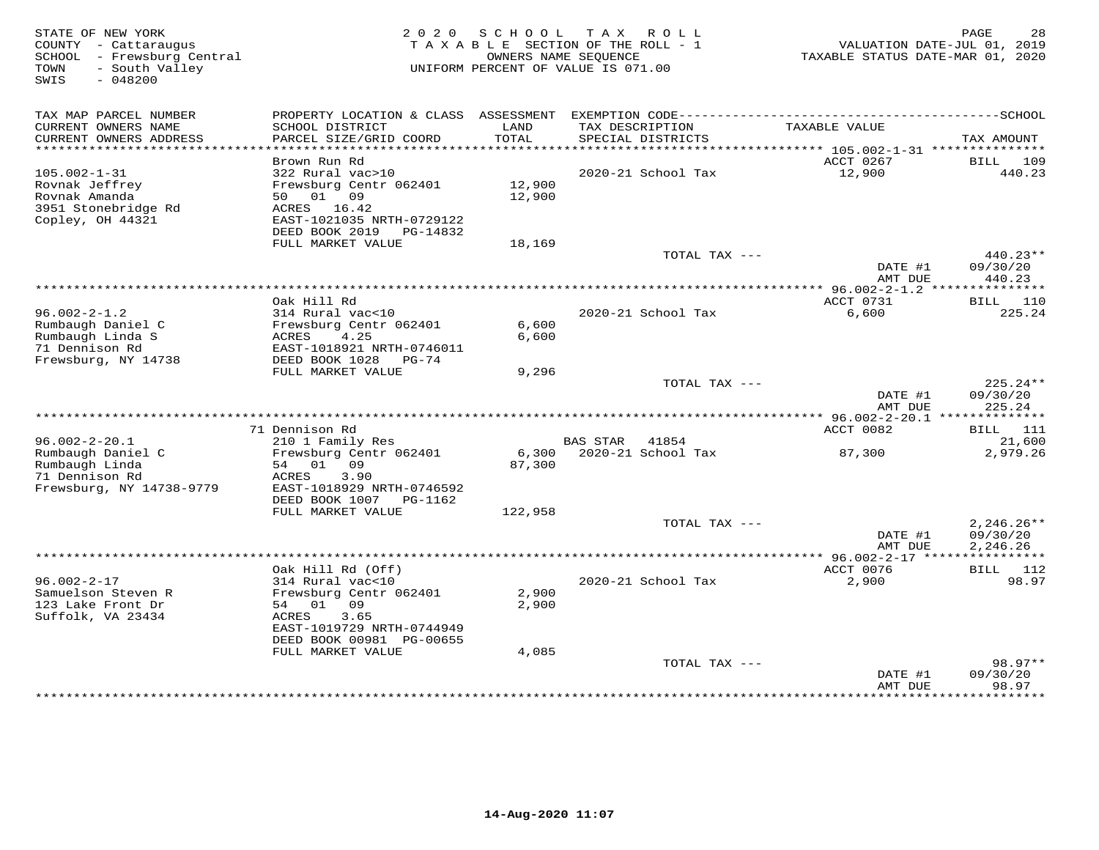| STATE OF NEW YORK<br>COUNTY - Cattaraugus<br>SCHOOL - Frewsburg Central<br>- South Valley<br>TOWN<br>$-048200$<br>SWIS | 2 0 2 0                                                                                                                                               | S C H O O L      | TAX ROLL<br>TAXABLE SECTION OF THE ROLL - 1<br>OWNERS NAME SEQUENCE<br>UNIFORM PERCENT OF VALUE IS 071.00 | TAXABLE STATUS DATE-MAR 01, 2020 | PAGE<br>28<br>VALUATION DATE-JUL 01, 2019 |
|------------------------------------------------------------------------------------------------------------------------|-------------------------------------------------------------------------------------------------------------------------------------------------------|------------------|-----------------------------------------------------------------------------------------------------------|----------------------------------|-------------------------------------------|
| TAX MAP PARCEL NUMBER<br>CURRENT OWNERS NAME<br>CURRENT OWNERS ADDRESS                                                 | SCHOOL DISTRICT<br>PARCEL SIZE/GRID COORD                                                                                                             | LAND<br>TOTAL    | TAX DESCRIPTION<br>SPECIAL DISTRICTS                                                                      | TAXABLE VALUE                    | TAX AMOUNT                                |
| ********************                                                                                                   |                                                                                                                                                       |                  |                                                                                                           |                                  |                                           |
| $105.002 - 1 - 31$<br>Rovnak Jeffrey<br>Rovnak Amanda<br>3951 Stonebridge Rd<br>Copley, OH 44321                       | Brown Run Rd<br>322 Rural vac>10<br>Frewsburg Centr 062401<br>50 01 09<br>ACRES 16.42<br>EAST-1021035 NRTH-0729122<br>DEED BOOK 2019    PG-14832      | 12,900<br>12,900 | 2020-21 School Tax                                                                                        | ACCT 0267<br>12,900              | 109<br>BILL<br>440.23                     |
|                                                                                                                        | FULL MARKET VALUE                                                                                                                                     | 18,169           |                                                                                                           |                                  |                                           |
|                                                                                                                        |                                                                                                                                                       |                  | TOTAL TAX ---                                                                                             | DATE #1<br>AMT DUE               | $440.23**$<br>09/30/20<br>440.23          |
|                                                                                                                        | ***********************************                                                                                                                   |                  |                                                                                                           | ********** 96.002-2-1.2 ***      | ***********                               |
| $96.002 - 2 - 1.2$                                                                                                     | Oak Hill Rd<br>314 Rural vac<10                                                                                                                       |                  | 2020-21 School Tax                                                                                        | ACCT 0731<br>6,600               | <b>BILL</b><br>110<br>225.24              |
| Rumbaugh Daniel C<br>Rumbaugh Linda S<br>71 Dennison Rd<br>Frewsburg, NY 14738                                         | Frewsburg Centr 062401<br>ACRES<br>4.25<br>EAST-1018921 NRTH-0746011<br>DEED BOOK 1028<br>PG-74                                                       | 6,600<br>6,600   |                                                                                                           |                                  |                                           |
|                                                                                                                        | FULL MARKET VALUE                                                                                                                                     | 9,296            | TOTAL TAX ---                                                                                             | DATE #1                          | 225.24**<br>09/30/20                      |
|                                                                                                                        |                                                                                                                                                       |                  |                                                                                                           | AMT DUE                          | 225.24                                    |
|                                                                                                                        | 71 Dennison Rd                                                                                                                                        |                  |                                                                                                           | ACCT 0082                        | BILL 111                                  |
| $96.002 - 2 - 20.1$<br>Rumbaugh Daniel C<br>Rumbaugh Linda                                                             | 210 1 Family Res<br>Frewsburg Centr 062401<br>54 01 09                                                                                                | 6,300<br>87,300  | <b>BAS STAR</b><br>41854<br>2020-21 School Tax                                                            | 87,300                           | 21,600<br>2,979.26                        |
| 71 Dennison Rd<br>Frewsburg, NY 14738-9779                                                                             | ACRES<br>3.90<br>EAST-1018929 NRTH-0746592<br>DEED BOOK 1007 PG-1162                                                                                  |                  |                                                                                                           |                                  |                                           |
|                                                                                                                        | FULL MARKET VALUE                                                                                                                                     | 122,958          | TOTAL TAX ---                                                                                             | DATE #1                          | $2,246.26**$<br>09/30/20                  |
|                                                                                                                        |                                                                                                                                                       |                  |                                                                                                           | AMT DUE                          | 2,246.26                                  |
|                                                                                                                        |                                                                                                                                                       |                  |                                                                                                           |                                  |                                           |
| $96.002 - 2 - 17$<br>Samuelson Steven R<br>123 Lake Front Dr<br>Suffolk, VA 23434                                      | Oak Hill Rd (Off)<br>314 Rural vac<10<br>Frewsburg Centr 062401<br>54 01 09<br>ACRES<br>3.65<br>EAST-1019729 NRTH-0744949<br>DEED BOOK 00981 PG-00655 | 2,900<br>2,900   | 2020-21 School Tax                                                                                        | ACCT 0076<br>2,900               | <b>BILL</b> 112<br>98.97                  |
|                                                                                                                        | FULL MARKET VALUE                                                                                                                                     | 4,085            | TOTAL TAX ---                                                                                             | DATE #1                          | 98.97**<br>09/30/20                       |
|                                                                                                                        |                                                                                                                                                       |                  |                                                                                                           | AMT DUE                          | 98.97                                     |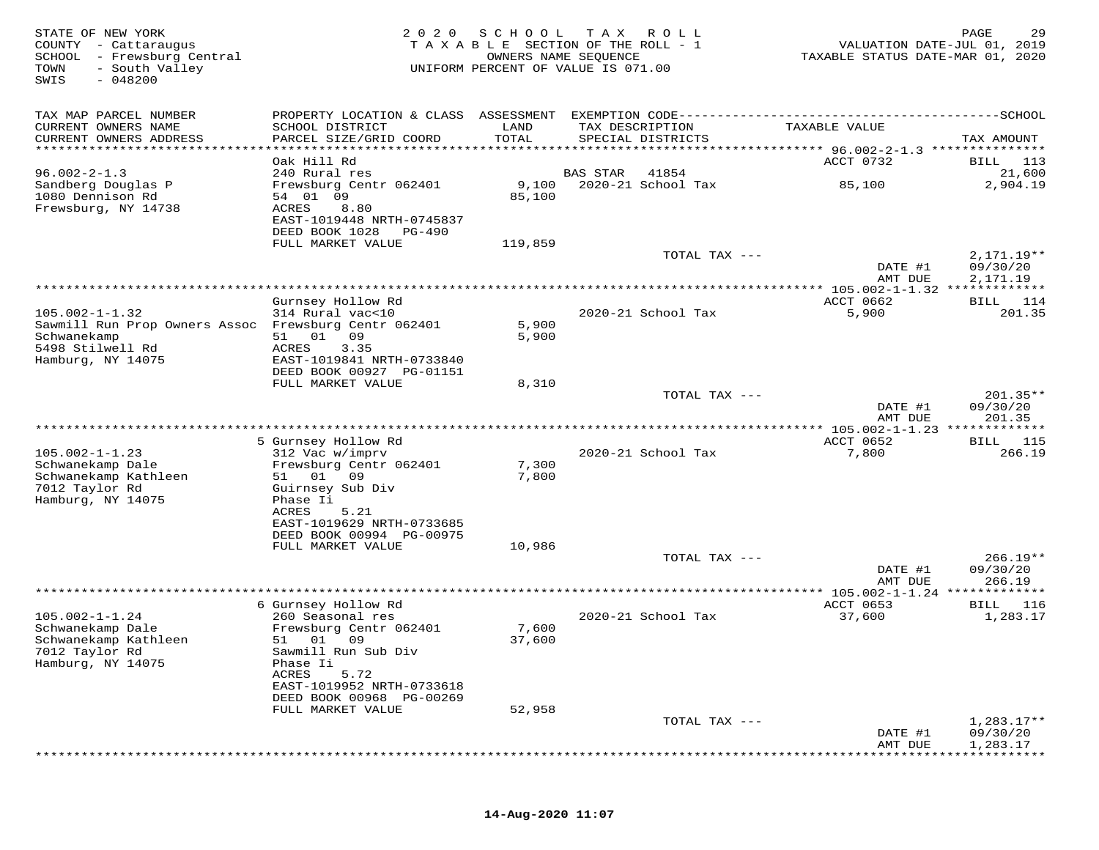| STATE OF NEW YORK<br>COUNTY - Cattaraugus<br>SCHOOL - Frewsburg Central<br>TOWN<br>- South Valley<br>SWIS<br>$-048200$ | 2 0 2 0                                                                          | SCHOOL<br>OWNERS NAME SEQUENCE | T A X<br>ROLL<br>TAXABLE SECTION OF THE ROLL - 1<br>UNIFORM PERCENT OF VALUE IS 071.00 | VALUATION DATE-JUL 01, 2019<br>TAXABLE STATUS DATE-MAR 01, 2020 | PAGE                   |
|------------------------------------------------------------------------------------------------------------------------|----------------------------------------------------------------------------------|--------------------------------|----------------------------------------------------------------------------------------|-----------------------------------------------------------------|------------------------|
| TAX MAP PARCEL NUMBER                                                                                                  |                                                                                  |                                |                                                                                        |                                                                 |                        |
| CURRENT OWNERS NAME<br>CURRENT OWNERS ADDRESS<br>***********************                                               | SCHOOL DISTRICT<br>PARCEL SIZE/GRID COORD                                        | LAND<br>TOTAL                  | TAX DESCRIPTION<br>SPECIAL DISTRICTS                                                   | TAXABLE VALUE                                                   | TAX AMOUNT             |
|                                                                                                                        | Oak Hill Rd                                                                      |                                |                                                                                        | ACCT 0732                                                       | BILL<br>113            |
| $96.002 - 2 - 1.3$                                                                                                     | 240 Rural res                                                                    |                                | BAS STAR<br>41854                                                                      |                                                                 | 21,600                 |
| Sandberg Douglas P<br>1080 Dennison Rd<br>Frewsburg, NY 14738                                                          | Frewsburg Centr 062401<br>54 01 09<br>ACRES<br>8.80<br>EAST-1019448 NRTH-0745837 | 9,100<br>85,100                | 2020-21 School Tax                                                                     | 85,100                                                          | 2,904.19               |
|                                                                                                                        | DEED BOOK 1028<br>PG-490                                                         |                                |                                                                                        |                                                                 |                        |
|                                                                                                                        | FULL MARKET VALUE                                                                | 119,859                        | TOTAL TAX ---                                                                          |                                                                 | $2,171.19**$           |
|                                                                                                                        |                                                                                  |                                |                                                                                        | DATE #1                                                         | 09/30/20               |
|                                                                                                                        |                                                                                  |                                |                                                                                        | AMT DUE<br>** 105.002-1-1.32 *****                              | 2,171.19               |
|                                                                                                                        | Gurnsey Hollow Rd                                                                |                                |                                                                                        | ACCT 0662                                                       | 114<br>BILL            |
| $105.002 - 1 - 1.32$                                                                                                   | 314 Rural vac<10                                                                 |                                | 2020-21 School Tax                                                                     | 5,900                                                           | 201.35                 |
| Sawmill Run Prop Owners Assoc Frewsburg Centr 062401                                                                   |                                                                                  | 5,900                          |                                                                                        |                                                                 |                        |
| Schwanekamp<br>5498 Stilwell Rd                                                                                        | 51 01 09<br><b>ACRES</b><br>3.35                                                 | 5,900                          |                                                                                        |                                                                 |                        |
| Hamburg, NY 14075                                                                                                      | EAST-1019841 NRTH-0733840                                                        |                                |                                                                                        |                                                                 |                        |
|                                                                                                                        | DEED BOOK 00927 PG-01151                                                         |                                |                                                                                        |                                                                 |                        |
|                                                                                                                        | FULL MARKET VALUE                                                                | 8,310                          |                                                                                        |                                                                 |                        |
|                                                                                                                        |                                                                                  |                                | TOTAL TAX ---                                                                          | DATE #1                                                         | $201.35**$<br>09/30/20 |
|                                                                                                                        |                                                                                  |                                |                                                                                        | AMT DUE                                                         | 201.35                 |
|                                                                                                                        |                                                                                  |                                |                                                                                        | ********* 105.002-1-1.23 *************                          |                        |
|                                                                                                                        | 5 Gurnsey Hollow Rd                                                              |                                |                                                                                        | ACCT 0652                                                       | BILL 115               |
| $105.002 - 1 - 1.23$<br>Schwanekamp Dale                                                                               | 312 Vac w/imprv<br>Frewsburg Centr 062401                                        | 7,300                          | 2020-21 School Tax                                                                     | 7,800                                                           | 266.19                 |
| Schwanekamp Kathleen                                                                                                   | 51 01<br>09                                                                      | 7,800                          |                                                                                        |                                                                 |                        |
| 7012 Taylor Rd                                                                                                         | Guirnsey Sub Div                                                                 |                                |                                                                                        |                                                                 |                        |
| Hamburg, NY 14075                                                                                                      | Phase Ii                                                                         |                                |                                                                                        |                                                                 |                        |
|                                                                                                                        | 5.21<br>ACRES<br>EAST-1019629 NRTH-0733685                                       |                                |                                                                                        |                                                                 |                        |
|                                                                                                                        | DEED BOOK 00994 PG-00975                                                         |                                |                                                                                        |                                                                 |                        |
|                                                                                                                        | FULL MARKET VALUE                                                                | 10,986                         |                                                                                        |                                                                 |                        |
|                                                                                                                        |                                                                                  |                                | TOTAL TAX ---                                                                          |                                                                 | $266.19**$             |
|                                                                                                                        |                                                                                  |                                |                                                                                        | DATE #1<br>AMT DUE                                              | 09/30/20<br>266.19     |
|                                                                                                                        |                                                                                  |                                |                                                                                        | ******** 105.002-1-1.24 *************                           |                        |
|                                                                                                                        | 6 Gurnsey Hollow Rd                                                              |                                |                                                                                        | ACCT 0653                                                       | BILL 116               |
| $105.002 - 1 - 1.24$                                                                                                   | 260 Seasonal res                                                                 |                                | 2020-21 School Tax                                                                     | 37,600                                                          | 1,283.17               |
| Schwanekamp Dale<br>Schwanekamp Kathleen                                                                               | Frewsburg Centr 062401<br>51 01 09                                               | 7,600<br>37,600                |                                                                                        |                                                                 |                        |
| 7012 Taylor Rd                                                                                                         | Sawmill Run Sub Div                                                              |                                |                                                                                        |                                                                 |                        |
| Hamburg, NY 14075                                                                                                      | Phase Ii                                                                         |                                |                                                                                        |                                                                 |                        |
|                                                                                                                        | ACRES<br>5.72                                                                    |                                |                                                                                        |                                                                 |                        |
|                                                                                                                        | EAST-1019952 NRTH-0733618<br>DEED BOOK 00968 PG-00269                            |                                |                                                                                        |                                                                 |                        |
|                                                                                                                        | FULL MARKET VALUE                                                                | 52,958                         |                                                                                        |                                                                 |                        |
|                                                                                                                        |                                                                                  |                                | TOTAL TAX ---                                                                          |                                                                 | $1,283.17**$           |
|                                                                                                                        |                                                                                  |                                |                                                                                        | DATE #1                                                         | 09/30/20               |
|                                                                                                                        |                                                                                  |                                |                                                                                        | AMT DUE                                                         | 1,283.17               |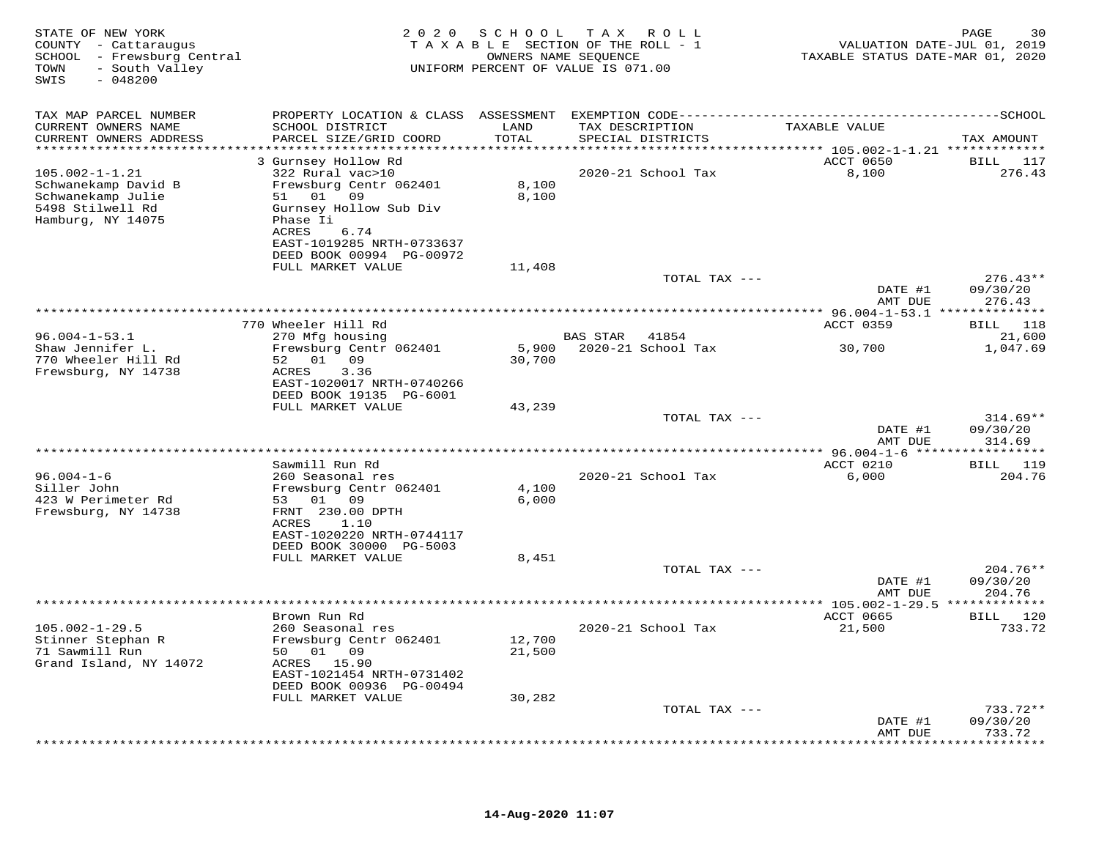| STATE OF NEW YORK<br>COUNTY - Cattaraugus<br>SCHOOL - Frewsburg Central<br>- South Valley<br>TOWN<br>SWIS<br>$-048200$ |                                                       | 2020 SCHOOL    | T A X<br>R O L L<br>TAXABLE SECTION OF THE ROLL - 1<br>OWNERS NAME SEQUENCE<br>UNIFORM PERCENT OF VALUE IS 071.00 | TAXABLE STATUS DATE-MAR 01, 2020 | PAGE<br>30<br>VALUATION DATE-JUL 01, 2019 |
|------------------------------------------------------------------------------------------------------------------------|-------------------------------------------------------|----------------|-------------------------------------------------------------------------------------------------------------------|----------------------------------|-------------------------------------------|
| TAX MAP PARCEL NUMBER<br>CURRENT OWNERS NAME                                                                           | SCHOOL DISTRICT                                       | LAND           | TAX DESCRIPTION                                                                                                   | TAXABLE VALUE                    |                                           |
| CURRENT OWNERS ADDRESS                                                                                                 | PARCEL SIZE/GRID COORD                                | TOTAL          | SPECIAL DISTRICTS                                                                                                 |                                  | TAX AMOUNT                                |
| ***********************                                                                                                | 3 Gurnsey Hollow Rd                                   |                |                                                                                                                   | ACCT 0650                        | BILL 117                                  |
| $105.002 - 1 - 1.21$                                                                                                   | 322 Rural vac>10                                      |                | 2020-21 School Tax                                                                                                | 8,100                            | 276.43                                    |
| Schwanekamp David B<br>Schwanekamp Julie                                                                               | Frewsburg Centr 062401<br>51 01 09                    | 8,100<br>8,100 |                                                                                                                   |                                  |                                           |
| 5498 Stilwell Rd<br>Hamburg, NY 14075                                                                                  | Gurnsey Hollow Sub Div<br>Phase Ii<br>6.74<br>ACRES   |                |                                                                                                                   |                                  |                                           |
|                                                                                                                        | EAST-1019285 NRTH-0733637<br>DEED BOOK 00994 PG-00972 |                |                                                                                                                   |                                  |                                           |
|                                                                                                                        | FULL MARKET VALUE                                     | 11,408         |                                                                                                                   |                                  |                                           |
|                                                                                                                        |                                                       |                | TOTAL TAX ---                                                                                                     | DATE #1                          | $276.43**$<br>09/30/20                    |
|                                                                                                                        |                                                       |                |                                                                                                                   | AMT DUE                          | 276.43                                    |
|                                                                                                                        | 770 Wheeler Hill Rd<br>270 Mfg housing                |                |                                                                                                                   | ACCT 0359                        | BILL 118<br>21,600                        |
| $96.004 - 1 - 53.1$<br>Shaw Jennifer L.                                                                                | Frewsburg Centr 062401                                | 5,900          | BAS STAR<br>41854<br>2020-21 School Tax                                                                           | 30,700                           | 1,047.69                                  |
| 770 Wheeler Hill Rd                                                                                                    | 52 01 09                                              | 30,700         |                                                                                                                   |                                  |                                           |
| Frewsburg, NY 14738                                                                                                    | 3.36<br>ACRES<br>EAST-1020017 NRTH-0740266            |                |                                                                                                                   |                                  |                                           |
|                                                                                                                        | DEED BOOK 19135 PG-6001                               |                |                                                                                                                   |                                  |                                           |
|                                                                                                                        | FULL MARKET VALUE                                     | 43,239         | TOTAL TAX ---                                                                                                     |                                  | $314.69**$                                |
|                                                                                                                        |                                                       |                |                                                                                                                   | DATE #1                          | 09/30/20                                  |
|                                                                                                                        |                                                       |                |                                                                                                                   | AMT DUE                          | 314.69                                    |
|                                                                                                                        | Sawmill Run Rd                                        |                |                                                                                                                   | ACCT 0210                        | BILL 119                                  |
| $96.004 - 1 - 6$<br>Siller John                                                                                        | 260 Seasonal res<br>Frewsburg Centr 062401            | 4,100          | 2020-21 School Tax                                                                                                | 6,000                            | 204.76                                    |
| 423 W Perimeter Rd                                                                                                     | 53 01 09                                              | 6,000          |                                                                                                                   |                                  |                                           |
| Frewsburg, NY 14738                                                                                                    | FRNT 230.00 DPTH<br>ACRES<br>1.10                     |                |                                                                                                                   |                                  |                                           |
|                                                                                                                        | EAST-1020220 NRTH-0744117                             |                |                                                                                                                   |                                  |                                           |
|                                                                                                                        | DEED BOOK 30000 PG-5003<br>FULL MARKET VALUE          | 8,451          |                                                                                                                   |                                  |                                           |
|                                                                                                                        |                                                       |                | TOTAL TAX ---                                                                                                     |                                  | $204.76**$                                |
|                                                                                                                        |                                                       |                |                                                                                                                   | DATE #1<br>AMT DUE               | 09/30/20<br>204.76                        |
|                                                                                                                        |                                                       |                | **************                                                                                                    | ** 105.002-1-29.5 *************  |                                           |
| $105.002 - 1 - 29.5$                                                                                                   | Brown Run Rd<br>260 Seasonal res                      |                | 2020-21 School Tax                                                                                                | ACCT 0665<br>21,500              | BILL 120<br>733.72                        |
| Stinner Stephan R                                                                                                      | Frewsburg Centr 062401                                | 12,700         |                                                                                                                   |                                  |                                           |
| 71 Sawmill Run<br>Grand Island, NY 14072                                                                               | 50 01 09<br>ACRES 15.90                               | 21,500         |                                                                                                                   |                                  |                                           |
|                                                                                                                        | EAST-1021454 NRTH-0731402                             |                |                                                                                                                   |                                  |                                           |
|                                                                                                                        | DEED BOOK 00936 PG-00494<br>FULL MARKET VALUE         | 30,282         |                                                                                                                   |                                  |                                           |
|                                                                                                                        |                                                       |                | TOTAL TAX ---                                                                                                     |                                  | $733.72**$                                |
|                                                                                                                        |                                                       |                |                                                                                                                   | DATE #1                          | 09/30/20<br>733.72                        |
|                                                                                                                        |                                                       |                |                                                                                                                   | AMT DUE                          | ********                                  |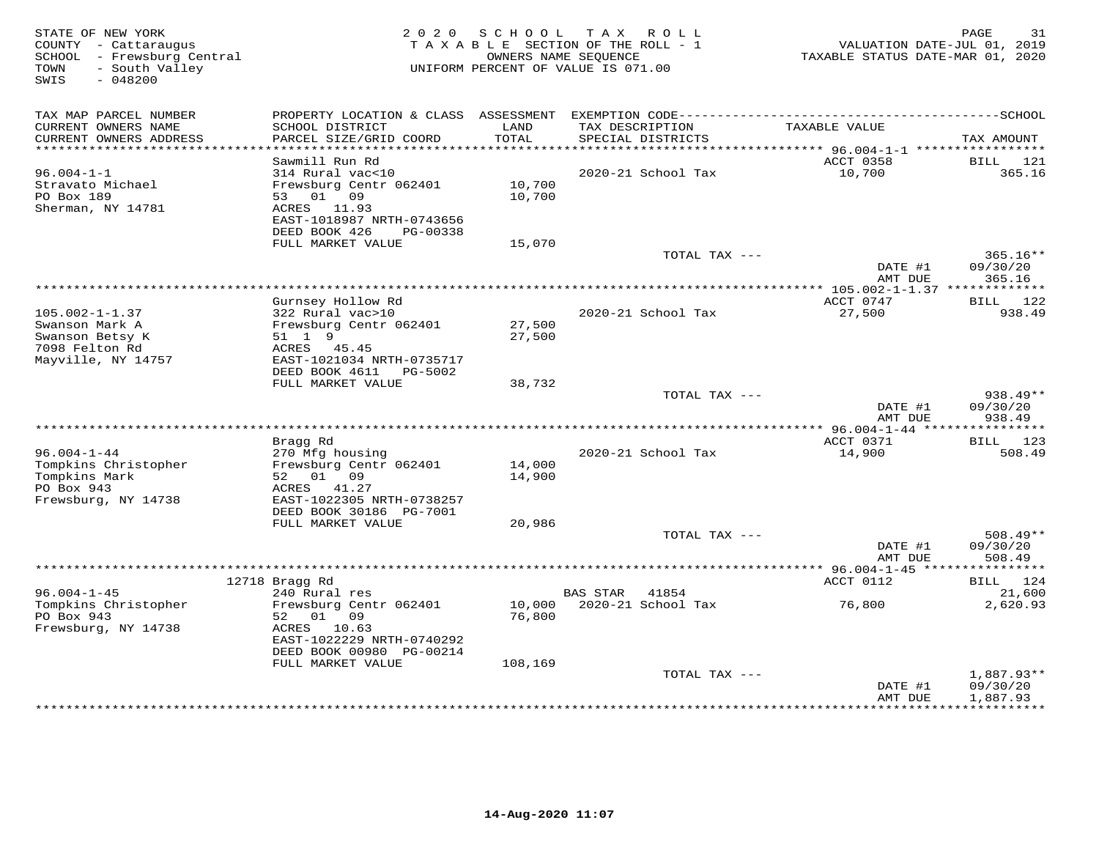| STATE OF NEW YORK<br>COUNTY - Cattaraugus<br>SCHOOL - Frewsburg Central<br>- South Valley<br>TOWN<br>SWIS<br>$-048200$ | 2 0 2 0                                                | SCHOOL<br>TAXABLE SECTION OF THE ROLL - 1<br>OWNERS NAME SEOUENCE<br>UNIFORM PERCENT OF VALUE IS 071.00 | T A X           | R O L L                              | TAXABLE STATUS DATE-MAR 01, 2020                  | 31<br>PAGE<br>VALUATION DATE-JUL 01, 2019 |
|------------------------------------------------------------------------------------------------------------------------|--------------------------------------------------------|---------------------------------------------------------------------------------------------------------|-----------------|--------------------------------------|---------------------------------------------------|-------------------------------------------|
| TAX MAP PARCEL NUMBER                                                                                                  |                                                        |                                                                                                         |                 |                                      |                                                   |                                           |
| CURRENT OWNERS NAME<br>CURRENT OWNERS ADDRESS                                                                          | SCHOOL DISTRICT<br>PARCEL SIZE/GRID COORD              | LAND<br>TOTAL                                                                                           |                 | TAX DESCRIPTION<br>SPECIAL DISTRICTS | TAXABLE VALUE                                     | TAX AMOUNT                                |
| ***********************                                                                                                |                                                        |                                                                                                         |                 |                                      |                                                   |                                           |
| $96.004 - 1 - 1$                                                                                                       | Sawmill Run Rd<br>314 Rural vac<10                     |                                                                                                         |                 | 2020-21 School Tax                   | ACCT 0358<br>10,700                               | BILL<br>121<br>365.16                     |
| Stravato Michael                                                                                                       | Frewsburg Centr 062401                                 | 10,700                                                                                                  |                 |                                      |                                                   |                                           |
| PO Box 189                                                                                                             | 01<br>09<br>53                                         | 10,700                                                                                                  |                 |                                      |                                                   |                                           |
| Sherman, NY 14781                                                                                                      | 11.93<br>ACRES                                         |                                                                                                         |                 |                                      |                                                   |                                           |
|                                                                                                                        | EAST-1018987 NRTH-0743656<br>DEED BOOK 426<br>PG-00338 |                                                                                                         |                 |                                      |                                                   |                                           |
|                                                                                                                        | FULL MARKET VALUE                                      | 15,070                                                                                                  |                 |                                      |                                                   |                                           |
|                                                                                                                        |                                                        |                                                                                                         |                 | TOTAL TAX ---                        |                                                   | 365.16**                                  |
|                                                                                                                        |                                                        |                                                                                                         |                 |                                      | DATE #1                                           | 09/30/20                                  |
|                                                                                                                        |                                                        | *********************************                                                                       |                 |                                      | AMT DUE                                           | 365.16                                    |
|                                                                                                                        | Gurnsey Hollow Rd                                      |                                                                                                         |                 |                                      | ******* 105.002-1-1.37 *************<br>ACCT 0747 | BILL 122                                  |
| $105.002 - 1 - 1.37$                                                                                                   | 322 Rural vac>10                                       |                                                                                                         |                 | 2020-21 School Tax                   | 27,500                                            | 938.49                                    |
| Swanson Mark A                                                                                                         | Frewsburg Centr 062401                                 | 27,500                                                                                                  |                 |                                      |                                                   |                                           |
| Swanson Betsy K                                                                                                        | 51 1 9                                                 | 27,500                                                                                                  |                 |                                      |                                                   |                                           |
| 7098 Felton Rd                                                                                                         | ACRES<br>45.45                                         |                                                                                                         |                 |                                      |                                                   |                                           |
| Mayville, NY 14757                                                                                                     | EAST-1021034 NRTH-0735717                              |                                                                                                         |                 |                                      |                                                   |                                           |
|                                                                                                                        | DEED BOOK 4611<br>PG-5002<br>FULL MARKET VALUE         |                                                                                                         |                 |                                      |                                                   |                                           |
|                                                                                                                        |                                                        | 38,732                                                                                                  |                 | TOTAL TAX ---                        |                                                   | 938.49**                                  |
|                                                                                                                        |                                                        |                                                                                                         |                 |                                      | DATE #1                                           | 09/30/20                                  |
|                                                                                                                        |                                                        |                                                                                                         |                 |                                      | AMT DUE                                           | 938.49                                    |
|                                                                                                                        |                                                        |                                                                                                         |                 |                                      |                                                   |                                           |
|                                                                                                                        | Bragg Rd                                               |                                                                                                         |                 |                                      | ACCT 0371                                         | 123<br>BILL                               |
| $96.004 - 1 - 44$<br>Tompkins Christopher                                                                              | 270 Mfg housing<br>Frewsburg Centr 062401              | 14,000                                                                                                  |                 | 2020-21 School Tax                   | 14,900                                            | 508.49                                    |
| Tompkins Mark                                                                                                          | 52 01 09                                               | 14,900                                                                                                  |                 |                                      |                                                   |                                           |
| PO Box 943                                                                                                             | ACRES<br>41.27                                         |                                                                                                         |                 |                                      |                                                   |                                           |
| Frewsburg, NY 14738                                                                                                    | EAST-1022305 NRTH-0738257                              |                                                                                                         |                 |                                      |                                                   |                                           |
|                                                                                                                        | DEED BOOK 30186 PG-7001                                |                                                                                                         |                 |                                      |                                                   |                                           |
|                                                                                                                        | FULL MARKET VALUE                                      | 20,986                                                                                                  |                 |                                      |                                                   |                                           |
|                                                                                                                        |                                                        |                                                                                                         |                 | TOTAL TAX ---                        | DATE #1                                           | $508.49**$<br>09/30/20                    |
|                                                                                                                        |                                                        |                                                                                                         |                 |                                      | AMT DUE                                           | 508.49                                    |
|                                                                                                                        |                                                        |                                                                                                         |                 |                                      | ********** 96.004-1-45 *****                      | ********                                  |
|                                                                                                                        | 12718 Bragg Rd                                         |                                                                                                         |                 |                                      | ACCT 0112                                         | BILL 124                                  |
| $96.004 - 1 - 45$                                                                                                      | 240 Rural res                                          |                                                                                                         | <b>BAS STAR</b> | 41854                                |                                                   | 21,600                                    |
| Tompkins Christopher                                                                                                   | Frewsburg Centr 062401                                 | 10,000                                                                                                  |                 | 2020-21 School Tax                   | 76,800                                            | 2,620.93                                  |
| PO Box 943<br>Frewsburg, NY 14738                                                                                      | 52<br>01<br>09<br>ACRES<br>10.63                       | 76,800                                                                                                  |                 |                                      |                                                   |                                           |
|                                                                                                                        | EAST-1022229 NRTH-0740292                              |                                                                                                         |                 |                                      |                                                   |                                           |
|                                                                                                                        | DEED BOOK 00980 PG-00214                               |                                                                                                         |                 |                                      |                                                   |                                           |
|                                                                                                                        | FULL MARKET VALUE                                      | 108,169                                                                                                 |                 |                                      |                                                   |                                           |
|                                                                                                                        |                                                        |                                                                                                         |                 | TOTAL TAX ---                        |                                                   | 1,887.93**                                |
|                                                                                                                        |                                                        |                                                                                                         |                 |                                      | DATE #1                                           | 09/30/20                                  |
|                                                                                                                        |                                                        |                                                                                                         |                 |                                      | AMT DUE<br>**********                             | 1,887.93<br>* * * * * * * * * * *         |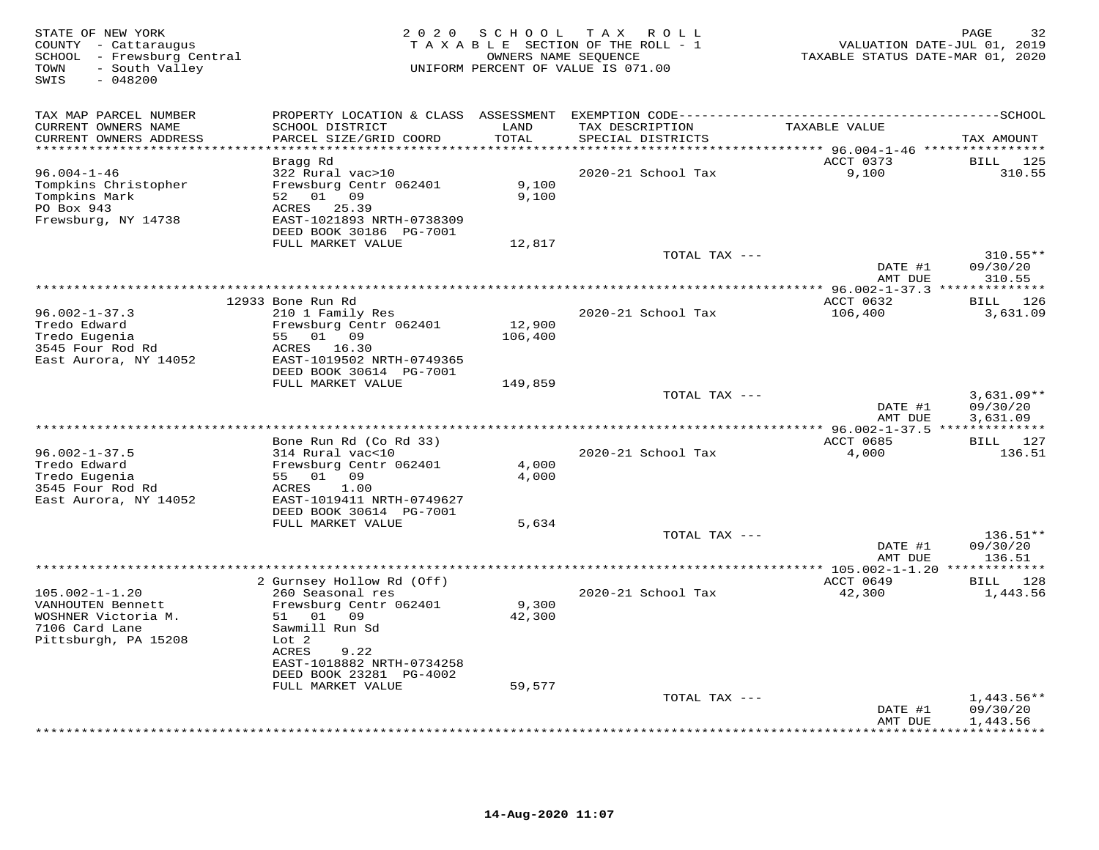| STATE OF NEW YORK<br>COUNTY - Cattaraugus<br>SCHOOL - Frewsburg Central<br>- South Valley<br>TOWN<br>$-048200$<br>SWIS | 2 0 2 0                                                                                                                                                                         | S C H O O L               | TAX ROLL<br>TAXABLE SECTION OF THE ROLL - 1<br>OWNERS NAME SEQUENCE<br>UNIFORM PERCENT OF VALUE IS 071.00 | VALUATION DATE-JUL 01, 2019<br>TAXABLE STATUS DATE-MAR 01, 2020 | PAGE<br>32                                |
|------------------------------------------------------------------------------------------------------------------------|---------------------------------------------------------------------------------------------------------------------------------------------------------------------------------|---------------------------|-----------------------------------------------------------------------------------------------------------|-----------------------------------------------------------------|-------------------------------------------|
| TAX MAP PARCEL NUMBER                                                                                                  |                                                                                                                                                                                 |                           |                                                                                                           |                                                                 |                                           |
| CURRENT OWNERS NAME<br>CURRENT OWNERS ADDRESS                                                                          | SCHOOL DISTRICT<br>PARCEL SIZE/GRID COORD                                                                                                                                       | LAND<br>TOTAL<br>*******  | TAX DESCRIPTION<br>SPECIAL DISTRICTS                                                                      | TAXABLE VALUE                                                   | TAX AMOUNT                                |
|                                                                                                                        | Bragg Rd                                                                                                                                                                        |                           |                                                                                                           | ****** 96.004-1-46 ****************<br>ACCT 0373                | BILL 125                                  |
| $96.004 - 1 - 46$<br>Tompkins Christopher<br>Tompkins Mark<br>PO Box 943<br>Frewsburg, NY 14738                        | 322 Rural vac>10<br>Frewsburg Centr 062401<br>52 01 09<br>ACRES 25.39<br>EAST-1021893 NRTH-0738309<br>DEED BOOK 30186 PG-7001                                                   | 9,100<br>9,100            | 2020-21 School Tax                                                                                        | 9,100                                                           | 310.55                                    |
|                                                                                                                        | FULL MARKET VALUE                                                                                                                                                               | 12,817                    |                                                                                                           |                                                                 |                                           |
|                                                                                                                        |                                                                                                                                                                                 |                           | TOTAL TAX ---                                                                                             |                                                                 | $310.55**$                                |
|                                                                                                                        |                                                                                                                                                                                 |                           |                                                                                                           | DATE #1<br>AMT DUE                                              | 09/30/20<br>310.55                        |
|                                                                                                                        |                                                                                                                                                                                 |                           |                                                                                                           | ** 96.002-1-37.3 ***************                                |                                           |
|                                                                                                                        | 12933 Bone Run Rd                                                                                                                                                               |                           |                                                                                                           | ACCT 0632                                                       | BILL 126                                  |
| $96.002 - 1 - 37.3$<br>Tredo Edward<br>Tredo Eugenia<br>3545 Four Rod Rd<br>East Aurora, NY 14052                      | 210 1 Family Res<br>Frewsburg Centr 062401<br>55 01 09<br>ACRES 16.30<br>EAST-1019502 NRTH-0749365<br>DEED BOOK 30614 PG-7001                                                   | 12,900<br>106,400         | 2020-21 School Tax                                                                                        | 106,400                                                         | 3,631.09                                  |
|                                                                                                                        | FULL MARKET VALUE                                                                                                                                                               | 149,859                   |                                                                                                           |                                                                 |                                           |
|                                                                                                                        |                                                                                                                                                                                 |                           | TOTAL TAX ---                                                                                             | DATE #1<br>AMT DUE                                              | $3,631.09**$<br>09/30/20<br>3,631.09      |
|                                                                                                                        |                                                                                                                                                                                 |                           | *********************                                                                                     | ** 96.002-1-37.5 **************                                 |                                           |
| $96.002 - 1 - 37.5$<br>Tredo Edward<br>Tredo Eugenia<br>3545 Four Rod Rd<br>East Aurora, NY 14052                      | Bone Run Rd (Co Rd 33)<br>314 Rural vac<10<br>Frewsburg Centr 062401<br>55 01 09<br>1.00<br>ACRES<br>EAST-1019411 NRTH-0749627<br>DEED BOOK 30614 PG-7001                       | 4,000<br>4,000            | 2020-21 School Tax                                                                                        | ACCT 0685<br>4,000                                              | BILL 127<br>136.51                        |
|                                                                                                                        | FULL MARKET VALUE                                                                                                                                                               | 5,634                     |                                                                                                           |                                                                 |                                           |
|                                                                                                                        |                                                                                                                                                                                 |                           | TOTAL TAX ---                                                                                             | DATE #1<br>AMT DUE                                              | $136.51**$<br>09/30/20<br>136.51          |
|                                                                                                                        | 2 Gurnsey Hollow Rd (Off)                                                                                                                                                       |                           |                                                                                                           | ACCT 0649                                                       | BILL 128                                  |
| $105.002 - 1 - 1.20$<br>VANHOUTEN Bennett<br>WOSHNER Victoria M.<br>7106 Card Lane<br>Pittsburgh, PA 15208             | 260 Seasonal res<br>Frewsburg Centr 062401<br>51 01 09<br>Sawmill Run Sd<br>Lot 2<br>ACRES<br>9.22<br>EAST-1018882 NRTH-0734258<br>DEED BOOK 23281 PG-4002<br>FULL MARKET VALUE | 9,300<br>42,300<br>59,577 | 2020-21 School Tax                                                                                        | 42,300                                                          | 1,443.56                                  |
|                                                                                                                        |                                                                                                                                                                                 |                           | TOTAL TAX ---                                                                                             |                                                                 | $1,443.56**$                              |
|                                                                                                                        |                                                                                                                                                                                 |                           |                                                                                                           | DATE #1<br>AMT DUE                                              | 09/30/20<br>1,443.56<br>* * * * * * * * * |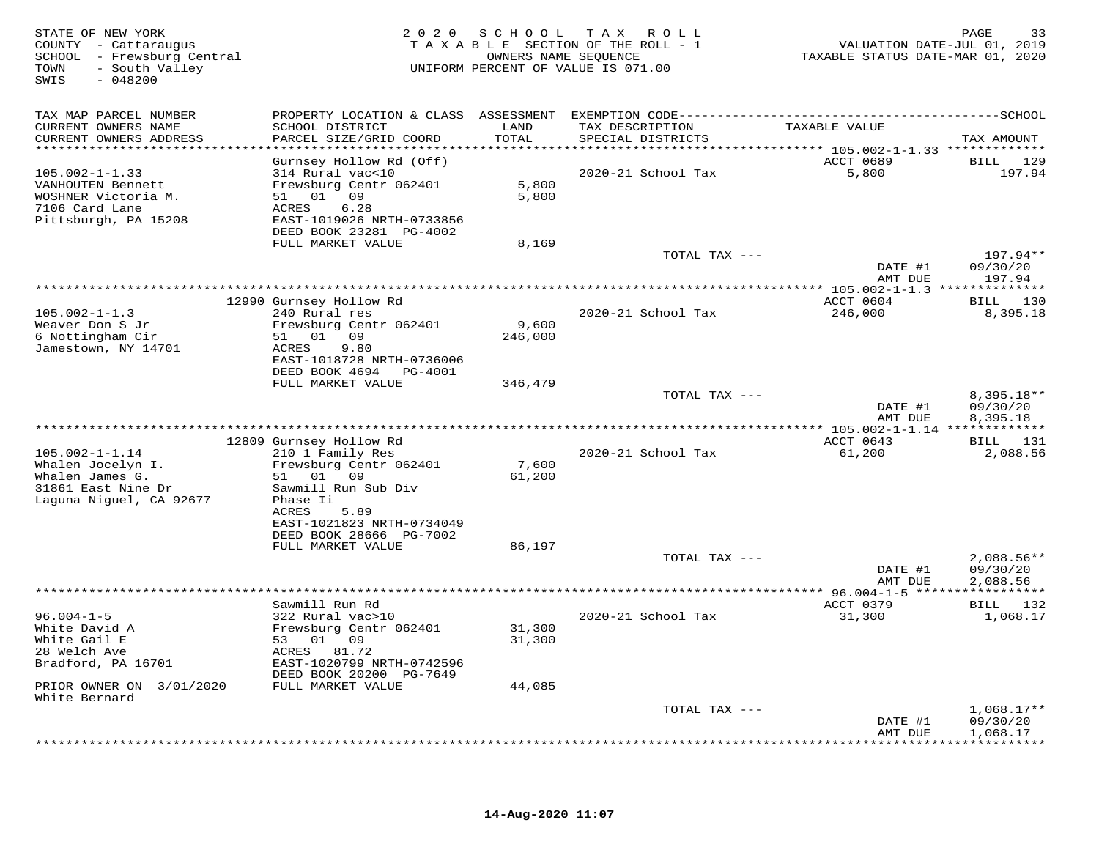| STATE OF NEW YORK<br>COUNTY - Cattaraugus<br>SCHOOL - Frewsburg Central<br>- South Valley<br>TOWN<br>$-048200$<br>SWIS | 2020                                                                  | S C H O O L      | TAX ROLL<br>TAXABLE SECTION OF THE ROLL - 1<br>OWNERS NAME SEQUENCE<br>UNIFORM PERCENT OF VALUE IS 071.00 | VALUATION DATE-JUL 01, 2019<br>TAXABLE STATUS DATE-MAR 01, 2020 | 33<br>PAGE                  |
|------------------------------------------------------------------------------------------------------------------------|-----------------------------------------------------------------------|------------------|-----------------------------------------------------------------------------------------------------------|-----------------------------------------------------------------|-----------------------------|
| TAX MAP PARCEL NUMBER                                                                                                  | PROPERTY LOCATION & CLASS ASSESSMENT EXEMPTION CODE---------------    |                  |                                                                                                           |                                                                 | ------------SCHOOL          |
| CURRENT OWNERS NAME<br>CURRENT OWNERS ADDRESS                                                                          | SCHOOL DISTRICT<br>PARCEL SIZE/GRID COORD                             | LAND<br>TOTAL    | TAX DESCRIPTION<br>SPECIAL DISTRICTS                                                                      | TAXABLE VALUE                                                   | TAX AMOUNT                  |
| ***********************                                                                                                | ************************                                              | **************   |                                                                                                           |                                                                 |                             |
| $105.002 - 1 - 1.33$<br>VANHOUTEN Bennett                                                                              | Gurnsey Hollow Rd (Off)<br>314 Rural vac<10<br>Frewsburg Centr 062401 | 5,800            | 2020-21 School Tax                                                                                        | ACCT 0689<br>5,800                                              | BILL<br>129<br>197.94       |
| WOSHNER Victoria M.<br>7106 Card Lane<br>Pittsburgh, PA 15208                                                          | 51 01 09<br>6.28<br>ACRES<br>EAST-1019026 NRTH-0733856                | 5,800            |                                                                                                           |                                                                 |                             |
|                                                                                                                        | DEED BOOK 23281 PG-4002                                               |                  |                                                                                                           |                                                                 |                             |
|                                                                                                                        | FULL MARKET VALUE                                                     | 8,169            | TOTAL TAX ---                                                                                             |                                                                 | 197.94**                    |
|                                                                                                                        |                                                                       |                  |                                                                                                           | DATE #1<br>AMT DUE                                              | 09/30/20<br>197.94          |
|                                                                                                                        |                                                                       |                  |                                                                                                           |                                                                 | * * * * * * * * *           |
|                                                                                                                        | 12990 Gurnsey Hollow Rd                                               |                  |                                                                                                           | ACCT 0604                                                       | 130<br>BILL                 |
| $105.002 - 1 - 1.3$                                                                                                    | 240 Rural res                                                         |                  | 2020-21 School Tax                                                                                        | 246,000                                                         | 8,395.18                    |
| Weaver Don S Jr<br>6 Nottingham Cir                                                                                    | Frewsburg Centr 062401<br>01<br>09<br>51                              | 9,600<br>246,000 |                                                                                                           |                                                                 |                             |
| Jamestown, NY 14701                                                                                                    | 9.80<br>ACRES                                                         |                  |                                                                                                           |                                                                 |                             |
|                                                                                                                        | EAST-1018728 NRTH-0736006                                             |                  |                                                                                                           |                                                                 |                             |
|                                                                                                                        | DEED BOOK 4694<br>PG-4001<br>FULL MARKET VALUE                        | 346,479          |                                                                                                           |                                                                 |                             |
|                                                                                                                        |                                                                       |                  | TOTAL TAX ---                                                                                             |                                                                 | 8,395.18**                  |
|                                                                                                                        |                                                                       |                  |                                                                                                           | DATE #1<br>AMT DUE                                              | 09/30/20<br>8,395.18        |
|                                                                                                                        |                                                                       |                  |                                                                                                           |                                                                 |                             |
| $105.002 - 1 - 1.14$                                                                                                   | 12809 Gurnsey Hollow Rd<br>210 1 Family Res                           |                  | 2020-21 School Tax                                                                                        | ACCT 0643<br>61,200                                             | <b>BILL</b> 131<br>2,088.56 |
| Whalen Jocelyn I.                                                                                                      | Frewsburg Centr 062401                                                | 7,600            |                                                                                                           |                                                                 |                             |
| Whalen James G.                                                                                                        | 51 01<br>09                                                           | 61,200           |                                                                                                           |                                                                 |                             |
| 31861 East Nine Dr                                                                                                     | Sawmill Run Sub Div                                                   |                  |                                                                                                           |                                                                 |                             |
| Laguna Niguel, CA 92677                                                                                                | Phase Ii<br><b>ACRES</b><br>5.89                                      |                  |                                                                                                           |                                                                 |                             |
|                                                                                                                        | EAST-1021823 NRTH-0734049                                             |                  |                                                                                                           |                                                                 |                             |
|                                                                                                                        | DEED BOOK 28666 PG-7002                                               |                  |                                                                                                           |                                                                 |                             |
|                                                                                                                        | FULL MARKET VALUE                                                     | 86,197           |                                                                                                           |                                                                 |                             |
|                                                                                                                        |                                                                       |                  | TOTAL TAX ---                                                                                             | DATE #1                                                         | $2,088.56**$<br>09/30/20    |
|                                                                                                                        |                                                                       |                  |                                                                                                           | AMT DUE                                                         | 2,088.56                    |
|                                                                                                                        |                                                                       |                  |                                                                                                           |                                                                 |                             |
| $96.004 - 1 - 5$                                                                                                       | Sawmill Run Rd<br>322 Rural vac>10                                    |                  | 2020-21 School Tax                                                                                        | ACCT 0379<br>31,300                                             | BILL 132<br>1,068.17        |
| White David A                                                                                                          | Frewsburg Centr 062401                                                | 31,300           |                                                                                                           |                                                                 |                             |
| White Gail E                                                                                                           | 53 01 09                                                              | 31,300           |                                                                                                           |                                                                 |                             |
| 28 Welch Ave                                                                                                           | ACRES<br>81.72                                                        |                  |                                                                                                           |                                                                 |                             |
| Bradford, PA 16701                                                                                                     | EAST-1020799 NRTH-0742596<br>DEED BOOK 20200 PG-7649                  |                  |                                                                                                           |                                                                 |                             |
| PRIOR OWNER ON 3/01/2020                                                                                               | FULL MARKET VALUE                                                     | 44,085           |                                                                                                           |                                                                 |                             |
| White Bernard                                                                                                          |                                                                       |                  |                                                                                                           |                                                                 |                             |
|                                                                                                                        |                                                                       |                  | TOTAL TAX ---                                                                                             | DATE #1                                                         | $1,068.17**$<br>09/30/20    |
|                                                                                                                        |                                                                       |                  |                                                                                                           | AMT DUE                                                         | 1,068.17                    |
|                                                                                                                        |                                                                       |                  |                                                                                                           | * * * * * * * *                                                 | * * * * * * * * *           |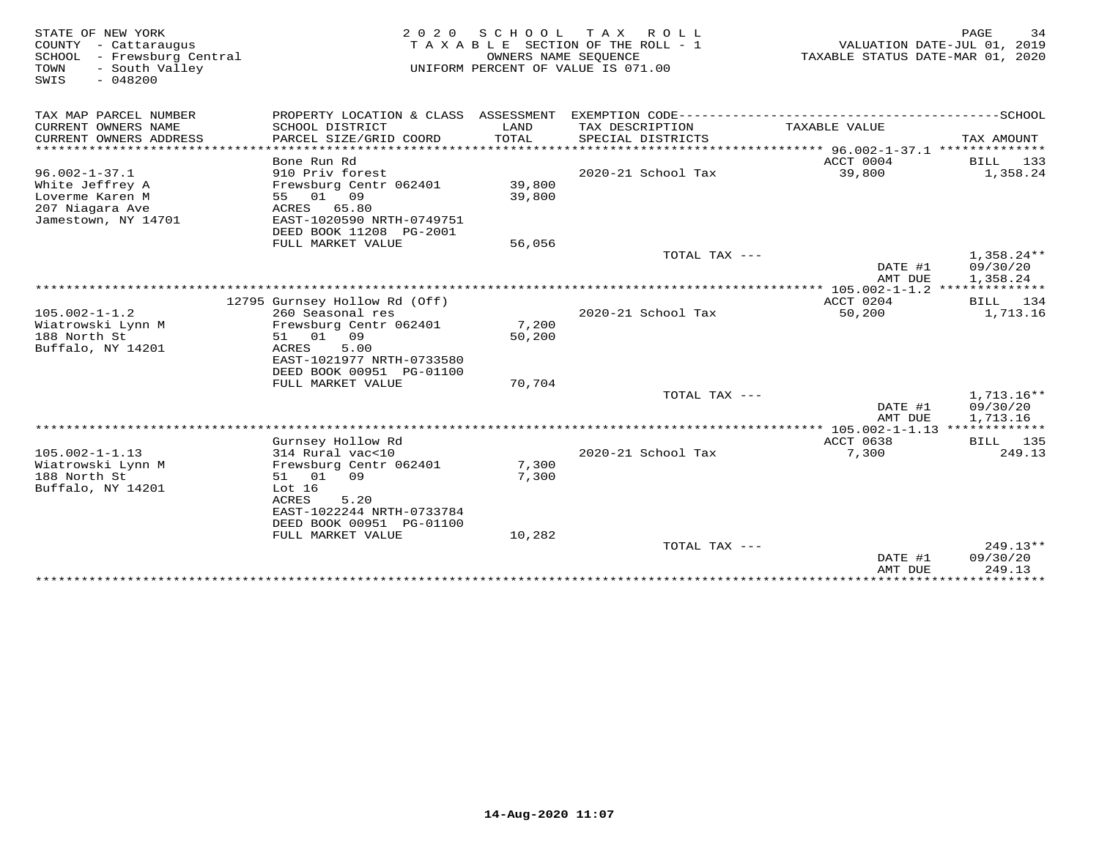| STATE OF NEW YORK<br>COUNTY - Cattaraugus<br>SCHOOL<br>- Frewsburg Central<br>- South Valley<br>TOWN<br>SWIS<br>$-048200$ | 2 0 2 0                                                                                                                                | S C H O O L                     | T A X<br>R O L L<br>TAXABLE SECTION OF THE ROLL - 1<br>OWNERS NAME SEQUENCE<br>UNIFORM PERCENT OF VALUE IS 071.00 | VALUATION DATE-JUL 01, 2019<br>TAXABLE STATUS DATE-MAR 01, 2020 | PAGE<br>34                           |
|---------------------------------------------------------------------------------------------------------------------------|----------------------------------------------------------------------------------------------------------------------------------------|---------------------------------|-------------------------------------------------------------------------------------------------------------------|-----------------------------------------------------------------|--------------------------------------|
| TAX MAP PARCEL NUMBER                                                                                                     | PROPERTY LOCATION & CLASS ASSESSMENT                                                                                                   |                                 | EXEMPTION CODE-------------------                                                                                 |                                                                 | --------------SCHOOL                 |
| CURRENT OWNERS NAME<br>CURRENT OWNERS ADDRESS                                                                             | SCHOOL DISTRICT<br>PARCEL SIZE/GRID COORD                                                                                              | LAND<br>TOTAL                   | TAX DESCRIPTION<br>SPECIAL DISTRICTS                                                                              | TAXABLE VALUE                                                   | TAX AMOUNT                           |
| *******************                                                                                                       | ********************<br>Bone Run Rd                                                                                                    | ******************************* |                                                                                                                   | ***************** 96.002-1-37.1 ***************<br>ACCT 0004    | BILL<br>133                          |
| $96.002 - 1 - 37.1$                                                                                                       | 910 Priv forest                                                                                                                        |                                 | 2020-21 School Tax                                                                                                | 39,800                                                          | 1,358.24                             |
| White Jeffrey A<br>Loverme Karen M<br>207 Niagara Ave                                                                     | Frewsburg Centr 062401<br>55 01<br>09<br>ACRES<br>65.80                                                                                | 39,800<br>39,800                |                                                                                                                   |                                                                 |                                      |
| Jamestown, NY 14701                                                                                                       | EAST-1020590 NRTH-0749751<br>DEED BOOK 11208 PG-2001                                                                                   |                                 |                                                                                                                   |                                                                 |                                      |
|                                                                                                                           | FULL MARKET VALUE                                                                                                                      | 56,056                          |                                                                                                                   |                                                                 |                                      |
|                                                                                                                           |                                                                                                                                        |                                 | TOTAL TAX ---                                                                                                     | DATE #1<br>AMT DUE                                              | $1,358.24**$<br>09/30/20<br>1,358.24 |
|                                                                                                                           |                                                                                                                                        |                                 |                                                                                                                   |                                                                 |                                      |
|                                                                                                                           | 12795 Gurnsey Hollow Rd (Off)                                                                                                          |                                 |                                                                                                                   | ACCT 0204                                                       | BILL 134                             |
| $105.002 - 1 - 1.2$<br>Wiatrowski Lynn M<br>188 North St<br>Buffalo, NY 14201                                             | 260 Seasonal res<br>Frewsburg Centr 062401<br>01<br>09<br>51<br>5.00<br>ACRES<br>EAST-1021977 NRTH-0733580<br>DEED BOOK 00951 PG-01100 | 7,200<br>50,200                 | 2020-21 School Tax                                                                                                | 50,200                                                          | 1,713.16                             |
|                                                                                                                           | FULL MARKET VALUE                                                                                                                      | 70,704                          | TOTAL TAX ---                                                                                                     |                                                                 | $1,713.16**$                         |
|                                                                                                                           |                                                                                                                                        |                                 |                                                                                                                   | DATE #1<br>AMT DUE                                              | 09/30/20<br>1,713.16                 |
|                                                                                                                           |                                                                                                                                        |                                 |                                                                                                                   |                                                                 |                                      |
| $105.002 - 1 - 1.13$<br>Wiatrowski Lynn M                                                                                 | Gurnsey Hollow Rd<br>314 Rural vac<10<br>Frewsburg Centr 062401                                                                        | 7,300                           | $2020 - 21$ School Tax                                                                                            | ACCT 0638<br>7,300                                              | BILL 135<br>249.13                   |
| 188 North St<br>Buffalo, NY 14201                                                                                         | 51 01<br>09<br>Lot $16$<br>ACRES<br>5.20<br>EAST-1022244 NRTH-0733784<br>DEED BOOK 00951 PG-01100<br>FULL MARKET VALUE                 | 7,300<br>10,282                 |                                                                                                                   |                                                                 |                                      |
|                                                                                                                           |                                                                                                                                        |                                 | TOTAL TAX ---                                                                                                     | DATE #1                                                         | $249.13**$<br>09/30/20               |
|                                                                                                                           |                                                                                                                                        |                                 |                                                                                                                   | AMT DUE                                                         | 249.13                               |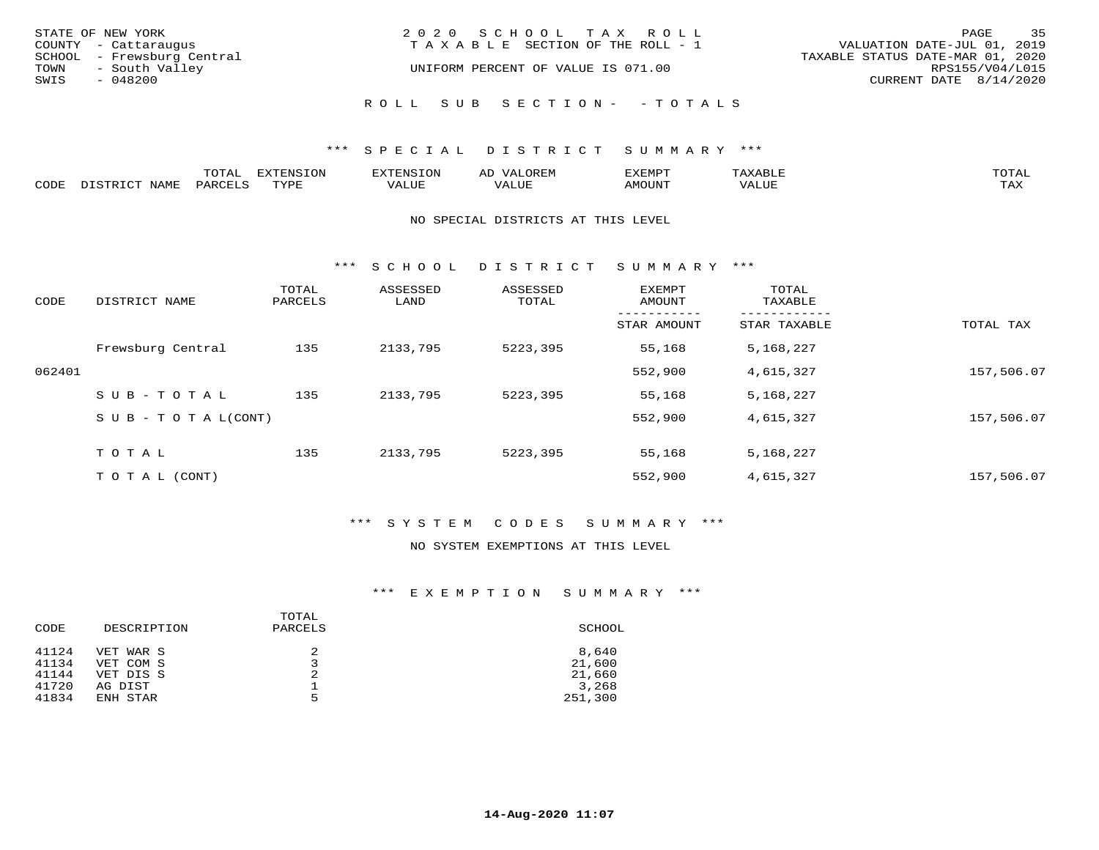|      | STATE OF NEW YORK<br>COUNTY - Cattaraugus    | 2020 SCHOOL TAX ROLL<br>T A X A B L E SECTION OF THE ROLL - 1 | PAGE<br>VALUATION DATE-JUL 01, 2019                 | 35 |
|------|----------------------------------------------|---------------------------------------------------------------|-----------------------------------------------------|----|
| TOWN | SCHOOL - Frewsburg Central<br>- South Valley | UNIFORM PERCENT OF VALUE IS 071.00                            | TAXABLE STATUS DATE-MAR 01, 2020<br>RPS155/V04/L015 |    |
| SWIS | - 048200                                     |                                                               | CURRENT DATE 8/14/2020                              |    |
|      |                                              | ROLL SUB SECTION- - TOTALS                                    |                                                     |    |

|      |                        | ጥ∩ጥአ<br>- UIAL | <b>DIZMONIC</b><br>ION | AD   | . ت س<br>⊐ויושב∠ |                                        |            |
|------|------------------------|----------------|------------------------|------|------------------|----------------------------------------|------------|
| CODE | <b>NTAMT</b><br>77 O L | PARO           | TVDF                   | ALUE | IMOUNT           | * * * * * * * *<br>$'$ ALUN $_{\rm L}$ | may<br>∸∽∸ |

### NO SPECIAL DISTRICTS AT THIS LEVEL

\*\*\* S C H O O L D I S T R I C T S U M M A R Y \*\*\*

| CODE   | DISTRICT NAME                    | TOTAL<br>PARCELS | ASSESSED<br>LAND | ASSESSED<br>TOTAL | EXEMPT<br>AMOUNT | TOTAL<br>TAXABLE |            |
|--------|----------------------------------|------------------|------------------|-------------------|------------------|------------------|------------|
|        |                                  |                  |                  |                   | STAR AMOUNT      | STAR TAXABLE     | TOTAL TAX  |
|        | Frewsburg Central                | 135              | 2133,795         | 5223,395          | 55,168           | 5,168,227        |            |
| 062401 |                                  |                  |                  |                   | 552,900          | 4,615,327        | 157,506.07 |
|        | SUB-TOTAL                        | 135              | 2133,795         | 5223,395          | 55,168           | 5,168,227        |            |
|        | $S \cup B - T \cup T A L (CONT)$ |                  |                  |                   | 552,900          | 4,615,327        | 157,506.07 |
|        | TOTAL                            | 135              | 2133,795         | 5223,395          | 55,168           | 5,168,227        |            |
|        | T O T A L (CONT)                 |                  |                  |                   | 552,900          | 4,615,327        | 157,506.07 |

### \*\*\* S Y S T E M C O D E S S U M M A R Y \*\*\*

### NO SYSTEM EXEMPTIONS AT THIS LEVEL

| DESCRIPTION | PARCELS | SCHOOL  |
|-------------|---------|---------|
| VET WAR S   |         | 8,640   |
| VET COM S   |         | 21,600  |
| VET DIS S   | 2       | 21,660  |
| AG DIST     |         | 3,268   |
| ENH STAR    | 5       | 251,300 |
|             |         | TOTAL   |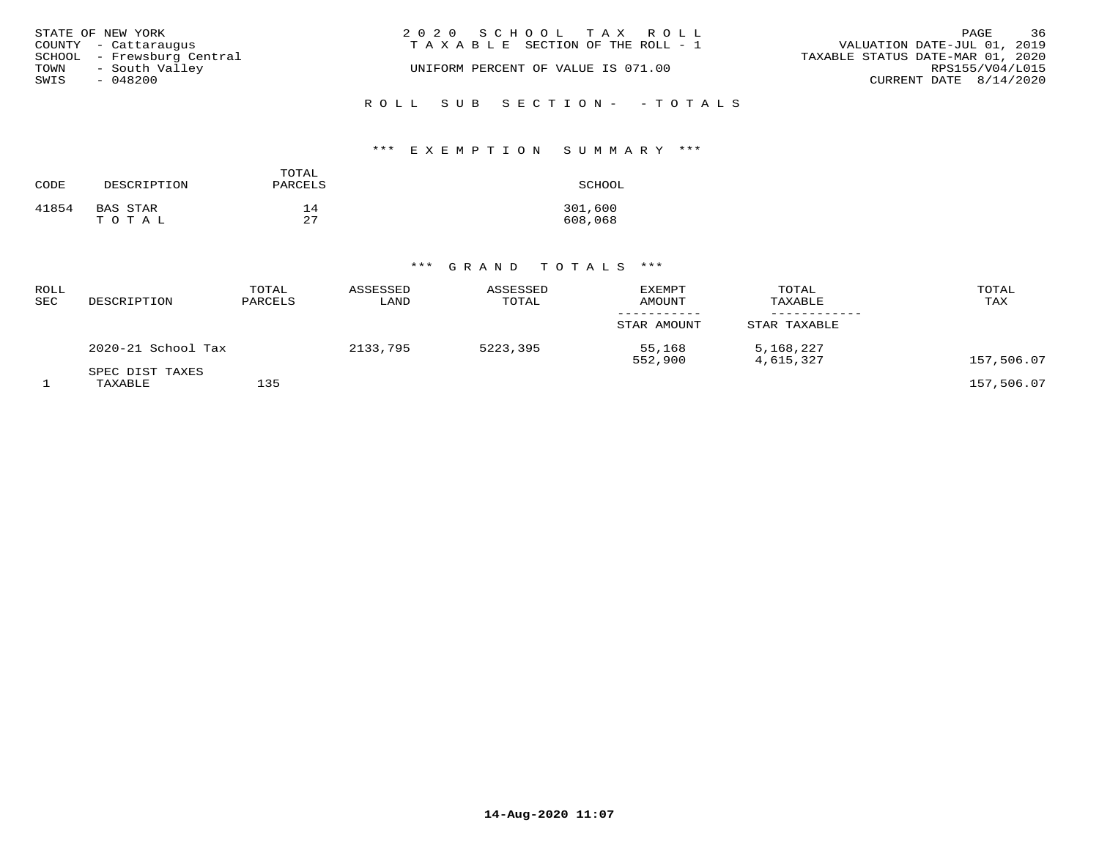| STATE OF NEW YORK<br>COUNTY - Cattaraugus                             | 2020 SCHOOL TAX ROLL<br>T A X A B L E SECTION OF THE ROLL - 1 | 36<br>PAGE<br>VALUATION DATE-JUL 01, 2019                                     |
|-----------------------------------------------------------------------|---------------------------------------------------------------|-------------------------------------------------------------------------------|
| SCHOOL - Frewsburg Central<br>TOWN - South Valley<br>SWIS<br>- 048200 | UNIFORM PERCENT OF VALUE IS 071.00                            | TAXABLE STATUS DATE-MAR 01, 2020<br>RPS155/V04/L015<br>CURRENT DATE 8/14/2020 |
|                                                                       | ROLL SUB SECTION - - TOTALS                                   |                                                                               |

### \*\*\* E X E M P T I O N S U M M A R Y \*\*\*

| CODE  | DESCRIPTION | TOTAL<br>PARCELS | SCHOOL  |
|-------|-------------|------------------|---------|
| 41854 | BAS STAR    | 14               | 301,600 |
|       | TOTAL       | 27               | 608,068 |

| ROLL<br>SEC | DESCRIPTION                | TOTAL<br>PARCELS | ASSESSED<br>LAND | ASSESSED<br>TOTAL | <b>EXEMPT</b><br>AMOUNT | TOTAL<br>TAXABLE       | TOTAL<br>TAX |
|-------------|----------------------------|------------------|------------------|-------------------|-------------------------|------------------------|--------------|
|             |                            |                  |                  |                   | STAR AMOUNT             | STAR TAXABLE           |              |
|             | 2020-21 School Tax         |                  | 2133,795         | 5223,395          | 55,168<br>552,900       | 5,168,227<br>4,615,327 | 157,506.07   |
|             | SPEC DIST TAXES<br>TAXABLE | 135              |                  |                   |                         |                        | 157,506.07   |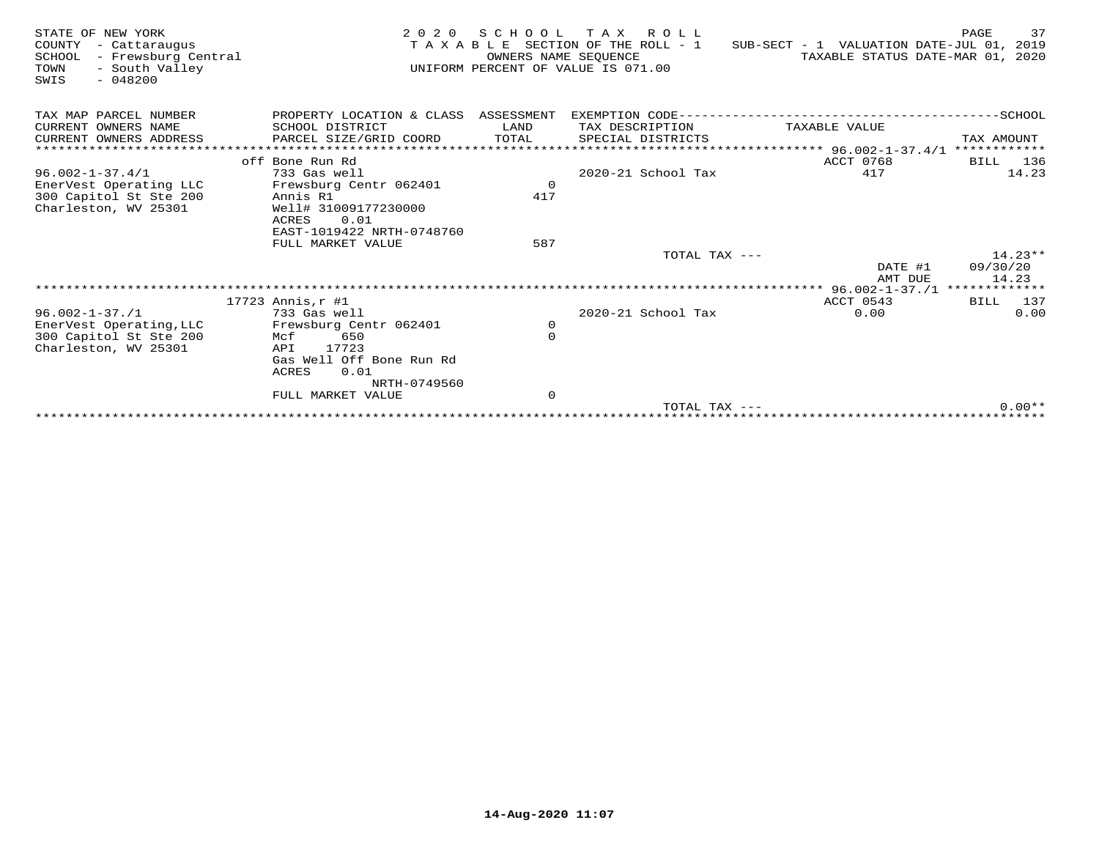| STATE OF NEW YORK<br>COUNTY<br>- Cattaraugus<br>- Frewsburg Central<br>SCHOOL<br>- South Valley<br>TOWN<br>$-048200$<br>SWIS | 2 0 2 0                              | S C H O O L<br>OWNERS NAME SEQUENCE | T A X<br>R O L L<br>T A X A B L E SECTION OF THE ROLL - 1<br>UNIFORM PERCENT OF VALUE IS 071.00 | SUB-SECT - 1 VALUATION DATE-JUL 01, 2019<br>TAXABLE STATUS DATE-MAR 01, 2020 | 37<br>PAGE           |
|------------------------------------------------------------------------------------------------------------------------------|--------------------------------------|-------------------------------------|-------------------------------------------------------------------------------------------------|------------------------------------------------------------------------------|----------------------|
| TAX MAP PARCEL NUMBER                                                                                                        | PROPERTY LOCATION & CLASS ASSESSMENT |                                     | EXEMPTION CODE---                                                                               |                                                                              | -SCHOOL              |
| CURRENT OWNERS NAME                                                                                                          | SCHOOL DISTRICT                      | LAND                                | TAX DESCRIPTION                                                                                 | TAXABLE VALUE                                                                |                      |
| CURRENT OWNERS ADDRESS                                                                                                       | PARCEL SIZE/GRID COORD               | TOTAL                               | SPECIAL DISTRICTS                                                                               |                                                                              | TAX AMOUNT           |
| *******************                                                                                                          |                                      |                                     |                                                                                                 | **** 96.002-1-37.4/1 ************                                            |                      |
| $96.002 - 1 - 37.4/1$                                                                                                        | off Bone Run Rd<br>733 Gas well      |                                     | 2020-21 School Tax                                                                              | ACCT 0768<br>417                                                             | 136<br>BILL<br>14.23 |
| EnerVest Operating LLC                                                                                                       | Frewsburg Centr 062401               | $\mathbf 0$                         |                                                                                                 |                                                                              |                      |
| 300 Capitol St Ste 200                                                                                                       | Annis R1                             | 417                                 |                                                                                                 |                                                                              |                      |
| Charleston, WV 25301                                                                                                         | Well# 31009177230000                 |                                     |                                                                                                 |                                                                              |                      |
|                                                                                                                              | 0.01<br>ACRES                        |                                     |                                                                                                 |                                                                              |                      |
|                                                                                                                              | EAST-1019422 NRTH-0748760            |                                     |                                                                                                 |                                                                              |                      |
|                                                                                                                              | FULL MARKET VALUE                    | 587                                 |                                                                                                 |                                                                              |                      |
|                                                                                                                              |                                      |                                     | TOTAL TAX ---                                                                                   |                                                                              | $14.23**$            |
|                                                                                                                              |                                      |                                     |                                                                                                 | DATE #1<br>AMT DUE                                                           | 09/30/20<br>14.23    |
|                                                                                                                              |                                      |                                     |                                                                                                 | *************** 96.002-1-37./1 **************                                |                      |
|                                                                                                                              | $17723$ Annis, $r$ #1                |                                     |                                                                                                 | ACCT 0543                                                                    | BILL 137             |
| $96.002 - 1 - 37.71$                                                                                                         | 733 Gas well                         |                                     | $2020 - 21$ School Tax                                                                          | 0.00                                                                         | 0.00                 |
| EnerVest Operating, LLC                                                                                                      | Frewsburg Centr 062401               | 0                                   |                                                                                                 |                                                                              |                      |
| 300 Capitol St Ste 200                                                                                                       | 650<br>Mcf                           | $\mathbf 0$                         |                                                                                                 |                                                                              |                      |
| Charleston, WV 25301                                                                                                         | 17723<br>API                         |                                     |                                                                                                 |                                                                              |                      |
|                                                                                                                              | Gas Well Off Bone Run Rd<br>0.01     |                                     |                                                                                                 |                                                                              |                      |
|                                                                                                                              | ACRES<br>NRTH-0749560                |                                     |                                                                                                 |                                                                              |                      |
|                                                                                                                              | FULL MARKET VALUE                    | $\mathbf 0$                         |                                                                                                 |                                                                              |                      |
|                                                                                                                              |                                      |                                     | TOTAL TAX $---$                                                                                 |                                                                              | $0.00**$             |
|                                                                                                                              |                                      |                                     |                                                                                                 |                                                                              |                      |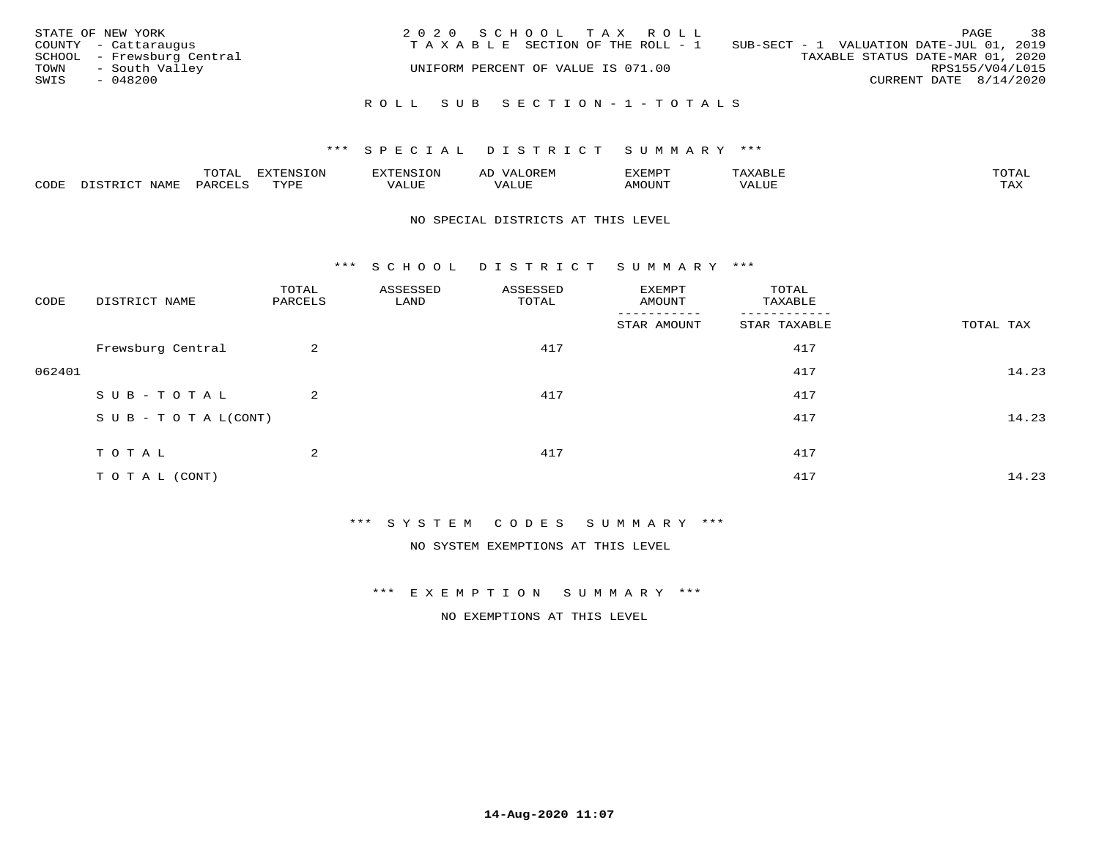| STATE OF NEW YORK<br>COUNTY - Cattaraugus<br>SCHOOL - Frewsburg Central<br>- South Valley<br>TOWN<br>SWIS<br>- 048200 | 2020 SCHOOL TAX ROLL<br>TAXABLE SECTION OF THE ROLL - 1<br>UNIFORM PERCENT OF VALUE IS 071.00 | 38<br>PAGE<br>SUB-SECT - 1 VALUATION DATE-JUL 01, 2019<br>TAXABLE STATUS DATE-MAR 01, 2020<br>RPS155/V04/L015<br>CURRENT DATE 8/14/2020 |
|-----------------------------------------------------------------------------------------------------------------------|-----------------------------------------------------------------------------------------------|-----------------------------------------------------------------------------------------------------------------------------------------|
|                                                                                                                       | ROLL SUB SECTION-1-TOTALS                                                                     |                                                                                                                                         |

|      |              | ™∩ͲϪ<br>بمحمد ب | -OP,             | <b>FNC</b> | ΑL    | ֿישוע         |       |                    |
|------|--------------|-----------------|------------------|------------|-------|---------------|-------|--------------------|
| CODE | NAME<br>– a- | PART            | mynne<br>- - - - | ALUF       | 'ALUE | <b>IMOUNT</b> | VALUE | <b>TRAV</b><br>∸∽∸ |

### NO SPECIAL DISTRICTS AT THIS LEVEL

\*\*\* S C H O O L D I S T R I C T S U M M A R Y \*\*\*

| CODE   | DISTRICT NAME                    | TOTAL<br>PARCELS | ASSESSED<br>LAND | ASSESSED<br>TOTAL | EXEMPT<br>AMOUNT | TOTAL<br>TAXABLE |           |
|--------|----------------------------------|------------------|------------------|-------------------|------------------|------------------|-----------|
|        |                                  |                  |                  |                   | STAR AMOUNT      | STAR TAXABLE     | TOTAL TAX |
|        | Frewsburg Central                | $\overline{a}$   |                  | 417               |                  | 417              |           |
| 062401 |                                  |                  |                  |                   |                  | 417              | 14.23     |
|        | SUB-TOTAL                        | $\overline{a}$   |                  | 417               |                  | 417              |           |
|        | $S \cup B - T \cup T A L (CONT)$ |                  |                  |                   |                  | 417              | 14.23     |
|        | TOTAL                            | 2                |                  | 417               |                  | 417              |           |
|        | T O T A L (CONT)                 |                  |                  |                   |                  | 417              | 14.23     |

\*\*\* S Y S T E M C O D E S S U M M A R Y \*\*\*

NO SYSTEM EXEMPTIONS AT THIS LEVEL

\*\*\* E X E M P T I O N S U M M A R Y \*\*\*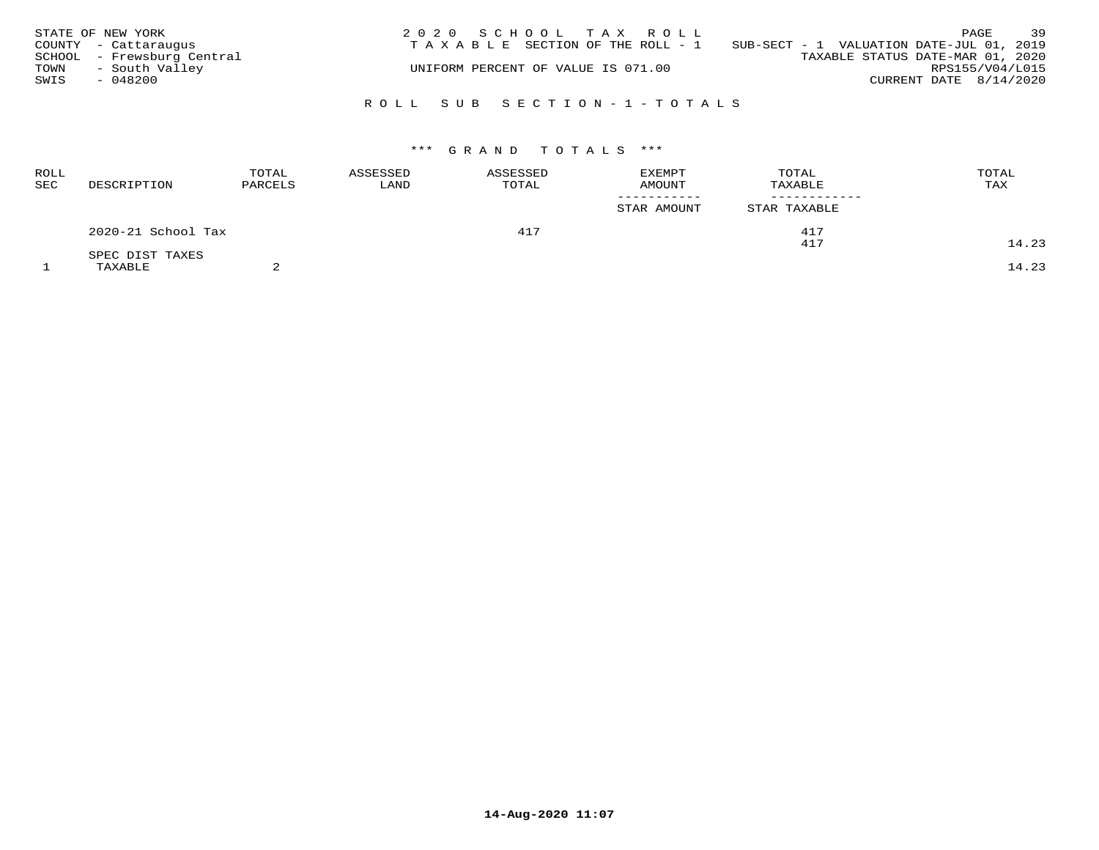|              | STATE OF NEW YORK<br>COUNTY - Cattaraugus | 2020 SCHOOL TAX ROLL<br>T A X A B L E SECTION OF THE ROLL - 1 | SUB-SECT - 1 VALUATION DATE-JUL 01, 2019 | PAGE                     | 39              |
|--------------|-------------------------------------------|---------------------------------------------------------------|------------------------------------------|--------------------------|-----------------|
|              | SCHOOL - Frewsburg Central                | UNIFORM PERCENT OF VALUE IS 071.00                            | TAXABLE STATUS DATE-MAR 01, 2020         |                          |                 |
| TOWN<br>SWIS | - South Valley<br>- 048200                |                                                               |                                          | CURRENT DATE $8/14/2020$ | RPS155/V04/L015 |
|              |                                           | ROLL SUB SECTION-1-TOTALS                                     |                                          |                          |                 |

| ROLL<br>SEC | DESCRIPTION        | TOTAL<br>PARCELS | ASSESSED<br>LAND | ASSESSED<br>TOTAL | <b>EXEMPT</b><br><b>AMOUNT</b> | TOTAL<br>TAXABLE | TOTAL<br>TAX |
|-------------|--------------------|------------------|------------------|-------------------|--------------------------------|------------------|--------------|
|             |                    |                  |                  |                   | STAR AMOUNT                    | STAR TAXABLE     |              |
|             | 2020-21 School Tax |                  |                  | 417               |                                | 417<br>417       | 14.23        |
|             | SPEC DIST TAXES    |                  |                  |                   |                                |                  |              |
|             | TAXABLE            |                  |                  |                   |                                |                  | 14.23        |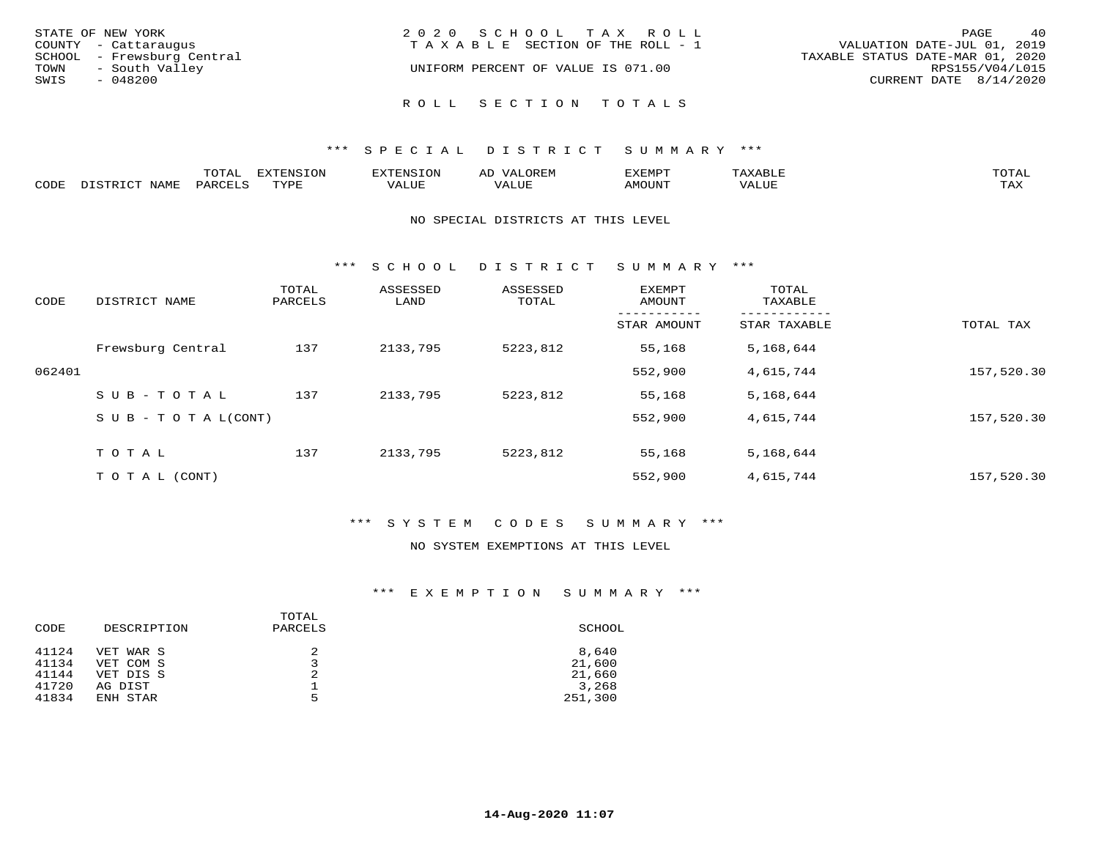| STATE OF NEW YORK<br>COUNTY - Cattaraugus<br>SCHOOL - Frewsburg Central<br>- South Valley<br>TOWN | 2020 SCHOOL TAX ROLL<br>TAXABLE SECTION OF THE ROLL - 1<br>UNIFORM PERCENT OF VALUE IS 071.00 | 40<br>PAGE<br>VALUATION DATE-JUL 01, 2019<br>TAXABLE STATUS DATE-MAR 01, 2020<br>RPS155/V04/L015 |  |  |
|---------------------------------------------------------------------------------------------------|-----------------------------------------------------------------------------------------------|--------------------------------------------------------------------------------------------------|--|--|
| SWIS<br>$-048200$                                                                                 | ROLL SECTION TOTALS                                                                           | CURRENT DATE 8/14/2020                                                                           |  |  |

|       |                  | m^m*<br>∸ ∪ ⊥ <del>⊓</del> | $T \cap N$<br>--- |                 | ىت | YFMDT   |        | $m \wedge m \wedge n$ |
|-------|------------------|----------------------------|-------------------|-----------------|----|---------|--------|-----------------------|
| JODE: | $M^{\mathsf{A}}$ |                            | $m \tau \tau n$   | $-$ - $-$ - $-$ |    | 1077777 | 1 U P. | $m \times r$<br>- ⊷∡  |

### NO SPECIAL DISTRICTS AT THIS LEVEL

\*\*\* S C H O O L D I S T R I C T S U M M A R Y \*\*\*

| CODE   | DISTRICT NAME                    | TOTAL<br>PARCELS | ASSESSED<br>LAND | ASSESSED<br>TOTAL | <b>EXEMPT</b><br>AMOUNT | TOTAL<br>TAXABLE |            |
|--------|----------------------------------|------------------|------------------|-------------------|-------------------------|------------------|------------|
|        |                                  |                  |                  |                   | STAR AMOUNT             | STAR TAXABLE     | TOTAL TAX  |
|        | Frewsburg Central                | 137              | 2133,795         | 5223,812          | 55,168                  | 5,168,644        |            |
| 062401 |                                  |                  |                  |                   | 552,900                 | 4,615,744        | 157,520.30 |
|        | SUB-TOTAL                        | 137              | 2133,795         | 5223,812          | 55,168                  | 5,168,644        |            |
|        | $S \cup B - T \cup T A L (CONT)$ |                  |                  |                   | 552,900                 | 4,615,744        | 157,520.30 |
|        | TOTAL                            | 137              | 2133,795         | 5223,812          | 55,168                  | 5,168,644        |            |
|        | T O T A L (CONT)                 |                  |                  |                   | 552,900                 | 4,615,744        | 157,520.30 |

### \*\*\* S Y S T E M C O D E S S U M M A R Y \*\*\*

### NO SYSTEM EXEMPTIONS AT THIS LEVEL

| CODE  | DESCRIPTION | TOTAL<br>PARCELS | SCHOOL  |
|-------|-------------|------------------|---------|
| 41124 | VET WAR S   |                  | 8,640   |
| 41134 | VET COM S   |                  | 21,600  |
| 41144 | VET DIS S   | 2                | 21,660  |
| 41720 | AG DIST     |                  | 3,268   |
| 41834 | ENH STAR    | 5                | 251,300 |
|       |             |                  |         |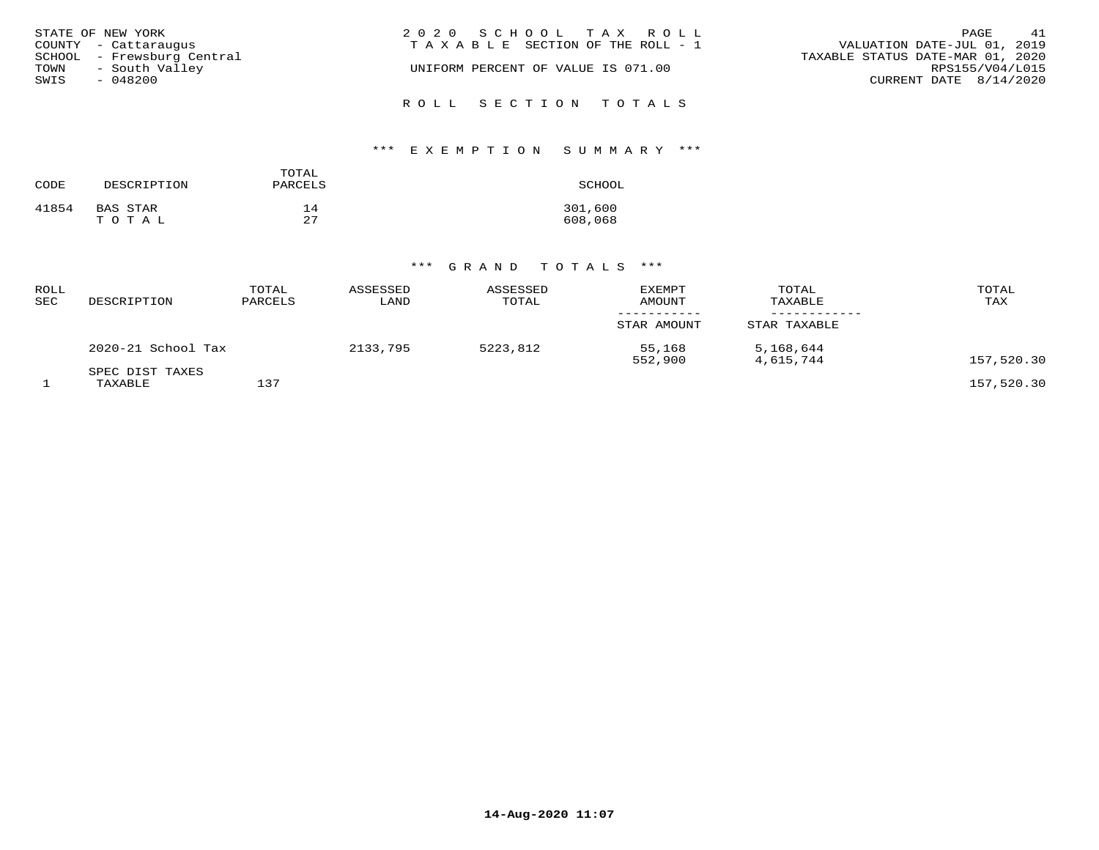| STATE OF NEW YORK<br>COUNTY - Cattaraugus   | 2020 SCHOOL TAX ROLL<br>TAXABLE SECTION OF THE ROLL - 1 | 41<br>PAGE<br>VALUATION DATE-JUL 01, 2019           |
|---------------------------------------------|---------------------------------------------------------|-----------------------------------------------------|
| SCHOOL - Frewsburg Central                  | UNIFORM PERCENT OF VALUE IS 071.00                      | TAXABLE STATUS DATE-MAR 01, 2020<br>RPS155/V04/L015 |
| - South Valley<br>TOWN<br>SWIS<br>$-048200$ |                                                         | CURRENT DATE 8/14/2020                              |
|                                             | ROLL SECTION TOTALS                                     |                                                     |

# \*\*\* E X E M P T I O N S U M M A R Y \*\*\*

| CODE  | DESCRIPTION | TOTAL<br>PARCELS | SCHOOL  |
|-------|-------------|------------------|---------|
| 41854 | BAS STAR    | 14               | 301,600 |
|       | TOTAL       | 27               | 608,068 |

| ROLL<br>SEC | DESCRIPTION                | TOTAL<br>PARCELS | ASSESSED<br>LAND | ASSESSED<br>TOTAL | <b>EXEMPT</b><br><b>AMOUNT</b> | TOTAL<br>TAXABLE       | TOTAL<br>TAX |
|-------------|----------------------------|------------------|------------------|-------------------|--------------------------------|------------------------|--------------|
|             |                            |                  |                  |                   | STAR AMOUNT                    | STAR TAXABLE           |              |
|             | 2020-21 School Tax         |                  | 2133,795         | 5223,812          | 55,168<br>552,900              | 5,168,644<br>4,615,744 | 157,520.30   |
|             | SPEC DIST TAXES<br>TAXABLE | 137              |                  |                   |                                |                        | 157,520.30   |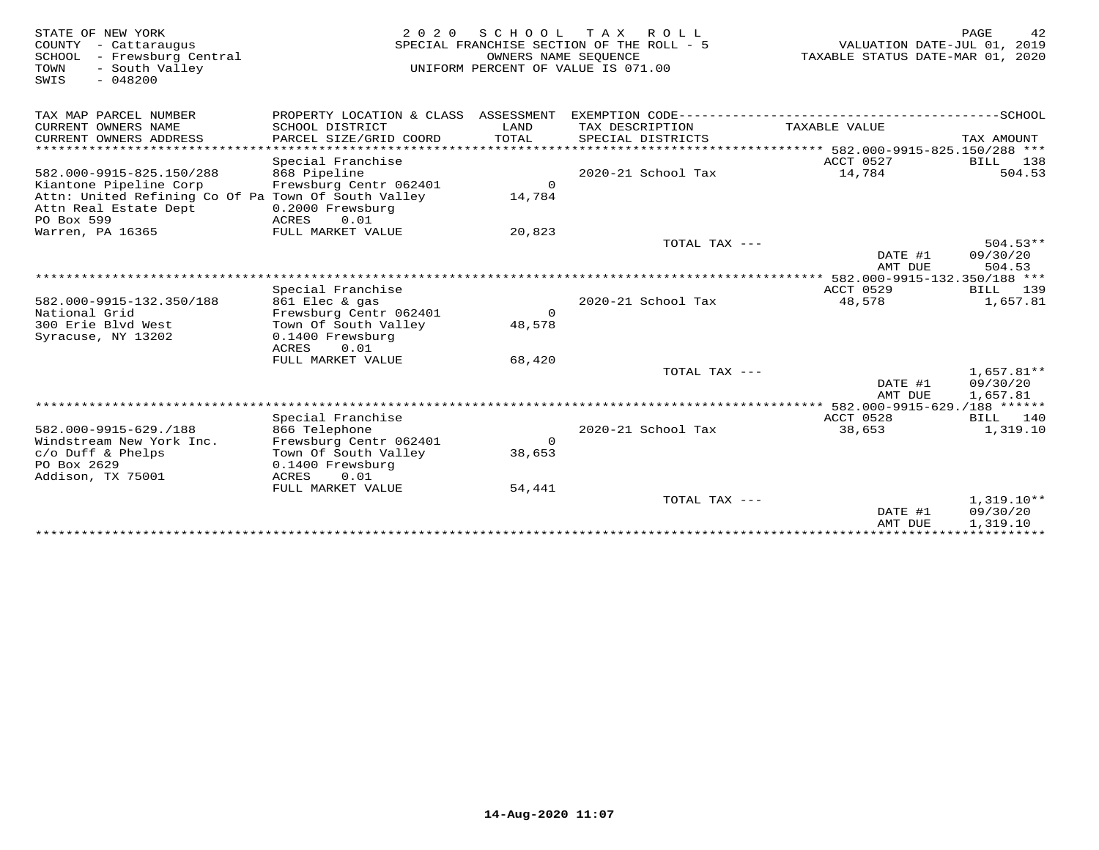| STATE OF NEW YORK<br>COUNTY - Cattaraugus<br>- Frewsburg Central<br>SCHOOL<br>TOWN<br>- South Valley<br>$-048200$<br>SWIS | 2 0 2 0                                                                             | SCHOOL<br>OWNERS NAME SEQUENCE | T A X<br>ROLL ROLL<br>SPECIAL FRANCHISE SECTION OF THE ROLL - 5<br>UNIFORM PERCENT OF VALUE IS 071.00 | VALUATION DATE-JUL 01, 2019<br>TAXABLE STATUS DATE-MAR 01, 2020 | PAGE<br>42                           |
|---------------------------------------------------------------------------------------------------------------------------|-------------------------------------------------------------------------------------|--------------------------------|-------------------------------------------------------------------------------------------------------|-----------------------------------------------------------------|--------------------------------------|
| TAX MAP PARCEL NUMBER                                                                                                     | PROPERTY LOCATION & CLASS ASSESSMENT                                                |                                |                                                                                                       |                                                                 |                                      |
| CURRENT OWNERS NAME<br>CURRENT OWNERS ADDRESS                                                                             | SCHOOL DISTRICT<br>PARCEL SIZE/GRID COORD                                           | LAND<br><b>TOTAL</b>           | TAX DESCRIPTION<br>SPECIAL DISTRICTS                                                                  | TAXABLE VALUE                                                   | TAX AMOUNT                           |
| ******************************                                                                                            | Special Franchise                                                                   |                                |                                                                                                       | ACCT 0527                                                       | BILL<br>138                          |
| 582.000-9915-825.150/288<br>Kiantone Pipeline Corp                                                                        | 868 Pipeline<br>Frewsburg Centr 062401                                              | $\Omega$                       | 2020-21 School Tax                                                                                    | 14,784                                                          | 504.53                               |
| Attn: United Refining Co Of Pa Town Of South Valley<br>Attn Real Estate Dept<br>PO Box 599                                | 0.2000 Frewsburg<br>0.01<br>ACRES                                                   | 14,784                         |                                                                                                       |                                                                 |                                      |
| Warren, PA 16365                                                                                                          | FULL MARKET VALUE                                                                   | 20,823                         |                                                                                                       |                                                                 |                                      |
|                                                                                                                           |                                                                                     |                                | TOTAL TAX $---$                                                                                       | DATE #1<br>AMT DUE                                              | $504.53**$<br>09/30/20<br>504.53     |
|                                                                                                                           |                                                                                     |                                |                                                                                                       | ********** 582.000-9915-132.350/188 ***                         |                                      |
| 582.000-9915-132.350/188                                                                                                  | Special Franchise<br>861 Elec & gas                                                 |                                | 2020-21 School Tax                                                                                    | ACCT 0529<br>48,578                                             | 139<br>BILL<br>1,657.81              |
| National Grid                                                                                                             | Frewsburg Centr 062401                                                              | $\Omega$                       |                                                                                                       |                                                                 |                                      |
| 300 Erie Blyd West<br>Syracuse, NY 13202                                                                                  | Town Of South Valley<br>0.1400 Frewsburg<br>ACRES<br>0.01                           | 48,578                         |                                                                                                       |                                                                 |                                      |
|                                                                                                                           | FULL MARKET VALUE                                                                   | 68,420                         |                                                                                                       |                                                                 |                                      |
|                                                                                                                           |                                                                                     |                                | TOTAL TAX ---                                                                                         | DATE #1<br>AMT DUE                                              | $1,657.81**$<br>09/30/20<br>1,657.81 |
|                                                                                                                           |                                                                                     |                                |                                                                                                       |                                                                 |                                      |
| 582.000-9915-629./188                                                                                                     | Special Franchise<br>866 Telephone                                                  |                                | 2020-21 School Tax                                                                                    | ACCT 0528<br>38,653                                             | BILL 140<br>1,319.10                 |
| Windstream New York Inc.<br>c/o Duff & Phelps<br>PO Box 2629<br>Addison, TX 75001                                         | Frewsburg Centr 062401<br>Town Of South Valley<br>0.1400 Frewsburg<br>0.01<br>ACRES | $\mathsf{O}$<br>38,653         |                                                                                                       |                                                                 |                                      |
|                                                                                                                           | FULL MARKET VALUE                                                                   | 54,441                         |                                                                                                       |                                                                 |                                      |
|                                                                                                                           |                                                                                     |                                | TOTAL TAX ---                                                                                         | DATE #1<br>AMT DUE                                              | $1,319.10**$<br>09/30/20<br>1,319.10 |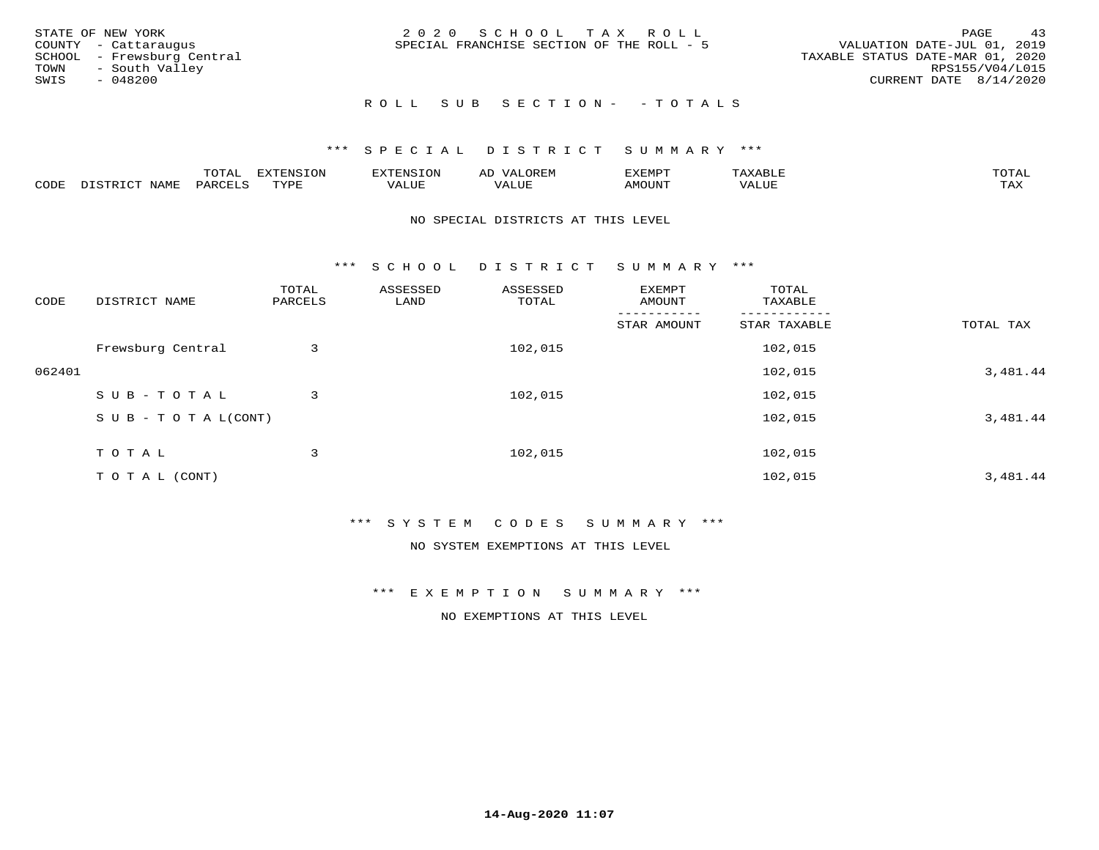| STATE OF NEW YORK<br>COUNTY - Cattaraugus<br>SCHOOL - Frewsburg Central<br>TOWN - South Valley<br>SWIS<br>- 048200 | 2020 SCHOOL TAX ROLL<br>SPECIAL FRANCHISE SECTION OF THE ROLL - 5 | 43<br>PAGE<br>VALUATION DATE-JUL 01, 2019<br>TAXABLE STATUS DATE-MAR 01, 2020<br>RPS155/V04/L015<br>CURRENT DATE 8/14/2020 |
|--------------------------------------------------------------------------------------------------------------------|-------------------------------------------------------------------|----------------------------------------------------------------------------------------------------------------------------|
|                                                                                                                    | ROLL SUB SECTION- - TOTALS                                        |                                                                                                                            |

|      |      | momn.<br>.UIAL | <b>DIZODALO TOM</b><br><b>1115</b><br>LUP | ר את דר            | ΑL<br>$\cdots$      | EXEMPT        | 'ΔΧΔ<br>AAABLE | momn. |
|------|------|----------------|-------------------------------------------|--------------------|---------------------|---------------|----------------|-------|
| CODE | NAME | 'ARC           | TVDF<br>د د د                             | <b>TTT</b><br>ALUM | <b>TTT</b><br>7ALUE | <b>TNUOMA</b> | . ALUE         | TAX   |

### NO SPECIAL DISTRICTS AT THIS LEVEL

\*\*\* S C H O O L D I S T R I C T S U M M A R Y \*\*\*

| CODE   | DISTRICT NAME                    | TOTAL<br>PARCELS | ASSESSED<br>LAND | ASSESSED<br>TOTAL | EXEMPT<br>AMOUNT | TOTAL<br>TAXABLE |           |
|--------|----------------------------------|------------------|------------------|-------------------|------------------|------------------|-----------|
|        |                                  |                  |                  |                   | STAR AMOUNT      | STAR TAXABLE     | TOTAL TAX |
|        | Frewsburg Central                | 3                |                  | 102,015           |                  | 102,015          |           |
| 062401 |                                  |                  |                  |                   |                  | 102,015          | 3,481.44  |
|        | SUB-TOTAL                        | 3                |                  | 102,015           |                  | 102,015          |           |
|        | $S \cup B - T \cup T A L (CONT)$ |                  |                  |                   |                  | 102,015          | 3,481.44  |
|        | TOTAL                            | 3                |                  | 102,015           |                  | 102,015          |           |
|        |                                  |                  |                  |                   |                  |                  |           |
|        | T O T A L (CONT)                 |                  |                  |                   |                  | 102,015          | 3,481.44  |

### \*\*\* S Y S T E M C O D E S S U M M A R Y \*\*\*

NO SYSTEM EXEMPTIONS AT THIS LEVEL

\*\*\* E X E M P T I O N S U M M A R Y \*\*\*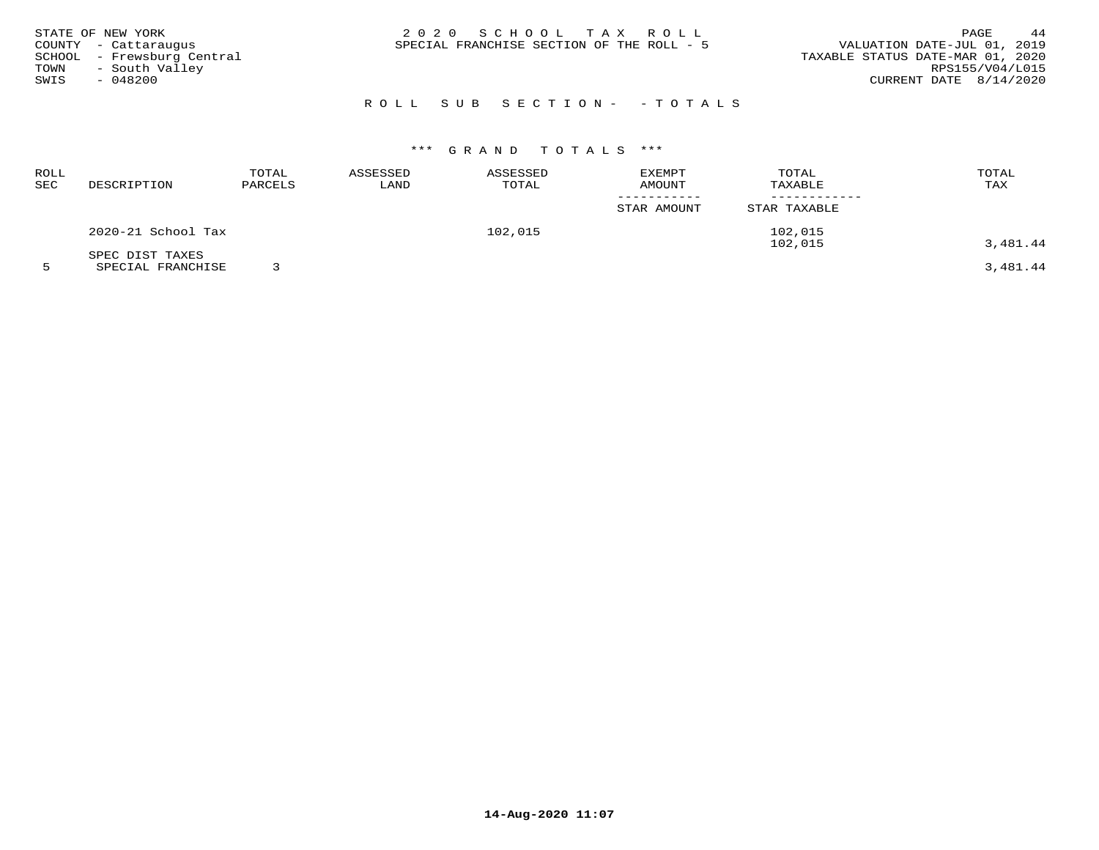| STATE OF NEW YORK                                  | 2020 SCHOOL TAX ROLL<br>SPECIAL FRANCHISE SECTION OF THE ROLL - 5 | 44<br>PAGE<br>VALUATION DATE-JUL 01, 2019 |
|----------------------------------------------------|-------------------------------------------------------------------|-------------------------------------------|
| COUNTY - Cattaraugus<br>SCHOOL - Frewsburg Central |                                                                   | TAXABLE STATUS DATE-MAR 01, 2020          |
| - South Valley<br>TOWN                             |                                                                   | RPS155/V04/L015                           |
| SWIS<br>$-048200$                                  |                                                                   | CURRENT DATE $8/14/2020$                  |
|                                                    |                                                                   |                                           |

# ROLL SUB SECTION- - TOTALS

# \*\*\* G R A N D T O T A L S \*\*\*

| ROLL<br>SEC | DESCRIPTION        | TOTAL<br>PARCELS | ASSESSED<br>LAND | ASSESSED<br>TOTAL | <b>EXEMPT</b><br>AMOUNT | TOTAL<br>TAXABLE | TOTAL<br>TAX |
|-------------|--------------------|------------------|------------------|-------------------|-------------------------|------------------|--------------|
|             |                    |                  |                  |                   | STAR AMOUNT             | STAR TAXABLE     |              |
|             | 2020-21 School Tax |                  |                  | 102,015           |                         | 102,015          |              |
|             | SPEC DIST TAXES    |                  |                  |                   |                         | 102,015          | 3,481.44     |

5 SPECIAL FRANCHISE 3 3,481.44

**14-Aug-2020 11:07**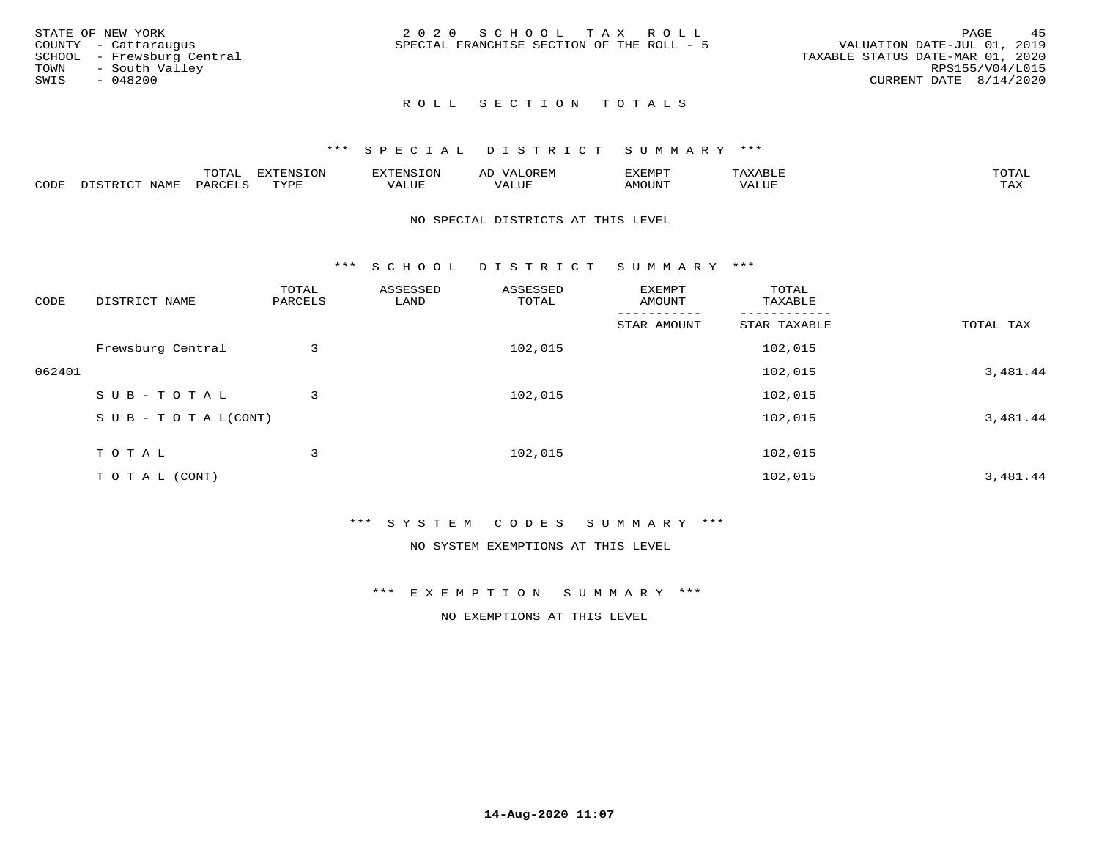|      | STATE OF NEW YORK          | 2020 SCHOOL TAX ROLL                                                     | PAGE            | 4.5 |
|------|----------------------------|--------------------------------------------------------------------------|-----------------|-----|
|      | COUNTY - Cattaraugus       | VALUATION DATE-JUL 01, 2019<br>SPECIAL FRANCHISE SECTION OF THE ROLL - 5 |                 |     |
|      | SCHOOL - Frewsburg Central | TAXABLE STATUS DATE-MAR 01, 2020                                         |                 |     |
| TOWN | - South Valley             |                                                                          | RPS155/V04/L015 |     |
| SWIS | - 048200                   | CURRENT DATE 8/14/2020                                                   |                 |     |
|      |                            |                                                                          |                 |     |

## ROLL SECTION TOTALS

### \*\*\* S P E C I A L D I S T R I C T S U M M A R Y \*\*\*

|      |                                              | mom n<br>L∪IAL   | <b>DIZPOIATO TOMT</b><br>LUN | -----------<br>י ו יו   | AD<br>URLIV  | $\ldots$<br>″ –<br>. ۱٬۱۳۰٬۰۰۰ | max                  | $m \wedge m \wedge n$ |
|------|----------------------------------------------|------------------|------------------------------|-------------------------|--------------|--------------------------------|----------------------|-----------------------|
| CODE | $ -$<br><b>NAM<sup>T</sup></b><br>- 12 - 14⊔ | PAR <sub>U</sub> | TVDF                         | $- - - -$<br>$A \cup P$ | ----<br>ALUF | IMOUNT                         | $   -$<br>$\sqrt{A}$ | $m \times r$<br>- −-  |

### NO SPECIAL DISTRICTS AT THIS LEVEL

\*\*\* S C H O O L D I S T R I C T S U M M A R Y \*\*\*

| CODE   | DISTRICT NAME                    | TOTAL<br>PARCELS | ASSESSED<br>LAND | ASSESSED<br>TOTAL | EXEMPT<br>AMOUNT | TOTAL<br>TAXABLE |           |
|--------|----------------------------------|------------------|------------------|-------------------|------------------|------------------|-----------|
|        |                                  |                  |                  |                   | STAR AMOUNT      | STAR TAXABLE     | TOTAL TAX |
|        | Frewsburg Central                | 3                |                  | 102,015           |                  | 102,015          |           |
| 062401 |                                  |                  |                  |                   |                  | 102,015          | 3,481.44  |
|        | SUB-TOTAL                        | 3                |                  | 102,015           |                  | 102,015          |           |
|        | $S \cup B - T \cup T A L (CONT)$ |                  |                  |                   |                  | 102,015          | 3,481.44  |
|        | TOTAL                            | 3                |                  | 102,015           |                  | 102,015          |           |
|        | T O T A L (CONT)                 |                  |                  |                   |                  | 102,015          | 3,481.44  |

### \*\*\* S Y S T E M C O D E S S U M M A R Y \*\*\*

NO SYSTEM EXEMPTIONS AT THIS LEVEL

\*\*\* E X E M P T I O N S U M M A R Y \*\*\*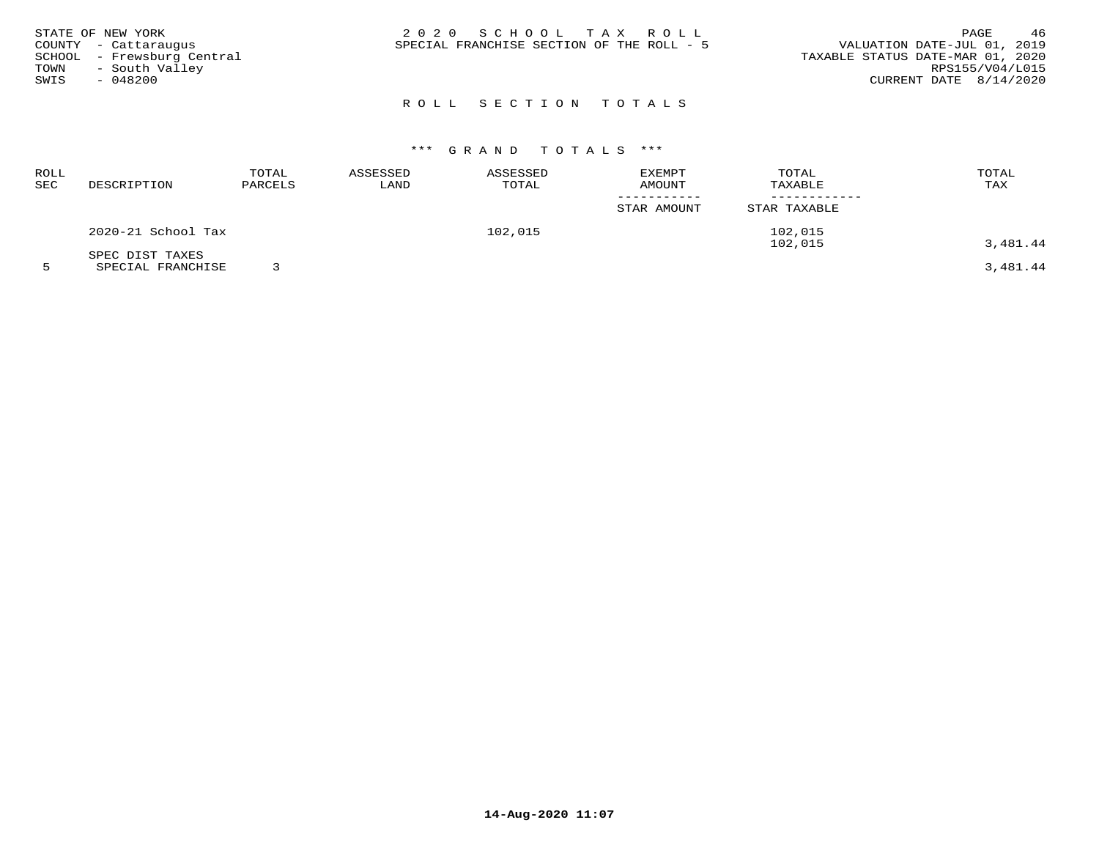| STATE OF NEW YORK<br>COUNTY - Cattaraugus<br>SCHOOL - Frewsburg Central<br>- South Valley<br>TOWN<br>$-048200$<br>SWIS | 2020 SCHOOL TAX ROLL<br>SPECIAL FRANCHISE SECTION OF THE ROLL - 5 | 46<br>PAGE<br>VALUATION DATE-JUL 01, 2019<br>TAXABLE STATUS DATE-MAR 01, 2020<br>RPS155/V04/L015<br>CURRENT DATE 8/14/2020 |
|------------------------------------------------------------------------------------------------------------------------|-------------------------------------------------------------------|----------------------------------------------------------------------------------------------------------------------------|
|                                                                                                                        |                                                                   |                                                                                                                            |

# ROLL SECTION TOTALS

# \*\*\* G R A N D T O T A L S \*\*\*

| ROLL<br>SEC | DESCRIPTION        | TOTAL<br>PARCELS | ASSESSED<br>LAND | ASSESSED<br>TOTAL | <b>EXEMPT</b><br>AMOUNT | TOTAL<br>TAXABLE | TOTAL<br>TAX |
|-------------|--------------------|------------------|------------------|-------------------|-------------------------|------------------|--------------|
|             |                    |                  |                  |                   | STAR AMOUNT             | STAR TAXABLE     |              |
|             | 2020-21 School Tax |                  |                  | 102,015           |                         | 102,015          |              |
|             | SPEC DIST TAXES    |                  |                  |                   |                         | 102,015          | 3,481.44     |

5 SPECIAL FRANCHISE 3 3,481.44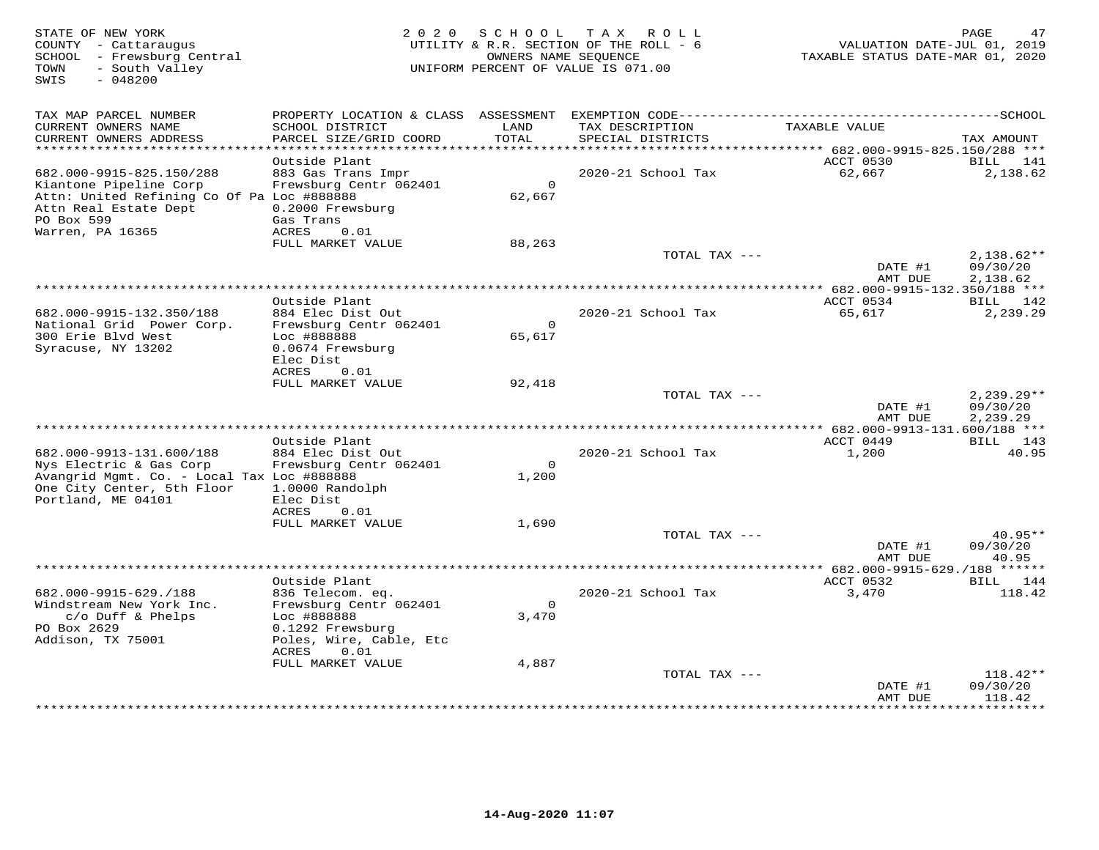| STATE OF NEW YORK<br>COUNTY - Cattaraugus<br>SCHOOL - Frewsburg Central<br>- South Valley<br>TOWN<br>$-048200$<br>SWIS                                      | 2 0 2 0                                                                                        | S C H O O L              | TAX ROLL<br>UTILITY & R.R. SECTION OF THE ROLL - 6<br>OWNERS NAME SEQUENCE<br>UNIFORM PERCENT OF VALUE IS 071.00 | VALUATION DATE-JUL 01, 2019<br>TAXABLE STATUS DATE-MAR 01, 2020 | PAGE<br>47                           |
|-------------------------------------------------------------------------------------------------------------------------------------------------------------|------------------------------------------------------------------------------------------------|--------------------------|------------------------------------------------------------------------------------------------------------------|-----------------------------------------------------------------|--------------------------------------|
| TAX MAP PARCEL NUMBER<br>CURRENT OWNERS NAME                                                                                                                | PROPERTY LOCATION & CLASS<br>SCHOOL DISTRICT                                                   | ASSESSMENT<br>LAND       | TAX DESCRIPTION                                                                                                  | TAXABLE VALUE                                                   |                                      |
| CURRENT OWNERS ADDRESS<br>**********************                                                                                                            | PARCEL SIZE/GRID COORD<br>*************************                                            | TOTAL<br>*********       | SPECIAL DISTRICTS                                                                                                |                                                                 | TAX AMOUNT                           |
|                                                                                                                                                             | Outside Plant                                                                                  |                          | ********************************** 682.000-9915-825.150/288 ***                                                  | ACCT 0530                                                       | BILL<br>141                          |
| 682.000-9915-825.150/288<br>Kiantone Pipeline Corp<br>Attn: United Refining Co Of Pa Loc #888888<br>Attn Real Estate Dept<br>PO Box 599<br>Warren, PA 16365 | 883 Gas Trans Impr<br>Frewsburg Centr 062401<br>0.2000 Frewsburg<br>Gas Trans<br>0.01<br>ACRES | $\circ$<br>62,667        | 2020-21 School Tax                                                                                               | 62,667                                                          | 2,138.62                             |
|                                                                                                                                                             | FULL MARKET VALUE                                                                              | 88,263                   |                                                                                                                  |                                                                 |                                      |
|                                                                                                                                                             |                                                                                                |                          | TOTAL TAX ---                                                                                                    | DATE #1<br>AMT DUE                                              | $2,138.62**$<br>09/30/20<br>2,138.62 |
|                                                                                                                                                             | Outside Plant                                                                                  |                          | ***********                                                                                                      | *** 682.000-9915-132.350/188 ***<br>ACCT 0534                   | BILL 142                             |
| 682.000-9915-132.350/188<br>National Grid Power Corp.<br>300 Erie Blvd West                                                                                 | 884 Elec Dist Out<br>Frewsburg Centr 062401<br>Loc #888888                                     | $\overline{0}$<br>65,617 | 2020-21 School Tax                                                                                               | 65,617                                                          | 2,239.29                             |
| Syracuse, NY 13202                                                                                                                                          | 0.0674 Frewsburg<br>Elec Dist<br>ACRES<br>0.01                                                 |                          |                                                                                                                  |                                                                 |                                      |
|                                                                                                                                                             | FULL MARKET VALUE                                                                              | 92,418                   |                                                                                                                  |                                                                 |                                      |
|                                                                                                                                                             |                                                                                                |                          | TOTAL TAX ---                                                                                                    | DATE #1<br>AMT DUE                                              | $2,239.29**$<br>09/30/20<br>2,239.29 |
|                                                                                                                                                             |                                                                                                |                          |                                                                                                                  |                                                                 |                                      |
| 682.000-9913-131.600/188<br>Nys Electric & Gas Corp                                                                                                         | Outside Plant<br>884 Elec Dist Out<br>Frewsburg Centr 062401                                   | $\Omega$                 | 2020-21 School Tax                                                                                               | ACCT 0449<br>1,200                                              | BILL 143<br>40.95                    |
| Avangrid Mgmt. Co. - Local Tax Loc #888888<br>One City Center, 5th Floor<br>Portland, ME 04101                                                              | 1.0000 Randolph<br>Elec Dist                                                                   | 1,200                    |                                                                                                                  |                                                                 |                                      |
|                                                                                                                                                             | ACRES<br>0.01                                                                                  |                          |                                                                                                                  |                                                                 |                                      |
|                                                                                                                                                             | FULL MARKET VALUE                                                                              | 1,690                    | TOTAL TAX ---                                                                                                    |                                                                 | $40.95**$                            |
|                                                                                                                                                             |                                                                                                |                          |                                                                                                                  | DATE #1<br>AMT DUE                                              | 09/30/20<br>40.95                    |
|                                                                                                                                                             |                                                                                                |                          |                                                                                                                  | *********** 682.000-9915-629./188 ******                        |                                      |
| 682.000-9915-629./188                                                                                                                                       | Outside Plant<br>836 Telecom. eq.                                                              |                          | 2020-21 School Tax                                                                                               | ACCT 0532<br>3,470                                              | BILL 144<br>118.42                   |
| Windstream New York Inc.                                                                                                                                    | Frewsburg Centr 062401                                                                         | $\Omega$                 |                                                                                                                  |                                                                 |                                      |
| $c/O$ Duff & Phelps                                                                                                                                         | Loc #888888                                                                                    | 3,470                    |                                                                                                                  |                                                                 |                                      |
| PO Box 2629<br>Addison, TX 75001                                                                                                                            | 0.1292 Frewsburg<br>Poles, Wire, Cable, Etc<br><b>ACRES</b><br>0.01                            |                          |                                                                                                                  |                                                                 |                                      |
|                                                                                                                                                             | FULL MARKET VALUE                                                                              | 4,887                    |                                                                                                                  |                                                                 |                                      |
|                                                                                                                                                             |                                                                                                |                          | TOTAL TAX ---                                                                                                    | DATE #1<br>AMT DUE                                              | $118.42**$<br>09/30/20<br>118.42     |
|                                                                                                                                                             |                                                                                                |                          |                                                                                                                  |                                                                 | * * * * * * * *                      |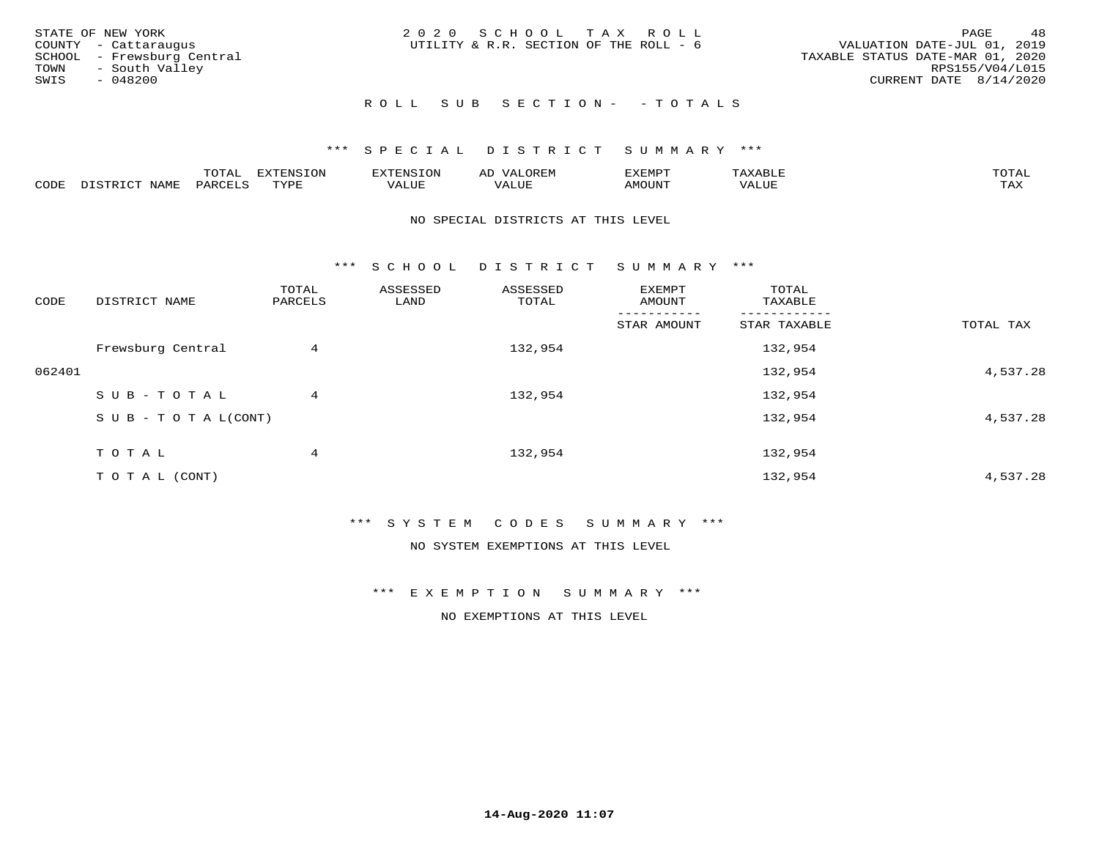| STATE OF NEW YORK<br>COUNTY - Cattaraugus<br>TOWN - South Valley<br>SWIS | SCHOOL - Frewsburg Central<br>- 048200 | 2020 SCHOOL TAX ROLL<br>UTILITY & R.R. SECTION OF THE ROLL - 6 |                            | VALUATION DATE-JUL 01, 2019<br>TAXABLE STATUS DATE-MAR 01, 2020<br>CURRENT DATE 8/14/2020 | PAGE<br>RPS155/V04/L015 | 48 |
|--------------------------------------------------------------------------|----------------------------------------|----------------------------------------------------------------|----------------------------|-------------------------------------------------------------------------------------------|-------------------------|----|
|                                                                          |                                        |                                                                | ROLL SUB SECTION- - TOTALS |                                                                                           |                         |    |

|                  |              | $m \wedge m$ |      | FNT C                                   | AL                         | <u>'</u> XEMPT |       | $m \wedge m \wedge n$ |
|------------------|--------------|--------------|------|-----------------------------------------|----------------------------|----------------|-------|-----------------------|
| C <sub>CDI</sub> | $ -$<br>NAME | PARO         | TVDF | ,, , ,, <del>,</del><br>▵<br>۳۰ تابلد ک | , <del>,</del> , , , , , , | $\cdots$       | VALUE | $m \times r$<br>- −-  |

### NO SPECIAL DISTRICTS AT THIS LEVEL

\*\*\* S C H O O L D I S T R I C T S U M M A R Y \*\*\*

| CODE   | DISTRICT NAME                    | TOTAL<br>PARCELS | ASSESSED<br>LAND | ASSESSED<br>TOTAL | EXEMPT<br>AMOUNT | TOTAL<br>TAXABLE |           |
|--------|----------------------------------|------------------|------------------|-------------------|------------------|------------------|-----------|
|        |                                  |                  |                  |                   | STAR AMOUNT      | STAR TAXABLE     | TOTAL TAX |
|        | Frewsburg Central                | 4                |                  | 132,954           |                  | 132,954          |           |
| 062401 |                                  |                  |                  |                   |                  | 132,954          | 4,537.28  |
|        | SUB-TOTAL                        | 4                |                  | 132,954           |                  | 132,954          |           |
|        | $S \cup B - T \cup T A L (CONT)$ |                  |                  |                   |                  | 132,954          | 4,537.28  |
|        | TOTAL                            | 4                |                  | 132,954           |                  | 132,954          |           |
|        | T O T A L (CONT)                 |                  |                  |                   |                  | 132,954          | 4,537.28  |

### \*\*\* S Y S T E M C O D E S S U M M A R Y \*\*\*

NO SYSTEM EXEMPTIONS AT THIS LEVEL

\*\*\* E X E M P T I O N S U M M A R Y \*\*\*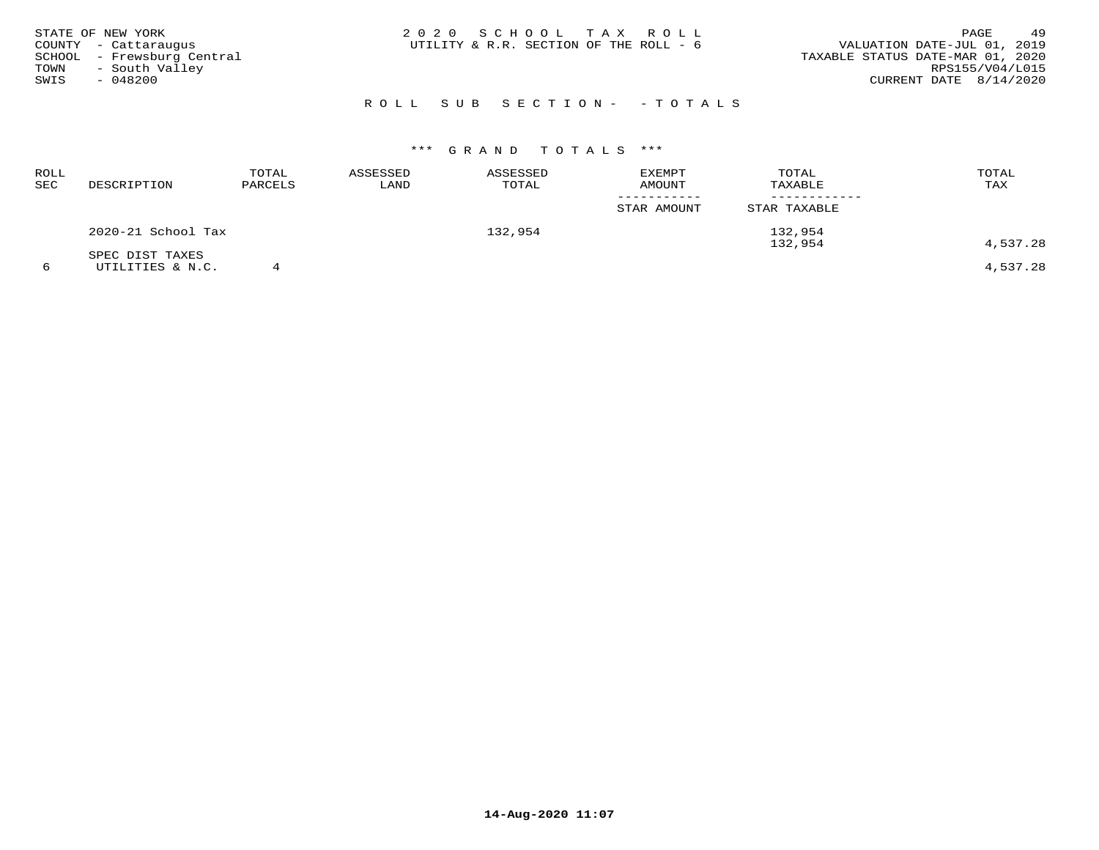| STATE OF NEW YORK<br>COUNTY - Cattaraugus<br>SCHOOL - Frewsburg Central<br>- South Valley<br>TOWN<br>SWIS<br>$-048200$ | 2020 SCHOOL TAX ROLL<br>UTILITY & R.R. SECTION OF THE ROLL - 6 | 49<br>PAGE<br>VALUATION DATE-JUL 01, 2019<br>TAXABLE STATUS DATE-MAR 01, 2020<br>RPS155/V04/L015<br>CURRENT DATE $8/14/2020$ |
|------------------------------------------------------------------------------------------------------------------------|----------------------------------------------------------------|------------------------------------------------------------------------------------------------------------------------------|
|                                                                                                                        | ROLL SUB SECTION- - TOTALS                                     |                                                                                                                              |

| ROLL<br>SEC | DESCRIPTION        | TOTAL<br>PARCELS | ASSESSED<br>LAND | ASSESSED<br>TOTAL | <b>EXEMPT</b><br><b>AMOUNT</b> | TOTAL<br>TAXABLE   | TOTAL<br>TAX |
|-------------|--------------------|------------------|------------------|-------------------|--------------------------------|--------------------|--------------|
|             |                    |                  |                  |                   | STAR AMOUNT                    | STAR TAXABLE       |              |
|             | 2020-21 School Tax |                  |                  | 132,954           |                                | 132,954<br>132,954 | 4,537.28     |
|             | SPEC DIST TAXES    |                  |                  |                   |                                |                    |              |
|             | UTILITIES & N.C.   |                  |                  |                   |                                |                    | 4,537.28     |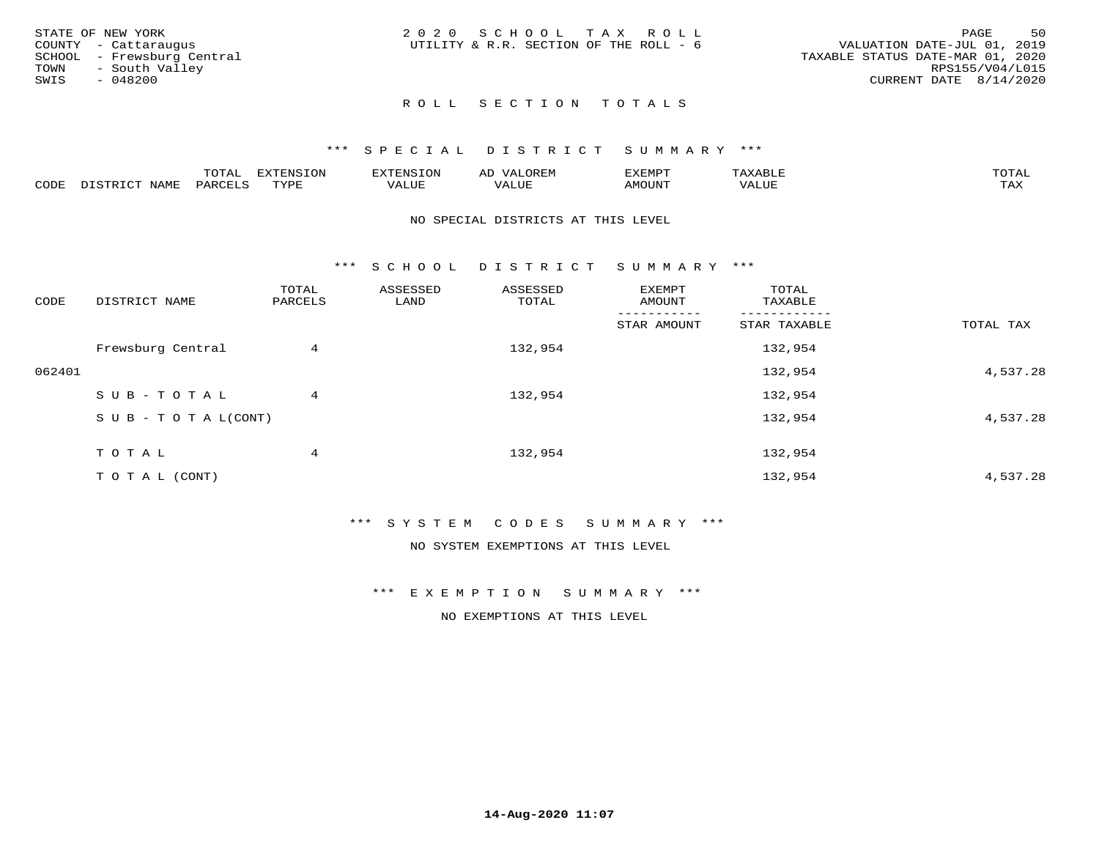| STATE OF NEW YORK<br>COUNTY - Cattaraugus<br>SCHOOL - Frewsburg Central<br>TOWN - South Valley<br>SWIS<br>- 048200 | 2020 SCHOOL TAX ROLL<br>UTILITY & R.R. SECTION OF THE ROLL - 6 | 50<br>PAGE<br>VALUATION DATE-JUL 01, 2019<br>TAXABLE STATUS DATE-MAR 01, 2020<br>RPS155/V04/L015<br>CURRENT DATE 8/14/2020 |
|--------------------------------------------------------------------------------------------------------------------|----------------------------------------------------------------|----------------------------------------------------------------------------------------------------------------------------|
|                                                                                                                    | ROLL SECTION TOTALS                                            |                                                                                                                            |

|      |             | ----           | : IN S | F.N.S         | ₩     | רסMד¥י |                       | momn |
|------|-------------|----------------|--------|---------------|-------|--------|-----------------------|------|
| CODE | <b>NAMP</b> | דהה מ<br>$H$ K | TVDF   | - ---<br>ALUE | 7ALUE | \MOUNT | TITT.<br>7 A.L<br>⊐∪r | TAX  |

### NO SPECIAL DISTRICTS AT THIS LEVEL

\*\*\* S C H O O L D I S T R I C T S U M M A R Y \*\*\*

| CODE   | DISTRICT NAME                    | TOTAL<br>PARCELS | ASSESSED<br>LAND | ASSESSED<br>TOTAL | EXEMPT<br>AMOUNT | TOTAL<br>TAXABLE |           |
|--------|----------------------------------|------------------|------------------|-------------------|------------------|------------------|-----------|
|        |                                  |                  |                  |                   | STAR AMOUNT      | STAR TAXABLE     | TOTAL TAX |
|        | Frewsburg Central                | 4                |                  | 132,954           |                  | 132,954          |           |
| 062401 |                                  |                  |                  |                   |                  | 132,954          | 4,537.28  |
|        | SUB-TOTAL                        | 4                |                  | 132,954           |                  | 132,954          |           |
|        | $S \cup B - T \cup T A L (CONT)$ |                  |                  |                   |                  | 132,954          | 4,537.28  |
|        | TOTAL                            | 4                |                  | 132,954           |                  | 132,954          |           |
|        | T O T A L (CONT)                 |                  |                  |                   |                  | 132,954          | 4,537.28  |

\*\*\* S Y S T E M C O D E S S U M M A R Y \*\*\*

NO SYSTEM EXEMPTIONS AT THIS LEVEL

\*\*\* E X E M P T I O N S U M M A R Y \*\*\*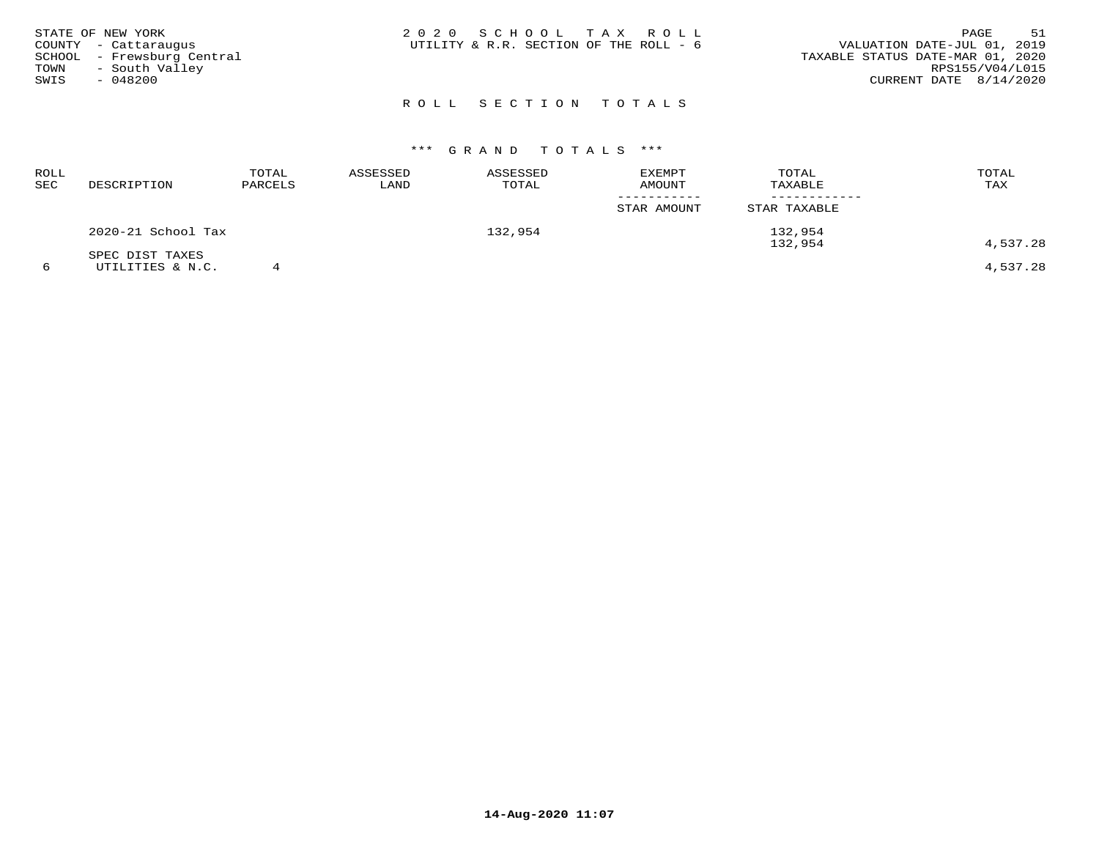| STATE OF NEW YORK<br>COUNTY - Cattaraugus<br>SCHOOL - Frewsburg Central<br>TOWN<br>- South Valley<br>SWIS<br>- 048200 | 2020 SCHOOL TAX ROLL<br>UTILITY & R.R. SECTION OF THE ROLL - 6 | 51<br>PAGE<br>VALUATION DATE-JUL 01, 2019<br>TAXABLE STATUS DATE-MAR 01, 2020<br>RPS155/V04/L015<br>CURRENT DATE 8/14/2020 |
|-----------------------------------------------------------------------------------------------------------------------|----------------------------------------------------------------|----------------------------------------------------------------------------------------------------------------------------|
|                                                                                                                       | ROLL SECTION TOTALS                                            |                                                                                                                            |

### ROLL TOTAL ASSESSED ASSESSED EXEMPT TOTAL TOTALTAX SEC DESCRIPTION PARCELS LAND TOTAL AMOUNT TAXABLE TAX ----------- ------------STAR AMOUNT STAR TAXABLE 2020-21 School Tax 132,954 132,954132,954  $132,954$   $4$  ,  $537$  .  $28$ SPEC DIST TAXES

6 UTILITIES & N.C. 4 4,537.28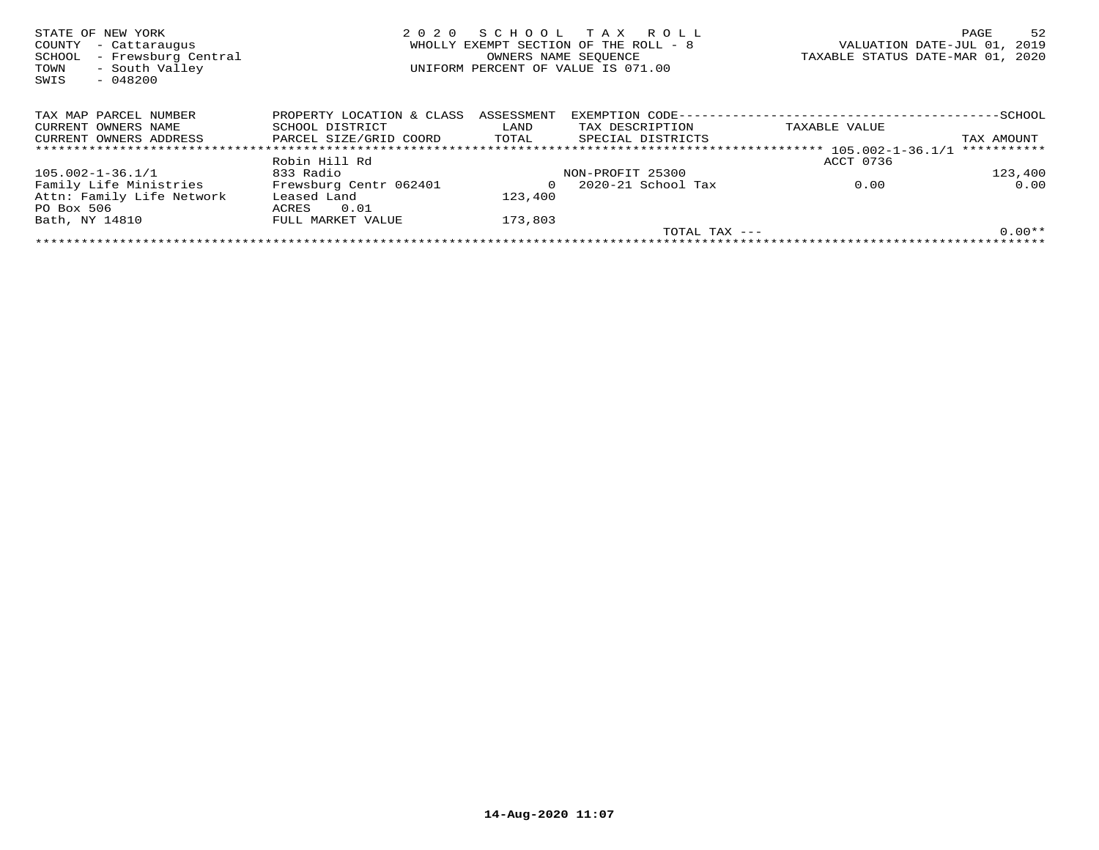| STATE OF NEW YORK<br>COUNTY<br>- Cattaraugus<br>- Frewsburg Central<br>SCHOOL<br>- South Valley<br>TOWN<br>SWIS<br>$-048200$ | 2020                      | SCHOOL<br>OWNERS NAME SEOUENCE | T A X<br>R O L L<br>WHOLLY EXEMPT SECTION OF THE ROLL - 8<br>UNIFORM PERCENT OF VALUE IS 071.00 |                 |           | PAGE<br>VALUATION DATE-JUL 01,<br>TAXABLE STATUS DATE-MAR 01, | 52<br>2019<br>2020 |
|------------------------------------------------------------------------------------------------------------------------------|---------------------------|--------------------------------|-------------------------------------------------------------------------------------------------|-----------------|-----------|---------------------------------------------------------------|--------------------|
| TAX MAP PARCEL NUMBER                                                                                                        | PROPERTY LOCATION & CLASS | ASSESSMENT                     |                                                                                                 |                 |           |                                                               |                    |
| CURRENT OWNERS NAME                                                                                                          | SCHOOL DISTRICT           | LAND                           | TAX DESCRIPTION                                                                                 | TAXABLE VALUE   |           |                                                               |                    |
| CURRENT OWNERS ADDRESS                                                                                                       | PARCEL SIZE/GRID COORD    | TOTAL                          | SPECIAL DISTRICTS                                                                               |                 |           |                                                               | TAX AMOUNT         |
|                                                                                                                              |                           |                                |                                                                                                 |                 |           |                                                               | ***********        |
|                                                                                                                              | Robin Hill Rd             |                                |                                                                                                 |                 | ACCT 0736 |                                                               |                    |
| 105.002-1-36.1/1                                                                                                             | 833 Radio                 |                                | NON-PROFIT 25300                                                                                |                 |           |                                                               | 123,400            |
| Family Life Ministries                                                                                                       | Frewsburg Centr 062401    |                                | 2020-21 School Tax                                                                              |                 | 0.00      |                                                               | 0.00               |
| Attn: Family Life Network                                                                                                    | Leased Land               | 123,400                        |                                                                                                 |                 |           |                                                               |                    |
| PO Box 506                                                                                                                   | 0.01<br>ACRES             |                                |                                                                                                 |                 |           |                                                               |                    |
| Bath, NY 14810                                                                                                               | FULL MARKET VALUE         | 173,803                        |                                                                                                 |                 |           |                                                               |                    |
|                                                                                                                              |                           |                                |                                                                                                 | TOTAL TAX $---$ |           |                                                               | $0.00**$           |
|                                                                                                                              |                           |                                |                                                                                                 |                 |           |                                                               |                    |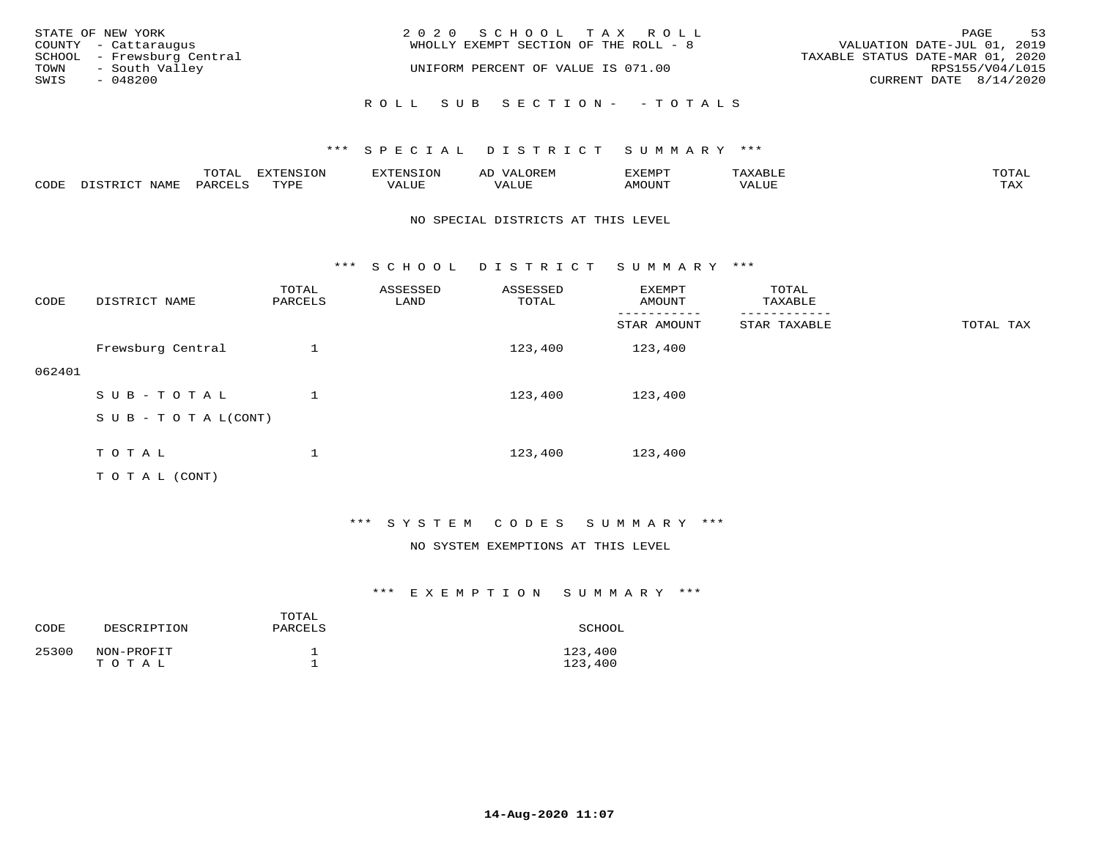|      | STATE OF NEW YORK                                  | 2020 SCHOOL TAX ROLL                  | PAGE                                                            | 53              |
|------|----------------------------------------------------|---------------------------------------|-----------------------------------------------------------------|-----------------|
|      | COUNTY - Cattaraugus<br>SCHOOL - Frewsburg Central | WHOLLY EXEMPT SECTION OF THE ROLL - 8 | VALUATION DATE-JUL 01, 2019<br>TAXABLE STATUS DATE-MAR 01, 2020 |                 |
| TOWN | - South Valley                                     | UNIFORM PERCENT OF VALUE IS 071.00    |                                                                 | RPS155/V04/L015 |
| SWIS | - 048200                                           |                                       | CURRENT DATE 8/14/2020                                          |                 |
|      |                                                    | ROLL SUB SECTION - - TOTALS           |                                                                 |                 |

|      |                  | TOTAL   | <b>EXTENSION</b> | EXTENSION                | OREM                | <b>XEMPT</b>  | 'AXABLE | TOTAI |
|------|------------------|---------|------------------|--------------------------|---------------------|---------------|---------|-------|
| CODE | DISTRICT<br>NAME | PARCELS | TYPE             | <b>TTAT TTD</b><br>/ALUE | <b><i>JALUE</i></b> | <b>AMOUNT</b> | VALUE   | TAX   |

### NO SPECIAL DISTRICTS AT THIS LEVEL

\*\*\* S C H O O L D I S T R I C T S U M M A R Y \*\*\*

| CODE   | DISTRICT NAME                                                                                                   | TOTAL<br>PARCELS | ASSESSED<br>LAND | ASSESSED<br>TOTAL | <b>EXEMPT</b><br>AMOUNT | TOTAL<br>TAXABLE<br>-------- |           |
|--------|-----------------------------------------------------------------------------------------------------------------|------------------|------------------|-------------------|-------------------------|------------------------------|-----------|
|        |                                                                                                                 |                  |                  |                   | STAR AMOUNT             | STAR TAXABLE                 | TOTAL TAX |
|        | Frewsburg Central                                                                                               |                  |                  | 123,400           | 123,400                 |                              |           |
| 062401 |                                                                                                                 |                  |                  |                   |                         |                              |           |
|        | SUB-TOTAL                                                                                                       |                  |                  | 123,400           | 123,400                 |                              |           |
|        | $S \cup B - T \cup T A L (CONT)$                                                                                |                  |                  |                   |                         |                              |           |
|        |                                                                                                                 |                  |                  |                   |                         |                              |           |
|        | TOTAL                                                                                                           |                  |                  | 123,400           | 123,400                 |                              |           |
|        | the contract of the contract of the contract of the contract of the contract of the contract of the contract of |                  |                  |                   |                         |                              |           |

T O T A L (CONT)

### \*\*\* S Y S T E M C O D E S S U M M A R Y \*\*\*

### NO SYSTEM EXEMPTIONS AT THIS LEVEL

| CODE  | DESCRIPTION         | TOTAL<br>PARCELS | SCHOOL             |
|-------|---------------------|------------------|--------------------|
| 25300 | NON-PROFIT<br>тотаг |                  | 123,400<br>123,400 |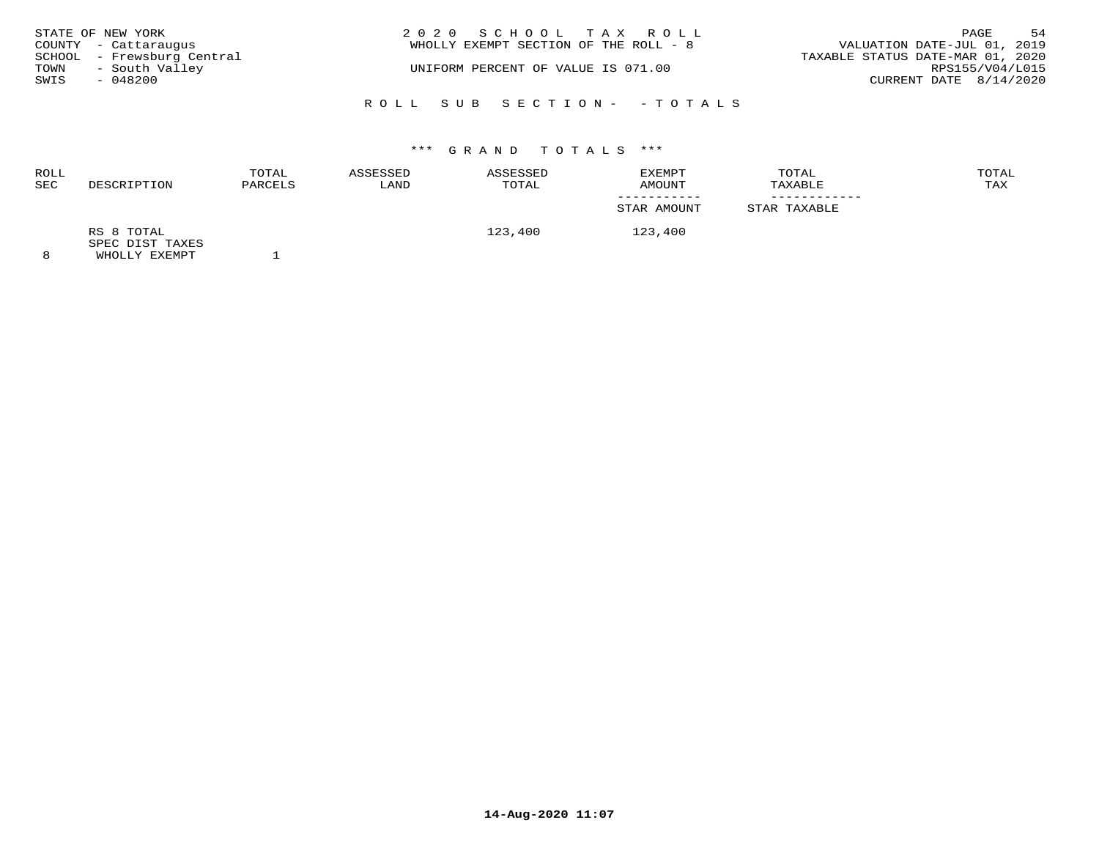|                  | STATE OF NEW YORK<br>COUNTY - Cattaraugus    | 2020 SCHOOL TAX ROLL<br>WHOLLY EXEMPT SECTION OF THE ROLL - 8 | PAGE<br>VALUATION DATE-JUL 01, 2019                 | 54 |
|------------------|----------------------------------------------|---------------------------------------------------------------|-----------------------------------------------------|----|
| TOWN             | SCHOOL - Frewsburg Central<br>- South Valley | UNIFORM PERCENT OF VALUE IS 071.00                            | TAXABLE STATUS DATE-MAR 01, 2020<br>RPS155/V04/L015 |    |
| SWIS<br>- 048200 |                                              |                                                               | CURRENT DATE 8/14/2020                              |    |
|                  |                                              | ROLL SUB SECTION- - TOTALS                                    |                                                     |    |

| ROLL<br>SEC | DESCRIPTION                                    | TOTAL<br>PARCELS | ASSESSED<br>LAND | ASSESSED<br>TOTAL | EXEMPT<br>AMOUNT | TOTAL<br>TAXABLE | TOTAL<br>TAX |
|-------------|------------------------------------------------|------------------|------------------|-------------------|------------------|------------------|--------------|
|             |                                                |                  |                  |                   | STAR AMOUNT      | STAR TAXABLE     |              |
| 8           | RS 8 TOTAL<br>SPEC DIST TAXES<br>WHOLLY EXEMPT |                  |                  | 123,400           | 123,400          |                  |              |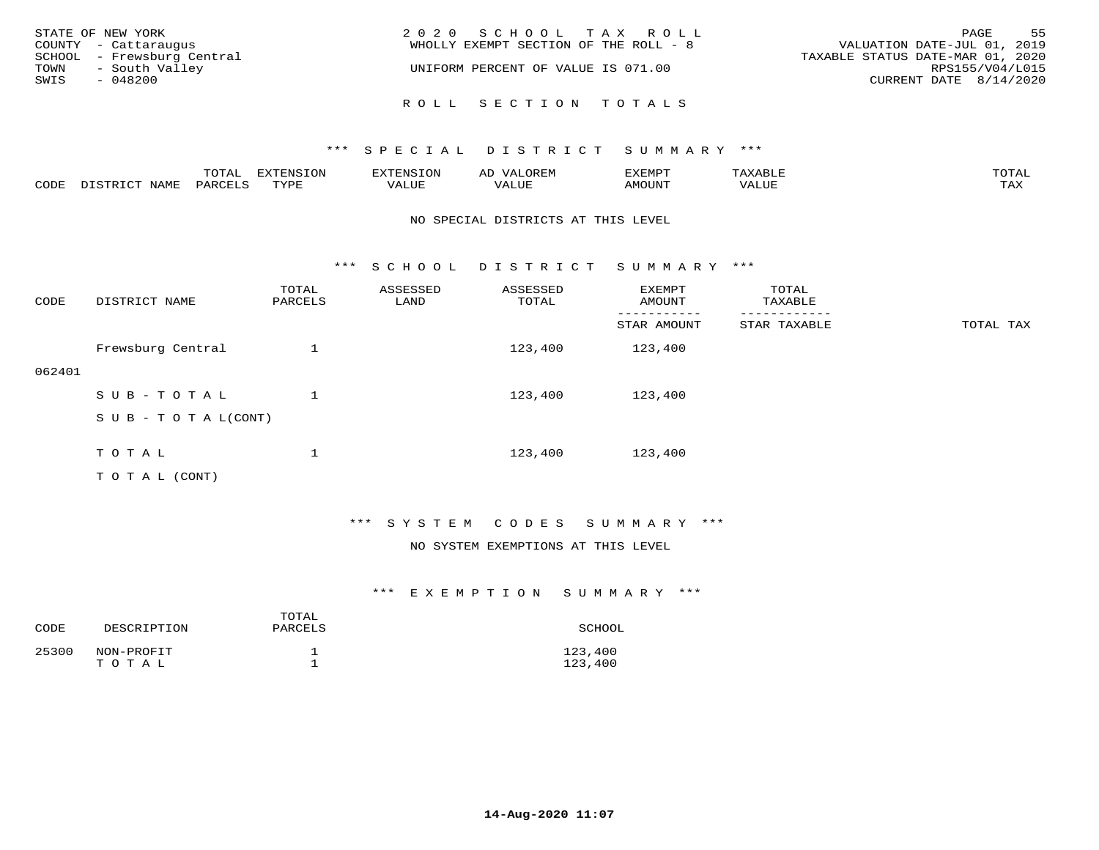| STATE OF NEW YORK<br>COUNTY - Cattaraugus<br>SCHOOL - Frewsburg Central<br>TOWN<br>- South Valley | 2020 SCHOOL TAX ROLL<br>WHOLLY EXEMPT SECTION OF THE ROLL - 8<br>UNIFORM PERCENT OF VALUE IS 071.00 |                     |  |  | 55<br>PAGE<br>VALUATION DATE-JUL 01, 2019<br>TAXABLE STATUS DATE-MAR 01, 2020<br>RPS155/V04/L015 |  |  |
|---------------------------------------------------------------------------------------------------|-----------------------------------------------------------------------------------------------------|---------------------|--|--|--------------------------------------------------------------------------------------------------|--|--|
| SWIS<br>$-048200$                                                                                 |                                                                                                     | ROLL SECTION TOTALS |  |  | CURRENT DATE 8/14/2020                                                                           |  |  |

|      |      | $m \wedge m \wedge n$<br>⊥∪⊥AL | <b>DIZPOILIC TONT</b><br>⊥ບ⊥ | EN.  | .<br>AL'<br>٠، تن ١٠ | 5773570      |          | $m \wedge m \wedge n$<br>$\mathsf{L}^{\mathsf{L}}$ |
|------|------|--------------------------------|------------------------------|------|----------------------|--------------|----------|----------------------------------------------------|
| CODE | NAMF | PARO                           | TVDF<br><u>ـ د د</u>         | ALUE |                      | <b>MOUNT</b> | 7 A LU B | may<br>- ∠∡∡                                       |

### NO SPECIAL DISTRICTS AT THIS LEVEL

\*\*\* S C H O O L D I S T R I C T S U M M A R Y \*\*\*

| CODE   | DISTRICT NAME                                                                                                   | TOTAL<br>PARCELS | ASSESSED<br>LAND | ASSESSED<br>TOTAL | EXEMPT<br>AMOUNT | TOTAL<br>TAXABLE |           |
|--------|-----------------------------------------------------------------------------------------------------------------|------------------|------------------|-------------------|------------------|------------------|-----------|
|        |                                                                                                                 |                  |                  |                   | STAR AMOUNT      | STAR TAXABLE     | TOTAL TAX |
|        | Frewsburg Central                                                                                               |                  |                  | 123,400           | 123,400          |                  |           |
| 062401 |                                                                                                                 |                  |                  |                   |                  |                  |           |
|        | SUB-TOTAL                                                                                                       |                  |                  | 123,400           | 123,400          |                  |           |
|        | $S \cup B - T \cup T A L (CONT)$                                                                                |                  |                  |                   |                  |                  |           |
|        |                                                                                                                 |                  |                  |                   |                  |                  |           |
|        | TOTAL                                                                                                           |                  |                  | 123,400           | 123,400          |                  |           |
|        | the contract of the contract of the contract of the contract of the contract of the contract of the contract of |                  |                  |                   |                  |                  |           |

T O T A L (CONT)

### \*\*\* S Y S T E M C O D E S S U M M A R Y \*\*\*

### NO SYSTEM EXEMPTIONS AT THIS LEVEL

| CODE  | DESCRIPTION         | TOTAL<br>PARCELS | SCHOOL             |
|-------|---------------------|------------------|--------------------|
| 25300 | NON-PROFIT<br>TOTAL |                  | 123,400<br>123,400 |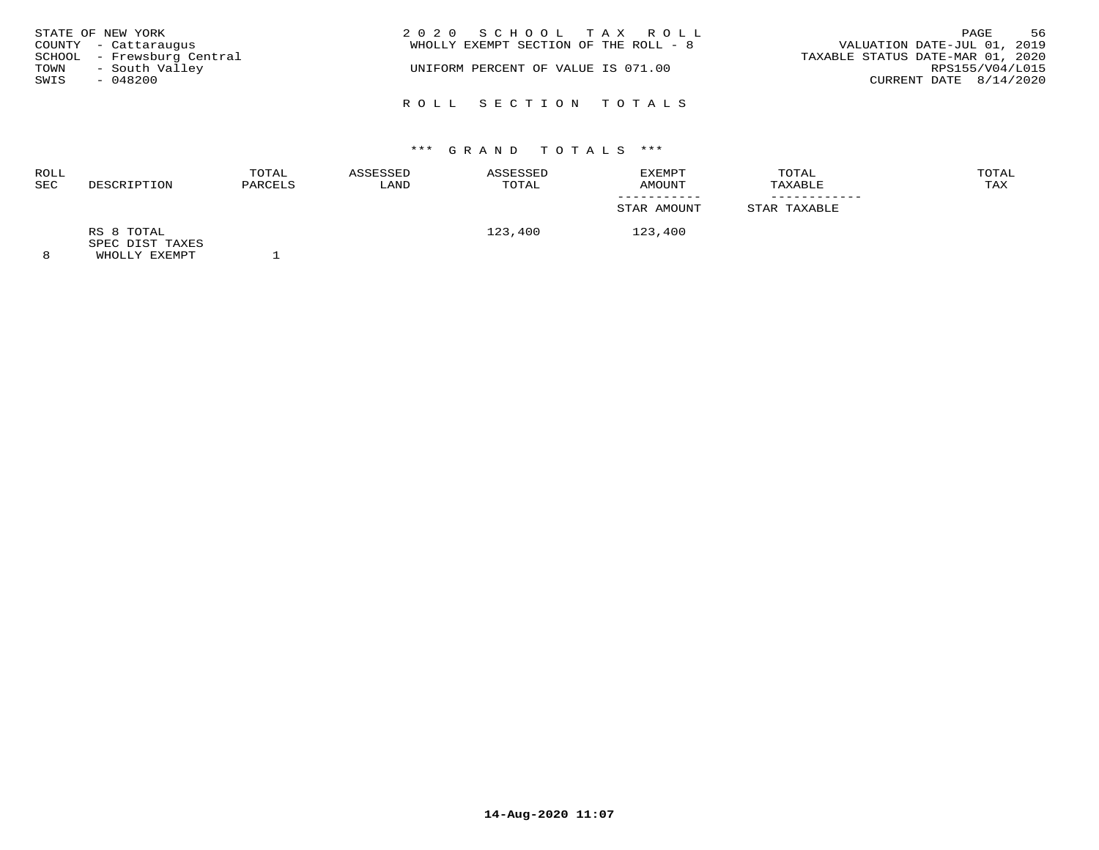| STATE OF NEW YORK<br>COUNTY - Cattaraugus<br>SCHOOL - Frewsburg Central<br>- South Valley<br>TOWN<br>SWIS<br>- 048200 | 2020 SCHOOL TAX ROLL<br>WHOLLY EXEMPT SECTION OF THE ROLL - 8<br>UNIFORM PERCENT OF VALUE IS 071.00 | VALUATION DATE-JUL 01, 2019<br>TAXABLE STATUS DATE-MAR 01, 2020<br>RPS155/V04/L015<br>CURRENT DATE $8/14/2020$ | PAGE | 56 |
|-----------------------------------------------------------------------------------------------------------------------|-----------------------------------------------------------------------------------------------------|----------------------------------------------------------------------------------------------------------------|------|----|
|                                                                                                                       | ROLL SECTION TOTALS                                                                                 |                                                                                                                |      |    |

| ROLL<br><b>SEC</b> | DESCRIPTION                   | TOTAL<br>PARCELS | ASSESSED<br>LAND | ASSESSED<br>TOTAL | EXEMPT<br>AMOUNT | TOTAL<br>TAXABLE | TOTAL<br>TAX |
|--------------------|-------------------------------|------------------|------------------|-------------------|------------------|------------------|--------------|
|                    |                               |                  |                  |                   | STAR AMOUNT      | STAR TAXABLE     |              |
|                    | RS 8 TOTAL<br>SPEC DIST TAXES |                  |                  | 123,400           | 123,400          |                  |              |
| $\circ$            | <b>WUOTIV EVEMBT</b>          |                  |                  |                   |                  |                  |              |

8 WHOLLY EXEMPT 1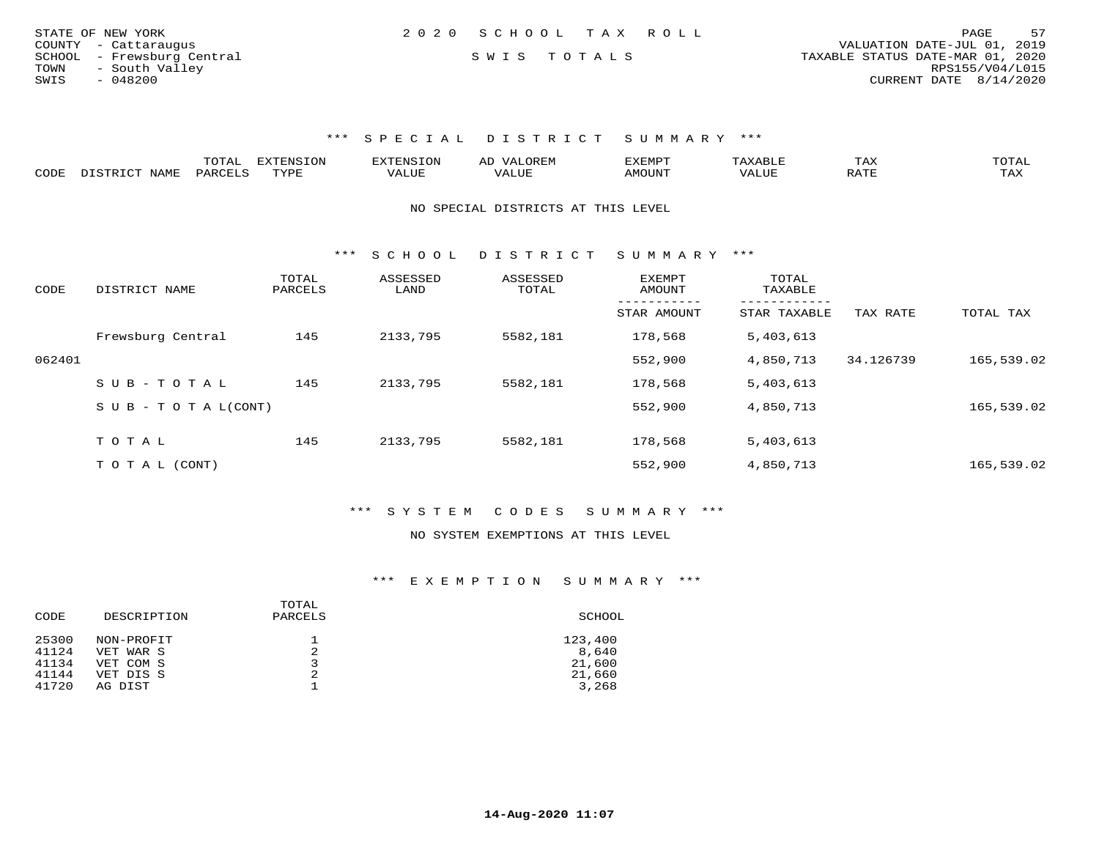| STATE OF NEW YORK          | 2020 SCHOOL TAX ROLL | 57<br>PAGE                       |
|----------------------------|----------------------|----------------------------------|
| COUNTY - Cattaraugus       |                      | VALUATION DATE-JUL 01, 2019      |
| SCHOOL - Frewsburg Central | SWIS TOTALS          | TAXABLE STATUS DATE-MAR 01, 2020 |
| TOWN<br>- South Valley     |                      | RPS155/V04/L015                  |
| $-048200$<br>SWIS          |                      | CURRENT DATE 8/14/2020           |

|      |                       | UIAL     | <b>EXTENSION</b> |               | A <sub>1</sub> | 'XEMP'        |                          | ⊥AA   | TOTAL |
|------|-----------------------|----------|------------------|---------------|----------------|---------------|--------------------------|-------|-------|
| CODE | <b>NLAME</b><br>comp: | DAPCFT.C | TVDF             | <i>J</i> ALUE |                | <b>AMOUNT</b> | , 7 7 T T T T T<br>VALUE | יחת ה | TAX   |

NO SPECIAL DISTRICTS AT THIS LEVEL

\*\*\* S C H O O L D I S T R I C T S U M M A R Y \*\*\*

| CODE   | DISTRICT NAME              | TOTAL<br>PARCELS | ASSESSED<br>LAND | ASSESSED<br>TOTAL | <b>EXEMPT</b><br>AMOUNT | TOTAL<br>TAXABLE         |           |            |
|--------|----------------------------|------------------|------------------|-------------------|-------------------------|--------------------------|-----------|------------|
|        |                            |                  |                  |                   | STAR AMOUNT             | --------<br>STAR TAXABLE | TAX RATE  | TOTAL TAX  |
|        | Frewsburg Central          | 145              | 2133,795         | 5582,181          | 178,568                 | 5,403,613                |           |            |
| 062401 |                            |                  |                  |                   | 552,900                 | 4,850,713                | 34.126739 | 165,539.02 |
|        | SUB-TOTAL                  | 145              | 2133,795         | 5582,181          | 178,568                 | 5,403,613                |           |            |
|        | S U B - T O T A $L$ (CONT) |                  |                  |                   | 552,900                 | 4,850,713                |           | 165,539.02 |
|        |                            |                  |                  |                   |                         |                          |           |            |
|        | TOTAL                      | 145              | 2133,795         | 5582,181          | 178,568                 | 5,403,613                |           |            |
|        | TO TAL (CONT)              |                  |                  |                   | 552,900                 | 4,850,713                |           | 165,539.02 |

\*\*\* S Y S T E M C O D E S S U M M A R Y \*\*\*

### NO SYSTEM EXEMPTIONS AT THIS LEVEL

| SCHOOL  |
|---------|
| 123,400 |
| 8,640   |
| 21,600  |
| 21,660  |
| 3,268   |
|         |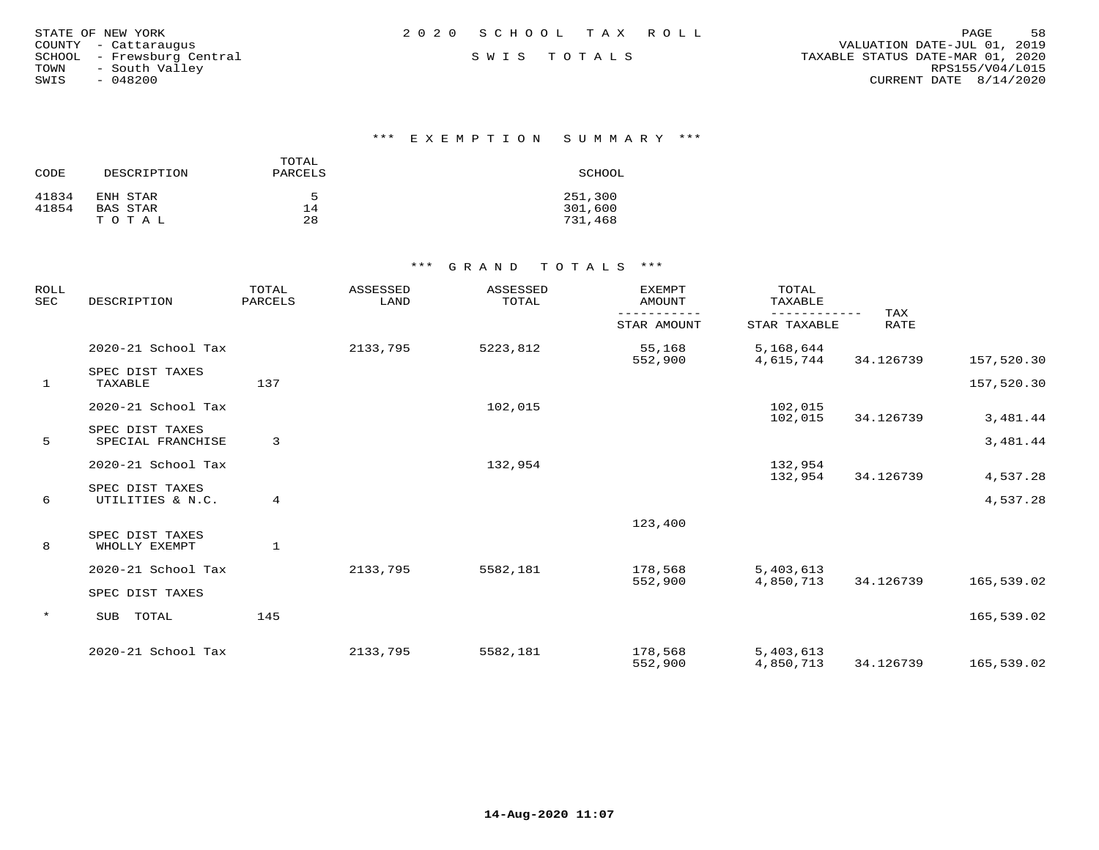| STATE OF NEW YORK          | 2020 SCHOOL TAX ROLL | 58<br>PAGE                       |
|----------------------------|----------------------|----------------------------------|
| COUNTY - Cattaraugus       |                      | VALUATION DATE-JUL 01, 2019      |
| SCHOOL - Frewsburg Central | SWIS TOTALS          | TAXABLE STATUS DATE-MAR 01, 2020 |
| - South Valley<br>TOWN     |                      | RPS155/V04/L015                  |
| $-048200$<br>SWIS          |                      | CURRENT DATE 8/14/2020           |
|                            |                      |                                  |

### \*\*\* E X E M P T I O N S U M M A R Y \*\*\*

| CODE  | DESCRIPTION | TOTAL<br>PARCELS | SCHOOL  |
|-------|-------------|------------------|---------|
| 41834 | ENH STAR    | ᄃ                | 251,300 |
| 41854 | BAS STAR    | 14               | 301,600 |
|       | TOTAL       | 28               | 731,468 |

| <b>ROLL</b><br><b>SEC</b> | DESCRIPTION                          | TOTAL<br>PARCELS | ASSESSED<br>LAND | ASSESSED<br>TOTAL | <b>EXEMPT</b><br>AMOUNT | TOTAL<br>TAXABLE       | TAX         |            |
|---------------------------|--------------------------------------|------------------|------------------|-------------------|-------------------------|------------------------|-------------|------------|
|                           |                                      |                  |                  |                   | STAR AMOUNT             | STAR TAXABLE           | <b>RATE</b> |            |
|                           | 2020-21 School Tax                   |                  | 2133,795         | 5223,812          | 55,168<br>552,900       | 5,168,644<br>4,615,744 | 34.126739   | 157,520.30 |
| $\mathbf{1}$              | SPEC DIST TAXES<br>TAXABLE           | 137              |                  |                   |                         |                        |             | 157,520.30 |
|                           | 2020-21 School Tax                   |                  |                  | 102,015           |                         | 102,015<br>102,015     | 34.126739   | 3,481.44   |
| 5                         | SPEC DIST TAXES<br>SPECIAL FRANCHISE | 3                |                  |                   |                         |                        |             | 3,481.44   |
|                           | 2020-21 School Tax                   |                  |                  | 132,954           |                         | 132,954<br>132,954     | 34.126739   | 4,537.28   |
| 6                         | SPEC DIST TAXES<br>UTILITIES & N.C.  | 4                |                  |                   |                         |                        |             | 4,537.28   |
|                           |                                      |                  |                  |                   | 123,400                 |                        |             |            |
| 8                         | SPEC DIST TAXES<br>WHOLLY EXEMPT     | $\mathbf{1}$     |                  |                   |                         |                        |             |            |
|                           | 2020-21 School Tax                   |                  | 2133,795         | 5582,181          | 178,568<br>552,900      | 5,403,613<br>4,850,713 | 34.126739   | 165,539.02 |
|                           | SPEC DIST TAXES                      |                  |                  |                   |                         |                        |             |            |
| $\star$                   | TOTAL<br>SUB                         | 145              |                  |                   |                         |                        |             | 165,539.02 |
|                           | 2020-21 School Tax                   |                  | 2133,795         | 5582,181          | 178,568<br>552,900      | 5,403,613<br>4,850,713 | 34.126739   | 165,539.02 |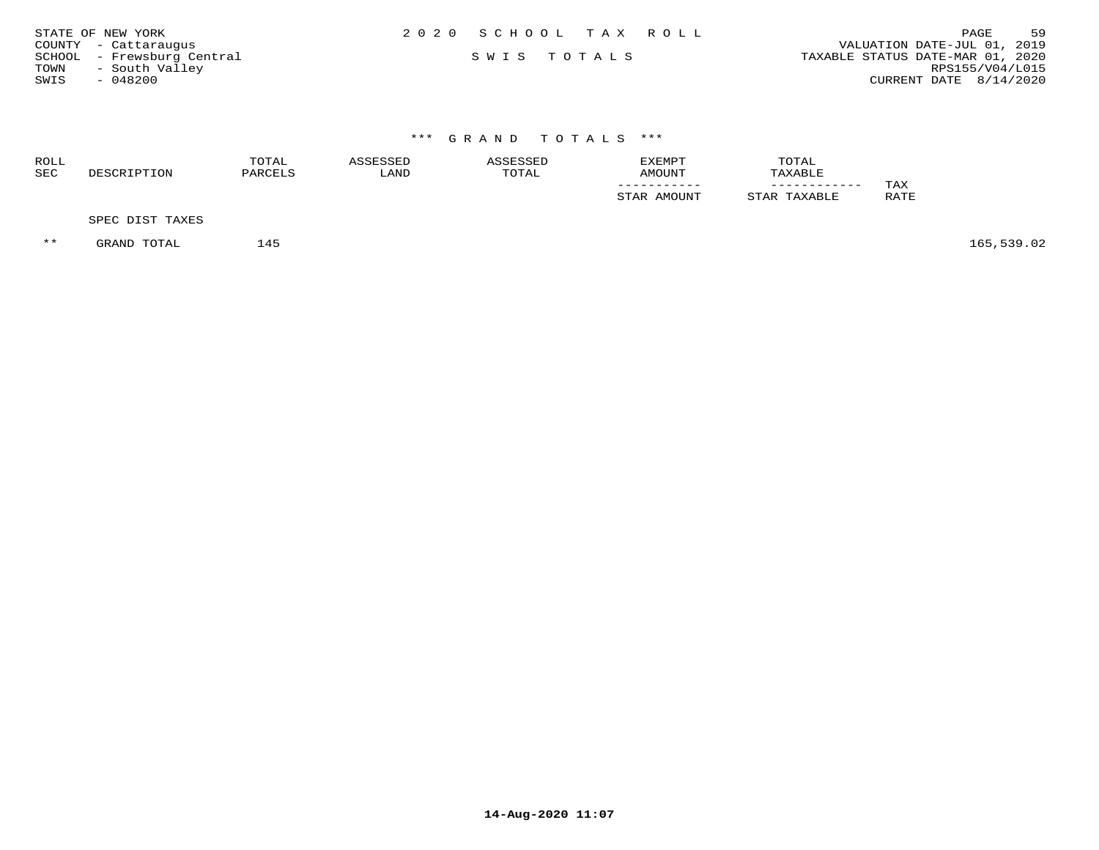| STATE OF NEW YORK          | 2020 SCHOOL TAX ROLL | 59<br>PAGE                       |
|----------------------------|----------------------|----------------------------------|
| COUNTY - Cattaraugus       |                      | VALUATION DATE-JUL 01, 2019      |
| SCHOOL - Frewsburg Central | SWIS TOTALS          | TAXABLE STATUS DATE-MAR 01, 2020 |
| - South Valley<br>TOWN     |                      | RPS155/V04/L015                  |
| $-048200$<br>SWIS          |                      | CURRENT DATE 8/14/2020           |

| ROLL<br>SEC | DESCRIPTION     | TOTAL<br>PARCELS | ASSESSED<br>LAND | ASSESSED<br>TOTAL | EXEMPT<br>AMOUNT | TOTAL<br>TAXABLE |             |
|-------------|-----------------|------------------|------------------|-------------------|------------------|------------------|-------------|
|             |                 |                  |                  |                   | STAR AMOUNT      | STAR TAXABLE     | TAX<br>RATE |
|             | SPEC DIST TAXES |                  |                  |                   |                  |                  |             |

\*\* GRAND TOTAL 145 145 165,539.02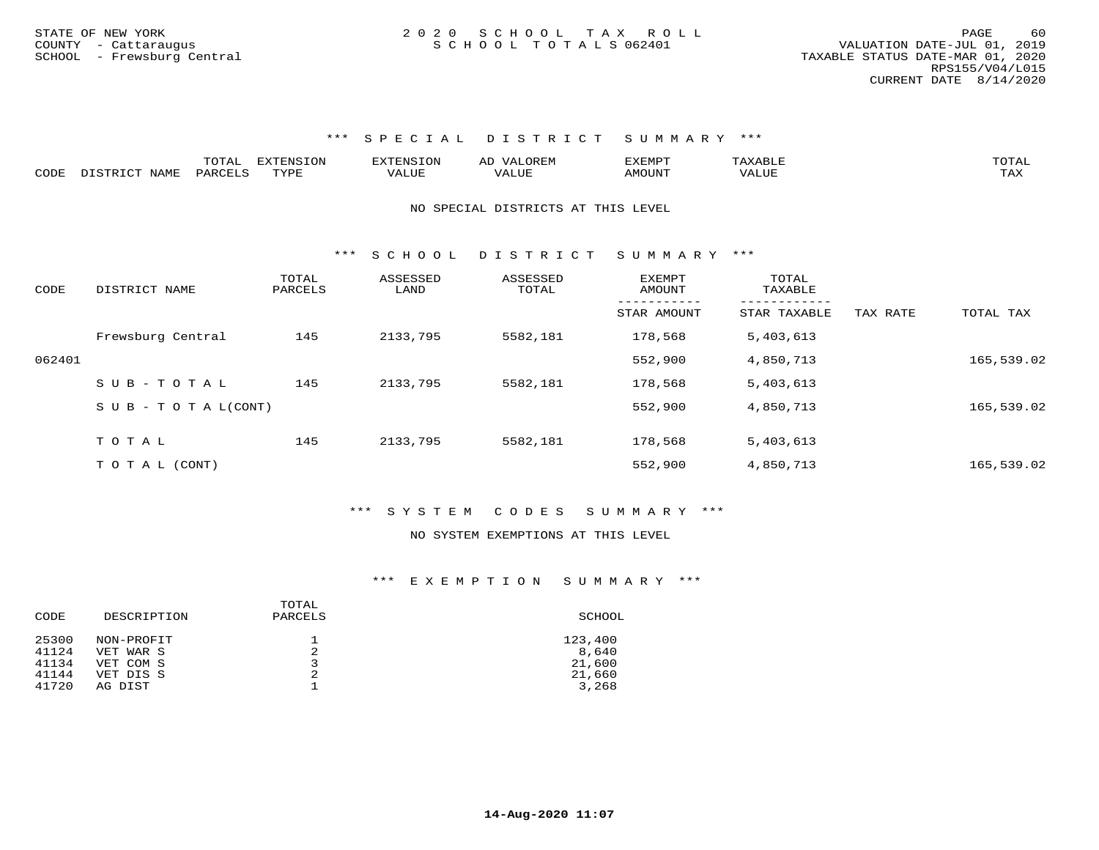|      |                         | TOTAL   | <b>EXTENSION</b> | <b>EXTENSION</b> | OREM<br><u>МД</u><br>AL | EXEMPT | TOTAL     |
|------|-------------------------|---------|------------------|------------------|-------------------------|--------|-----------|
| CODE | DISTRICT<br><b>NAME</b> | PARCELS | TYPE             | JALUE            | 'A⊥∪⊥                   | AMOUNT | .<br>I AA |

### NO SPECIAL DISTRICTS AT THIS LEVEL

\*\*\* S C H O O L D I S T R I C T S U M M A R Y \*\*\*

| CODE   | DISTRICT NAME      | TOTAL<br>PARCELS | ASSESSED<br>LAND | ASSESSED<br>TOTAL | <b>EXEMPT</b><br>AMOUNT | TOTAL<br>TAXABLE         |          |            |
|--------|--------------------|------------------|------------------|-------------------|-------------------------|--------------------------|----------|------------|
|        |                    |                  |                  |                   | --------<br>STAR AMOUNT | --------<br>STAR TAXABLE | TAX RATE | TOTAL TAX  |
|        | Frewsburg Central  | 145              | 2133,795         | 5582,181          | 178,568                 | 5,403,613                |          |            |
| 062401 |                    |                  |                  |                   | 552,900                 | 4,850,713                |          | 165,539.02 |
|        | $SUB - TO TAL$     | 145              | 2133,795         | 5582,181          | 178,568                 | 5,403,613                |          |            |
|        | SUB - TO TAL(CONT) |                  |                  |                   | 552,900                 | 4,850,713                |          | 165,539.02 |
|        |                    |                  |                  |                   |                         |                          |          |            |
|        | TOTAL              | 145              | 2133,795         | 5582,181          | 178,568                 | 5,403,613                |          |            |
|        | T O T A L (CONT)   |                  |                  |                   | 552,900                 | 4,850,713                |          | 165,539.02 |

### \*\*\* S Y S T E M C O D E S S U M M A R Y \*\*\*

### NO SYSTEM EXEMPTIONS AT THIS LEVEL

| DESCRIPTION | TOTAL<br>PARCELS | SCHOOL  |
|-------------|------------------|---------|
| NON-PROFIT  | ᅩ                | 123,400 |
| VET WAR S   | 2                | 8,640   |
| VET COM S   |                  | 21,600  |
| VET DIS S   | 2                | 21,660  |
| AG DIST     |                  | 3,268   |
|             |                  |         |